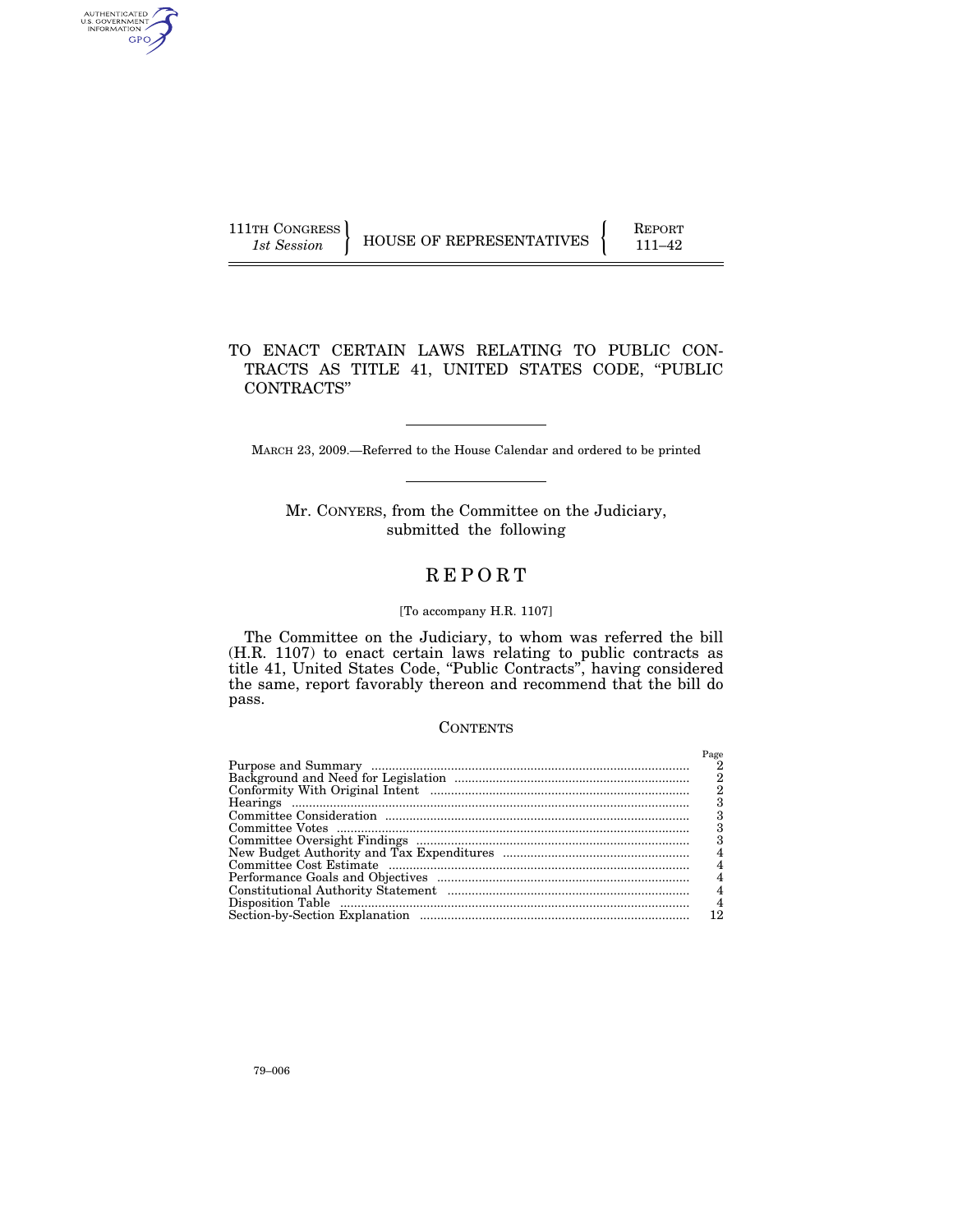| 111TH CONGRESS |  |
|----------------|--|
| 1st Session    |  |

AUTHENTICATED<br>U.S. GOVERNMENT<br>INFORMATION **GPO** 

 $_{\rm HOUSE~OF~REPRESENTATIVES} \left\{ \begin{array}{r} {\begin{array}{c} {\rm REPORT} \ \ \, \, 111-42 \end{array}} \end{array} \right.$ 

# TO ENACT CERTAIN LAWS RELATING TO PUBLIC CON-TRACTS AS TITLE 41, UNITED STATES CODE, ''PUBLIC CONTRACTS''

MARCH 23, 2009.—Referred to the House Calendar and ordered to be printed

# Mr. CONYERS, from the Committee on the Judiciary, submitted the following

# R E P O R T

#### [To accompany H.R. 1107]

The Committee on the Judiciary, to whom was referred the bill (H.R. 1107) to enact certain laws relating to public contracts as title 41, United States Code, ''Public Contracts'', having considered the same, report favorably thereon and recommend that the bill do pass.

## **CONTENTS**

| Page |
|------|
| 2    |
| 2    |
| 2    |
| з    |
|      |
| з    |
|      |
| 4    |
|      |
|      |
| 4    |
| 4    |
| 12   |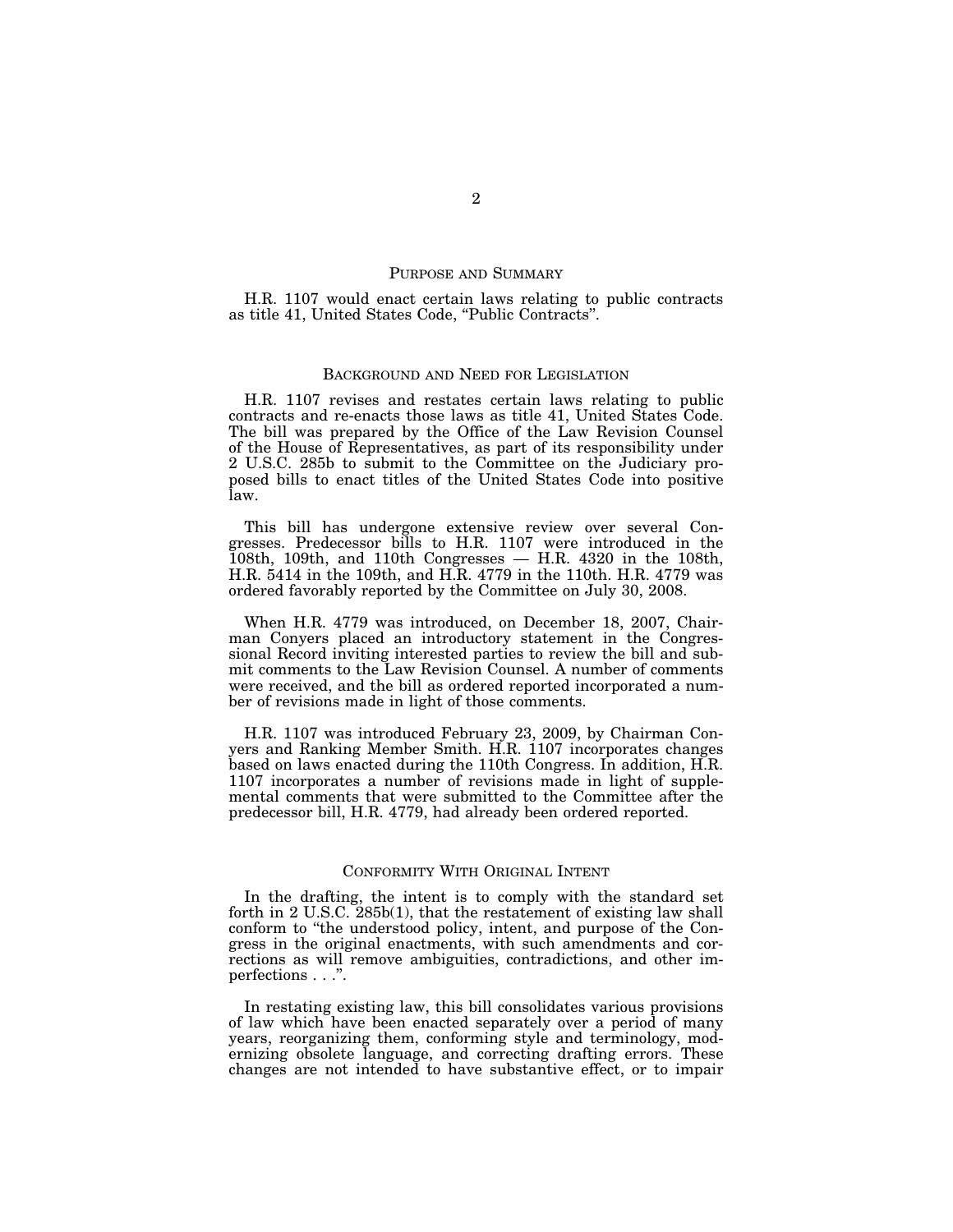#### PURPOSE AND SUMMARY

H.R. 1107 would enact certain laws relating to public contracts as title 41, United States Code, ''Public Contracts''.

## BACKGROUND AND NEED FOR LEGISLATION

H.R. 1107 revises and restates certain laws relating to public contracts and re-enacts those laws as title 41, United States Code. The bill was prepared by the Office of the Law Revision Counsel of the House of Representatives, as part of its responsibility under 2 U.S.C. 285b to submit to the Committee on the Judiciary proposed bills to enact titles of the United States Code into positive law.

This bill has undergone extensive review over several Congresses. Predecessor bills to H.R. 1107 were introduced in the  $108th$ , 109th, and 110th Congresses  $-$  H.R. 4320 in the 108th, H.R. 5414 in the 109th, and H.R. 4779 in the 110th. H.R. 4779 was ordered favorably reported by the Committee on July 30, 2008.

When H.R. 4779 was introduced, on December 18, 2007, Chairman Conyers placed an introductory statement in the Congressional Record inviting interested parties to review the bill and submit comments to the Law Revision Counsel. A number of comments were received, and the bill as ordered reported incorporated a number of revisions made in light of those comments.

H.R. 1107 was introduced February 23, 2009, by Chairman Conyers and Ranking Member Smith. H.R. 1107 incorporates changes based on laws enacted during the 110th Congress. In addition, H.R. 1107 incorporates a number of revisions made in light of supplemental comments that were submitted to the Committee after the predecessor bill, H.R. 4779, had already been ordered reported.

## CONFORMITY WITH ORIGINAL INTENT

In the drafting, the intent is to comply with the standard set forth in 2 U.S.C. 285b(1), that the restatement of existing law shall conform to ''the understood policy, intent, and purpose of the Congress in the original enactments, with such amendments and corrections as will remove ambiguities, contradictions, and other imperfections . . .''.

In restating existing law, this bill consolidates various provisions of law which have been enacted separately over a period of many years, reorganizing them, conforming style and terminology, modernizing obsolete language, and correcting drafting errors. These changes are not intended to have substantive effect, or to impair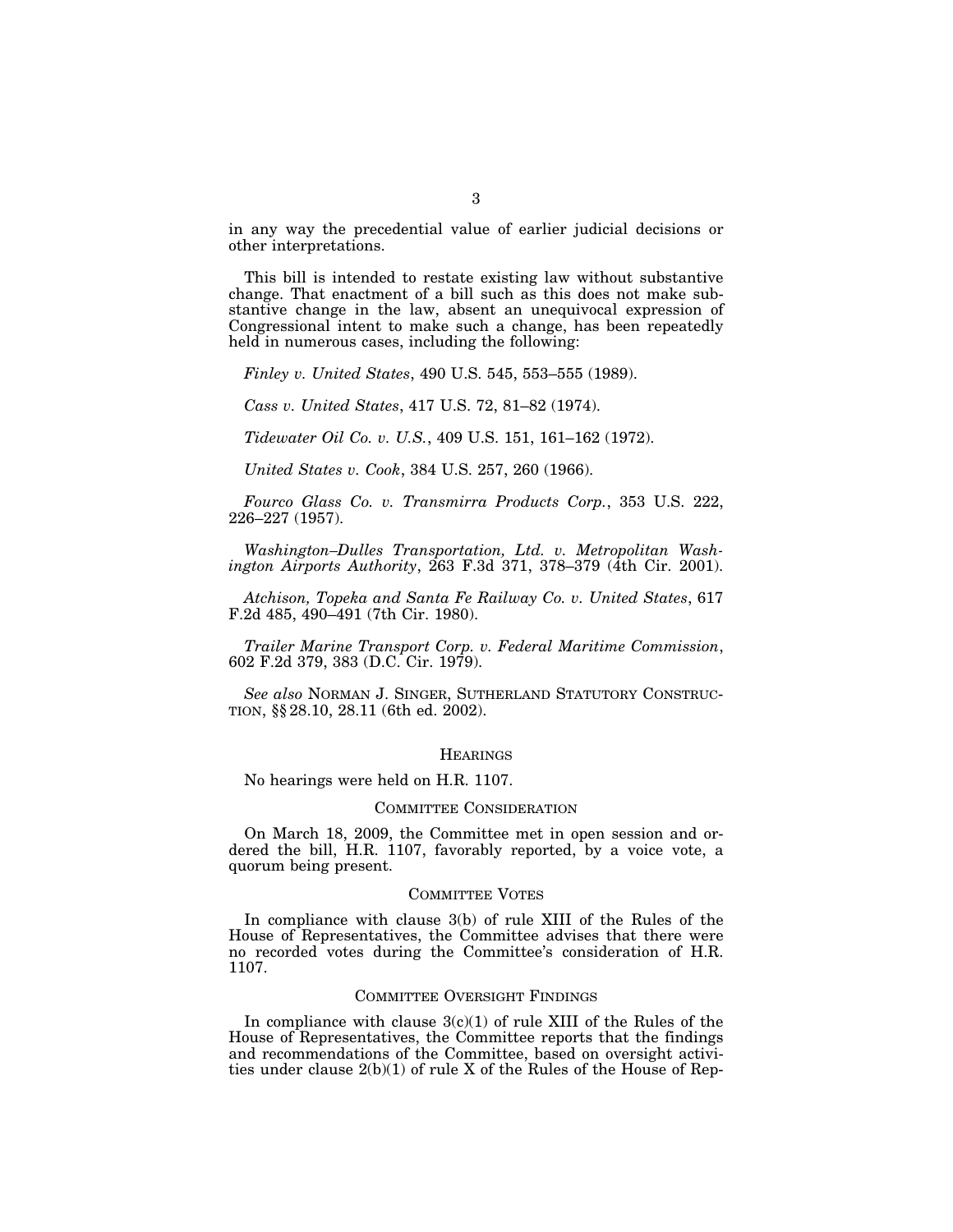in any way the precedential value of earlier judicial decisions or other interpretations.

This bill is intended to restate existing law without substantive change. That enactment of a bill such as this does not make substantive change in the law, absent an unequivocal expression of Congressional intent to make such a change, has been repeatedly held in numerous cases, including the following:

*Finley v. United States*, 490 U.S. 545, 553–555 (1989).

*Cass v. United States*, 417 U.S. 72, 81–82 (1974).

*Tidewater Oil Co. v. U.S.*, 409 U.S. 151, 161–162 (1972).

*United States v. Cook*, 384 U.S. 257, 260 (1966).

*Fourco Glass Co. v. Transmirra Products Corp.*, 353 U.S. 222, 226–227 (1957).

*Washington–Dulles Transportation, Ltd. v. Metropolitan Washington Airports Authority*, 263 F.3d 371, 378–379 (4th Cir. 2001).

*Atchison, Topeka and Santa Fe Railway Co. v. United States*, 617 F.2d 485, 490–491 (7th Cir. 1980).

*Trailer Marine Transport Corp. v. Federal Maritime Commission*, 602 F.2d 379, 383 (D.C. Cir. 1979).

*See also* NORMAN J. SINGER, SUTHERLAND STATUTORY CONSTRUC-TION, §§ 28.10, 28.11 (6th ed. 2002).

#### **HEARINGS**

No hearings were held on H.R. 1107.

## COMMITTEE CONSIDERATION

On March 18, 2009, the Committee met in open session and ordered the bill, H.R. 1107, favorably reported, by a voice vote, a quorum being present.

## COMMITTEE VOTES

In compliance with clause 3(b) of rule XIII of the Rules of the House of Representatives, the Committee advises that there were no recorded votes during the Committee's consideration of H.R. 1107.

#### COMMITTEE OVERSIGHT FINDINGS

In compliance with clause  $3(c)(1)$  of rule XIII of the Rules of the House of Representatives, the Committee reports that the findings and recommendations of the Committee, based on oversight activities under clause 2(b)(1) of rule X of the Rules of the House of Rep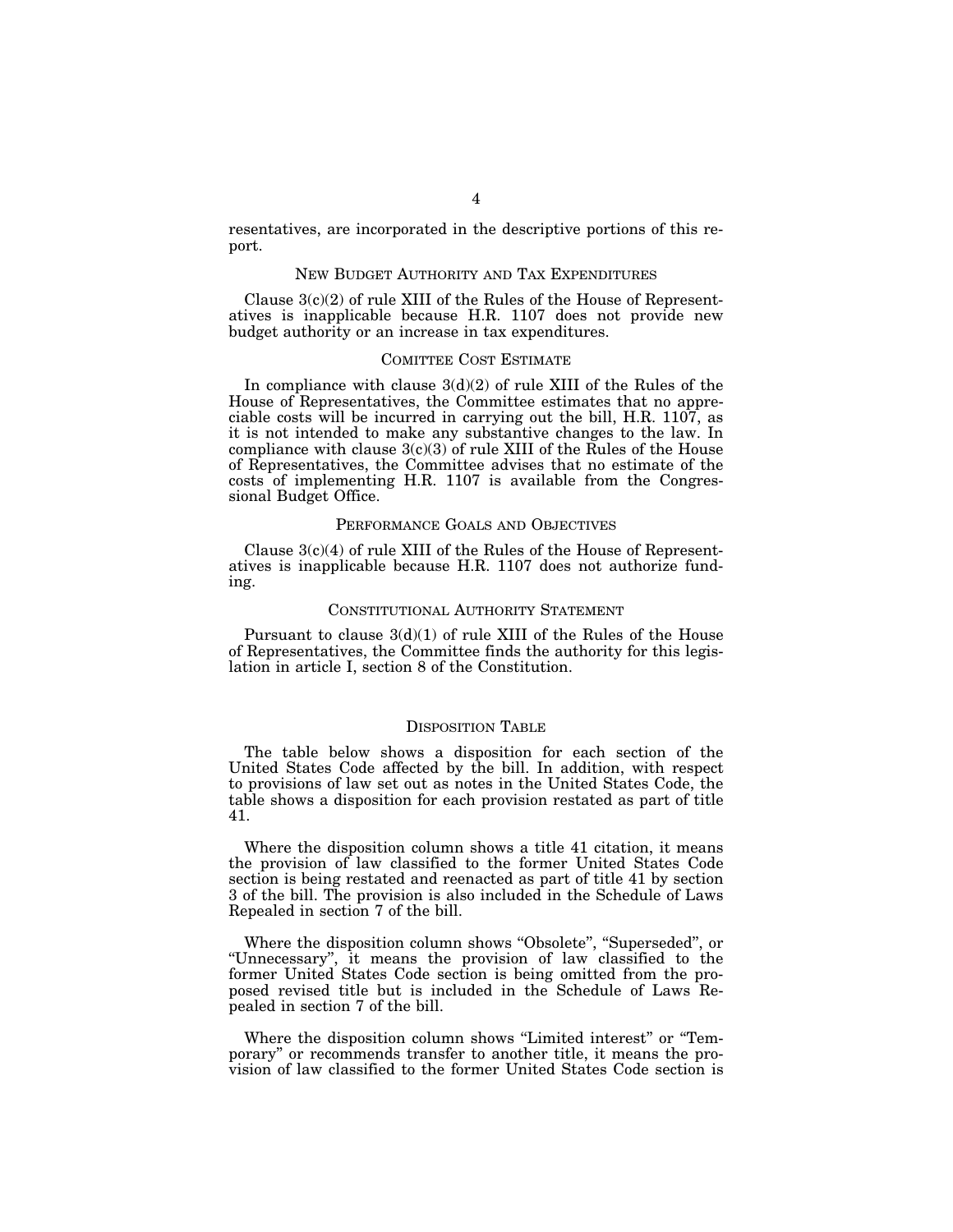resentatives, are incorporated in the descriptive portions of this report.

### NEW BUDGET AUTHORITY AND TAX EXPENDITURES

Clause  $3(c)(2)$  of rule XIII of the Rules of the House of Representatives is inapplicable because H.R. 1107 does not provide new budget authority or an increase in tax expenditures.

## COMITTEE COST ESTIMATE

In compliance with clause  $3(d)(2)$  of rule XIII of the Rules of the House of Representatives, the Committee estimates that no appreciable costs will be incurred in carrying out the bill, H.R. 1107, as it is not intended to make any substantive changes to the law. In compliance with clause  $3(c)(3)$  of rule XIII of the Rules of the House of Representatives, the Committee advises that no estimate of the costs of implementing H.R. 1107 is available from the Congressional Budget Office.

## PERFORMANCE GOALS AND OBJECTIVES

Clause  $3(c)(4)$  of rule XIII of the Rules of the House of Representatives is inapplicable because H.R. 1107 does not authorize funding.

## CONSTITUTIONAL AUTHORITY STATEMENT

Pursuant to clause  $3(d)(1)$  of rule XIII of the Rules of the House of Representatives, the Committee finds the authority for this legislation in article I, section 8 of the Constitution.

## DISPOSITION TABLE

The table below shows a disposition for each section of the United States Code affected by the bill. In addition, with respect to provisions of law set out as notes in the United States Code, the table shows a disposition for each provision restated as part of title 41.

Where the disposition column shows a title 41 citation, it means the provision of law classified to the former United States Code section is being restated and reenacted as part of title 41 by section 3 of the bill. The provision is also included in the Schedule of Laws Repealed in section 7 of the bill.

Where the disposition column shows ''Obsolete'', ''Superseded'', or ''Unnecessary'', it means the provision of law classified to the former United States Code section is being omitted from the proposed revised title but is included in the Schedule of Laws Repealed in section 7 of the bill.

Where the disposition column shows "Limited interest" or "Temporary'' or recommends transfer to another title, it means the provision of law classified to the former United States Code section is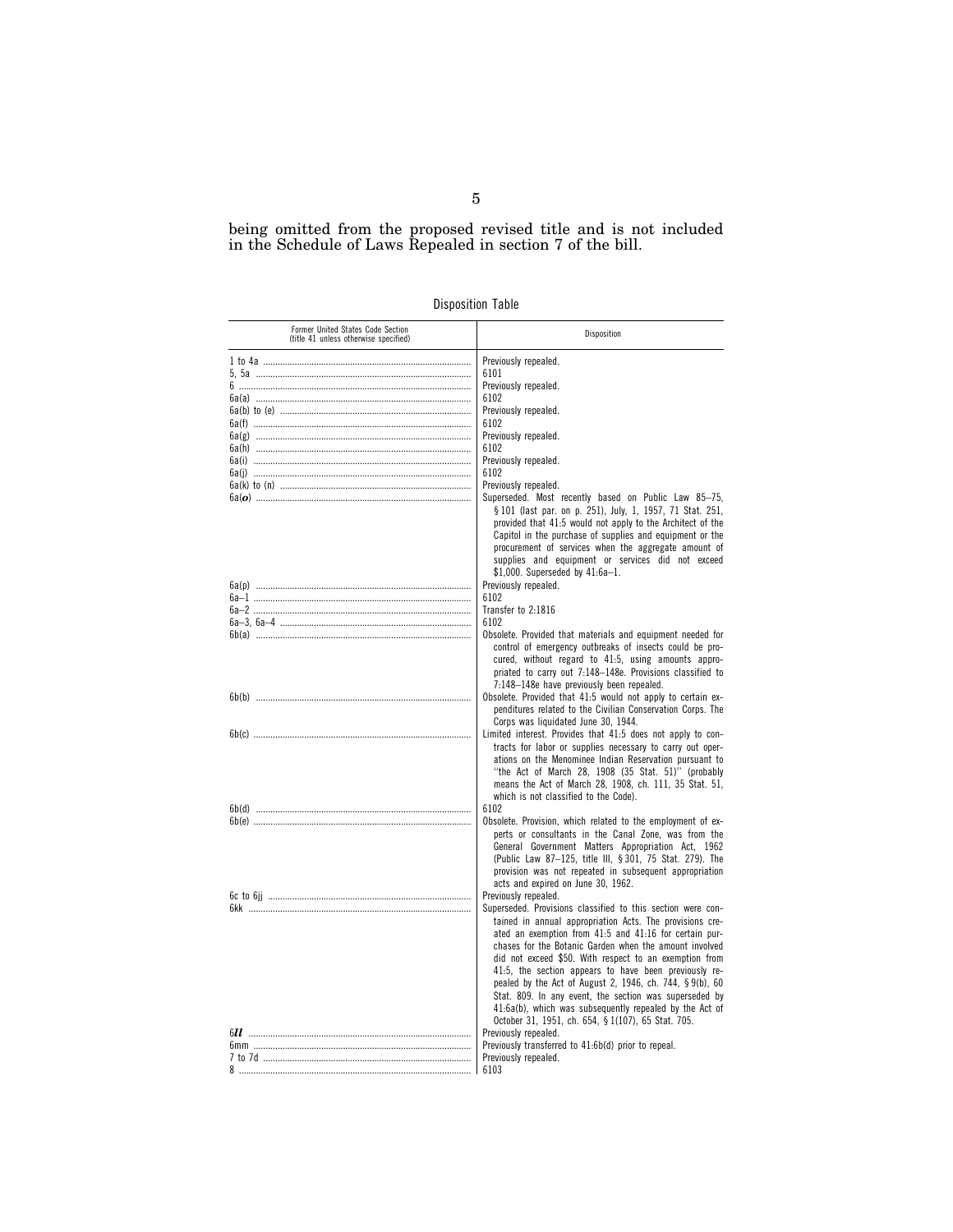being omitted from the proposed revised title and is not included in the Schedule of Laws Repealed in section 7 of the bill.

| <b>Disposition Table</b> |  |
|--------------------------|--|
|                          |  |

| Former United States Code Section<br>(title 41 unless otherwise specified) | Disposition                                                                                                                                                                                                                                                                                                                                                                                                                                                                                                                                                                                           |
|----------------------------------------------------------------------------|-------------------------------------------------------------------------------------------------------------------------------------------------------------------------------------------------------------------------------------------------------------------------------------------------------------------------------------------------------------------------------------------------------------------------------------------------------------------------------------------------------------------------------------------------------------------------------------------------------|
|                                                                            | Previously repealed.                                                                                                                                                                                                                                                                                                                                                                                                                                                                                                                                                                                  |
|                                                                            | 6101                                                                                                                                                                                                                                                                                                                                                                                                                                                                                                                                                                                                  |
|                                                                            | Previously repealed.                                                                                                                                                                                                                                                                                                                                                                                                                                                                                                                                                                                  |
|                                                                            | 6102                                                                                                                                                                                                                                                                                                                                                                                                                                                                                                                                                                                                  |
|                                                                            | Previously repealed.                                                                                                                                                                                                                                                                                                                                                                                                                                                                                                                                                                                  |
|                                                                            | 6102                                                                                                                                                                                                                                                                                                                                                                                                                                                                                                                                                                                                  |
|                                                                            | Previously repealed.                                                                                                                                                                                                                                                                                                                                                                                                                                                                                                                                                                                  |
|                                                                            | 6102                                                                                                                                                                                                                                                                                                                                                                                                                                                                                                                                                                                                  |
|                                                                            | Previously repealed.                                                                                                                                                                                                                                                                                                                                                                                                                                                                                                                                                                                  |
|                                                                            | 6102                                                                                                                                                                                                                                                                                                                                                                                                                                                                                                                                                                                                  |
|                                                                            | Previously repealed.                                                                                                                                                                                                                                                                                                                                                                                                                                                                                                                                                                                  |
|                                                                            | Superseded. Most recently based on Public Law 85-75,                                                                                                                                                                                                                                                                                                                                                                                                                                                                                                                                                  |
|                                                                            | § 101 (last par. on p. 251), July, 1, 1957, 71 Stat. 251,<br>provided that 41.5 would not apply to the Architect of the<br>Capitol in the purchase of supplies and equipment or the<br>procurement of services when the aggregate amount of<br>supplies and equipment or services did not exceed<br>$$1,000.$ Superseded by $41:6a-1.$                                                                                                                                                                                                                                                                |
|                                                                            | Previously repealed.                                                                                                                                                                                                                                                                                                                                                                                                                                                                                                                                                                                  |
|                                                                            | 6102                                                                                                                                                                                                                                                                                                                                                                                                                                                                                                                                                                                                  |
|                                                                            | Transfer to 2:1816                                                                                                                                                                                                                                                                                                                                                                                                                                                                                                                                                                                    |
|                                                                            | 6102                                                                                                                                                                                                                                                                                                                                                                                                                                                                                                                                                                                                  |
|                                                                            | Obsolete. Provided that materials and equipment needed for                                                                                                                                                                                                                                                                                                                                                                                                                                                                                                                                            |
|                                                                            | control of emergency outbreaks of insects could be pro-<br>cured, without regard to 41:5, using amounts appro-<br>priated to carry out 7:148-148e. Provisions classified to<br>7:148-148e have previously been repealed.                                                                                                                                                                                                                                                                                                                                                                              |
|                                                                            | Obsolete. Provided that 41:5 would not apply to certain ex-<br>penditures related to the Civilian Conservation Corps. The<br>Corps was liquidated June 30, 1944.                                                                                                                                                                                                                                                                                                                                                                                                                                      |
|                                                                            | Limited interest. Provides that 41:5 does not apply to con-<br>tracts for labor or supplies necessary to carry out oper-<br>ations on the Menominee Indian Reservation pursuant to<br>"the Act of March 28, 1908 (35 Stat. 51)" (probably<br>means the Act of March 28, 1908, ch. 111, 35 Stat. 51,<br>which is not classified to the Code).                                                                                                                                                                                                                                                          |
|                                                                            | 6102                                                                                                                                                                                                                                                                                                                                                                                                                                                                                                                                                                                                  |
|                                                                            | Obsolete. Provision, which related to the employment of ex-                                                                                                                                                                                                                                                                                                                                                                                                                                                                                                                                           |
|                                                                            | perts or consultants in the Canal Zone, was from the<br>General Government Matters Appropriation Act, 1962<br>(Public Law 87-125, title III, § 301, 75 Stat. 279). The<br>provision was not repeated in subsequent appropriation<br>acts and expired on June 30, 1962.                                                                                                                                                                                                                                                                                                                                |
|                                                                            | Previously repealed.                                                                                                                                                                                                                                                                                                                                                                                                                                                                                                                                                                                  |
|                                                                            | Superseded. Provisions classified to this section were con-<br>tained in annual appropriation Acts. The provisions cre-<br>ated an exemption from 41:5 and 41:16 for certain pur-<br>chases for the Botanic Garden when the amount involved<br>did not exceed \$50. With respect to an exemption from<br>41:5, the section appears to have been previously re-<br>pealed by the Act of August 2, 1946, ch. 744, § 9(b), 60<br>Stat. 809. In any event, the section was superseded by<br>41:6a(b), which was subsequently repealed by the Act of<br>October 31, 1951, ch. 654, § 1(107), 65 Stat. 705. |
|                                                                            | Previously repealed.                                                                                                                                                                                                                                                                                                                                                                                                                                                                                                                                                                                  |
|                                                                            | Previously transferred to 41:6b(d) prior to repeal.                                                                                                                                                                                                                                                                                                                                                                                                                                                                                                                                                   |
|                                                                            | Previously repealed.                                                                                                                                                                                                                                                                                                                                                                                                                                                                                                                                                                                  |
|                                                                            | 6103                                                                                                                                                                                                                                                                                                                                                                                                                                                                                                                                                                                                  |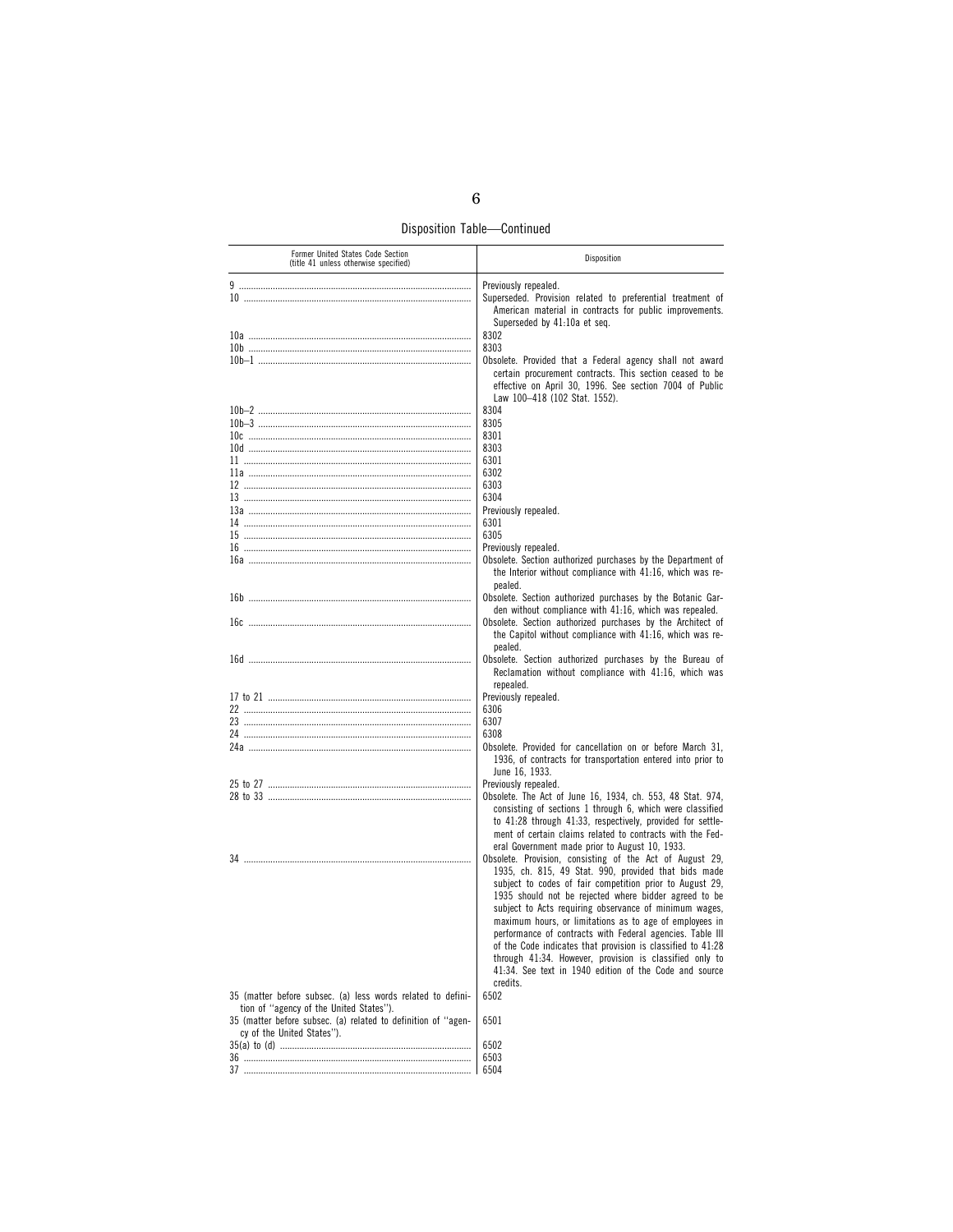Disposition Table—Continued

| Former United States Code Section<br>(title 41 unless otherwise specified)                                                                                              | Disposition                                                                                                                                                                                                                                                                                                                                                                                                                                                                                                                                                                                                             |
|-------------------------------------------------------------------------------------------------------------------------------------------------------------------------|-------------------------------------------------------------------------------------------------------------------------------------------------------------------------------------------------------------------------------------------------------------------------------------------------------------------------------------------------------------------------------------------------------------------------------------------------------------------------------------------------------------------------------------------------------------------------------------------------------------------------|
|                                                                                                                                                                         | Previously repealed.                                                                                                                                                                                                                                                                                                                                                                                                                                                                                                                                                                                                    |
|                                                                                                                                                                         | Superseded. Provision related to preferential treatment of<br>American material in contracts for public improvements.<br>Superseded by 41:10a et seq.                                                                                                                                                                                                                                                                                                                                                                                                                                                                   |
|                                                                                                                                                                         | 8302                                                                                                                                                                                                                                                                                                                                                                                                                                                                                                                                                                                                                    |
|                                                                                                                                                                         | 8303                                                                                                                                                                                                                                                                                                                                                                                                                                                                                                                                                                                                                    |
|                                                                                                                                                                         | Obsolete. Provided that a Federal agency shall not award<br>certain procurement contracts. This section ceased to be<br>effective on April 30, 1996. See section 7004 of Public<br>Law 100-418 (102 Stat. 1552).                                                                                                                                                                                                                                                                                                                                                                                                        |
|                                                                                                                                                                         | 8304                                                                                                                                                                                                                                                                                                                                                                                                                                                                                                                                                                                                                    |
|                                                                                                                                                                         | 8305                                                                                                                                                                                                                                                                                                                                                                                                                                                                                                                                                                                                                    |
|                                                                                                                                                                         | 8301                                                                                                                                                                                                                                                                                                                                                                                                                                                                                                                                                                                                                    |
|                                                                                                                                                                         | 8303                                                                                                                                                                                                                                                                                                                                                                                                                                                                                                                                                                                                                    |
|                                                                                                                                                                         | 6301                                                                                                                                                                                                                                                                                                                                                                                                                                                                                                                                                                                                                    |
|                                                                                                                                                                         | 6302                                                                                                                                                                                                                                                                                                                                                                                                                                                                                                                                                                                                                    |
|                                                                                                                                                                         | 6303                                                                                                                                                                                                                                                                                                                                                                                                                                                                                                                                                                                                                    |
|                                                                                                                                                                         | 6304                                                                                                                                                                                                                                                                                                                                                                                                                                                                                                                                                                                                                    |
|                                                                                                                                                                         | Previously repealed.                                                                                                                                                                                                                                                                                                                                                                                                                                                                                                                                                                                                    |
|                                                                                                                                                                         | 6301                                                                                                                                                                                                                                                                                                                                                                                                                                                                                                                                                                                                                    |
|                                                                                                                                                                         | 6305                                                                                                                                                                                                                                                                                                                                                                                                                                                                                                                                                                                                                    |
|                                                                                                                                                                         | Previously repealed.                                                                                                                                                                                                                                                                                                                                                                                                                                                                                                                                                                                                    |
|                                                                                                                                                                         | Obsolete. Section authorized purchases by the Department of<br>the Interior without compliance with 41:16, which was re-<br>pealed.                                                                                                                                                                                                                                                                                                                                                                                                                                                                                     |
|                                                                                                                                                                         | Obsolete. Section authorized purchases by the Botanic Gar-<br>den without compliance with 41:16, which was repealed.                                                                                                                                                                                                                                                                                                                                                                                                                                                                                                    |
|                                                                                                                                                                         | Obsolete. Section authorized purchases by the Architect of<br>the Capitol without compliance with 41:16, which was re-<br>pealed.                                                                                                                                                                                                                                                                                                                                                                                                                                                                                       |
|                                                                                                                                                                         | Obsolete. Section authorized purchases by the Bureau of<br>Reclamation without compliance with 41:16, which was<br>repealed.                                                                                                                                                                                                                                                                                                                                                                                                                                                                                            |
|                                                                                                                                                                         | Previously repealed.                                                                                                                                                                                                                                                                                                                                                                                                                                                                                                                                                                                                    |
|                                                                                                                                                                         | 6306                                                                                                                                                                                                                                                                                                                                                                                                                                                                                                                                                                                                                    |
|                                                                                                                                                                         | 6307                                                                                                                                                                                                                                                                                                                                                                                                                                                                                                                                                                                                                    |
|                                                                                                                                                                         | 6308                                                                                                                                                                                                                                                                                                                                                                                                                                                                                                                                                                                                                    |
|                                                                                                                                                                         | Obsolete. Provided for cancellation on or before March 31,<br>1936, of contracts for transportation entered into prior to<br>June 16, 1933.                                                                                                                                                                                                                                                                                                                                                                                                                                                                             |
|                                                                                                                                                                         | Previously repealed.                                                                                                                                                                                                                                                                                                                                                                                                                                                                                                                                                                                                    |
|                                                                                                                                                                         | Obsolete. The Act of June 16, 1934, ch. 553, 48 Stat. 974,<br>consisting of sections 1 through 6, which were classified<br>to 41.28 through 41.33, respectively, provided for settle-<br>ment of certain claims related to contracts with the Fed-<br>eral Government made prior to August 10, 1933.                                                                                                                                                                                                                                                                                                                    |
|                                                                                                                                                                         | Obsolete. Provision, consisting of the Act of August 29,<br>1935, ch. 815, 49 Stat. 990, provided that bids made<br>subject to codes of fair competition prior to August 29,<br>1935 should not be rejected where bidder agreed to be<br>subject to Acts requiring observance of minimum wages,<br>maximum hours, or limitations as to age of employees in<br>performance of contracts with Federal agencies. Table III<br>of the Code indicates that provision is classified to 41.28<br>through 41:34. However, provision is classified only to<br>41:34. See text in 1940 edition of the Code and source<br>credits. |
| 35 (matter before subsec. (a) less words related to defini-<br>tion of "agency of the United States").<br>35 (matter before subsec. (a) related to definition of "agen- | 6502<br>6501                                                                                                                                                                                                                                                                                                                                                                                                                                                                                                                                                                                                            |
| cy of the United States").                                                                                                                                              |                                                                                                                                                                                                                                                                                                                                                                                                                                                                                                                                                                                                                         |
|                                                                                                                                                                         | 6502                                                                                                                                                                                                                                                                                                                                                                                                                                                                                                                                                                                                                    |
|                                                                                                                                                                         | 6503                                                                                                                                                                                                                                                                                                                                                                                                                                                                                                                                                                                                                    |
|                                                                                                                                                                         | 6504                                                                                                                                                                                                                                                                                                                                                                                                                                                                                                                                                                                                                    |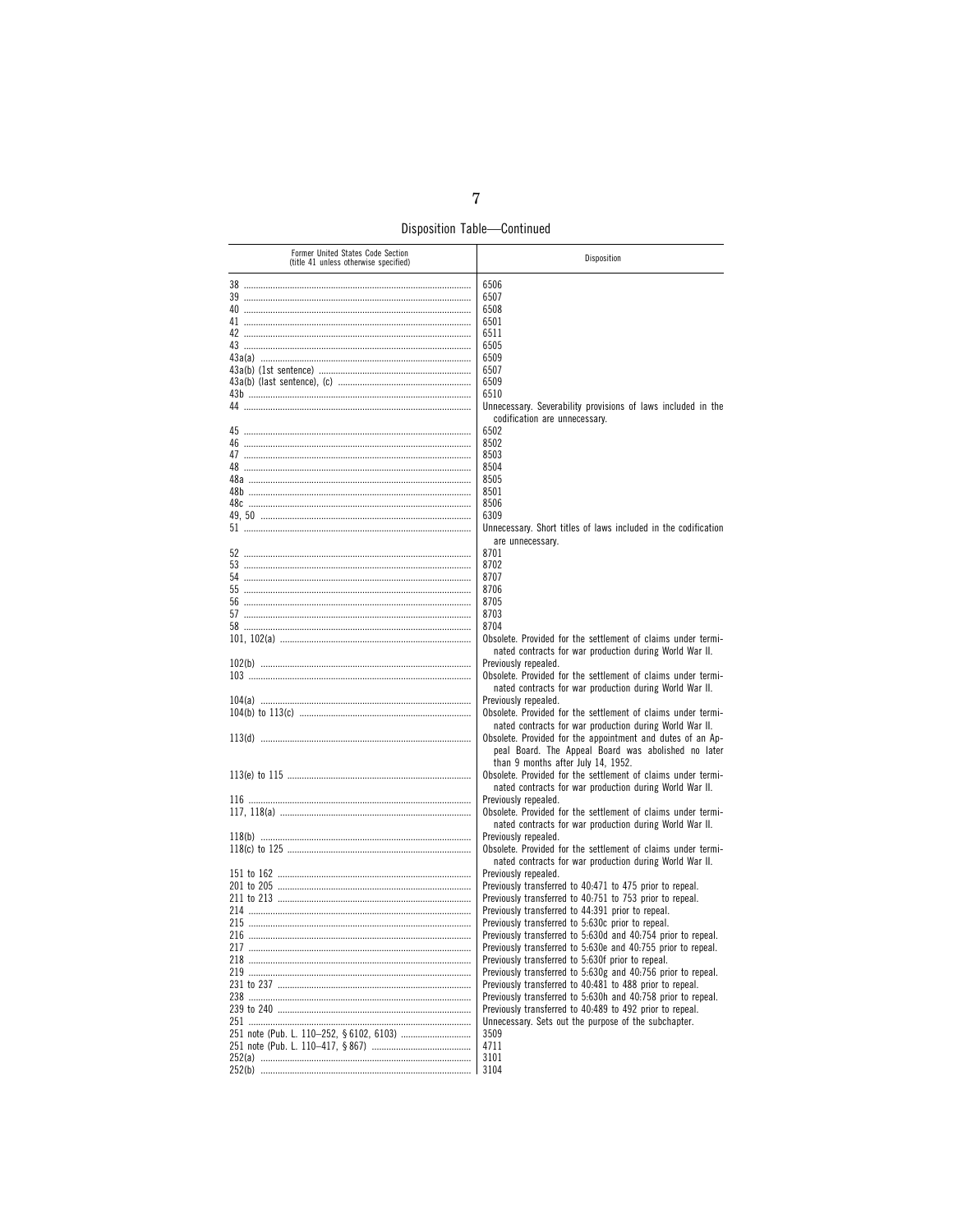Disposition Table-Continued

| Former United States Code Section<br>(title 41 unless otherwise specified) | Disposition                                                                                                       |
|----------------------------------------------------------------------------|-------------------------------------------------------------------------------------------------------------------|
|                                                                            | 6506                                                                                                              |
|                                                                            | 6507                                                                                                              |
| 40                                                                         | 6508                                                                                                              |
|                                                                            | 6501                                                                                                              |
|                                                                            | 6511                                                                                                              |
| 43a(a) ………………………………………………………………………                                         | 6505<br>6509                                                                                                      |
|                                                                            | 6507                                                                                                              |
|                                                                            | 6509                                                                                                              |
|                                                                            | 6510                                                                                                              |
|                                                                            | Unnecessary. Severability provisions of laws included in the                                                      |
|                                                                            | codification are unnecessary.                                                                                     |
|                                                                            | 6502<br>8502                                                                                                      |
|                                                                            | 8503                                                                                                              |
|                                                                            | 8504                                                                                                              |
|                                                                            | 8505                                                                                                              |
|                                                                            | 8501                                                                                                              |
|                                                                            | 8506                                                                                                              |
|                                                                            | 6309<br>Unnecessary. Short titles of laws included in the codification                                            |
|                                                                            | are unnecessary.                                                                                                  |
|                                                                            | 8701                                                                                                              |
|                                                                            | 8702                                                                                                              |
|                                                                            | 8707                                                                                                              |
|                                                                            | 8706                                                                                                              |
|                                                                            | 8705                                                                                                              |
|                                                                            | 8703<br>8704                                                                                                      |
|                                                                            | Obsolete. Provided for the settlement of claims under termi-                                                      |
|                                                                            | nated contracts for war production during World War II.                                                           |
|                                                                            | Previously repealed.                                                                                              |
|                                                                            | Obsolete. Provided for the settlement of claims under termi-                                                      |
|                                                                            | nated contracts for war production during World War II.                                                           |
|                                                                            | Previously repealed.<br>Obsolete. Provided for the settlement of claims under termi-                              |
|                                                                            | nated contracts for war production during World War II.                                                           |
|                                                                            | Obsolete. Provided for the appointment and dutes of an Ap-                                                        |
|                                                                            | peal Board. The Appeal Board was abolished no later                                                               |
|                                                                            | than 9 months after July 14, 1952.                                                                                |
|                                                                            | Obsolete. Provided for the settlement of claims under termi-                                                      |
|                                                                            | nated contracts for war production during World War II.<br>Previously repealed.                                   |
|                                                                            | Obsolete. Provided for the settlement of claims under termi-                                                      |
|                                                                            | nated contracts for war production during World War II.                                                           |
|                                                                            | Previously repealed.                                                                                              |
|                                                                            | Obsolete. Provided for the settlement of claims under termi-                                                      |
|                                                                            | nated contracts for war production during World War II.                                                           |
|                                                                            | Previously repealed.<br>Previously transferred to 40:471 to 475 prior to repeal.                                  |
|                                                                            | Previously transferred to 40:751 to 753 prior to repeal.                                                          |
|                                                                            | Previously transferred to 44:391 prior to repeal.                                                                 |
|                                                                            | Previously transferred to 5:630c prior to repeal.                                                                 |
|                                                                            | Previously transferred to 5:630d and 40:754 prior to repeal.                                                      |
|                                                                            | Previously transferred to 5:630e and 40:755 prior to repeal.                                                      |
|                                                                            | Previously transferred to 5:630f prior to repeal.<br>Previously transferred to 5:630g and 40:756 prior to repeal. |
|                                                                            | Previously transferred to 40:481 to 488 prior to repeal.                                                          |
|                                                                            | Previously transferred to 5:630h and 40:758 prior to repeal.                                                      |
|                                                                            | Previously transferred to 40:489 to 492 prior to repeal.                                                          |
|                                                                            | Unnecessary. Sets out the purpose of the subchapter.                                                              |
|                                                                            | 3509                                                                                                              |
|                                                                            | 4711<br>3101                                                                                                      |
|                                                                            | 3104                                                                                                              |
|                                                                            |                                                                                                                   |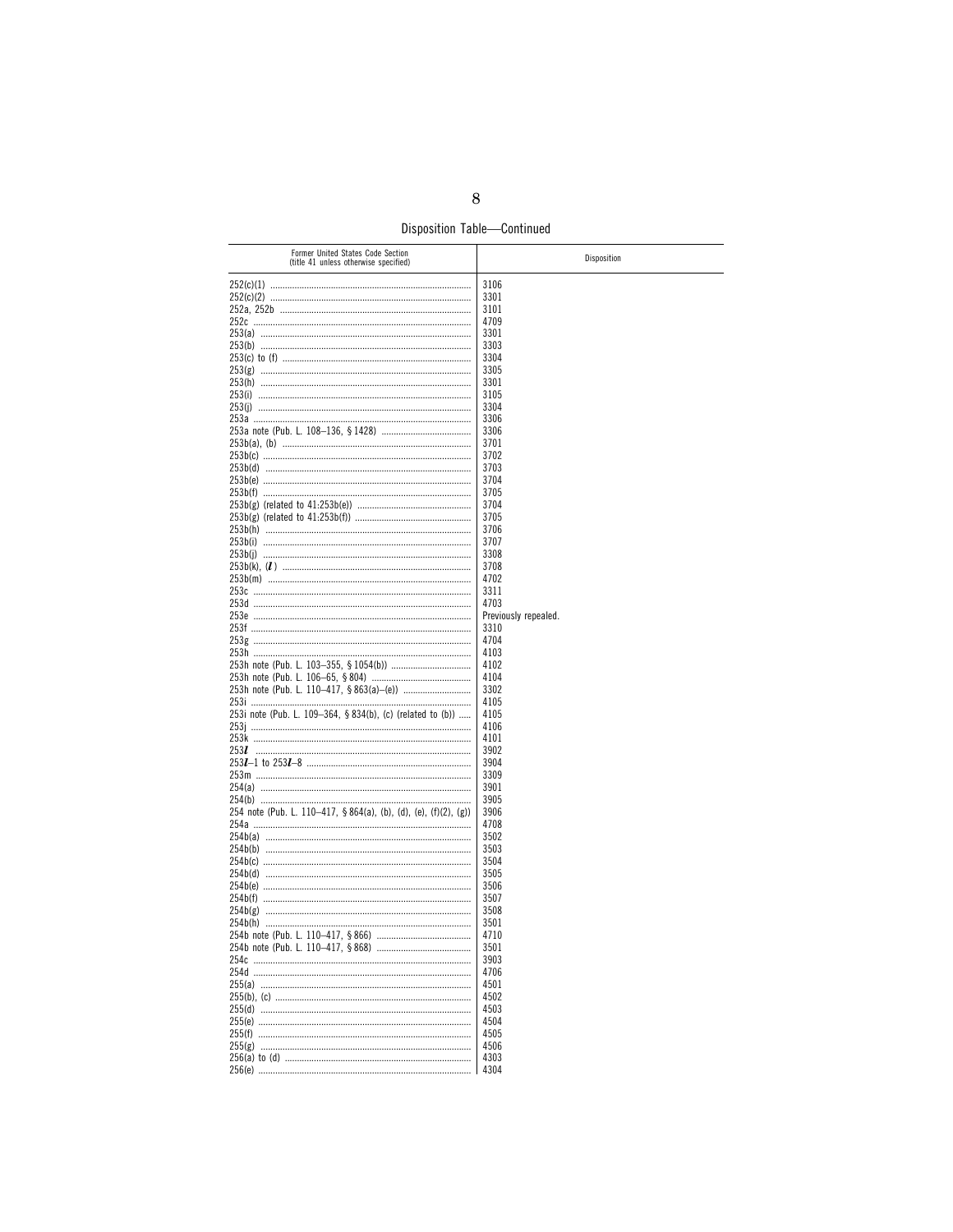Disposition Table-Continued

| Former United States Code Section<br>(title 41 unless otherwise specified) | Disposition          |
|----------------------------------------------------------------------------|----------------------|
|                                                                            | 3106                 |
|                                                                            | 3301                 |
|                                                                            | 3101                 |
|                                                                            | 4709                 |
|                                                                            | 3301                 |
|                                                                            |                      |
|                                                                            | 3303                 |
|                                                                            | 3304                 |
|                                                                            | 3305                 |
|                                                                            | 3301                 |
|                                                                            | 3105                 |
|                                                                            | 3304                 |
|                                                                            |                      |
|                                                                            | 3306                 |
|                                                                            | 3306                 |
|                                                                            | 3701                 |
|                                                                            | 3702                 |
|                                                                            | 3703                 |
|                                                                            | 3704                 |
|                                                                            |                      |
|                                                                            | 3705                 |
|                                                                            | 3704                 |
|                                                                            | 3705                 |
|                                                                            | 3706                 |
|                                                                            | 3707                 |
|                                                                            | 3308                 |
|                                                                            |                      |
|                                                                            | 3708                 |
|                                                                            | 4702                 |
|                                                                            | 3311                 |
|                                                                            | 4703                 |
|                                                                            | Previously repealed. |
|                                                                            |                      |
|                                                                            | 3310                 |
|                                                                            | 4704                 |
|                                                                            | 4103                 |
|                                                                            | 4102                 |
|                                                                            | 4104                 |
|                                                                            | 3302                 |
|                                                                            |                      |
|                                                                            | 4105                 |
| 253i note (Pub. L. 109-364, § 834(b), (c) (related to (b))                 | 4105                 |
|                                                                            | 4106                 |
|                                                                            | 4101                 |
|                                                                            | 3902                 |
|                                                                            | 3904                 |
|                                                                            |                      |
|                                                                            | 3309                 |
|                                                                            | 3901                 |
|                                                                            | 3905                 |
| 254 note (Pub. L. 110-417, §864(a), (b), (d), (e), (f)(2), (g))            | 3906                 |
|                                                                            | 4708                 |
|                                                                            | 3502                 |
|                                                                            |                      |
|                                                                            | 3503                 |
|                                                                            | 3504                 |
|                                                                            | 3505                 |
|                                                                            | 3506                 |
|                                                                            | 3507                 |
|                                                                            |                      |
|                                                                            | 3508                 |
|                                                                            | 3501                 |
|                                                                            | 4/10                 |
|                                                                            | 3501                 |
|                                                                            | 3903                 |
|                                                                            |                      |
|                                                                            | 4706                 |
|                                                                            | 4501                 |
|                                                                            | 4502                 |
|                                                                            | 4503                 |
|                                                                            | 4504                 |
|                                                                            |                      |
|                                                                            | 4505                 |
|                                                                            | 4506                 |
|                                                                            | 4303                 |
|                                                                            | 4304                 |
|                                                                            |                      |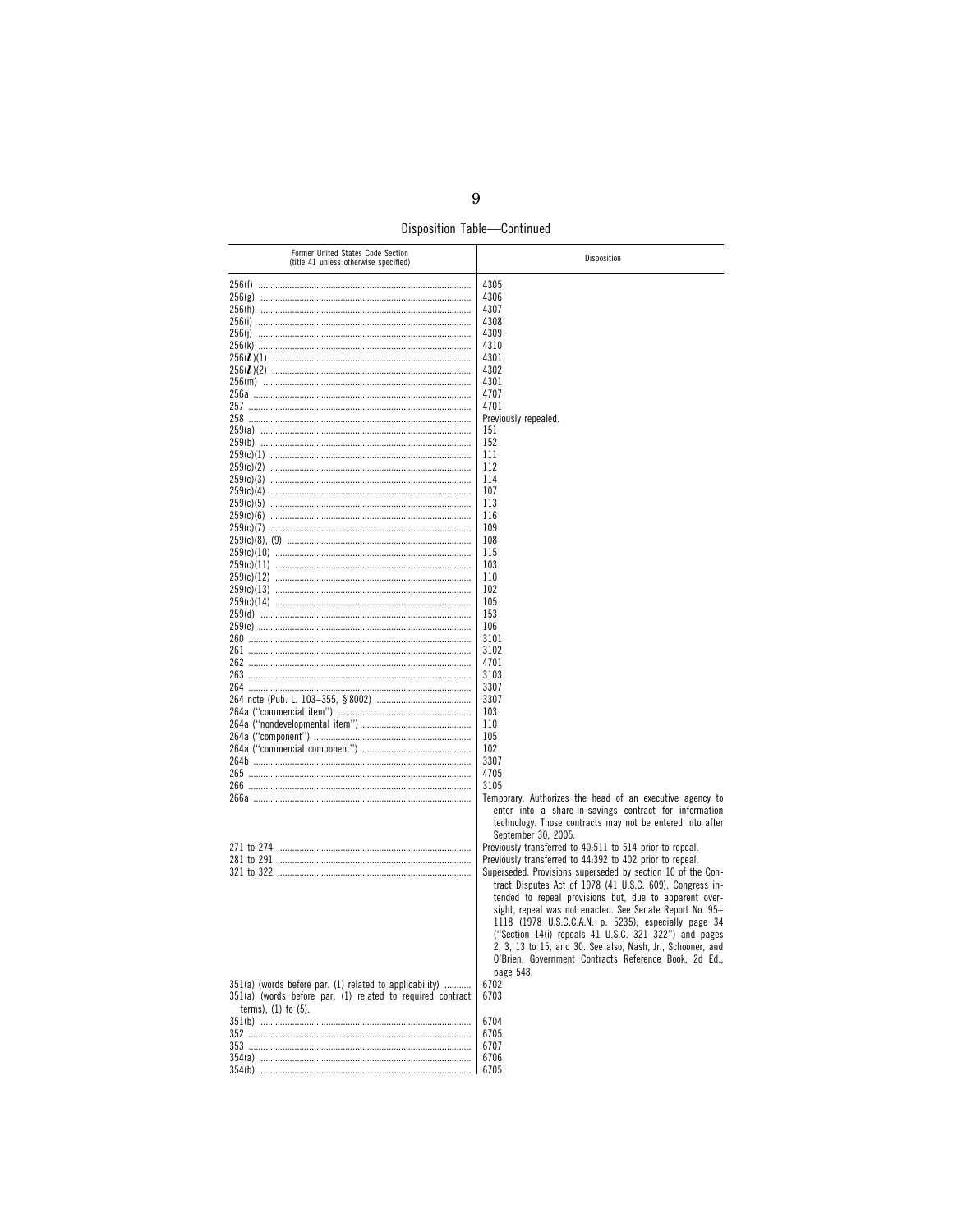Disposition Table-Continued

| Former United States Code Section<br>(title 41 unless otherwise specified) | Disposition                                                 |
|----------------------------------------------------------------------------|-------------------------------------------------------------|
|                                                                            | 4305                                                        |
|                                                                            | 4306                                                        |
|                                                                            | 4307                                                        |
|                                                                            | 4308                                                        |
|                                                                            | 4309                                                        |
|                                                                            | 4310                                                        |
|                                                                            | 4301                                                        |
|                                                                            | 4302                                                        |
|                                                                            | 4301                                                        |
|                                                                            | 4707                                                        |
|                                                                            | 4701                                                        |
|                                                                            | Previously repealed.                                        |
|                                                                            | 151                                                         |
|                                                                            | 152                                                         |
|                                                                            | 111                                                         |
|                                                                            | 112                                                         |
|                                                                            | 114                                                         |
|                                                                            | 107                                                         |
|                                                                            | 113                                                         |
|                                                                            | 116                                                         |
|                                                                            | 109                                                         |
|                                                                            | 108                                                         |
|                                                                            | 115                                                         |
|                                                                            | 103                                                         |
|                                                                            | 110                                                         |
|                                                                            | 102                                                         |
|                                                                            | 105                                                         |
|                                                                            | 153                                                         |
|                                                                            | 106                                                         |
|                                                                            | 3101                                                        |
|                                                                            | 3102                                                        |
|                                                                            | 4701                                                        |
|                                                                            | 3103                                                        |
|                                                                            | 3307                                                        |
|                                                                            | 3307                                                        |
|                                                                            | 103                                                         |
|                                                                            | 110                                                         |
|                                                                            | 105                                                         |
|                                                                            | 102                                                         |
|                                                                            | 3307                                                        |
|                                                                            | 4705                                                        |
|                                                                            | 3105                                                        |
|                                                                            | Temporary. Authorizes the head of an executive agency to    |
|                                                                            | enter into a share-in-savings contract for information      |
|                                                                            | technology. Those contracts may not be entered into after   |
|                                                                            | September 30, 2005.                                         |
|                                                                            | Previously transferred to 40:511 to 514 prior to repeal.    |
|                                                                            | Previously transferred to 44:392 to 402 prior to repeal.    |
|                                                                            | Superseded. Provisions superseded by section 10 of the Con- |
|                                                                            | tract Disputes Act of 1978 (41 U.S.C. 609). Congress in-    |
|                                                                            | tended to repeal provisions but, due to apparent over-      |
|                                                                            | sight, repeal was not enacted. See Senate Report No. 95-    |
|                                                                            | 1118 (1978 U.S.C.C.A.N. p. 5235), especially page 34        |
|                                                                            | ("Section 14(i) repeals 41 U.S.C. 321-322") and pages       |
|                                                                            | 2, 3, 13 to 15, and 30. See also, Nash, Jr., Schooner, and  |
|                                                                            | O'Brien, Government Contracts Reference Book, 2d Ed.,       |
|                                                                            | page 548.                                                   |
| 351(a) (words before par. (1) related to applicability)                    | 6702                                                        |
| 351(a) (words before par. (1) related to required contract                 | 6703                                                        |
| terms), $(1)$ to $(5)$ .                                                   |                                                             |
|                                                                            | 6704                                                        |
|                                                                            | 6705                                                        |
|                                                                            |                                                             |
|                                                                            | 6707                                                        |
|                                                                            | 6706                                                        |
|                                                                            | 6705                                                        |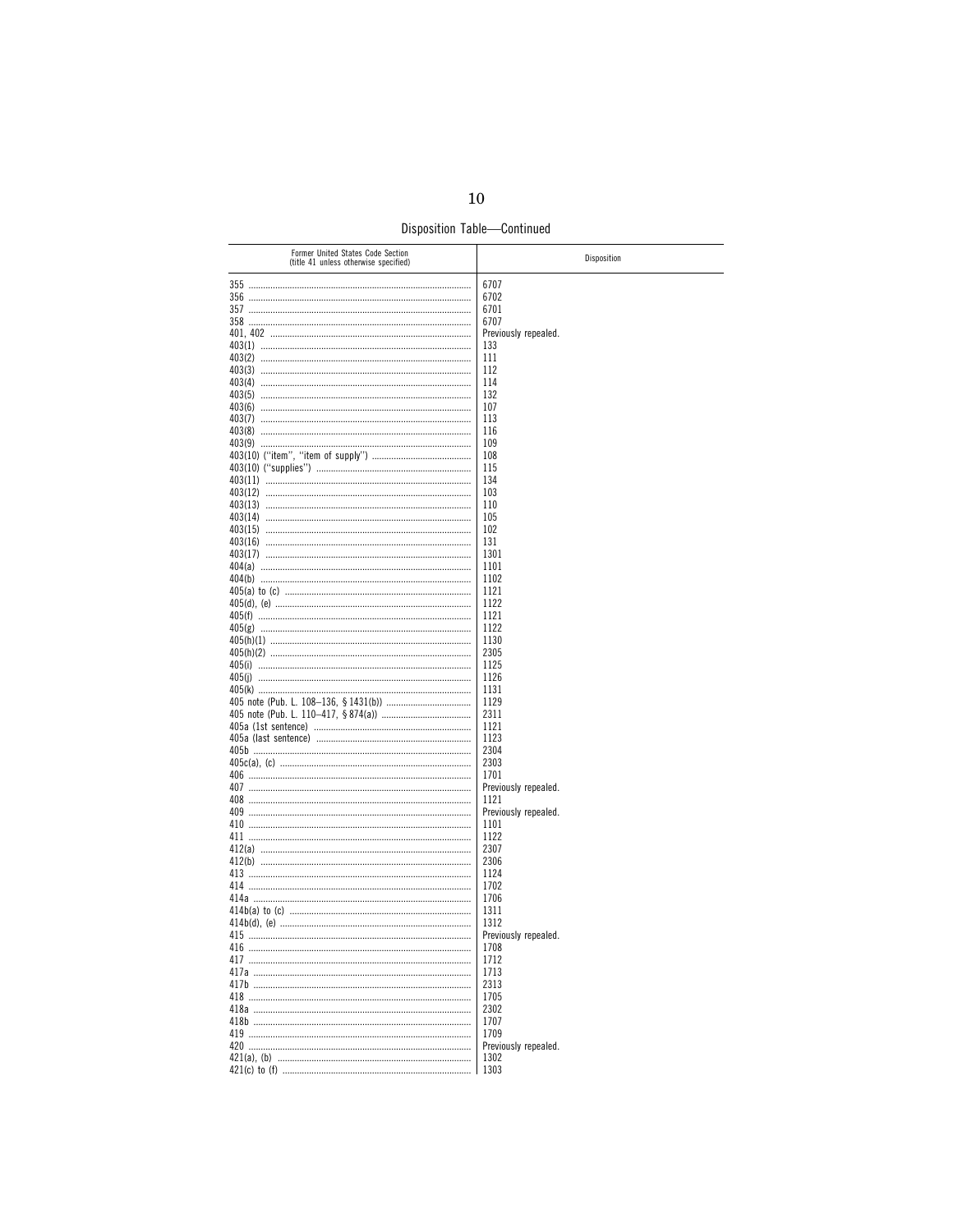Disposition Table-Continued

| Former United States Code Section<br>(title 41 unless otherwise specified) | Disposition          |
|----------------------------------------------------------------------------|----------------------|
|                                                                            | 6707                 |
|                                                                            | 6702                 |
|                                                                            | 6701                 |
|                                                                            | 6707                 |
|                                                                            | Previously repealed. |
|                                                                            | 133                  |
|                                                                            | 111                  |
|                                                                            | 112                  |
|                                                                            | 114                  |
|                                                                            |                      |
|                                                                            | 132                  |
|                                                                            | 107                  |
|                                                                            | 113                  |
|                                                                            | 116                  |
|                                                                            | 109                  |
|                                                                            | 108                  |
|                                                                            | 115                  |
|                                                                            | 134                  |
|                                                                            | 103                  |
|                                                                            | 110                  |
|                                                                            | 105                  |
|                                                                            |                      |
|                                                                            | 102                  |
|                                                                            | 131                  |
|                                                                            | 1301                 |
|                                                                            | 1101                 |
|                                                                            | 1102                 |
|                                                                            | 1121                 |
|                                                                            | 1122                 |
|                                                                            | 1121                 |
|                                                                            | 1122                 |
|                                                                            | 1130                 |
|                                                                            | 2305                 |
|                                                                            |                      |
|                                                                            | 1125                 |
|                                                                            | 1126                 |
|                                                                            | 1131                 |
|                                                                            | 1129                 |
|                                                                            | 2311                 |
|                                                                            | 1121                 |
|                                                                            | 1123                 |
|                                                                            | 2304                 |
|                                                                            | 2303                 |
|                                                                            | 1701                 |
|                                                                            | Previously repealed. |
|                                                                            |                      |
|                                                                            | 1121                 |
|                                                                            | Previously repealed. |
|                                                                            | 1101                 |
|                                                                            | 1122                 |
|                                                                            | 2307                 |
|                                                                            | 2306                 |
|                                                                            | 1124                 |
|                                                                            | 1702                 |
|                                                                            | 1706                 |
|                                                                            | 1311                 |
|                                                                            | 1312                 |
|                                                                            |                      |
|                                                                            | Previously repealed. |
|                                                                            | 1708                 |
|                                                                            | 1712                 |
|                                                                            | 1713                 |
|                                                                            | 2313                 |
|                                                                            | 1705                 |
|                                                                            | 2302                 |
|                                                                            | 1707                 |
|                                                                            | 1709                 |
|                                                                            |                      |
|                                                                            | Previously repealed. |
|                                                                            | 1302                 |
|                                                                            | 1303                 |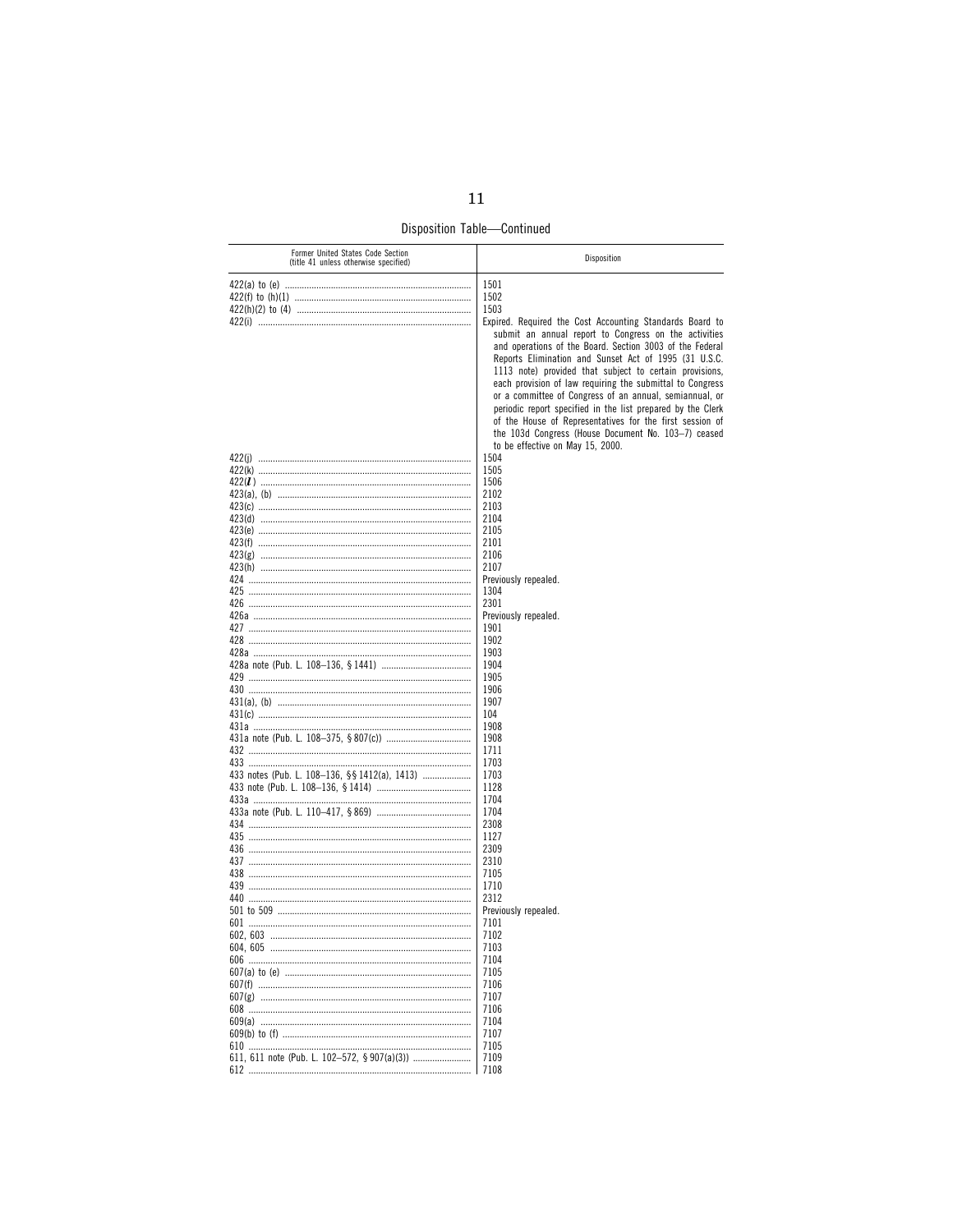Disposition Table-Continued

| Former United States Code Section<br>(title 41 unless otherwise specified) | Disposition                                                 |
|----------------------------------------------------------------------------|-------------------------------------------------------------|
|                                                                            | 1501                                                        |
|                                                                            | 1502                                                        |
|                                                                            | 1503                                                        |
|                                                                            | Expired. Required the Cost Accounting Standards Board to    |
|                                                                            | submit an annual report to Congress on the activities       |
|                                                                            | and operations of the Board. Section 3003 of the Federal    |
|                                                                            | Reports Elimination and Sunset Act of 1995 (31 U.S.C.       |
|                                                                            | 1113 note) provided that subject to certain provisions,     |
|                                                                            | each provision of law requiring the submittal to Congress   |
|                                                                            | or a committee of Congress of an annual, semiannual, or     |
|                                                                            | periodic report specified in the list prepared by the Clerk |
|                                                                            | of the House of Representatives for the first session of    |
|                                                                            |                                                             |
|                                                                            | the 103d Congress (House Document No. 103-7) ceased         |
|                                                                            | to be effective on May 15, 2000.                            |
|                                                                            | 1504                                                        |
|                                                                            | 1505                                                        |
|                                                                            | 1506                                                        |
|                                                                            | 2102                                                        |
|                                                                            | 2103                                                        |
|                                                                            | 2104                                                        |
|                                                                            | 2105                                                        |
|                                                                            | 2101                                                        |
|                                                                            | 2106                                                        |
|                                                                            | 2107                                                        |
|                                                                            | Previously repealed.                                        |
|                                                                            | 1304                                                        |
|                                                                            | 2301                                                        |
|                                                                            | Previously repealed.                                        |
|                                                                            | 1901                                                        |
|                                                                            | 1902                                                        |
|                                                                            | 1903                                                        |
|                                                                            | 1904                                                        |
|                                                                            | 1905                                                        |
|                                                                            | 1906                                                        |
|                                                                            | 1907                                                        |
|                                                                            | 104                                                         |
|                                                                            | 1908<br>1908                                                |
|                                                                            | 1711                                                        |
|                                                                            | 1703                                                        |
| 433 notes (Pub. L. 108-136, §§ 1412(a), 1413)                              | 1703                                                        |
|                                                                            | 1128                                                        |
|                                                                            | 1704                                                        |
|                                                                            | 1704                                                        |
|                                                                            | 2308                                                        |
|                                                                            | 1127                                                        |
|                                                                            | 2309                                                        |
|                                                                            | 2310                                                        |
|                                                                            | 7105                                                        |
|                                                                            | 1710                                                        |
|                                                                            | 2312                                                        |
|                                                                            | Previously repealed.                                        |
|                                                                            | 7101                                                        |
|                                                                            | 7102                                                        |
|                                                                            |                                                             |
|                                                                            | 7103                                                        |
|                                                                            | 7104                                                        |
|                                                                            | 7105                                                        |
|                                                                            | 7106                                                        |
|                                                                            | 7107                                                        |
|                                                                            | 7106                                                        |
|                                                                            | 7104                                                        |
|                                                                            | 7107                                                        |
|                                                                            | 7105                                                        |
| 612                                                                        | 7109<br>7108                                                |
|                                                                            |                                                             |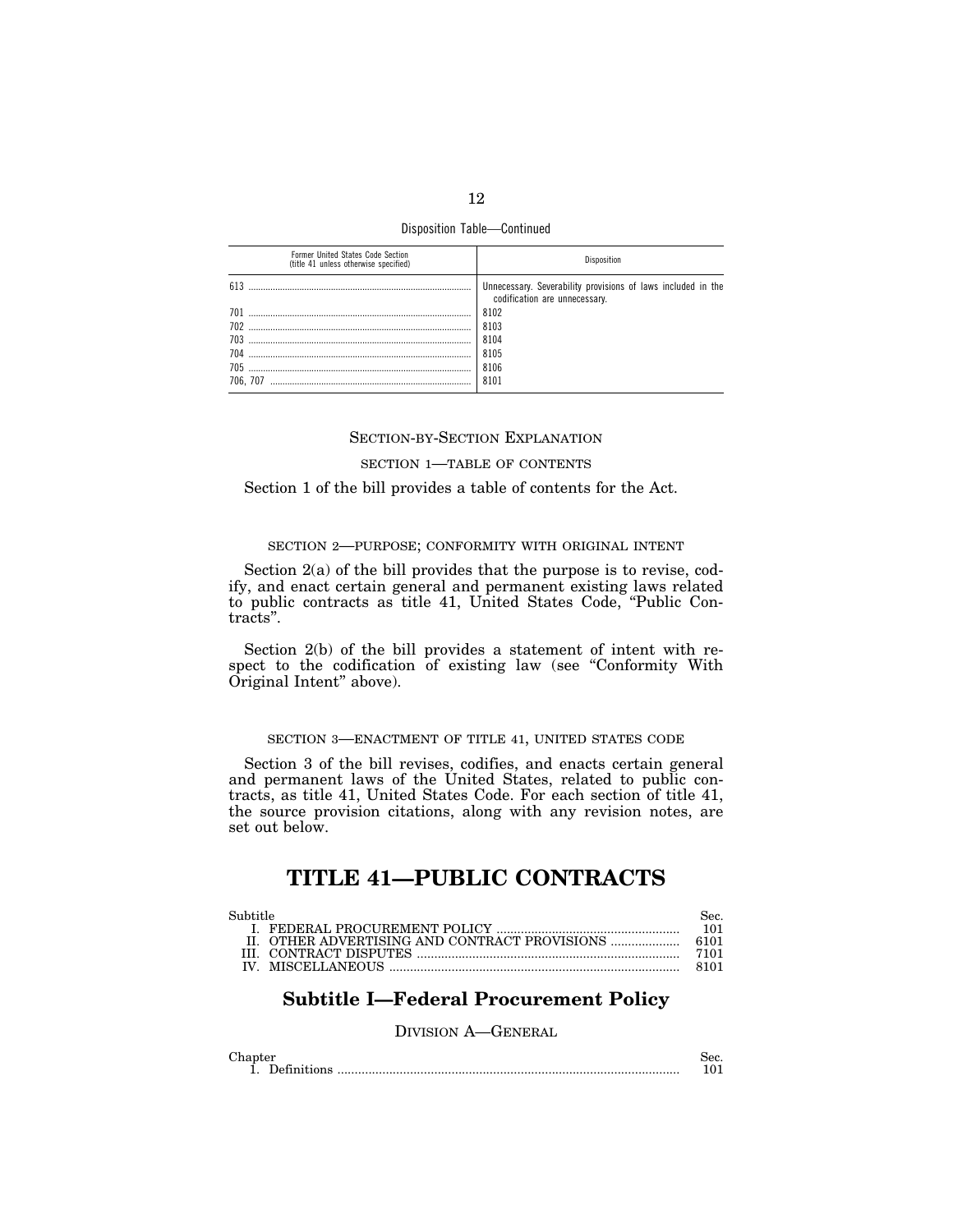Disposition Table—Continued

| Former United States Code Section<br>(title 41 unless otherwise specified) |                                                                                               |
|----------------------------------------------------------------------------|-----------------------------------------------------------------------------------------------|
| 613                                                                        | Unnecessary. Severability provisions of laws included in the<br>codification are unnecessary. |
| 701                                                                        | 8102                                                                                          |
| 702                                                                        | 8103                                                                                          |
| 703                                                                        | 8104                                                                                          |
| 704                                                                        | 8105                                                                                          |
| 705                                                                        | 8106                                                                                          |
| 706. 707                                                                   | 8101                                                                                          |
|                                                                            |                                                                                               |

## SECTION-BY-SECTION EXPLANATION

## SECTION 1—TABLE OF CONTENTS

Section 1 of the bill provides a table of contents for the Act.

## SECTION 2—PURPOSE; CONFORMITY WITH ORIGINAL INTENT

Section 2(a) of the bill provides that the purpose is to revise, codify, and enact certain general and permanent existing laws related to public contracts as title 41, United States Code, ''Public Contracts''.

Section 2(b) of the bill provides a statement of intent with respect to the codification of existing law (see "Conformity With Original Intent'' above).

## SECTION 3—ENACTMENT OF TITLE 41, UNITED STATES CODE

Section 3 of the bill revises, codifies, and enacts certain general and permanent laws of the United States, related to public contracts, as title 41, United States Code. For each section of title 41, the source provision citations, along with any revision notes, are set out below.

# **TITLE 41—PUBLIC CONTRACTS**

| Subtitle | Sec. |
|----------|------|
|          | 101  |
|          |      |
|          | 7101 |
|          | 8101 |

# **Subtitle I—Federal Procurement Policy**

## DIVISION A—GENERAL

| Chapter            | sec. |
|--------------------|------|
| <b>Definitions</b> |      |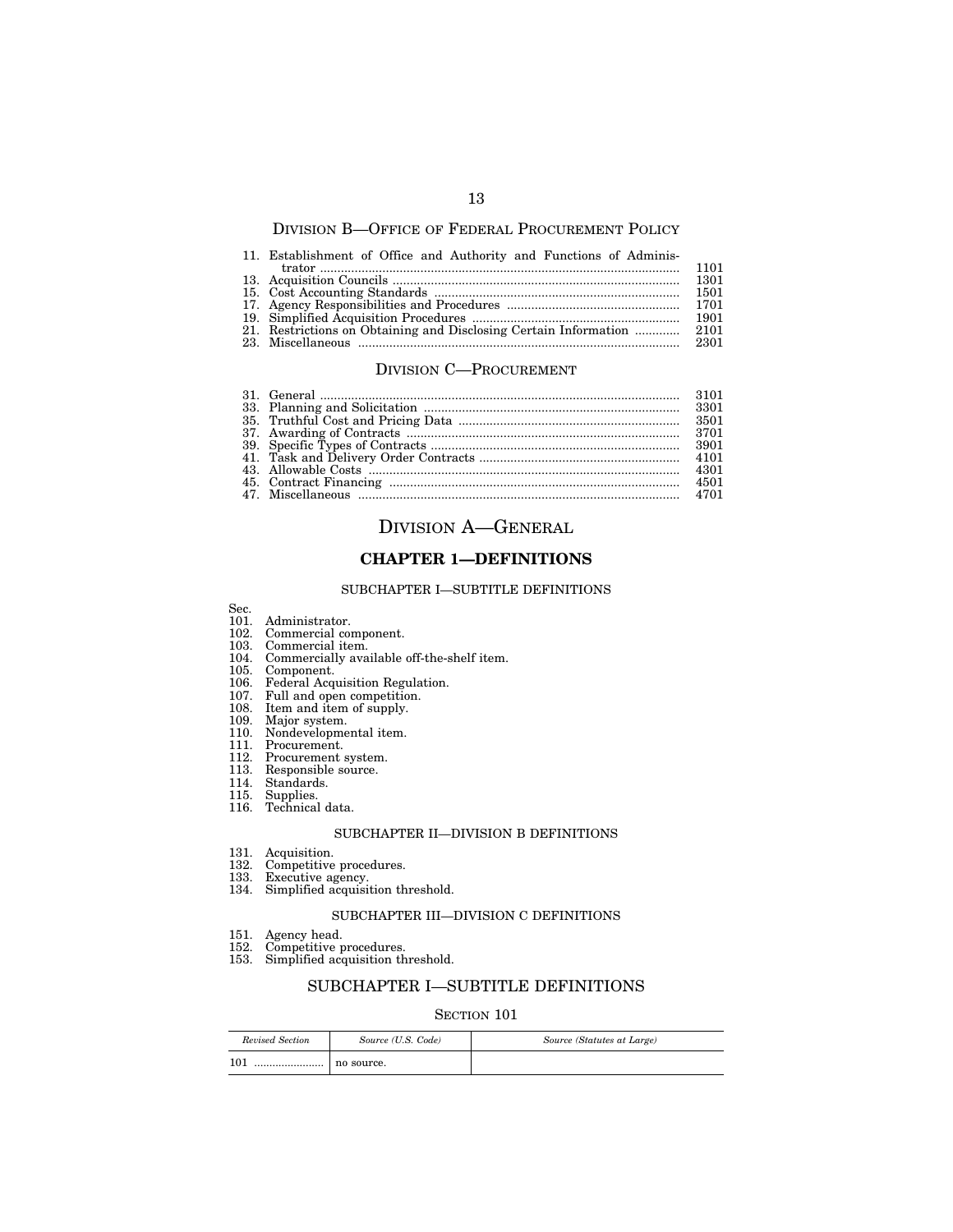## DIVISION B—OFFICE OF FEDERAL PROCUREMENT POLICY

## 11. Establishment of Office and Authority and Functions of Adminis-

|  | 1501 |
|--|------|
|  |      |
|  | 1901 |
|  |      |
|  |      |

## DIVISION C—PROCUREMENT

| 3901 |
|------|
|      |
| 4301 |
| 4501 |
|      |

# DIVISION A—GENERAL

# **CHAPTER 1—DEFINITIONS**

## SUBCHAPTER I—SUBTITLE DEFINITIONS

- 101. Administrator.
- 102. Commercial component.
- 103. Commercial item.
- 104. Commercially available off-the-shelf item.
- 105. Component.
- 106. Federal Acquisition Regulation.
- 107. Full and open competition.
- 108. Item and item of supply.
- 109. Major system.
- 110. Nondevelopmental item.
- 111. Procurement.
- 112. Procurement system.
- 113. Responsible source.
- 114. Standards.
- 115. Supplies.
- 116. Technical data.

#### SUBCHAPTER II—DIVISION B DEFINITIONS

- 131. Acquisition.
- 132. Competitive procedures.
- 133. Executive agency.
- 134. Simplified acquisition threshold.

## SUBCHAPTER III—DIVISION C DEFINITIONS

- 151. Agency head.
- 152. Competitive procedures.
- 153. Simplified acquisition threshold.

# SUBCHAPTER I—SUBTITLE DEFINITIONS

| Revised Section | Source (U.S. Code) | Source (Statutes at Large) |
|-----------------|--------------------|----------------------------|
| $10^{-}$<br>    | no source.         |                            |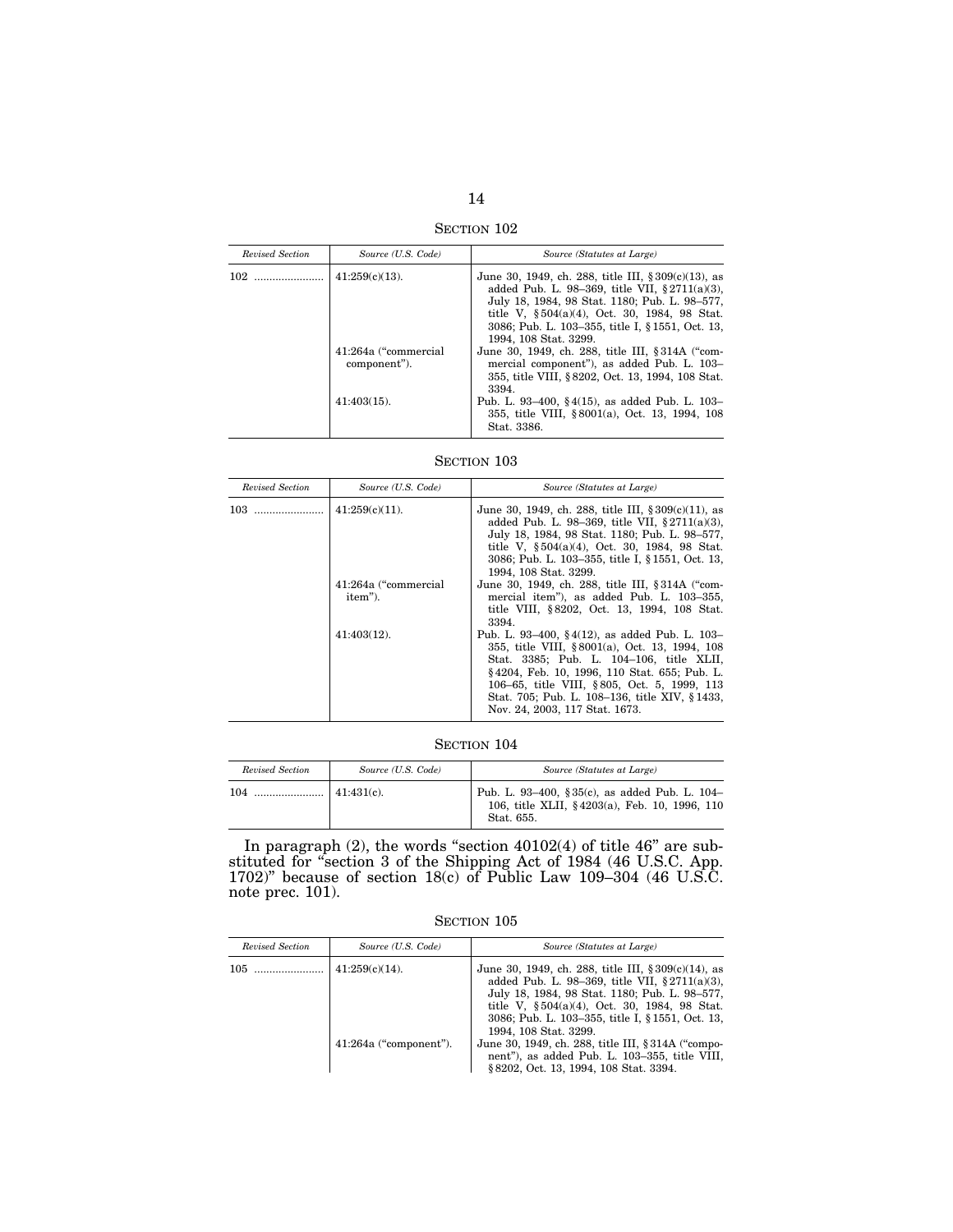SECTION 102

| Revised Section | Source (U.S. Code)                   | Source (Statutes at Large)                                                                                                                                                                                                                                                                       |
|-----------------|--------------------------------------|--------------------------------------------------------------------------------------------------------------------------------------------------------------------------------------------------------------------------------------------------------------------------------------------------|
|                 | $41:259(c)(13)$ .                    | June 30, 1949, ch. 288, title III, $\S 309(c)(13)$ , as<br>added Pub. L. 98-369, title VII, $\S 2711(a)(3)$ ,<br>July 18, 1984, 98 Stat. 1180; Pub. L. 98-577,<br>title V, $\S 504(a)(4)$ , Oct. 30, 1984, 98 Stat.<br>3086; Pub. L. 103–355, title I, § 1551, Oct. 13,<br>1994, 108 Stat. 3299. |
|                 | 41:264a ("commercial<br>component"). | June 30, 1949, ch. 288, title III, § 314A ("com-<br>mercial component"), as added Pub. L. 103-<br>355, title VIII, § 8202, Oct. 13, 1994, 108 Stat.<br>3394.                                                                                                                                     |
|                 | $41:403(15)$ .                       | Pub. L. 93–400, §4(15), as added Pub. L. 103–<br>355, title VIII, §8001(a), Oct. 13, 1994, 108<br>Stat. 3386.                                                                                                                                                                                    |

SECTION  $103\,$ 

| Revised Section | Source (U.S. Code)              | Source (Statutes at Large)                                                                                                                                                                                                                                                                                                   |
|-----------------|---------------------------------|------------------------------------------------------------------------------------------------------------------------------------------------------------------------------------------------------------------------------------------------------------------------------------------------------------------------------|
| 103             | $41:259(c)(11)$ .               | June 30, 1949, ch. 288, title III, $\S 309(c)(11)$ , as<br>added Pub. L. 98-369, title VII, $\S 2711(a)(3)$ ,<br>July 18, 1984, 98 Stat. 1180; Pub. L. 98-577,<br>title V, §504(a)(4), Oct. 30, 1984, 98 Stat.<br>3086; Pub. L. 103–355, title I, § 1551, Oct. 13,<br>1994, 108 Stat. 3299.                                  |
|                 | 41:264a ("commercial<br>item"). | June 30, 1949, ch. 288, title III, § 314A ("com-<br>mercial item"), as added Pub. L. 103–355,<br>title VIII, §8202, Oct. 13, 1994, 108 Stat.<br>3394.                                                                                                                                                                        |
|                 | $41:403(12)$ .                  | Pub. L. 93-400, §4(12), as added Pub. L. 103-<br>355, title VIII, §8001(a), Oct. 13, 1994, 108<br>Stat. 3385; Pub. L. 104-106, title XLII,<br>§4204, Feb. 10, 1996, 110 Stat. 655; Pub. L.<br>106–65, title VIII, §805, Oct. 5, 1999, 113<br>Stat. 705; Pub. L. 108-136, title XIV, §1433,<br>Nov. 24, 2003, 117 Stat. 1673. |

SECTION 104

| Revised Section | Source (U.S. Code) | Source (Statutes at Large)                                                                                   |
|-----------------|--------------------|--------------------------------------------------------------------------------------------------------------|
|                 | $\pm 41:431(c)$ .  | Pub. L. 93-400, §35(c), as added Pub. L. 104-<br>106, title XLII, §4203(a), Feb. 10, 1996, 110<br>Stat. 655. |

In paragraph  $(2)$ , the words "section  $40102(4)$  of title  $46"$  are substituted for "section 3 of the Shipping Act of 1984 (46 U.S.C. App. 1702)'' because of section 18(c) of Public Law 109–304 (46 U.S.C. note prec. 101).

SECTION  $105\,$ 

| Revised Section | Source (U.S. Code)       | Source (Statutes at Large)                                                                                                                                                                                                                                                                      |
|-----------------|--------------------------|-------------------------------------------------------------------------------------------------------------------------------------------------------------------------------------------------------------------------------------------------------------------------------------------------|
|                 | $41:259(c)(14)$ .        | June 30, 1949, ch. 288, title III, $\S 309(c)(14)$ , as<br>added Pub. L. 98-369, title VII, $§ 2711(a)(3)$ ,<br>July 18, 1984, 98 Stat. 1180; Pub. L. 98–577,<br>title V, $\S 504(a)(4)$ , Oct. 30, 1984, 98 Stat.<br>3086; Pub. L. 103–355, title I, § 1551, Oct. 13,<br>1994, 108 Stat. 3299. |
|                 | $41:264a$ ("component"). | June 30, 1949, ch. 288, title III, § 314A ("compo-<br>nent"), as added Pub. L. 103-355, title VIII,<br>§ 8202, Oct. 13, 1994, 108 Stat. 3394.                                                                                                                                                   |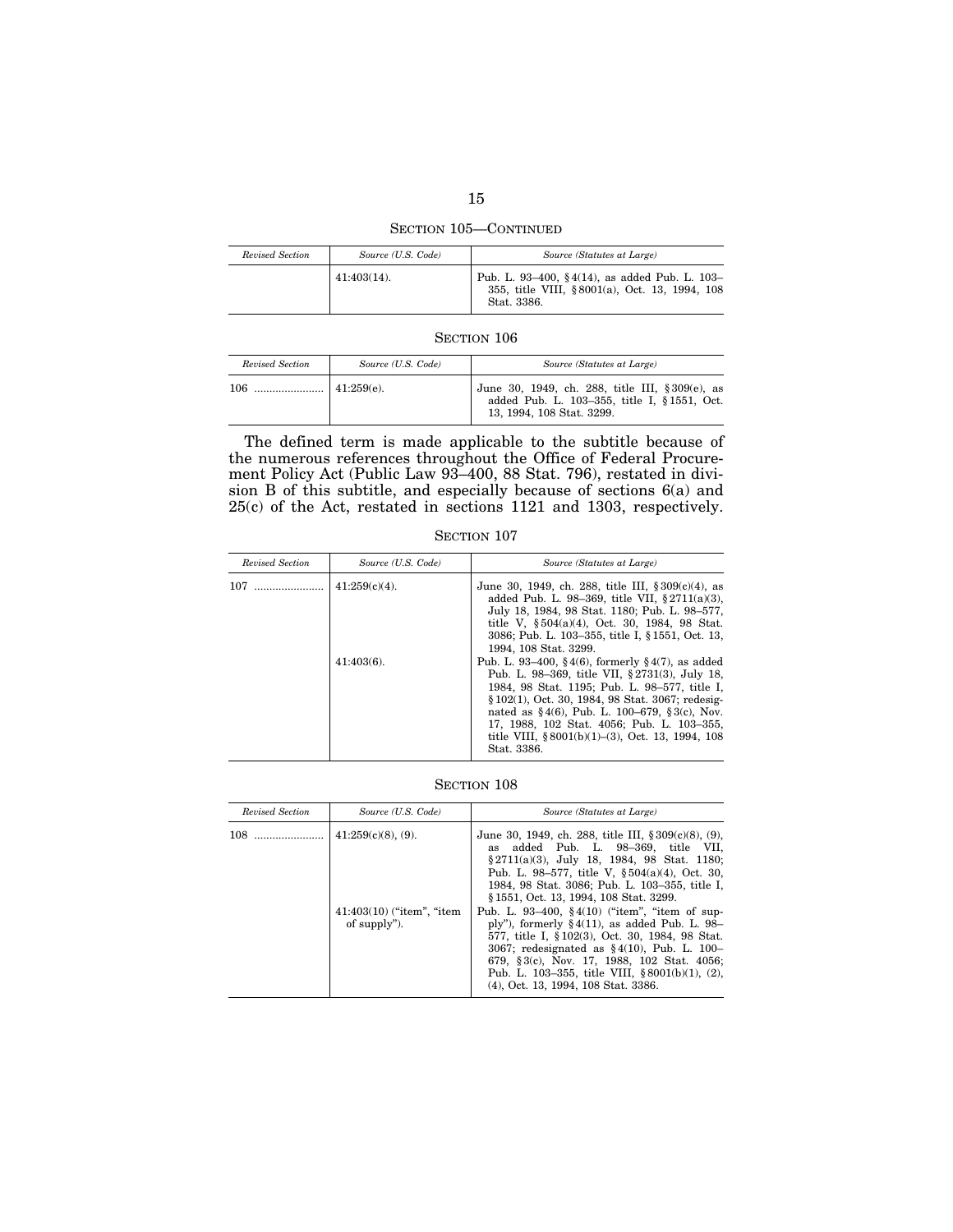SECTION 105—CONTINUED

| Revised Section | Source (U.S. Code) | Source (Statutes at Large)                                                                                    |
|-----------------|--------------------|---------------------------------------------------------------------------------------------------------------|
|                 | $41:403(14)$ .     | Pub. L. 93-400, §4(14), as added Pub. L. 103-<br>355, title VIII, §8001(a), Oct. 13, 1994, 108<br>Stat. 3386. |

| Revised Section | Source (U.S. Code) | Source (Statutes at Large)                                                                                                   |
|-----------------|--------------------|------------------------------------------------------------------------------------------------------------------------------|
| 106             | 41:259(e)          | June 30, 1949, ch. 288, title III, § 309(e), as<br>added Pub. L. 103-355, title I, § 1551, Oct.<br>13, 1994, 108 Stat. 3299. |

The defined term is made applicable to the subtitle because of the numerous references throughout the Office of Federal Procurement Policy Act (Public Law 93–400, 88 Stat. 796), restated in division B of this subtitle, and especially because of sections 6(a) and 25(c) of the Act, restated in sections 1121 and 1303, respectively.

SECTION 107

| Revised Section | Source (U.S. Code) | Source (Statutes at Large)                                                                                                                                                                                                                                                                                                                                                  |
|-----------------|--------------------|-----------------------------------------------------------------------------------------------------------------------------------------------------------------------------------------------------------------------------------------------------------------------------------------------------------------------------------------------------------------------------|
|                 | $41:259(c)(4)$ .   | June 30, 1949, ch. 288, title III, $\S 309(c)(4)$ , as<br>added Pub. L. 98-369, title VII, $\S 2711(a)(3)$ ,<br>July 18, 1984, 98 Stat. 1180; Pub. L. 98–577,<br>title V, §504(a)(4), Oct. 30, 1984, 98 Stat.<br>3086; Pub. L. 103–355, title I, § 1551, Oct. 13,<br>1994, 108 Stat. 3299.                                                                                  |
|                 | $41:403(6)$ .      | Pub. L. 93–400, §4(6), formerly §4(7), as added<br>Pub. L. 98–369, title VII, §2731(3), July 18,<br>1984, 98 Stat. 1195; Pub. L. 98-577, title I,<br>§ 102(1), Oct. 30, 1984, 98 Stat. 3067; redesig-<br>nated as $§$ 4(6), Pub. L. 100–679, §3(c), Nov.<br>17, 1988, 102 Stat. 4056; Pub. L. 103-355,<br>title VIII, $$8001(b)(1)–(3)$ , Oct. 13, 1994, 108<br>Stat. 3386. |

| Revised Section                              | Source (U.S. Code)                                                                                                                                                                                                                                                                                                                                    | Source (Statutes at Large)                                                                                                                                                                                                                                                                      |
|----------------------------------------------|-------------------------------------------------------------------------------------------------------------------------------------------------------------------------------------------------------------------------------------------------------------------------------------------------------------------------------------------------------|-------------------------------------------------------------------------------------------------------------------------------------------------------------------------------------------------------------------------------------------------------------------------------------------------|
|                                              | $41:259(c)(8)$ , (9).<br>as                                                                                                                                                                                                                                                                                                                           | June 30, 1949, ch. 288, title III, $\S 309(c)(8)$ , (9),<br>added Pub. L. 98-369, title VII,<br>$§2711(a)(3)$ , July 18, 1984, 98 Stat. 1180;<br>Pub. L. 98–577, title V, $\S 504(a)(4)$ , Oct. 30,<br>1984, 98 Stat. 3086; Pub. L. 103-355, title I,<br>§ 1551, Oct. 13, 1994, 108 Stat. 3299. |
| $41:403(10)$ ("item", "item"<br>of supply"). | Pub. L. 93–400, $\S 4(10)$ ("item", "item of sup-<br>ply"), formerly $\S 4(11)$ , as added Pub. L. 98-<br>577, title I, §102(3), Oct. 30, 1984, 98 Stat.<br>3067; redesignated as $§ 4(10)$ , Pub. L. 100-<br>679, §3(c), Nov. 17, 1988, 102 Stat. 4056;<br>Pub. L. 103–355, title VIII, $§ 8001(b)(1)$ , (2),<br>(4), Oct. 13, 1994, 108 Stat. 3386. |                                                                                                                                                                                                                                                                                                 |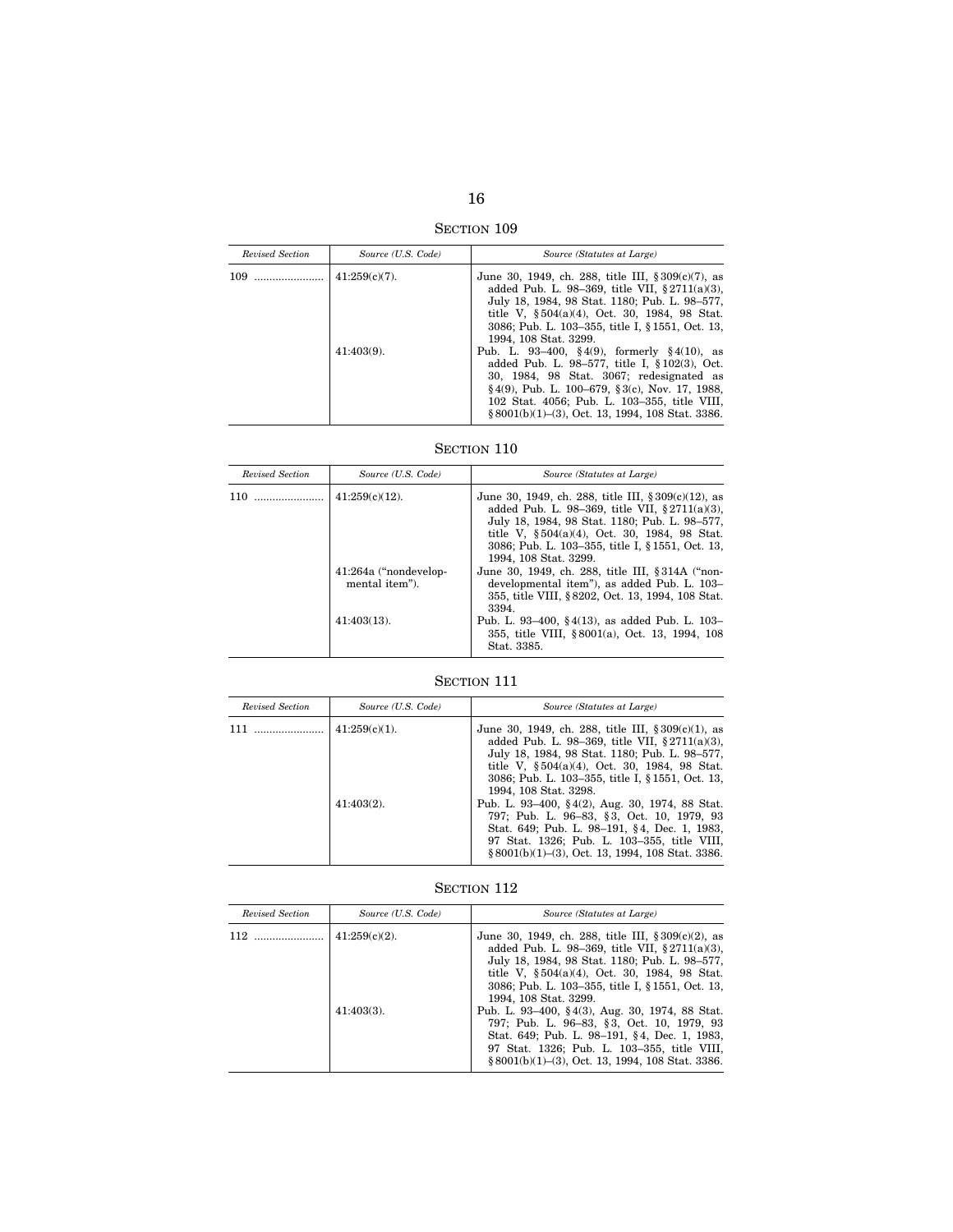SECTION 109

| Revised Section | Source (U.S. Code) | Source (Statutes at Large)                                                                                                                                                                                                                                                                               |
|-----------------|--------------------|----------------------------------------------------------------------------------------------------------------------------------------------------------------------------------------------------------------------------------------------------------------------------------------------------------|
|                 | $41:259(c)(7)$ .   | June 30, 1949, ch. 288, title III, $\S 309(c)(7)$ , as<br>added Pub. L. 98-369, title VII, $\S 2711(a)(3)$ ,<br>July 18, 1984, 98 Stat. 1180; Pub. L. 98-577,<br>title V, $\S 504(a)(4)$ , Oct. 30, 1984, 98 Stat.<br>3086; Pub. L. 103–355, title I, § 1551, Oct. 13,<br>1994, 108 Stat. 3299.          |
|                 | $41:403(9)$ .      | Pub. L. 93–400, §4(9), formerly §4(10), as<br>added Pub. L. 98-577, title I, $$102(3)$ , Oct.<br>30, 1984, 98 Stat. 3067; redesignated as<br>$\S 4(9)$ , Pub. L. 100–679, $\S 3(c)$ , Nov. 17, 1988,<br>102 Stat. 4056; Pub. L. 103-355, title VIII,<br>§ 8001(b)(1)-(3), Oct. 13, 1994, 108 Stat. 3386. |

# SECTION  $110\,$

| Revised Section | Source (U.S. Code)                      | Source (Statutes at Large)                                                                                                                                                                                                                                                                       |
|-----------------|-----------------------------------------|--------------------------------------------------------------------------------------------------------------------------------------------------------------------------------------------------------------------------------------------------------------------------------------------------|
| 110             | $41:259(c)(12)$ .                       | June 30, 1949, ch. 288, title III, $\S 309(c)(12)$ , as<br>added Pub. L. 98-369, title VII, $\S 2711(a)(3)$ ,<br>July 18, 1984, 98 Stat. 1180; Pub. L. 98-577,<br>title V, $\S 504(a)(4)$ , Oct. 30, 1984, 98 Stat.<br>3086; Pub. L. 103–355, title I, § 1551, Oct. 13,<br>1994, 108 Stat. 3299. |
|                 | 41:264a ("nondevelop-<br>mental item"). | June 30, 1949, ch. 288, title III, § 314A ("non-<br>developmental item"), as added Pub. L. 103-<br>355, title VIII, §8202, Oct. 13, 1994, 108 Stat.<br>3394.                                                                                                                                     |
|                 | $41:403(13)$ .                          | Pub. L. 93–400, §4(13), as added Pub. L. 103–<br>355, title VIII, §8001(a), Oct. 13, 1994, 108<br>Stat. 3385.                                                                                                                                                                                    |

# SECTION 111

| Revised Section | Source (U.S. Code) | Source (Statutes at Large)                                                                                                                                                                                                                                                                      |
|-----------------|--------------------|-------------------------------------------------------------------------------------------------------------------------------------------------------------------------------------------------------------------------------------------------------------------------------------------------|
| 111             | $41:259(c)(1)$ .   | June 30, 1949, ch. 288, title III, $\S 309(c)(1)$ , as<br>added Pub. L. 98-369, title VII, $\S 2711(a)(3)$ ,<br>July 18, 1984, 98 Stat. 1180; Pub. L. 98-577,<br>title V, $\S 504(a)(4)$ , Oct. 30, 1984, 98 Stat.<br>3086; Pub. L. 103–355, title I, § 1551, Oct. 13,<br>1994, 108 Stat. 3298. |
|                 | $41:403(2)$ .      | Pub. L. 93–400, §4(2), Aug. 30, 1974, 88 Stat.<br>797; Pub. L. 96–83, §3, Oct. 10, 1979, 93<br>Stat. 649; Pub. L. 98-191, §4, Dec. 1, 1983,<br>97 Stat. 1326; Pub. L. 103-355, title VIII,<br>$§ 8001(b)(1)–(3)$ , Oct. 13, 1994, 108 Stat. 3386.                                               |

# SECTION  $112\,$

| Revised Section | Source (U.S. Code)                | Source (Statutes at Large)                                                                                                                                                                                                                                                                                                                                                                    |
|-----------------|-----------------------------------|-----------------------------------------------------------------------------------------------------------------------------------------------------------------------------------------------------------------------------------------------------------------------------------------------------------------------------------------------------------------------------------------------|
|                 | $41:259(c)(2)$ .<br>$41:403(3)$ . | June 30, 1949, ch. 288, title III, $\S 309(c)(2)$ , as<br>added Pub. L. 98-369, title VII, $§ 2711(a)(3)$ ,<br>July 18, 1984, 98 Stat. 1180; Pub. L. 98–577,<br>title V, $\S 504(a)(4)$ , Oct. 30, 1984, 98 Stat.<br>3086; Pub. L. 103-355, title I, § 1551, Oct. 13,<br>1994, 108 Stat. 3299.<br>Pub. L. 93–400, §4(3), Aug. 30, 1974, 88 Stat.<br>797; Pub. L. 96–83, §3, Oct. 10, 1979, 93 |
|                 |                                   | Stat. 649; Pub. L. 98-191, §4, Dec. 1, 1983,<br>97 Stat. 1326; Pub. L. 103-355, title VIII,<br>$§ 8001(b)(1)–(3)$ , Oct. 13, 1994, 108 Stat. 3386.                                                                                                                                                                                                                                            |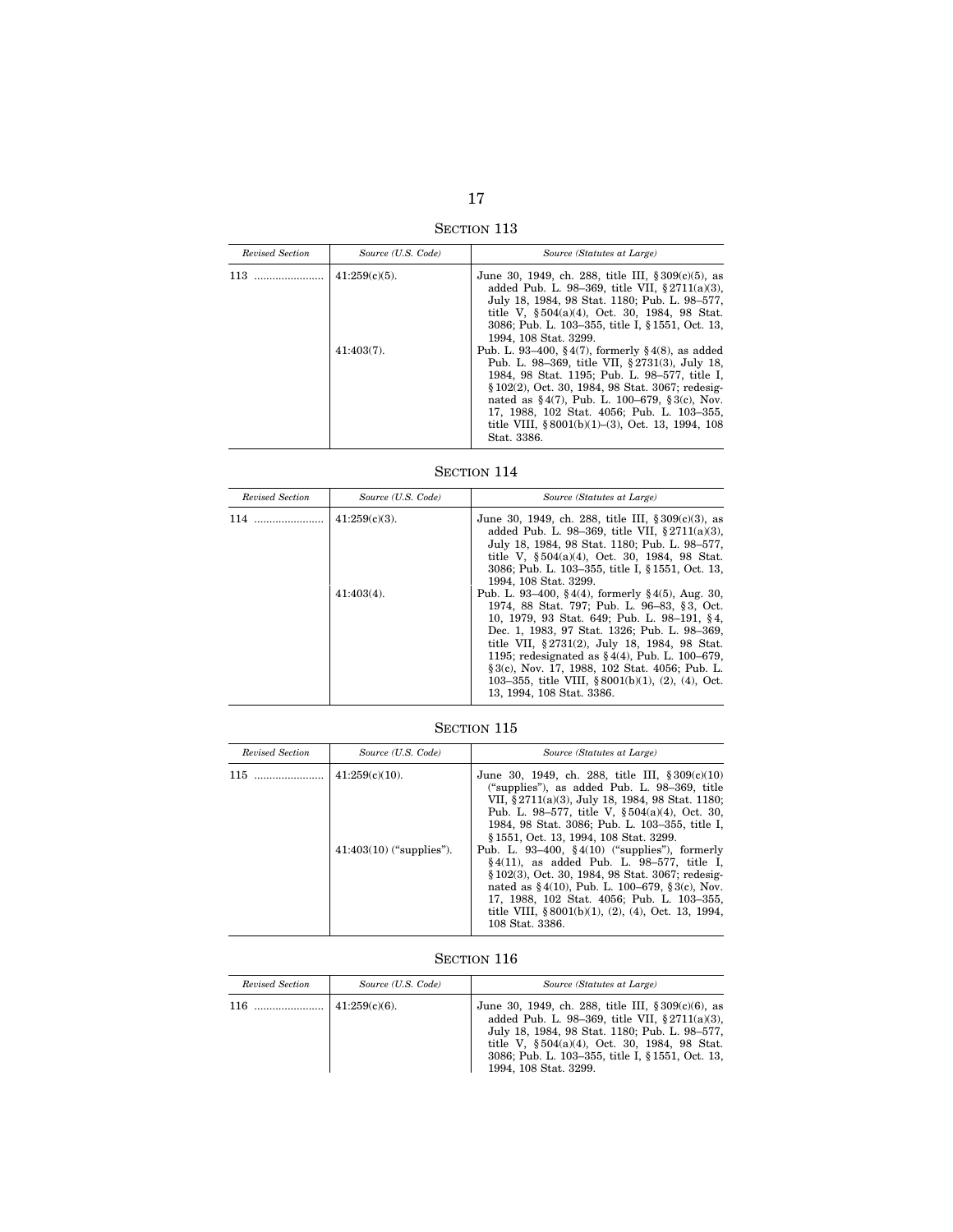SECTION 113

| Revised Section | Source (U.S. Code) | Source (Statutes at Large)                                                                                                                                                                                                                                                                                                                                                      |
|-----------------|--------------------|---------------------------------------------------------------------------------------------------------------------------------------------------------------------------------------------------------------------------------------------------------------------------------------------------------------------------------------------------------------------------------|
|                 | $41:259(c)(5)$ .   | June 30, 1949, ch. 288, title III, $\S 309(c)(5)$ , as<br>added Pub. L. 98-369, title VII, $$2711(a)(3)$ .<br>July 18, 1984, 98 Stat. 1180; Pub. L. 98-577,<br>title V, $\S 504(a)(4)$ , Oct. 30, 1984, 98 Stat.<br>3086: Pub. L. 103-355, title I, § 1551, Oct. 13.<br>1994. 108 Stat. 3299.                                                                                   |
|                 | $41:403(7)$ .      | Pub. L. 93–400, §4(7), formerly §4(8), as added<br>Pub. L. 98–369, title VII, §2731(3), July 18,<br>1984, 98 Stat. 1195; Pub. L. 98-577, title I.<br>§ 102(2), Oct. 30, 1984, 98 Stat. 3067; redesig-<br>nated as $\S 4(7)$ , Pub. L. 100–679, $\S 3(c)$ , Nov.<br>17, 1988, 102 Stat. 4056; Pub. L. 103-355,<br>title VIII, §8001(b)(1)-(3), Oct. 13, 1994, 108<br>Stat. 3386. |

SECTION 114

| Revised Section | Source (U.S. Code) | Source (Statutes at Large)                                                                                                                                                                                                                                                                                                                                                                                                                     |
|-----------------|--------------------|------------------------------------------------------------------------------------------------------------------------------------------------------------------------------------------------------------------------------------------------------------------------------------------------------------------------------------------------------------------------------------------------------------------------------------------------|
| 114             | $41:259(c)(3)$ .   | June 30, 1949, ch. 288, title III, $\S 309(c)(3)$ , as<br>added Pub. L. 98-369, title VII, $§ 2711(a)(3)$ ,<br>July 18, 1984, 98 Stat. 1180; Pub. L. 98-577,<br>title V, $\S 504(a)(4)$ , Oct. 30, 1984, 98 Stat.<br>3086; Pub. L. 103–355, title I, § 1551, Oct. 13,<br>1994, 108 Stat. 3299.                                                                                                                                                 |
|                 | $41:403(4)$ .      | Pub. L. 93–400, §4(4), formerly §4(5), Aug. 30,<br>1974, 88 Stat. 797; Pub. L. 96–83, §3, Oct.<br>10, 1979, 93 Stat. 649; Pub. L. 98-191, §4,<br>Dec. 1, 1983, 97 Stat. 1326; Pub. L. 98-369,<br>title VII, §2731(2), July 18, 1984, 98 Stat.<br>1195; redesignated as $\S 4(4)$ , Pub. L. 100–679,<br>§ 3(c), Nov. 17, 1988, 102 Stat. 4056; Pub. L.<br>103-355, title VIII, $\frac{88001(b)(1)}{2}$ , (4), Oct.<br>13, 1994, 108 Stat. 3386. |

SECTION 115

| Revised Section | Source (U.S. Code)                              | Source (Statutes at Large)                                                                                                                                                                                                                                                                                                                                                                                                                                                                                                                                                                                                                                |
|-----------------|-------------------------------------------------|-----------------------------------------------------------------------------------------------------------------------------------------------------------------------------------------------------------------------------------------------------------------------------------------------------------------------------------------------------------------------------------------------------------------------------------------------------------------------------------------------------------------------------------------------------------------------------------------------------------------------------------------------------------|
| $115$           | $41:259(c)(10)$ .<br>$41:403(10)$ ("supplies"). | June 30, 1949, ch. 288, title III, $\S 309(c)(10)$<br>("supplies"), as added Pub. L. 98-369, title<br>VII, §2711(a)(3), July 18, 1984, 98 Stat. 1180;<br>Pub. L. 98–577, title V, $\S 504(a)(4)$ , Oct. 30,<br>1984, 98 Stat. 3086; Pub. L. 103-355, title I,<br>§1551, Oct. 13, 1994, 108 Stat. 3299.<br>Pub. L. 93–400, $\S 4(10)$ ("supplies"), formerly<br>$§4(11)$ , as added Pub. L. 98–577, title I,<br>§ 102(3), Oct. 30, 1984, 98 Stat. 3067; redesig-<br>nated as $\S 4(10)$ , Pub. L. 100–679, $\S 3(c)$ , Nov.<br>17, 1988, 102 Stat. 4056; Pub. L. 103-355,<br>title VIII, $\frac{8001(b)}{1}$ , (2), (4), Oct. 13, 1994,<br>108 Stat. 3386. |

| Revised Section | Source (U.S. Code) | Source (Statutes at Large)                                                                                                                                                                                                                                                                |
|-----------------|--------------------|-------------------------------------------------------------------------------------------------------------------------------------------------------------------------------------------------------------------------------------------------------------------------------------------|
| 116             | 41:259(c)(6)       | June 30, 1949, ch. 288, title III, $\S 309(c)(6)$ , as<br>added Pub. L. 98-369, title VII, $§ 2711(a)(3)$ ,<br>July 18, 1984, 98 Stat. 1180; Pub. L. 98–577,<br>title V, §504(a)(4), Oct. 30, 1984, 98 Stat.<br>3086; Pub. L. 103–355, title I, § 1551, Oct. 13,<br>1994, 108 Stat. 3299. |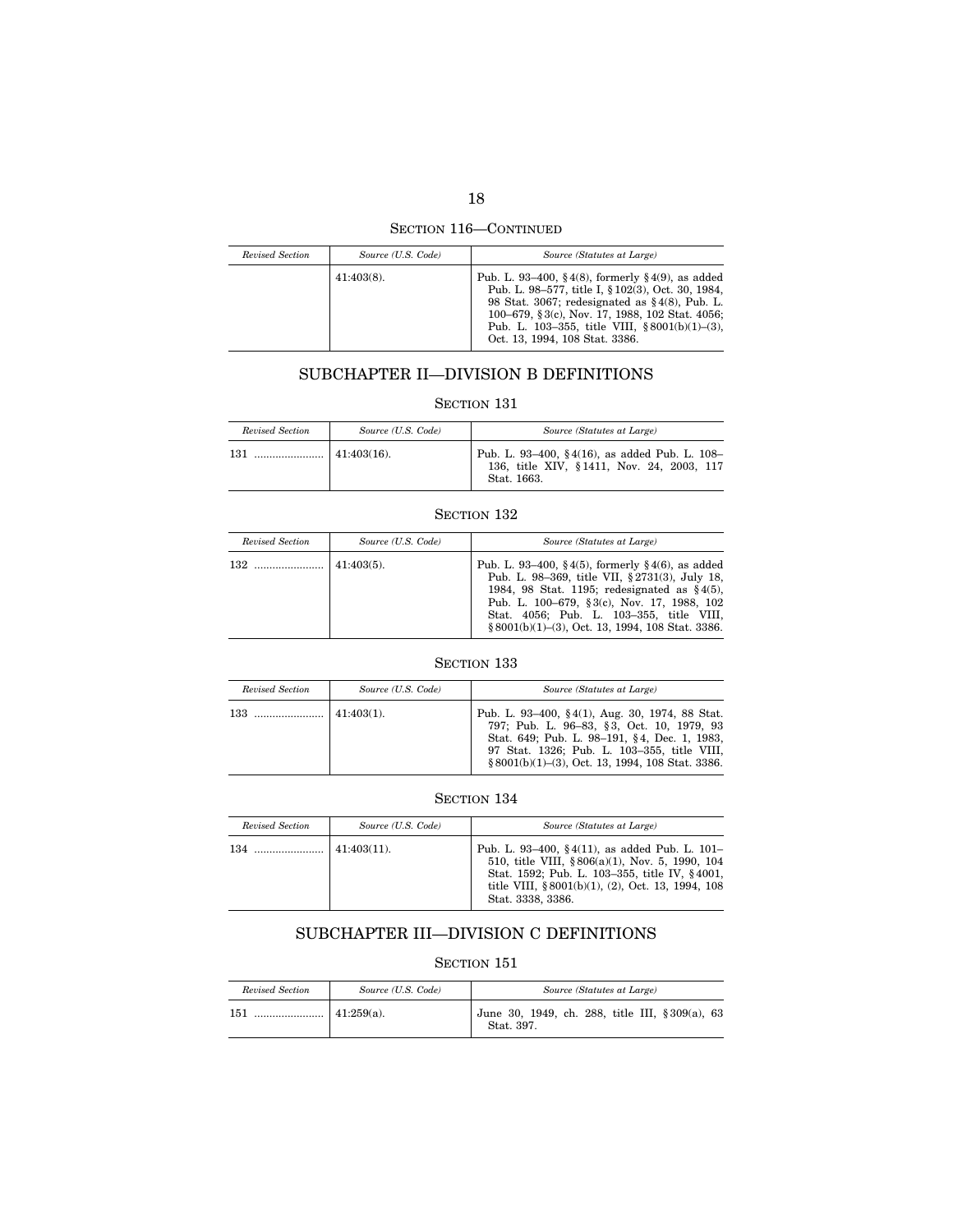SECTION 116—CONTINUED

| Revised Section | Source (U.S. Code) | Source (Statutes at Large)                                                                                                                                                                                                                                                                                   |
|-----------------|--------------------|--------------------------------------------------------------------------------------------------------------------------------------------------------------------------------------------------------------------------------------------------------------------------------------------------------------|
|                 | $41:403(8)$ .      | Pub. L. 93–400, §4(8), formerly §4(9), as added<br>Pub. L. 98-577, title I, § 102(3), Oct. 30, 1984,<br>98 Stat. 3067; redesignated as $\S 4(8)$ , Pub. L.<br>100–679, § 3(c), Nov. 17, 1988, 102 Stat. 4056;<br>Pub. L. 103-355, title VIII, $\frac{$8001(b)(1)-3)}{2}$ ,<br>Oct. 13, 1994, 108 Stat. 3386. |

# SUBCHAPTER II—DIVISION B DEFINITIONS

# SECTION 131

| Revised Section | Source (U.S. Code) | Source (Statutes at Large)                                                                                |
|-----------------|--------------------|-----------------------------------------------------------------------------------------------------------|
| 131             | $141:403(16)$ .    | Pub. L. 93–400, §4(16), as added Pub. L. 108–<br>136, title XIV, §1411, Nov. 24, 2003, 117<br>Stat. 1663. |

## SECTION 132

| Revised Section | Source (U.S. Code) | Source (Statutes at Large)                                                                                                                                                                                                                                                                         |
|-----------------|--------------------|----------------------------------------------------------------------------------------------------------------------------------------------------------------------------------------------------------------------------------------------------------------------------------------------------|
|                 | $41:403(5)$ .      | Pub. L. 93–400, §4(5), formerly §4(6), as added<br>Pub. L. 98-369, title VII, §2731(3), July 18,<br>1984, 98 Stat. 1195; redesignated as $§4(5)$ ,<br>Pub. L. 100–679, §3(c), Nov. 17, 1988, 102<br>Stat. 4056; Pub. L. 103-355, title VIII,<br>$\{8001(b)(1)-(3), Oct. 13, 1994, 108 Stat. 3386.$ |

# SECTION 133

| Revised Section | Source (U.S. Code) | Source (Statutes at Large)                                                                                                                                                                                                                       |
|-----------------|--------------------|--------------------------------------------------------------------------------------------------------------------------------------------------------------------------------------------------------------------------------------------------|
| 133             | $41:403(1)$ .      | Pub. L. 93–400, §4(1), Aug. 30, 1974, 88 Stat.<br>797; Pub. L. 96–83, §3, Oct. 10, 1979, 93<br>Stat. 649; Pub. L. 98-191, §4, Dec. 1, 1983,<br>97 Stat. 1326; Pub. L. 103-355, title VIII,<br>$§ 8001(b)(1)–(3), Oct. 13, 1994, 108 Stat. 3386.$ |

# SECTION 134

| Revised Section | Source (U.S. Code) | Source (Statutes at Large)                                                                                                                                                                                                         |
|-----------------|--------------------|------------------------------------------------------------------------------------------------------------------------------------------------------------------------------------------------------------------------------------|
| 134             | $41:403(11)$ .     | Pub. L. 93–400, §4(11), as added Pub. L. 101–<br>510, title VIII, §806(a)(1), Nov. 5, 1990, 104<br>Stat. 1592; Pub. L. 103-355, title IV, §4001,<br>title VIII, $\frac{8001(b)}{1}$ , (2), Oct. 13, 1994, 108<br>Stat. 3338, 3386. |

# SUBCHAPTER III—DIVISION C DEFINITIONS

| Revised Section | Source (U.S. Code) | Source (Statutes at Large)                                    |
|-----------------|--------------------|---------------------------------------------------------------|
| 151             | $141:259(a)$ .     | June 30, 1949, ch. 288, title III, § 309(a), 63<br>Stat. 397. |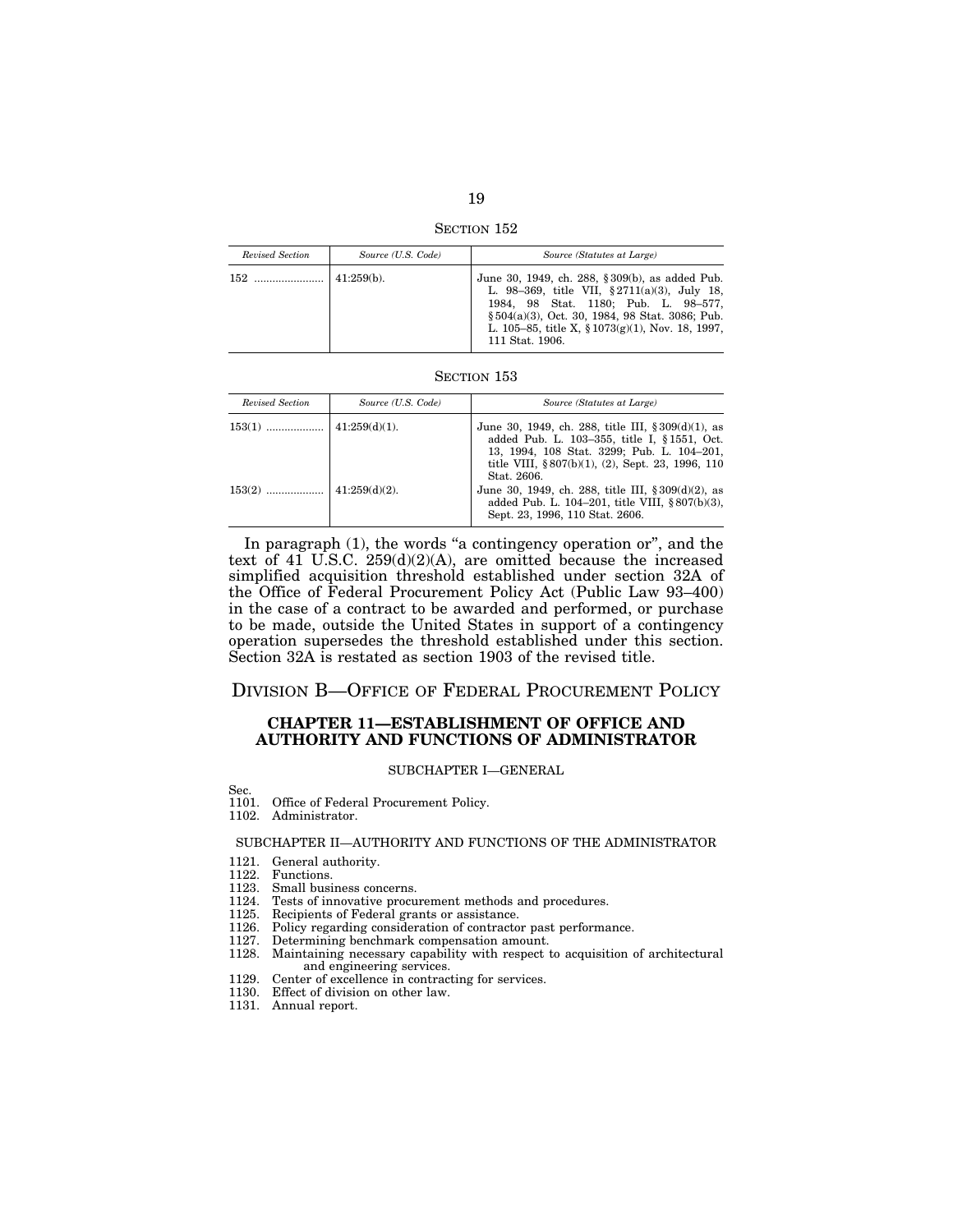SECTION 152

| Revised Section | Source (U.S. Code) | Source (Statutes at Large)                                                                                                                                                                                                                                              |
|-----------------|--------------------|-------------------------------------------------------------------------------------------------------------------------------------------------------------------------------------------------------------------------------------------------------------------------|
|                 | $41:259(b)$ .      | June 30, 1949, ch. 288, §309(b), as added Pub.<br>L. 98-369, title VII, §2711(a)(3), July 18,<br>1984, 98 Stat. 1180; Pub. L. 98-577,<br>$\S 504(a)(3)$ , Oct. 30, 1984, 98 Stat. 3086; Pub.<br>L. 105–85, title X, $\S 1073(g)(1)$ , Nov. 18, 1997,<br>111 Stat. 1906. |

| Revised Section | Source (U.S. Code) | Source (Statutes at Large)                                                                                                                                                                                                  |
|-----------------|--------------------|-----------------------------------------------------------------------------------------------------------------------------------------------------------------------------------------------------------------------------|
|                 |                    | June 30, 1949, ch. 288, title III, $\S 309(d)(1)$ , as<br>added Pub. L. 103-355, title I, §1551, Oct.<br>13, 1994, 108 Stat. 3299; Pub. L. 104-201,<br>title VIII, $\S 807(b)(1)$ , (2), Sept. 23, 1996, 110<br>Stat. 2606. |
| $153(2)$        | $141:259(d)(2)$ .  | June 30, 1949, ch. 288, title III, $\S 309(d)(2)$ , as<br>added Pub. L. 104-201, title VIII, §807(b)(3),<br>Sept. 23, 1996, 110 Stat. 2606.                                                                                 |

In paragraph (1), the words "a contingency operation or", and the text of  $41$  U.S.C.  $259(d)(2)(A)$ , are omitted because the increased simplified acquisition threshold established under section 32A of the Office of Federal Procurement Policy Act (Public Law 93–400) in the case of a contract to be awarded and performed, or purchase to be made, outside the United States in support of a contingency operation supersedes the threshold established under this section. Section 32A is restated as section 1903 of the revised title.

# DIVISION B—OFFICE OF FEDERAL PROCUREMENT POLICY

## **CHAPTER 11—ESTABLISHMENT OF OFFICE AND AUTHORITY AND FUNCTIONS OF ADMINISTRATOR**

## SUBCHAPTER I—GENERAL

Sec.

- 1101. Office of Federal Procurement Policy.
- 1102. Administrator.

## SUBCHAPTER II—AUTHORITY AND FUNCTIONS OF THE ADMINISTRATOR

- 1121. General authority.
- 1122. Functions.
- 1123. Small business concerns.
- 1124. Tests of innovative procurement methods and procedures.
- 1125. Recipients of Federal grants or assistance.
- 1126. Policy regarding consideration of contractor past performance.
- 1127. Determining benchmark compensation amount.
- 1128. Maintaining necessary capability with respect to acquisition of architectural and engineering services.
- 1129. Center of excellence in contracting for services.
- 1130. Effect of division on other law.
- 1131. Annual report.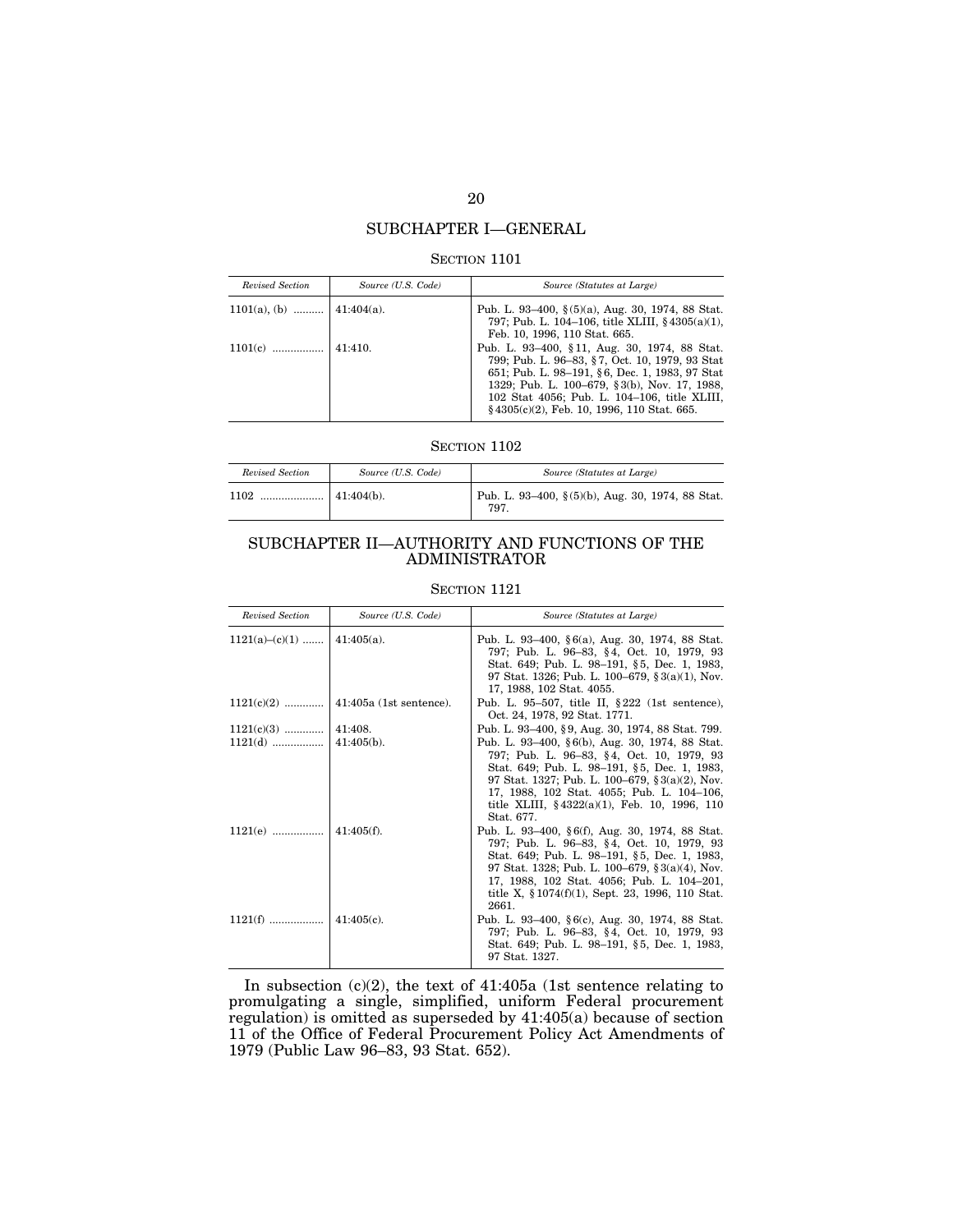# SUBCHAPTER I—GENERAL

## SECTION 1101

| Revised Section            | Source (U.S. Code) | Source (Statutes at Large)                                                                                                                                                                                                                                                                        |
|----------------------------|--------------------|---------------------------------------------------------------------------------------------------------------------------------------------------------------------------------------------------------------------------------------------------------------------------------------------------|
| 1101(a), (b)    41:404(a). |                    | Pub. L. 93–400, $\S(5)(a)$ , Aug. 30, 1974, 88 Stat.<br>797; Pub. L. 104–106, title XLIII, $\S$ 4305(a)(1),<br>Feb. 10, 1996, 110 Stat. 665.                                                                                                                                                      |
| $1101(c)$                  | 41:410.            | Pub. L. 93-400, §11, Aug. 30, 1974, 88 Stat.<br>799; Pub. L. 96–83, §7, Oct. 10, 1979, 93 Stat<br>651; Pub. L. 98–191, §6, Dec. 1, 1983, 97 Stat<br>1329; Pub. L. 100–679, §3(b), Nov. 17, 1988,<br>102 Stat 4056; Pub. L. 104-106, title XLIII,<br>$§$ 4305(c)(2), Feb. 10, 1996, 110 Stat. 665. |

## SECTION 1102

| Revised Section | Source (U.S. Code) | Source (Statutes at Large)                              |
|-----------------|--------------------|---------------------------------------------------------|
| 1102<br>        | $41:404(b)$ .      | Pub. L. 93-400, §(5)(b), Aug. 30, 1974, 88 Stat.<br>797 |

# SUBCHAPTER II—AUTHORITY AND FUNCTIONS OF THE ADMINISTRATOR

SECTION 1121

| Revised Section               | Source (U.S. Code) | Source (Statutes at Large)                                                                                                                                                                                                                                                                                        |
|-------------------------------|--------------------|-------------------------------------------------------------------------------------------------------------------------------------------------------------------------------------------------------------------------------------------------------------------------------------------------------------------|
| $1121(a)-(c)(1)$   41:405(a). |                    | Pub. L. 93–400, §6(a), Aug. 30, 1974, 88 Stat.<br>797; Pub. L. 96–83, §4, Oct. 10, 1979, 93<br>Stat. 649; Pub. L. 98-191, §5, Dec. 1, 1983,<br>97 Stat. 1326; Pub. L. 100–679, $\S 3(a)(1)$ , Nov.<br>17, 1988, 102 Stat. 4055.                                                                                   |
|                               |                    | Pub. L. 95-507, title II, $\S 222$ (1st sentence),<br>Oct. 24, 1978, 92 Stat. 1771.                                                                                                                                                                                                                               |
| $1121(c)(3)$   41:408.        |                    | Pub. L. 93-400, §9, Aug. 30, 1974, 88 Stat. 799.                                                                                                                                                                                                                                                                  |
| $1121(d)$                     | $41:405(b)$ .      | Pub. L. 93–400, §6(b), Aug. 30, 1974, 88 Stat.<br>797; Pub. L. 96–83, §4, Oct. 10, 1979, 93<br>Stat. 649; Pub. L. 98-191, §5, Dec. 1, 1983,<br>97 Stat. 1327; Pub. L. 100–679, §3(a)(2), Nov.<br>17, 1988, 102 Stat. 4055; Pub. L. 104–106,<br>title XLIII, $§\,4322(a)(1)$ , Feb. 10, 1996, 110<br>Stat. 677.    |
| $1121(e)$                     | $41:405(f)$ .      | Pub. L. 93–400, §6(f), Aug. 30, 1974, 88 Stat.<br>797; Pub. L. 96–83, §4, Oct. 10, 1979, 93<br>Stat. 649; Pub. L. 98–191, §5, Dec. 1, 1983,<br>97 Stat. 1328; Pub. L. 100–679, $\S 3(a)(4)$ , Nov.<br>17, 1988, 102 Stat. 4056; Pub. L. 104-201,<br>title X, $\S 1074(f)(1)$ , Sept. 23, 1996, 110 Stat.<br>2661. |
|                               | $41:405(c)$ .      | Pub. L. 93-400, §6(c), Aug. 30, 1974, 88 Stat.<br>797; Pub. L. 96–83, §4, Oct. 10, 1979, 93<br>Stat. 649; Pub. L. 98-191, §5, Dec. 1, 1983,<br>97 Stat. 1327.                                                                                                                                                     |

In subsection (c)(2), the text of 41:405a (1st sentence relating to promulgating a single, simplified, uniform Federal procurement regulation) is omitted as superseded by 41:405(a) because of section 11 of the Office of Federal Procurement Policy Act Amendments of 1979 (Public Law 96–83, 93 Stat. 652).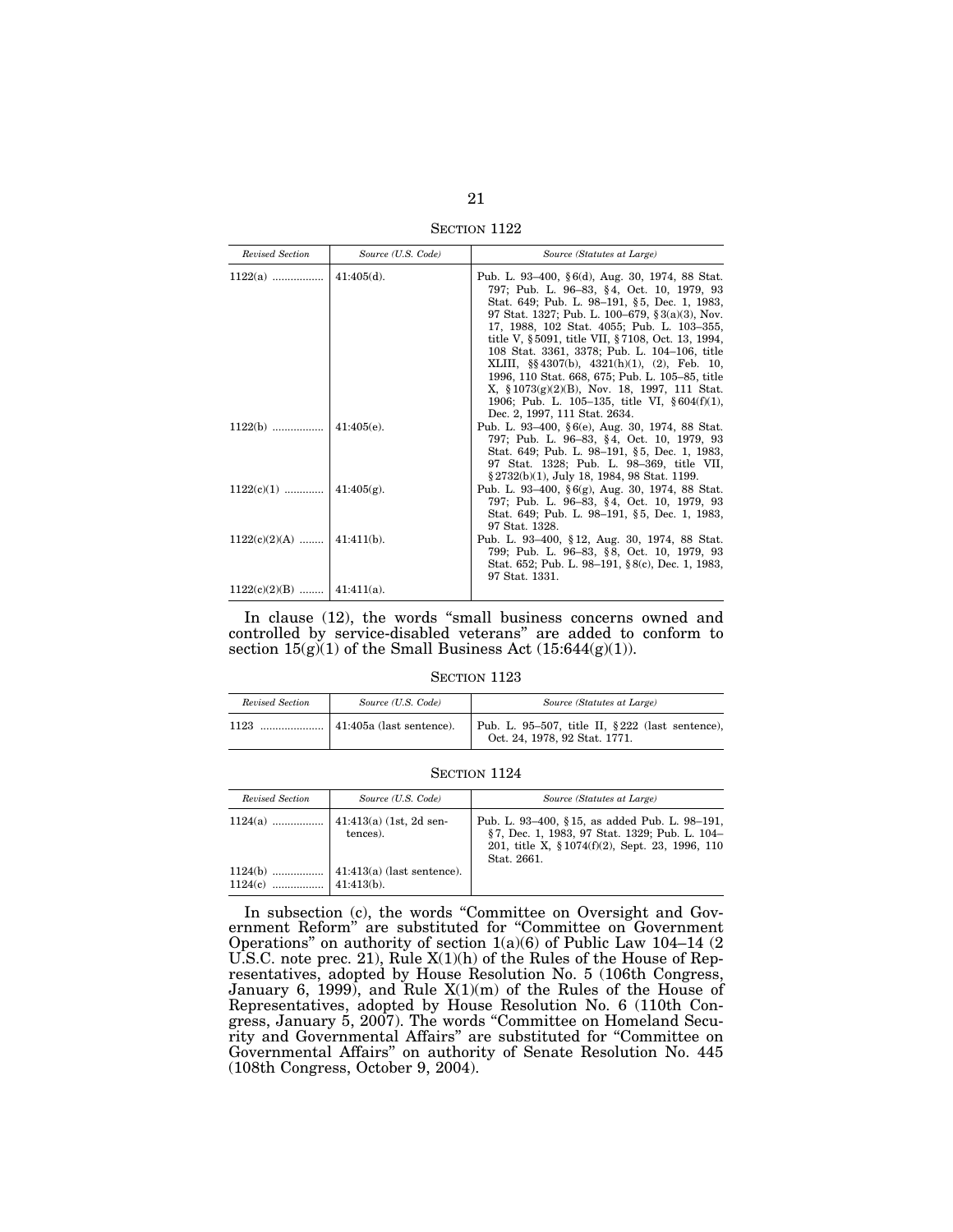SECTION 1122

| Revised Section              | Source (U.S. Code) | Source (Statutes at Large)                                                                                                                                                                                                                                                                                                                                                                                                                                                                                                                               |
|------------------------------|--------------------|----------------------------------------------------------------------------------------------------------------------------------------------------------------------------------------------------------------------------------------------------------------------------------------------------------------------------------------------------------------------------------------------------------------------------------------------------------------------------------------------------------------------------------------------------------|
|                              |                    | Pub. L. 93–400, §6(d), Aug. 30, 1974, 88 Stat.<br>797; Pub. L. 96–83, §4, Oct. 10, 1979, 93<br>Stat. 649; Pub. L. 98-191, §5, Dec. 1, 1983,<br>97 Stat. 1327; Pub. L. 100–679, §3(a)(3), Nov.<br>17, 1988, 102 Stat. 4055; Pub. L. 103-355,<br>title V, §5091, title VII, §7108, Oct. 13, 1994,<br>108 Stat. 3361, 3378; Pub. L. 104-106, title<br>XLIII, §§4307(b), 4321(h)(1), (2), Feb. 10,<br>1996, 110 Stat. 668, 675; Pub. L. 105-85, title<br>X, $$1073(g)(2)(B)$ , Nov. 18, 1997, 111 Stat.<br>1906; Pub. L. 105-135, title VI, $\S 604(f)(1)$ , |
| $1122(b)$                    | 41:405(e)          | Dec. 2, 1997, 111 Stat. 2634.<br>Pub. L. 93–400, §6(e), Aug. 30, 1974, 88 Stat.<br>797; Pub. L. 96-83, §4, Oct. 10, 1979, 93<br>Stat. 649; Pub. L. 98-191, §5, Dec. 1, 1983,<br>97 Stat. 1328; Pub. L. 98-369, title VII,<br>$\S 2732(b)(1)$ , July 18, 1984, 98 Stat. 1199.                                                                                                                                                                                                                                                                             |
|                              |                    | Pub. L. 93–400, $\S 6(g)$ , Aug. 30, 1974, 88 Stat.<br>797; Pub. L. 96–83, §4, Oct. 10, 1979, 93<br>Stat. 649; Pub. L. 98-191, §5, Dec. 1, 1983,<br>97 Stat. 1328.                                                                                                                                                                                                                                                                                                                                                                                       |
| $1122(c)(2)(A)$   41:411(b). |                    | Pub. L. 93–400, §12, Aug. 30, 1974, 88 Stat.<br>799; Pub. L. 96-83, §8, Oct. 10, 1979, 93<br>Stat. 652; Pub. L. 98-191, §8(c), Dec. 1, 1983,<br>97 Stat. 1331.                                                                                                                                                                                                                                                                                                                                                                                           |
| $1122(c)(2)(B)$   41:411(a). |                    |                                                                                                                                                                                                                                                                                                                                                                                                                                                                                                                                                          |

In clause (12), the words ''small business concerns owned and controlled by service-disabled veterans'' are added to conform to section  $15(g)(1)$  of the Small Business Act  $(15:644(g)(1))$ .

#### SECTION 1123

| Revised Section | Source (U.S. Code) | Source (Statutes at Large)                                                         |
|-----------------|--------------------|------------------------------------------------------------------------------------|
| 1123            |                    | Pub. L. 95-507, title II, $§222$ (last sentence),<br>Oct. 24, 1978, 92 Stat. 1771. |

#### SECTION 1124

| Revised Section | Source (U.S. Code) | Source (Statutes at Large)                                                                                                                                       |
|-----------------|--------------------|------------------------------------------------------------------------------------------------------------------------------------------------------------------|
|                 | tences).           | Pub. L. 93–400, §15, as added Pub. L. 98–191,<br>§7, Dec. 1, 1983, 97 Stat. 1329; Pub. L. 104-<br>201, title X, § 1074(f)(2), Sept. 23, 1996, 110<br>Stat. 2661. |
|                 |                    |                                                                                                                                                                  |

In subsection (c), the words "Committee on Oversight and Government Reform'' are substituted for ''Committee on Government Operations'' on authority of section 1(a)(6) of Public Law 104–14 (2 U.S.C. note prec. 21), Rule X(1)(h) of the Rules of the House of Representatives, adopted by House Resolution No. 5 (106th Congress, January 6, 1999), and Rule  $X(1)(m)$  of the Rules of the House of Representatives, adopted by House Resolution No. 6 (110th Congress, January 5, 2007). The words ''Committee on Homeland Security and Governmental Affairs'' are substituted for ''Committee on Governmental Affairs'' on authority of Senate Resolution No. 445 (108th Congress, October 9, 2004).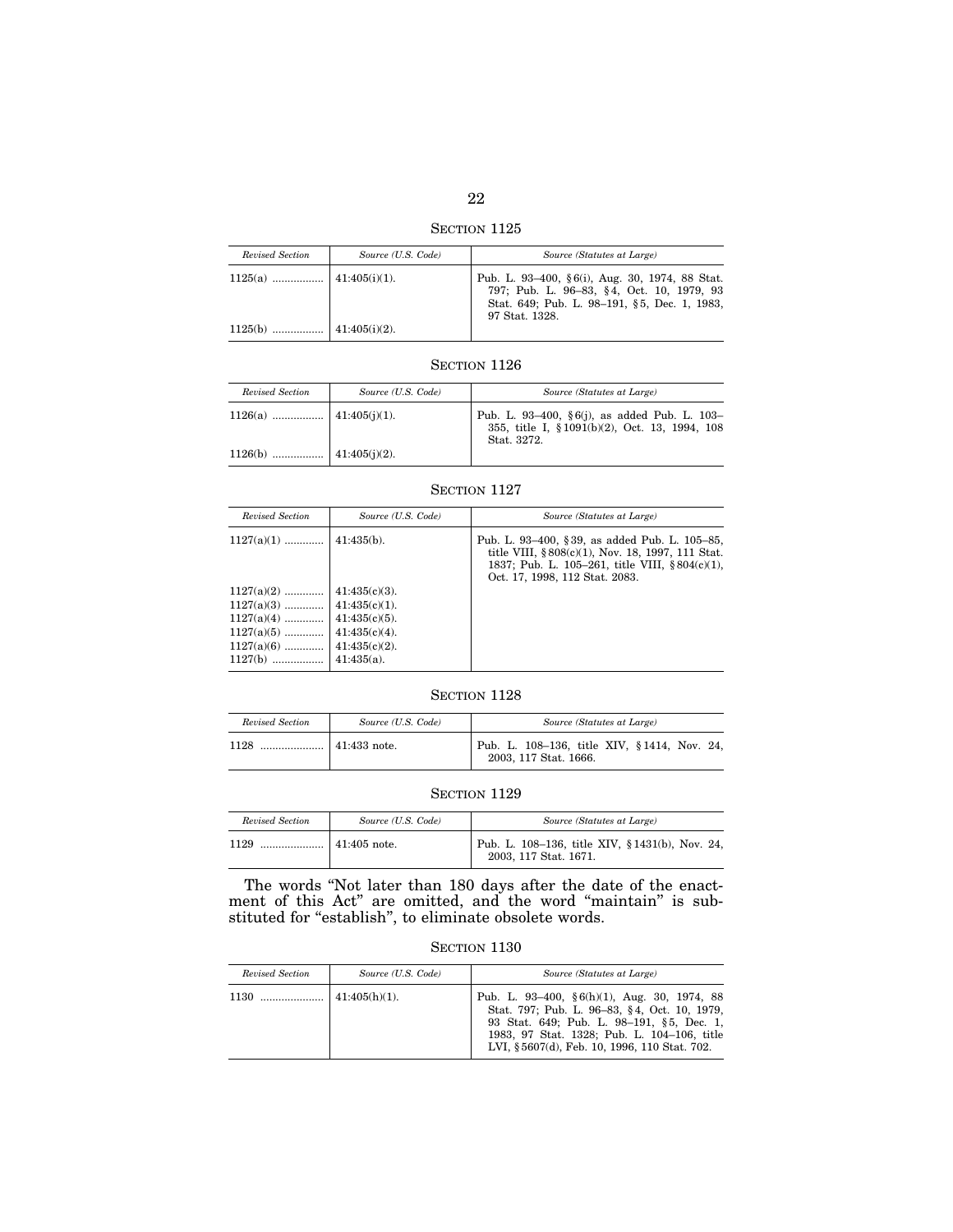22

SECTION 1125

| Revised Section | Source (U.S. Code) | Source (Statutes at Large)                                                                                                                                    |
|-----------------|--------------------|---------------------------------------------------------------------------------------------------------------------------------------------------------------|
|                 |                    | Pub. L. 93–400, §6(i), Aug. 30, 1974, 88 Stat.<br>797; Pub. L. 96-83, §4, Oct. 10, 1979, 93<br>Stat. 649; Pub. L. 98-191, §5, Dec. 1, 1983,<br>97 Stat. 1328. |
|                 |                    |                                                                                                                                                               |

| Revised Section | Source (U.S. Code) | Source (Statutes at Large)                                                                                    |
|-----------------|--------------------|---------------------------------------------------------------------------------------------------------------|
|                 |                    | Pub. L. 93-400, §6(j), as added Pub. L. 103-<br>355, title I, § 1091(b)(2), Oct. 13, 1994, 108<br>Stat. 3272. |
|                 |                    |                                                                                                               |

# SECTION 1127

| Revised Section                                                                           | Source (U.S. Code)                                                                                                | Source (Statutes at Large)                                                                                                                                                            |
|-------------------------------------------------------------------------------------------|-------------------------------------------------------------------------------------------------------------------|---------------------------------------------------------------------------------------------------------------------------------------------------------------------------------------|
| $1127(a)(1)$                                                                              | $41:435(b)$ .                                                                                                     | Pub. L. 93–400, §39, as added Pub. L. 105–85,<br>title VIII, §808(c)(1), Nov. 18, 1997, 111 Stat.<br>1837; Pub. L. 105–261, title VIII, §804(c)(1),<br>Oct. 17, 1998, 112 Stat. 2083. |
| $1127(a)(2)$<br>$1127(a)(3)$<br>$1127(a)(4)$<br>$1127(a)(5)$<br>$1127(a)(6)$<br>$1127(b)$ | $41:435(c)(3)$ .<br>$41:435(c)(1)$ .<br>$41:435(c)(5)$ .<br>$41:435(c)(4)$ .<br>$41:435(c)(2)$ .<br>$41:435(a)$ . |                                                                                                                                                                                       |

# SECTION 1128

| Revised Section | Source (U.S. Code)   | Source (Statutes at Large)                                           |
|-----------------|----------------------|----------------------------------------------------------------------|
| 1128            | $\vert$ 41:433 note. | Pub. L. 108–136, title XIV, §1414, Nov. 24,<br>2003, 117 Stat. 1666. |

## SECTION 1129

| Revised Section | Source (U.S. Code) | Source (Statutes at Large)                                              |
|-----------------|--------------------|-------------------------------------------------------------------------|
| 1129<br>        | $\pm 41:405$ note. | Pub. L. 108-136, title XIV, §1431(b), Nov. 24,<br>2003, 117 Stat. 1671. |

The words ''Not later than 180 days after the date of the enactment of this Act'' are omitted, and the word ''maintain'' is substituted for "establish", to eliminate obsolete words.

|  | SECTION 1130 |  |
|--|--------------|--|
|--|--------------|--|

| Revised Section | Source (U.S. Code) | Source (Statutes at Large)                                                                                                                                                                                                                   |
|-----------------|--------------------|----------------------------------------------------------------------------------------------------------------------------------------------------------------------------------------------------------------------------------------------|
|                 | $41:405(h)(1)$ .   | Pub. L. 93-400, $\S 6(h)(1)$ , Aug. 30, 1974, 88<br>Stat. 797; Pub. L. 96-83, §4, Oct. 10, 1979,<br>93 Stat. 649; Pub. L. 98-191, §5, Dec. 1,<br>1983, 97 Stat. 1328; Pub. L. 104-106, title<br>LVI, §5607(d), Feb. 10, 1996, 110 Stat. 702. |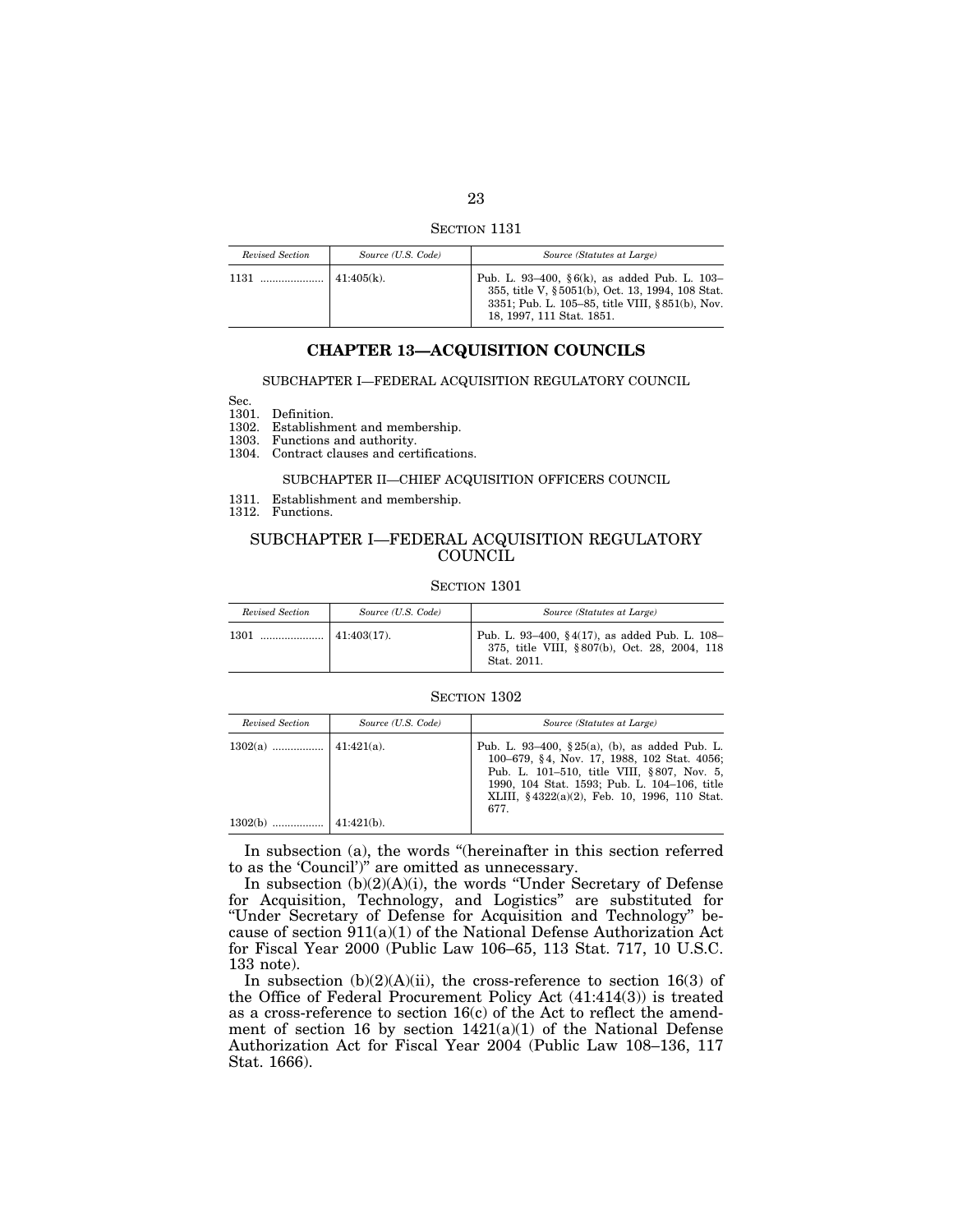SECTION 1131

| Revised Section | Source (U.S. Code) | Source (Statutes at Large)                                                                                                                                                             |
|-----------------|--------------------|----------------------------------------------------------------------------------------------------------------------------------------------------------------------------------------|
| 1131            | $141:405(k)$ .     | Pub. L. 93–400, $\S 6(k)$ , as added Pub. L. 103–<br>355, title V, § 5051(b), Oct. 13, 1994, 108 Stat.<br>3351; Pub. L. 105–85, title VIII, §851(b), Nov.<br>18, 1997, 111 Stat. 1851. |

## **CHAPTER 13—ACQUISITION COUNCILS**

#### SUBCHAPTER I—FEDERAL ACQUISITION REGULATORY COUNCIL

Sec.

1301. Definition.

1302. Establishment and membership.

1303. Functions and authority.

1304. Contract clauses and certifications.

#### SUBCHAPTER II—CHIEF ACQUISITION OFFICERS COUNCIL

1311. Establishment and membership.

1312. Functions.

## SUBCHAPTER I—FEDERAL ACQUISITION REGULATORY **COUNCIL**

#### SECTION 1301

| Revised Section | Source (U.S. Code) | Source (Statutes at Large)                                                                                   |
|-----------------|--------------------|--------------------------------------------------------------------------------------------------------------|
|                 |                    | Pub. L. 93-400, §4(17), as added Pub. L. 108-<br>375, title VIII, §807(b), Oct. 28, 2004, 118<br>Stat. 2011. |

#### SECTION 1302

| Revised Section | Source (U.S. Code) | Source (Statutes at Large)                                                                                                                                                                                                                              |
|-----------------|--------------------|---------------------------------------------------------------------------------------------------------------------------------------------------------------------------------------------------------------------------------------------------------|
|                 |                    | Pub. L. 93–400, $\S 25(a)$ , (b), as added Pub. L.<br>100–679, §4, Nov. 17, 1988, 102 Stat. 4056;<br>Pub. L. 101–510, title VIII, §807, Nov. 5,<br>1990, 104 Stat. 1593; Pub. L. 104-106, title<br>XLIII, §4322(a)(2), Feb. 10, 1996, 110 Stat.<br>677. |
| $1302(b)$       | $41:421(b)$ .      |                                                                                                                                                                                                                                                         |

In subsection (a), the words ''(hereinafter in this section referred to as the 'Council')'' are omitted as unnecessary.

In subsection (b)(2)(A)(i), the words ''Under Secretary of Defense for Acquisition, Technology, and Logistics'' are substituted for ''Under Secretary of Defense for Acquisition and Technology'' because of section 911(a)(1) of the National Defense Authorization Act for Fiscal Year 2000 (Public Law 106–65, 113 Stat. 717, 10 U.S.C. 133 note).

In subsection  $(b)(2)(A)(ii)$ , the cross-reference to section 16(3) of the Office of Federal Procurement Policy Act (41:414(3)) is treated as a cross-reference to section 16(c) of the Act to reflect the amendment of section 16 by section  $1421(a)(1)$  of the National Defense Authorization Act for Fiscal Year 2004 (Public Law 108–136, 117 Stat. 1666).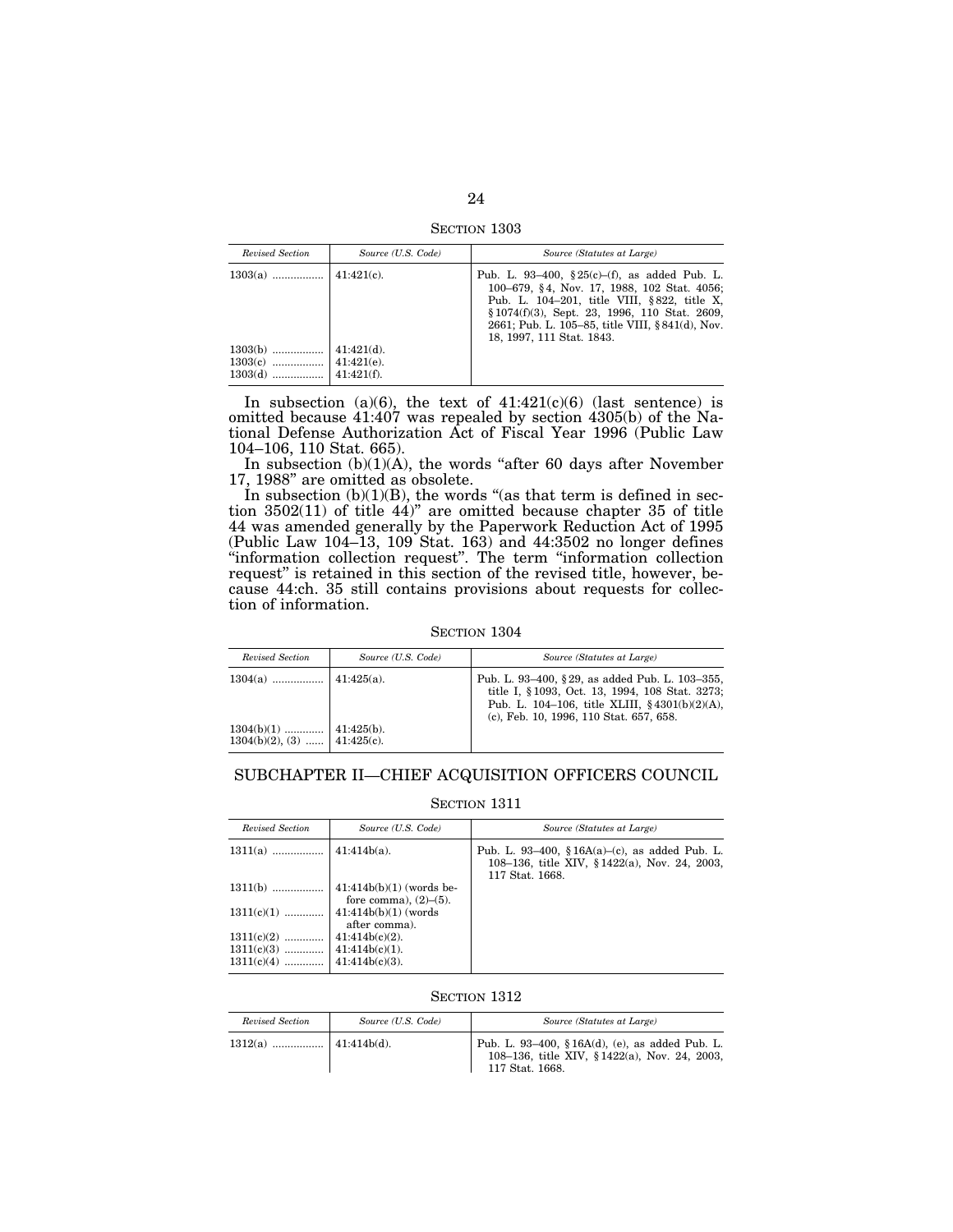SECTION 1303

| Revised Section                     | Source (U.S. Code)                              | Source (Statutes at Large)                                                                                                                                                                                                                                                    |
|-------------------------------------|-------------------------------------------------|-------------------------------------------------------------------------------------------------------------------------------------------------------------------------------------------------------------------------------------------------------------------------------|
|                                     |                                                 | Pub. L. 93-400, §25(c)-(f), as added Pub. L.<br>100–679, §4, Nov. 17, 1988, 102 Stat. 4056;<br>Pub. L. 104-201, title VIII, §822, title X,<br>$$1074(f)(3)$ , Sept. 23, 1996, 110 Stat. 2609,<br>2661; Pub. L. 105–85, title VIII, §841(d), Nov.<br>18, 1997, 111 Stat. 1843. |
| $1303(b)$<br>$1303(c)$<br>$1303(d)$ | $41:421(d)$ .<br>$41:421(e)$ .<br>$41:421(f)$ . |                                                                                                                                                                                                                                                                               |

In subsection (a)(6), the text of  $41:421(c)(6)$  (last sentence) is omitted because 41:407 was repealed by section 4305(b) of the National Defense Authorization Act of Fiscal Year 1996 (Public Law 104–106, 110 Stat. 665).

In subsection  $(b)(1)(A)$ , the words "after 60 days after November 17, 1988'' are omitted as obsolete.

In subsection  $(b)(1)(B)$ , the words "(as that term is defined in section 3502(11) of title 44)'' are omitted because chapter 35 of title 44 was amended generally by the Paperwork Reduction Act of 1995 (Public Law 104–13, 109 Stat. 163) and 44:3502 no longer defines ''information collection request''. The term ''information collection request'' is retained in this section of the revised title, however, because 44:ch. 35 still contains provisions about requests for collection of information.

#### SECTION 1304

| Revised Section              | Source (U.S. Code) | Source (Statutes at Large)                                                                                                                                                                        |
|------------------------------|--------------------|---------------------------------------------------------------------------------------------------------------------------------------------------------------------------------------------------|
|                              |                    | Pub. L. 93-400, § 29, as added Pub. L. 103-355,<br>title I, §1093, Oct. 13, 1994, 108 Stat. 3273;<br>Pub. L. 104–106, title XLIII, $§ 4301(b)(2)(A)$ ,<br>(c), Feb. 10, 1996, 110 Stat. 657, 658. |
| $1304(b)(2), (3)$ 41:425(c). |                    |                                                                                                                                                                                                   |

# SUBCHAPTER II—CHIEF ACQUISITION OFFICERS COUNCIL

#### SECTION 1311

| Revised Section | Source (U.S. Code)                                          | Source (Statutes at Large)                                                                                        |
|-----------------|-------------------------------------------------------------|-------------------------------------------------------------------------------------------------------------------|
|                 |                                                             | Pub. L. 93–400, § 16A(a)–(c), as added Pub. L.<br>108–136, title XIV, §1422(a), Nov. 24, 2003,<br>117 Stat. 1668. |
| $1311(b)$       | $ 41:414b(b)(1)$ (words be-<br>fore comma), $(2)$ – $(5)$ . |                                                                                                                   |
| $1311(c)(1)$    | $ 41:414b(b)(1)$ (words<br>after comma).                    |                                                                                                                   |
| $1311(c)(2)$    | $41:414b(c)(2)$ .                                           |                                                                                                                   |
|                 |                                                             |                                                                                                                   |
|                 |                                                             |                                                                                                                   |

| Revised Section | Source (U.S. Code) | Source (Statutes at Large)                                                                                                |
|-----------------|--------------------|---------------------------------------------------------------------------------------------------------------------------|
|                 |                    | Pub. L. 93-400, § 16A $(d)$ , $(e)$ , as added Pub. L.<br>108-136, title XIV, §1422(a), Nov. 24, 2003,<br>117 Stat. 1668. |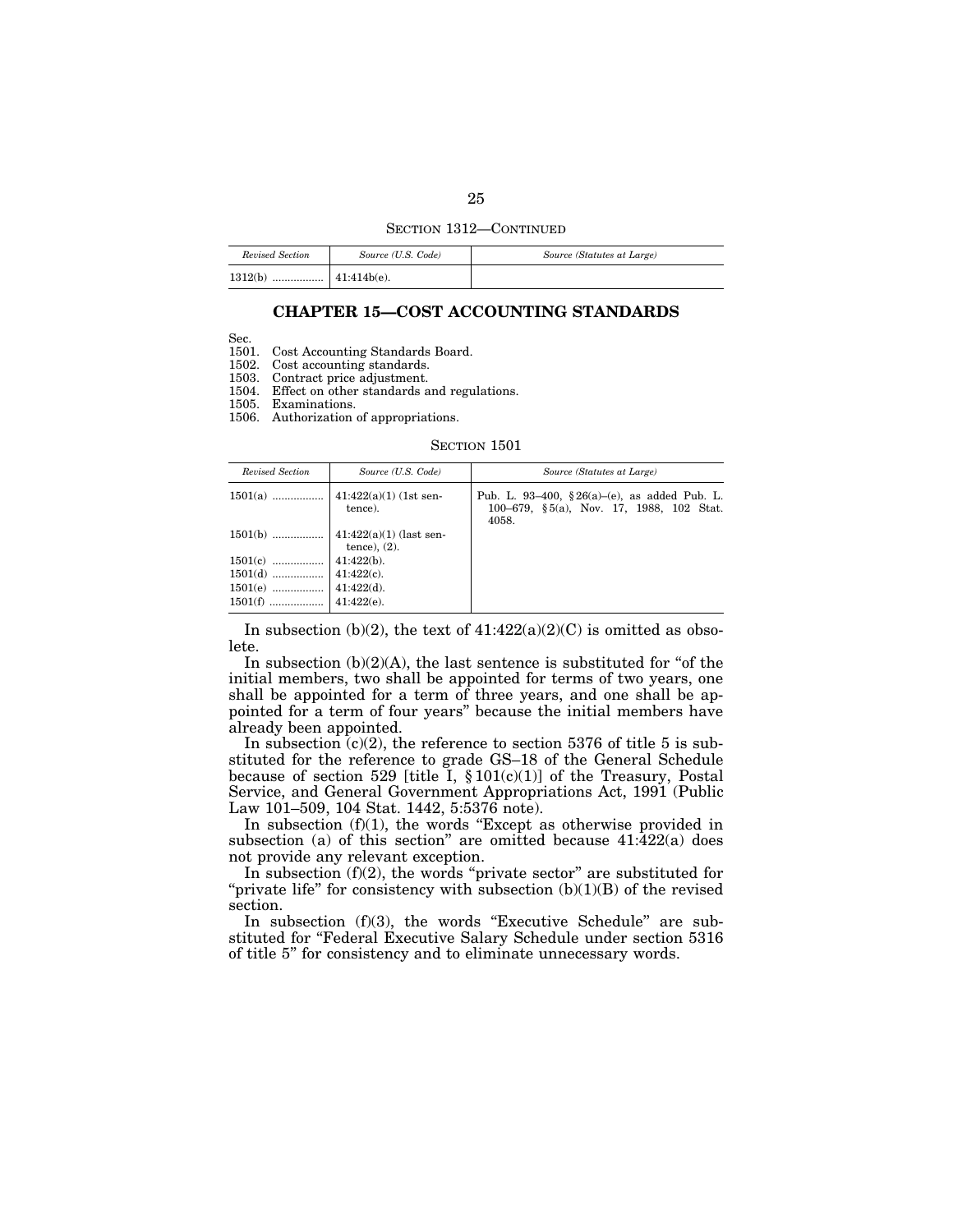#### SECTION 1312—CONTINUED

| Revised Section | Source (U.S. Code) | Source (Statutes at Large) |
|-----------------|--------------------|----------------------------|
| 1312(b)         |                    |                            |

## **CHAPTER 15—COST ACCOUNTING STANDARDS**

Sec.

1501. Cost Accounting Standards Board.

1502. Cost accounting standards.

1503. Contract price adjustment.

1504. Effect on other standards and regulations.

1505. Examinations.

1506. Authorization of appropriations.

#### SECTION 1501

| Revised Section | Source (U.S. Code) | Source (Statutes at Large)                                                                         |
|-----------------|--------------------|----------------------------------------------------------------------------------------------------|
|                 | tence).            | Pub. L. 93-400, § 26(a)-(e), as added Pub. L.<br>100–679, §5(a), Nov. 17, 1988, 102 Stat.<br>4058. |
|                 | tence), $(2)$ .    |                                                                                                    |
|                 |                    |                                                                                                    |
|                 |                    |                                                                                                    |
|                 |                    |                                                                                                    |
|                 |                    |                                                                                                    |

In subsection (b)(2), the text of  $41:422(a)(2)(C)$  is omitted as obsolete.

In subsection  $(b)(2)(A)$ , the last sentence is substituted for "of the initial members, two shall be appointed for terms of two years, one shall be appointed for a term of three years, and one shall be appointed for a term of four years'' because the initial members have already been appointed.

In subsection  $(c)(2)$ , the reference to section 5376 of title 5 is substituted for the reference to grade GS–18 of the General Schedule because of section 529 [title I,  $\S 101(c)(1)$ ] of the Treasury, Postal Service, and General Government Appropriations Act, 1991 (Public Law 101–509, 104 Stat. 1442, 5:5376 note).

In subsection  $(f)(1)$ , the words "Except as otherwise provided in subsection (a) of this section" are omitted because  $41:\overline{422(a)}$  does not provide any relevant exception.

In subsection  $(f)(2)$ , the words "private sector" are substituted for "private life" for consistency with subsection  $(b)(1)(B)$  of the revised section.

In subsection  $(f)(3)$ , the words "Executive Schedule" are substituted for "Federal Executive Salary Schedule under section 5316 of title 5'' for consistency and to eliminate unnecessary words.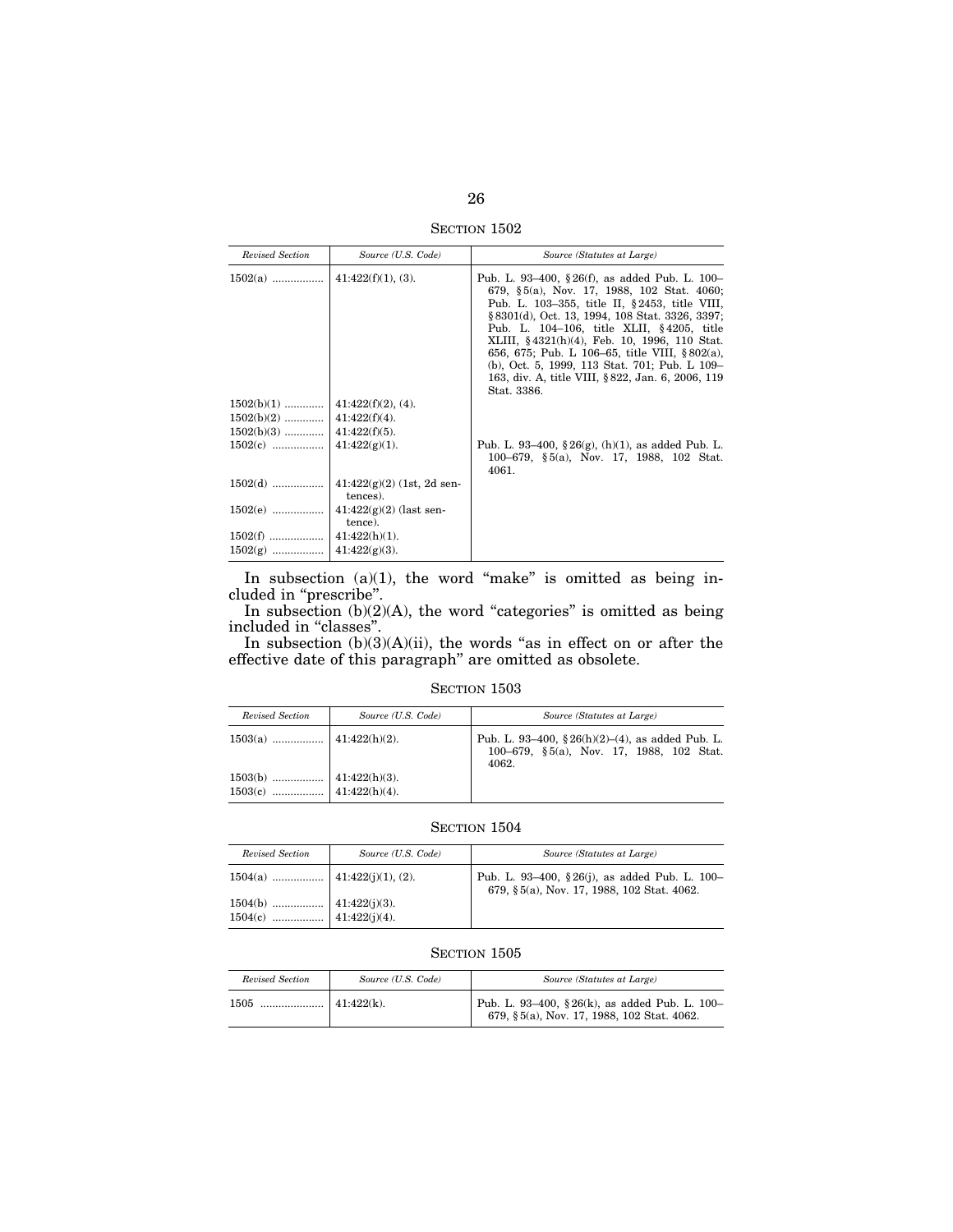SECTION 1502

| Revised Section | Source (U.S. Code)                    | Source (Statutes at Large)                                                                                                                                                                                                                                                                                                                                                                                                                                        |
|-----------------|---------------------------------------|-------------------------------------------------------------------------------------------------------------------------------------------------------------------------------------------------------------------------------------------------------------------------------------------------------------------------------------------------------------------------------------------------------------------------------------------------------------------|
|                 |                                       | Pub. L. 93-400, §26(f), as added Pub. L. 100-<br>679, §5(a), Nov. 17, 1988, 102 Stat. 4060;<br>Pub. L. 103-355, title II, §2453, title VIII,<br>§ 8301(d), Oct. 13, 1994, 108 Stat. 3326, 3397;<br>Pub. L. 104-106, title XLII, §4205, title<br>XLIII, §4321(h)(4), Feb. 10, 1996, 110 Stat.<br>656, 675; Pub. L 106–65, title VIII, §802(a),<br>(b), Oct. 5, 1999, 113 Stat. 701; Pub. L 109-<br>163, div. A, title VIII, §822, Jan. 6, 2006, 119<br>Stat. 3386. |
|                 |                                       |                                                                                                                                                                                                                                                                                                                                                                                                                                                                   |
|                 |                                       |                                                                                                                                                                                                                                                                                                                                                                                                                                                                   |
|                 |                                       |                                                                                                                                                                                                                                                                                                                                                                                                                                                                   |
|                 |                                       | Pub. L. 93–400, $\S 26(g)$ , (h)(1), as added Pub. L.<br>100–679, $\S 5(a)$ , Nov. 17, 1988, 102 Stat.<br>4061.                                                                                                                                                                                                                                                                                                                                                   |
|                 | tences).                              |                                                                                                                                                                                                                                                                                                                                                                                                                                                                   |
| $1502(e)$       | $ 41:422(g)(2)$ (last sen-<br>tence). |                                                                                                                                                                                                                                                                                                                                                                                                                                                                   |
|                 |                                       |                                                                                                                                                                                                                                                                                                                                                                                                                                                                   |
|                 |                                       |                                                                                                                                                                                                                                                                                                                                                                                                                                                                   |

In subsection  $(a)(1)$ , the word "make" is omitted as being included in ''prescribe''.

In subsection  $(b)(2)(A)$ , the word "categories" is omitted as being included in ''classes''.

In subsection  $(b)(3)(A)(ii)$ , the words "as in effect on or after the effective date of this paragraph'' are omitted as obsolete.

## SECTION 1503

| Revised Section | Source (U.S. Code) | Source (Statutes at Large)                                                                                |
|-----------------|--------------------|-----------------------------------------------------------------------------------------------------------|
|                 |                    | Pub. L. 93-400, $\S 26(h)(2)$ –(4), as added Pub. L.<br>100–679, §5(a), Nov. 17, 1988, 102 Stat.<br>4062. |
|                 |                    |                                                                                                           |

## SECTION 1504

| Revised Section | Source (U.S. Code) | Source (Statutes at Large)                                                                  |
|-----------------|--------------------|---------------------------------------------------------------------------------------------|
|                 |                    | Pub. L. 93-400, §26(j), as added Pub. L. 100-<br>679, §5(a), Nov. 17, 1988, 102 Stat. 4062. |
|                 |                    |                                                                                             |
|                 |                    |                                                                                             |

| Revised Section | Source (U.S. Code) | Source (Statutes at Large)                                                                  |
|-----------------|--------------------|---------------------------------------------------------------------------------------------|
| 1505<br>        | $41:422(k)$ .      | Pub. L. 93-400, §26(k), as added Pub. L. 100-<br>679, §5(a), Nov. 17, 1988, 102 Stat. 4062. |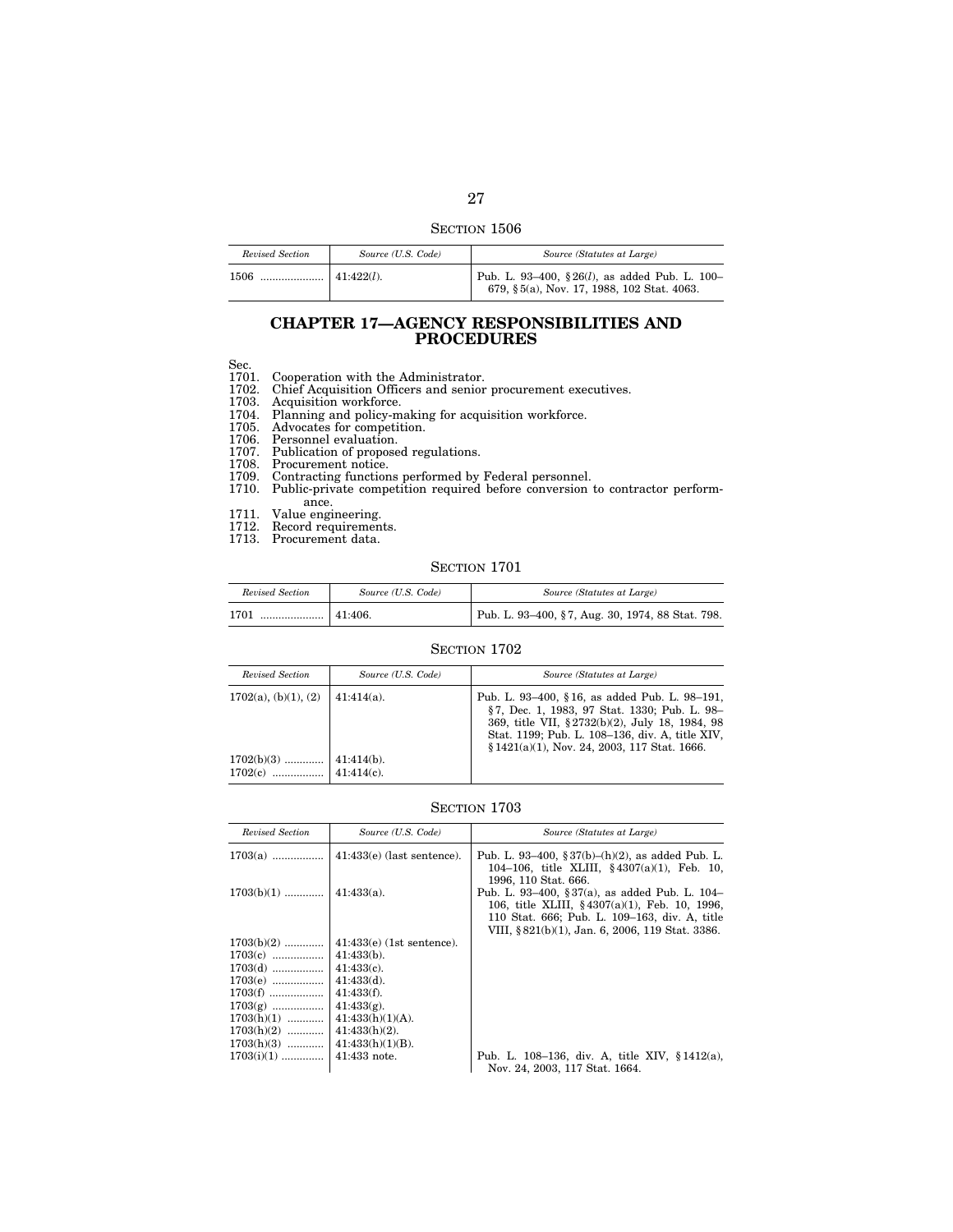| Revised Section | Source (U.S. Code) | Source (Statutes at Large)                                                                      |
|-----------------|--------------------|-------------------------------------------------------------------------------------------------|
|                 |                    | Pub. L. 93-400, §26 $(l)$ , as added Pub. L. 100-<br>679, §5(a), Nov. 17, 1988, 102 Stat. 4063. |

## **CHAPTER 17—AGENCY RESPONSIBILITIES AND PROCEDURES**

Sec.

1701. Cooperation with the Administrator.

1702. Chief Acquisition Officers and senior procurement executives.

1703. Acquisition workforce.

1704. Planning and policy-making for acquisition workforce.

1705. Advocates for competition.

1706. Personnel evaluation.

1707. Publication of proposed regulations.

1708. Procurement notice.

1709. Contracting functions performed by Federal personnel.

1710. Public-private competition required before conversion to contractor performance.

1711. Value engineering.

1712. Record requirements.

1713. Procurement data.

## SECTION 1701

| Revised Section                                                                                  | Source (U.S. Code) | Source (Statutes at Large)                       |
|--------------------------------------------------------------------------------------------------|--------------------|--------------------------------------------------|
| $\ldots$ $\ldots$ $\ldots$ $\ldots$ $\ldots$ $\ldots$ $\ldots$ $\ldots$ $\ldots$ 41:406.<br>1701 |                    | Pub. L. 93-400, §7, Aug. 30, 1974, 88 Stat. 798. |

## SECTION 1702

| Revised Section         | Source (U.S. Code) | Source (Statutes at Large)                                                                                                                                                                                                                           |
|-------------------------|--------------------|------------------------------------------------------------------------------------------------------------------------------------------------------------------------------------------------------------------------------------------------------|
| $1702(a)$ , (b)(1), (2) | $41:414(a)$ .      | Pub. L. 93–400, §16, as added Pub. L. 98–191,<br>§7, Dec. 1, 1983, 97 Stat. 1330; Pub. L. 98-<br>369, title VII, §2732(b)(2), July 18, 1984, 98<br>Stat. 1199; Pub. L. 108-136, div. A, title XIV,<br>$$1421(a)(1)$ , Nov. 24, 2003, 117 Stat. 1666. |
| $1702(b)(3)$            | $41:414(b)$ .      |                                                                                                                                                                                                                                                      |

| Revised Section | Source (U.S. Code)           | Source (Statutes at Large)                                                                                                                                                                              |
|-----------------|------------------------------|---------------------------------------------------------------------------------------------------------------------------------------------------------------------------------------------------------|
| $1703(a)$       | $41:433(e)$ (last sentence). | Pub. L. 93–400, § 37(b)–(h)(2), as added Pub. L.<br>104-106, title XLIII, $§$ 4307(a)(1), Feb. 10,<br>1996, 110 Stat. 666.                                                                              |
| $1703(b)(1)$    | $41:433(a)$ .                | Pub. L. 93-400, §37(a), as added Pub. L. 104-<br>106, title XLIII, $§ 4307(a)(1)$ , Feb. 10, 1996,<br>110 Stat. 666; Pub. L. 109-163, div. A, title<br>VIII, § 821(b)(1), Jan. 6, 2006, 119 Stat. 3386. |
| $1703(b)(2)$    | $41:433(e)$ (1st sentence).  |                                                                                                                                                                                                         |
| $1703(c)$       | $41:433(b)$ .                |                                                                                                                                                                                                         |
| $1703(d)$       | $41:433(c)$ .                |                                                                                                                                                                                                         |
| $1703(e)$       | $41:433(d)$ .                |                                                                                                                                                                                                         |
| $1703(f)$       | $41:433(f)$ .                |                                                                                                                                                                                                         |
| $1703(g)$       | $41:433(g)$ .                |                                                                                                                                                                                                         |
| $1703(h)(1)$    | $41:433(h)(1)(A)$ .          |                                                                                                                                                                                                         |
| $1703(h)(2)$    | $41:433(h)(2)$ .             |                                                                                                                                                                                                         |
| $1703(h)(3)$    | $41:433(h)(1)(B)$ .          |                                                                                                                                                                                                         |
| $1703(i)(1)$    | $41:433$ note.               | Pub. L. 108-136, div. A, title XIV, $§ 1412(a)$ ,                                                                                                                                                       |
|                 |                              | Nov. 24, 2003, 117 Stat. 1664.                                                                                                                                                                          |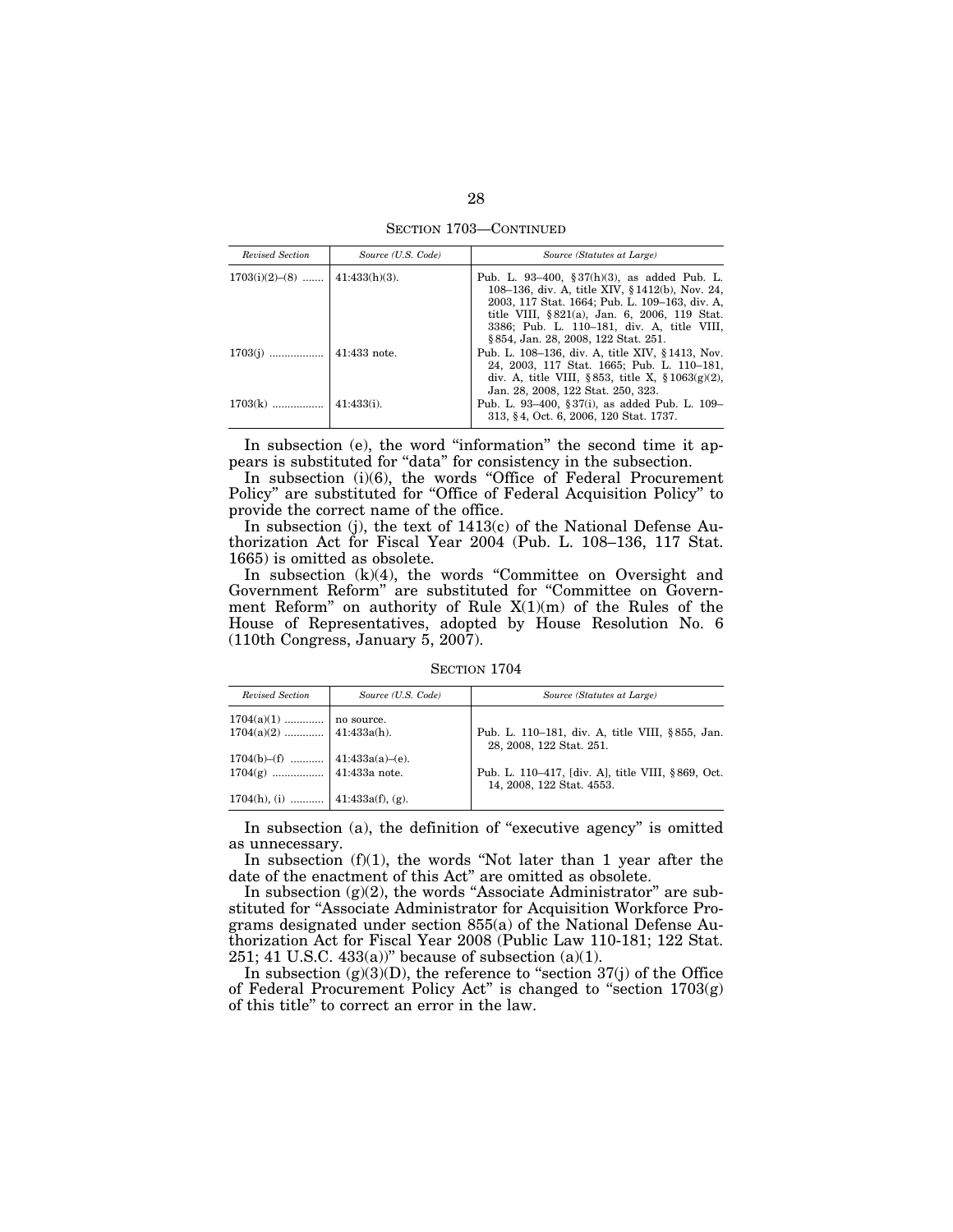SECTION 1703—CONTINUED

| Revised Section                  | Source (U.S. Code) | Source (Statutes at Large)                                                                                                                                                                                                                                                             |
|----------------------------------|--------------------|----------------------------------------------------------------------------------------------------------------------------------------------------------------------------------------------------------------------------------------------------------------------------------------|
| $1703(i)(2)–(8)$   41:433(h)(3). |                    | Pub. L. 93–400, § 37(h)(3), as added Pub. L.<br>108–136, div. A, title XIV, §1412(b), Nov. 24,<br>2003, 117 Stat. 1664; Pub. L. 109-163, div. A.<br>title VIII, §821(a), Jan. 6, 2006, 119 Stat.<br>3386; Pub. L. 110-181, div. A, title VIII,<br>§ 854, Jan. 28, 2008, 122 Stat. 251. |
|                                  |                    | Pub. L. 108–136, div. A, title XIV, §1413, Nov.<br>24, 2003, 117 Stat. 1665; Pub. L. 110-181,<br>div. A, title VIII, §853, title X, §1063(g)(2),<br>Jan. 28, 2008, 122 Stat. 250, 323.                                                                                                 |
|                                  |                    | Pub. L. 93–400, § 37(i), as added Pub. L. 109–<br>313, §4, Oct. 6, 2006, 120 Stat. 1737.                                                                                                                                                                                               |

In subsection (e), the word "information" the second time it appears is substituted for ''data'' for consistency in the subsection.

In subsection (i)(6), the words "Office of Federal Procurement Policy'' are substituted for ''Office of Federal Acquisition Policy'' to provide the correct name of the office.

In subsection (j), the text of 1413(c) of the National Defense Authorization Act for Fiscal Year 2004 (Pub. L. 108–136, 117 Stat. 1665) is omitted as obsolete.

In subsection  $(k)(4)$ , the words "Committee on Oversight and Government Reform'' are substituted for ''Committee on Government Reform'' on authority of Rule X(1)(m) of the Rules of the House of Representatives, adopted by House Resolution No. 6 (110th Congress, January 5, 2007).

SECTION 1704

| Revised Section                                        | Source (U.S. Code) | Source (Statutes at Large)                                                     |
|--------------------------------------------------------|--------------------|--------------------------------------------------------------------------------|
|                                                        |                    |                                                                                |
| $1704(a)(1)$ no source.<br>1704(a)(2)  41:433a(h).     |                    | Pub. L. 110–181, div. A, title VIII, §855, Jan.<br>28, 2008, 122 Stat. 251.    |
|                                                        |                    |                                                                                |
| 1704(b)–(f)  41:433a(a)–(e).<br>1704(g)  41:433a note. |                    | Pub. L. 110–417, [div. A], title VIII, §869, Oct.<br>14, 2008, 122 Stat. 4553. |
| 1704(h), (i)  41:433a(f), (g).                         |                    |                                                                                |

In subsection (a), the definition of "executive agency" is omitted as unnecessary.

In subsection (f)(1), the words ''Not later than 1 year after the date of the enactment of this Act'' are omitted as obsolete.

In subsection (g)(2), the words "Associate Administrator" are substituted for "Associate Administrator for Acquisition Workforce Programs designated under section 855(a) of the National Defense Authorization Act for Fiscal Year 2008 (Public Law 110-181; 122 Stat. 251; 41 U.S.C. 433(a))" because of subsection  $(a)(1)$ .

In subsection  $(g)(3)(D)$ , the reference to "section  $37(j)$  of the Office of Federal Procurement Policy Act" is changed to "section  $1703(g)$ of this title'' to correct an error in the law.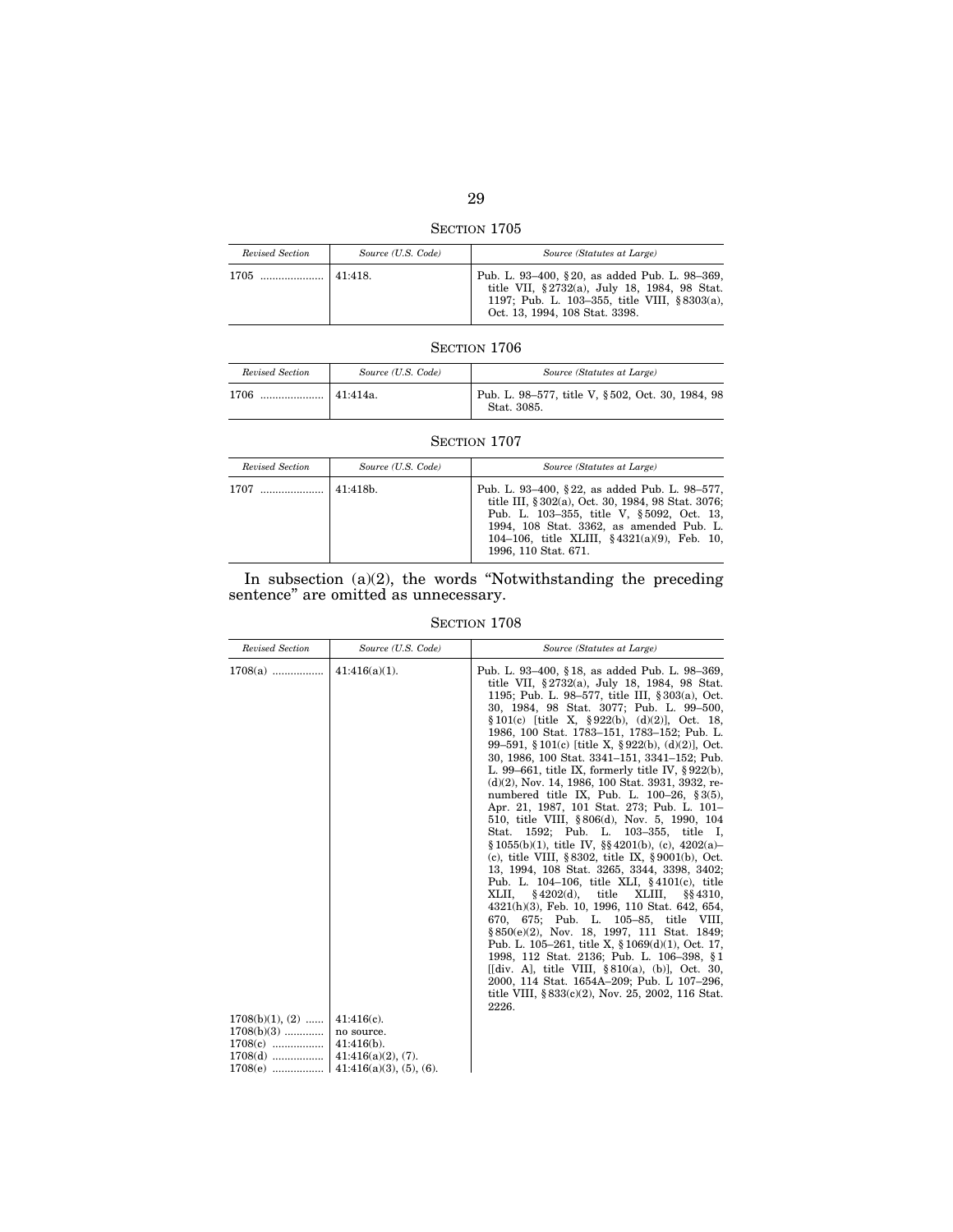SECTION 1705

| Revised Section | Source (U.S. Code) | Source (Statutes at Large)                                                                                                                                                      |
|-----------------|--------------------|---------------------------------------------------------------------------------------------------------------------------------------------------------------------------------|
| $1705$          | 41:418.            | Pub. L. 93–400, §20, as added Pub. L. 98–369,<br>title VII, §2732(a), July 18, 1984, 98 Stat.<br>1197; Pub. L. 103-355, title VIII, §8303(a),<br>Oct. 13, 1994, 108 Stat. 3398. |

| Revised Section | Source (U.S. Code) | Source (Statutes at Large)                                      |
|-----------------|--------------------|-----------------------------------------------------------------|
| 1706            | 41:414a.           | Pub. L. 98-577, title V, §502, Oct. 30, 1984, 98<br>Stat. 3085. |

# SECTION 1707

| Revised Section | Source (U.S. Code) | Source (Statutes at Large)                                                                                                                                                                                                                                              |
|-----------------|--------------------|-------------------------------------------------------------------------------------------------------------------------------------------------------------------------------------------------------------------------------------------------------------------------|
| 1707            | $141:418b$ .       | Pub. L. 93–400, §22, as added Pub. L. 98–577,<br>title III, § 302(a), Oct. 30, 1984, 98 Stat. 3076;<br>Pub. L. 103-355, title V, §5092, Oct. 13,<br>1994, 108 Stat. 3362, as amended Pub. L.<br>104-106, title XLIII, $§ 4321(a)(9)$ , Feb. 10,<br>1996, 110 Stat. 671. |

## In subsection (a)(2), the words ''Notwithstanding the preceding sentence'' are omitted as unnecessary.

| <b>Revised Section</b>                                                         | Source (U.S. Code)                                                                        | Source (Statutes at Large)                                                                                                                                                                                                                                                                                                                                                                                                                                                                                                                                                                                                                                                                                                                                                                                                                                                                                                                                                                                                                                                                                                                                                                                                                                                                                                                                                                                   |
|--------------------------------------------------------------------------------|-------------------------------------------------------------------------------------------|--------------------------------------------------------------------------------------------------------------------------------------------------------------------------------------------------------------------------------------------------------------------------------------------------------------------------------------------------------------------------------------------------------------------------------------------------------------------------------------------------------------------------------------------------------------------------------------------------------------------------------------------------------------------------------------------------------------------------------------------------------------------------------------------------------------------------------------------------------------------------------------------------------------------------------------------------------------------------------------------------------------------------------------------------------------------------------------------------------------------------------------------------------------------------------------------------------------------------------------------------------------------------------------------------------------------------------------------------------------------------------------------------------------|
| $1708(a)$<br>$1708(b)(1), (2) \dots$<br>$1708(b)(3)$<br>$1708(c)$<br>$1708(d)$ | $41:416(a)(1)$ .<br>$41:416(c)$ .<br>no source.<br>$41:416(b)$ .<br>$41:416(a)(2), (7)$ . | Pub. L. 93–400, §18, as added Pub. L. 98–369,<br>title VII, §2732(a), July 18, 1984, 98 Stat.<br>1195; Pub. L. 98-577, title III, §303(a), Oct.<br>30, 1984, 98 Stat. 3077; Pub. L. 99-500,<br>$§ 101(c)$ [title X, §922(b), (d)(2)], Oct. 18,<br>1986, 100 Stat. 1783-151, 1783-152; Pub. L.<br>99–591, §101(c) [title X, §922(b), (d)(2)], Oct.<br>30, 1986, 100 Stat. 3341–151, 3341–152; Pub.<br>L. 99–661, title IX, formerly title IV, $\S 922(b)$ ,<br>$(d)(2)$ , Nov. 14, 1986, 100 Stat. 3931, 3932, re-<br>numbered title IX, Pub. L. $100-26$ , § 3(5),<br>Apr. 21, 1987, 101 Stat. 273; Pub. L. 101–<br>510, title VIII, §806(d), Nov. 5, 1990, 104<br>1592; Pub. L. 103–355, title I,<br>Stat.<br>$\S 1055(b)(1)$ , title IV, $\S \ 4201(b)$ , (c), $4202(a)$<br>(c), title VIII, $§ 8302$ , title IX, $§ 9001(b)$ , Oct.<br>13, 1994, 108 Stat. 3265, 3344, 3398, 3402;<br>Pub. L. 104-106, title XLI, §4101(c), title<br>$§4202(d),$ title<br>XLII.<br>XLIII,<br>§§4310.<br>4321(h)(3), Feb. 10, 1996, 110 Stat. 642, 654,<br>670, 675; Pub. L. 105-85, title VIII,<br>§850(e)(2), Nov. 18, 1997, 111 Stat. 1849;<br>Pub. L. 105–261, title X, $\S 1069(d)(1)$ , Oct. 17,<br>1998, 112 Stat. 2136; Pub. L. 106-398, §1<br>[[div. A], title VIII, $\S 810(a)$ , (b)], Oct. 30,<br>2000, 114 Stat. 1654A-209; Pub. L 107-296,<br>title VIII, $\S 833(c)(2)$ , Nov. 25, 2002, 116 Stat.<br>2226. |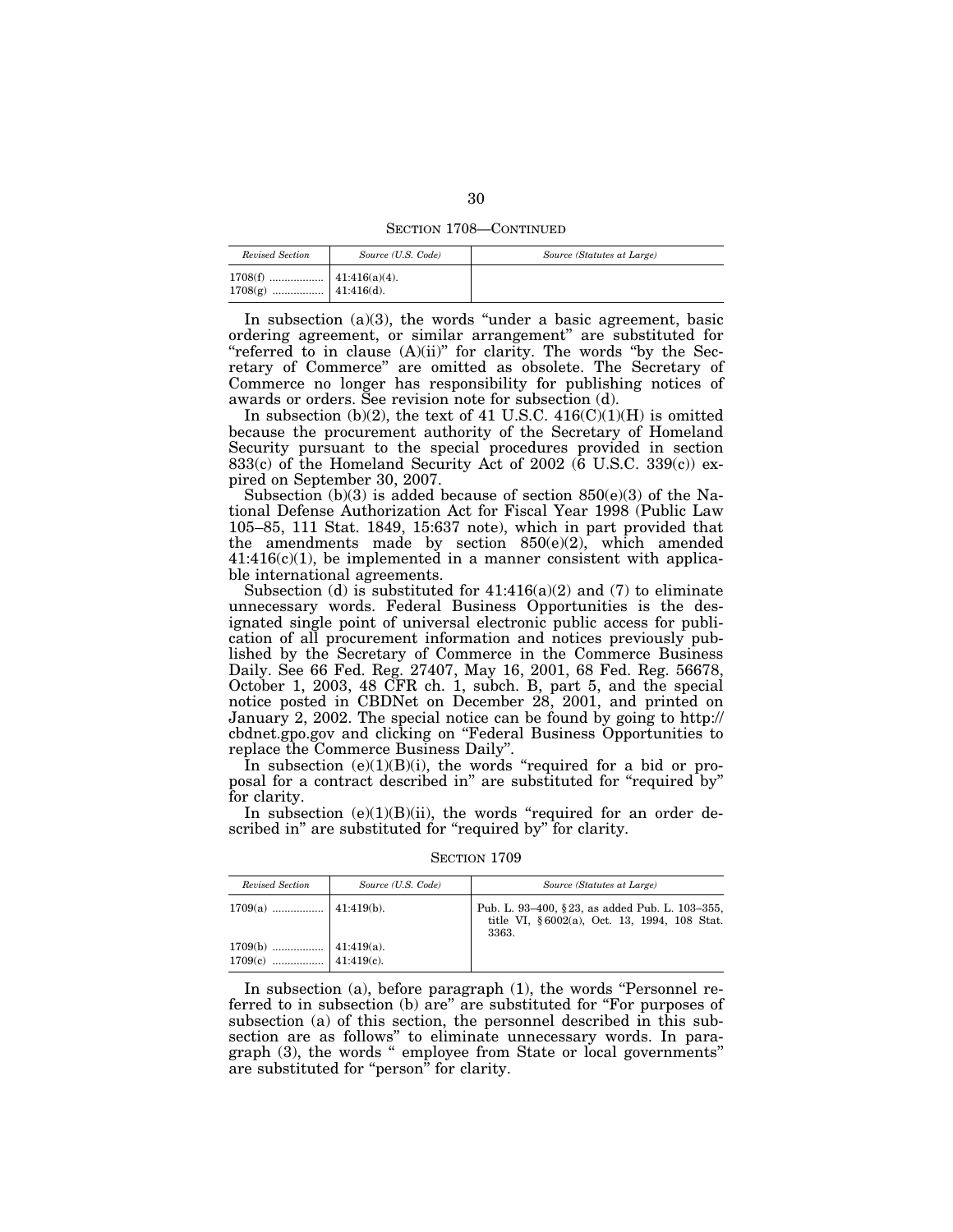SECTION 1708—CONTINUED

| Revised Section | Source (U.S. Code) | Source (Statutes at Large) |
|-----------------|--------------------|----------------------------|
|                 |                    |                            |

In subsection  $(a)(3)$ , the words "under a basic agreement, basic ordering agreement, or similar arrangement'' are substituted for "referred to in clause (A)(ii)" for clarity. The words "by the Secretary of Commerce'' are omitted as obsolete. The Secretary of Commerce no longer has responsibility for publishing notices of awards or orders. See revision note for subsection (d).

In subsection (b)(2), the text of 41 U.S.C.  $416(C)(1)(H)$  is omitted because the procurement authority of the Secretary of Homeland Security pursuant to the special procedures provided in section 833(c) of the Homeland Security Act of 2002 ( $\bar{6}$  U.S.C. 339(c)) expired on September 30, 2007.

Subsection  $(b)(3)$  is added because of section  $850(e)(3)$  of the National Defense Authorization Act for Fiscal Year 1998 (Public Law 105–85, 111 Stat. 1849, 15:637 note), which in part provided that the amendments made by section  $850(e)(2)$ , which amended  $41:416(c)(1)$ , be implemented in a manner consistent with applicable international agreements.

Subsection (d) is substituted for  $41:416(a)(2)$  and (7) to eliminate unnecessary words. Federal Business Opportunities is the designated single point of universal electronic public access for publication of all procurement information and notices previously published by the Secretary of Commerce in the Commerce Business Daily. See 66 Fed. Reg. 27407, May 16, 2001, 68 Fed. Reg. 56678, October 1, 2003, 48 CFR ch. 1, subch. B, part 5, and the special notice posted in CBDNet on December 28, 2001, and printed on January 2, 2002. The special notice can be found by going to http:// cbdnet.gpo.gov and clicking on ''Federal Business Opportunities to replace the Commerce Business Daily''.

In subsection  $(e)(1)(B)(i)$ , the words "required for a bid or proposal for a contract described in'' are substituted for ''required by'' for clarity.

In subsection  $(e)(1)(B)(ii)$ , the words "required for an order described in" are substituted for "required by" for clarity.

SECTION 1709

| Revised Section | Source (U.S. Code) | Source (Statutes at Large)                                                                              |
|-----------------|--------------------|---------------------------------------------------------------------------------------------------------|
|                 |                    | Pub. L. 93-400, §23, as added Pub. L. 103-355,<br>title VI, §6002(a), Oct. 13, 1994, 108 Stat.<br>3363. |
|                 |                    |                                                                                                         |

In subsection (a), before paragraph  $(1)$ , the words "Personnel referred to in subsection (b) are'' are substituted for ''For purposes of subsection (a) of this section, the personnel described in this subsection are as follows'' to eliminate unnecessary words. In paragraph (3), the words '' employee from State or local governments'' are substituted for ''person'' for clarity.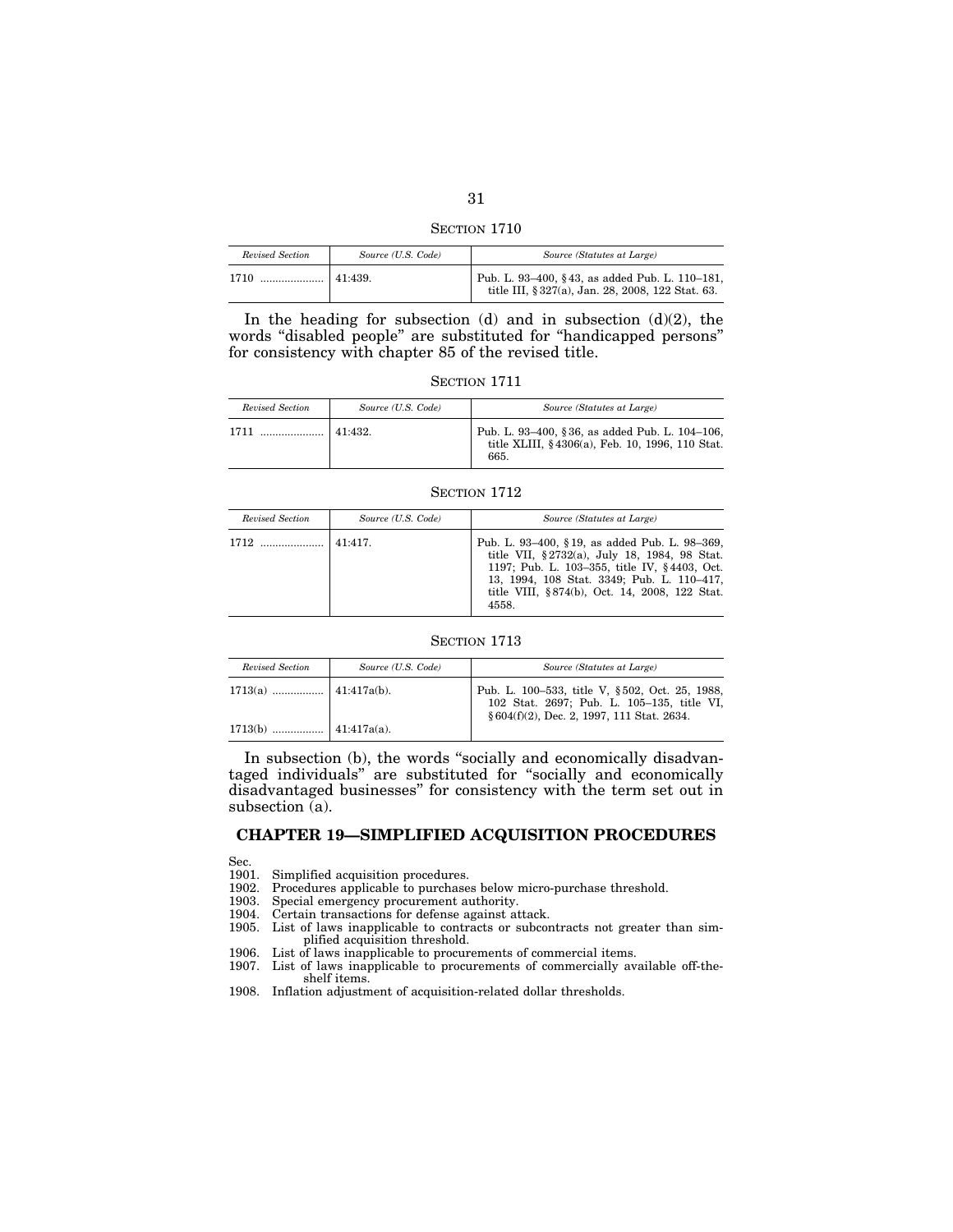| 31           |  |
|--------------|--|
| SECTION 1710 |  |

*Revised Section Source (U.S. Code) Source (Statutes at Large)* 

| Revisea Section             | Source (U.S. Code) | Source (Statutes at Large)                                                                          |
|-----------------------------|--------------------|-----------------------------------------------------------------------------------------------------|
| ↑ …………………   41:439.<br>1710 |                    | Pub. L. 93–400, §43, as added Pub. L. 110–181,<br>title III, § 327(a), Jan. 28, 2008, 122 Stat. 63. |
|                             |                    |                                                                                                     |

In the heading for subsection  $(d)$  and in subsection  $(d)(2)$ , the words ''disabled people'' are substituted for ''handicapped persons'' for consistency with chapter 85 of the revised title.

SECTION 1711

| Revised Section | Source (U.S. Code) | Source (Statutes at Large)                                                                                |
|-----------------|--------------------|-----------------------------------------------------------------------------------------------------------|
|                 |                    | Pub. L. 93-400, §36, as added Pub. L. 104-106,<br>title XLIII, §4306(a), Feb. 10, 1996, 110 Stat.<br>665. |

## SECTION 1712

| Revised Section | Source (U.S. Code) | Source (Statutes at Large)                                                                                                                                                                                                                            |
|-----------------|--------------------|-------------------------------------------------------------------------------------------------------------------------------------------------------------------------------------------------------------------------------------------------------|
|                 | 41.417             | Pub. L. 93–400, §19, as added Pub. L. 98–369,<br>title VII, §2732(a), July 18, 1984, 98 Stat.<br>1197; Pub. L. 103-355, title IV, §4403, Oct.<br>13, 1994, 108 Stat. 3349; Pub. L. 110-417,<br>title VIII, §874(b), Oct. 14, 2008, 122 Stat.<br>4558. |

## SECTION 1713

| Revised Section | Source (U.S. Code) | Source (Statutes at Large)                                                                                                                 |
|-----------------|--------------------|--------------------------------------------------------------------------------------------------------------------------------------------|
|                 |                    | Pub. L. 100-533, title V, §502, Oct. 25, 1988,<br>102 Stat. 2697; Pub. L. 105-135, title VI,<br>§ 604(f)(2), Dec. 2, 1997, 111 Stat. 2634. |
|                 |                    |                                                                                                                                            |

In subsection (b), the words "socially and economically disadvantaged individuals'' are substituted for ''socially and economically disadvantaged businesses'' for consistency with the term set out in subsection  $(a)$ .

# **CHAPTER 19—SIMPLIFIED ACQUISITION PROCEDURES**

Sec.

1901. Simplified acquisition procedures.

1902. Procedures applicable to purchases below micro-purchase threshold.

1903. Special emergency procurement authority.<br>1904. Certain transactions for defense against at

Certain transactions for defense against attack.

1905. List of laws inapplicable to contracts or subcontracts not greater than simplified acquisition threshold.

1906. List of laws inapplicable to procurements of commercial items.

1907. List of laws inapplicable to procurements of commercially available off-theshelf items.

1908. Inflation adjustment of acquisition-related dollar thresholds.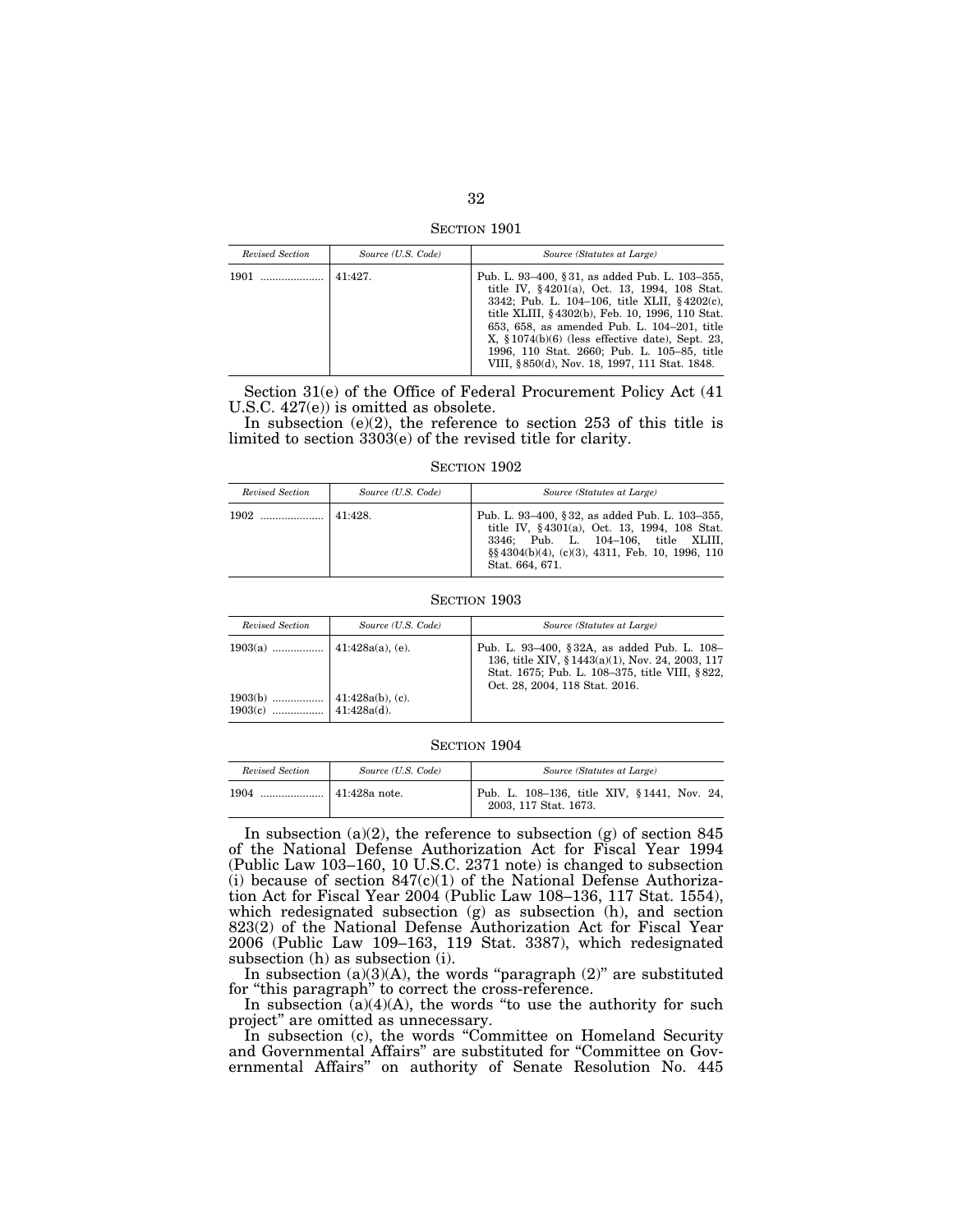SECTION 1901

| Revised Section | Source (U.S. Code) | Source (Statutes at Large)                                                                                                                                                                                                                                                                                                                                                                              |
|-----------------|--------------------|---------------------------------------------------------------------------------------------------------------------------------------------------------------------------------------------------------------------------------------------------------------------------------------------------------------------------------------------------------------------------------------------------------|
| 1901            | 41:427.            | Pub. L. 93–400, §31, as added Pub. L. 103–355,<br>title IV, §4201(a), Oct. 13, 1994, 108 Stat.<br>3342; Pub. L. 104-106, title XLII, §4202(c),<br>title XLIII, §4302(b), Feb. 10, 1996, 110 Stat.<br>653, 658, as amended Pub. L. 104-201, title<br>$X, \S 1074(b)(6)$ (less effective date), Sept. 23,<br>1996, 110 Stat. 2660; Pub. L. 105-85, title<br>VIII, §850(d), Nov. 18, 1997, 111 Stat. 1848. |

Section 31(e) of the Office of Federal Procurement Policy Act (41 U.S.C. 427(e)) is omitted as obsolete.

In subsection  $(e)(2)$ , the reference to section 253 of this title is limited to section 3303(e) of the revised title for clarity.

SECTION 1902

| Revised Section | Source (U.S. Code) | Source (Statutes at Large)                                                                                                                                                                                       |
|-----------------|--------------------|------------------------------------------------------------------------------------------------------------------------------------------------------------------------------------------------------------------|
|                 | 141:428            | Pub. L. 93–400, §32, as added Pub. L. 103–355,<br>title IV, §4301(a), Oct. 13, 1994, 108 Stat.<br>3346; Pub. L. 104-106, title XLIII,<br>$\S$ $4304(b)(4)$ , (c)(3), 4311, Feb. 10, 1996, 110<br>Stat. 664, 671. |

SECTION 1903

| Revised Section | Source (U.S. Code) | Source (Statutes at Large)                                                                                                                                                         |
|-----------------|--------------------|------------------------------------------------------------------------------------------------------------------------------------------------------------------------------------|
|                 |                    | Pub. L. 93-400, §32A, as added Pub. L. 108-<br>136, title XIV, §1443(a)(1), Nov. 24, 2003, 117<br>Stat. 1675; Pub. L. 108–375, title VIII, §822,<br>Oct. 28, 2004, 118 Stat. 2016. |
|                 |                    |                                                                                                                                                                                    |

#### SECTION 1904

| Revised Section | Source (U.S. Code)    | Source (Statutes at Large)                                           |
|-----------------|-----------------------|----------------------------------------------------------------------|
| 1904            | $\vert$ 41:428a note. | Pub. L. 108-136, title XIV, §1441, Nov. 24,<br>2003, 117 Stat. 1673. |

In subsection (a)(2), the reference to subsection (g) of section 845 of the National Defense Authorization Act for Fiscal Year 1994 (Public Law 103–160, 10 U.S.C. 2371 note) is changed to subsection (i) because of section  $847(c)(1)$  of the National Defense Authorization Act for Fiscal Year 2004 (Public Law 108–136, 117 Stat. 1554), which redesignated subsection (g) as subsection (h), and section 823(2) of the National Defense Authorization Act for Fiscal Year 2006 (Public Law 109–163, 119 Stat. 3387), which redesignated subsection (h) as subsection (i).

In subsection  $(a)(3)(A)$ , the words "paragraph  $(2)$ " are substituted for "this paragraph" to correct the cross-reference.

In subsection  $(a)(4)(A)$ , the words "to use the authority for such project'' are omitted as unnecessary.

In subsection (c), the words "Committee on Homeland Security and Governmental Affairs'' are substituted for ''Committee on Governmental Affairs'' on authority of Senate Resolution No. 445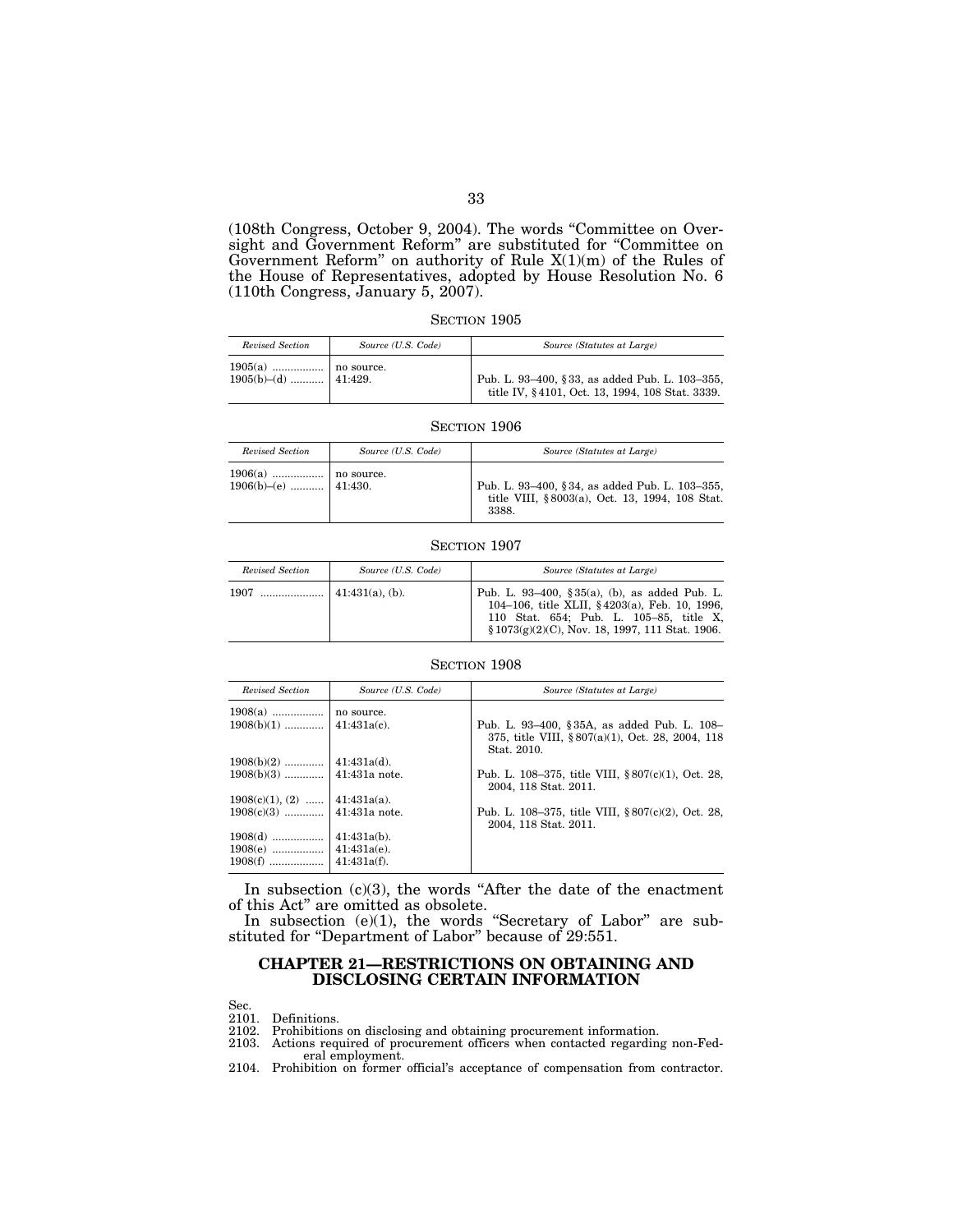(108th Congress, October 9, 2004). The words ''Committee on Oversight and Government Reform'' are substituted for ''Committee on Government Reform'' on authority of Rule X(1)(m) of the Rules of the House of Representatives, adopted by House Resolution No. 6 (110th Congress, January 5, 2007).

| SECTION 1905 |  |
|--------------|--|
|--------------|--|

| Revised Section         | Source (U.S. Code) | Source (Statutes at Large)                                                                        |
|-------------------------|--------------------|---------------------------------------------------------------------------------------------------|
| $1905(b)$ -(d)  41:429. |                    | Pub. L. 93-400, §33, as added Pub. L. 103-355,<br>title IV, §4101, Oct. 13, 1994, 108 Stat. 3339. |

#### SECTION 1906

| Revised Section         | Source (U.S. Code) | Source (Statutes at Large)                                                                                |
|-------------------------|--------------------|-----------------------------------------------------------------------------------------------------------|
| $1906(b)$ -(e)  41:430. |                    | Pub. L. 93-400, §34, as added Pub. L. 103-355,<br>title VIII, §8003(a), Oct. 13, 1994, 108 Stat.<br>3388. |

#### SECTION 1907

| Revised Section | Source (U.S. Code)      | Source (Statutes at Large)                                                                                                                                                                      |
|-----------------|-------------------------|-------------------------------------------------------------------------------------------------------------------------------------------------------------------------------------------------|
| 1907            | $\vert$ 41:431(a), (b). | Pub. L. 93–400, § 35(a), (b), as added Pub. L.<br>104-106, title XLII, §4203(a), Feb. 10, 1996,<br>110 Stat. 654; Pub. L. 105-85, title X,<br>$$1073(g)(2)(C)$ , Nov. 18, 1997, 111 Stat. 1906. |

#### SECTION 1908

| Revised Section                 | Source (U.S. Code) | Source (Statutes at Large)                                                                                    |
|---------------------------------|--------------------|---------------------------------------------------------------------------------------------------------------|
|                                 |                    |                                                                                                               |
| $1908(b)(1)$                    | $41:431a(c)$ .     | Pub. L. 93-400, §35A, as added Pub. L. 108-<br>375, title VIII, §807(a)(1), Oct. 28, 2004, 118<br>Stat. 2010. |
| $1908(b)(2)$                    | $41:431a(d)$ .     |                                                                                                               |
|                                 |                    | Pub. L. 108–375, title VIII, $§ 807(c)(1)$ , Oct. 28,<br>2004. 118 Stat. 2011.                                |
| $1908(c)(1), (2)$   41:431a(a). |                    |                                                                                                               |
| $1908(c)(3)$   41:431a note.    |                    | Pub. L. 108–375, title VIII, $§ 807(c)(2)$ , Oct. 28,<br>2004, 118 Stat. 2011.                                |
| $1908(d)$                       | $41:431a(b)$ .     |                                                                                                               |
| $1908(e)$                       | $41:431a(e)$ .     |                                                                                                               |
| $1908(f)$                       | $41:431a(f)$ .     |                                                                                                               |

In subsection  $(c)(3)$ , the words "After the date of the enactment of this Act'' are omitted as obsolete.

In subsection  $(e)(1)$ , the words "Secretary of Labor" are substituted for "Department of Labor" because of 29:551.

## **CHAPTER 21—RESTRICTIONS ON OBTAINING AND DISCLOSING CERTAIN INFORMATION**

Sec.

2101. Definitions. 2102. Prohibitions on disclosing and obtaining procurement information.

- 2103. Actions required of procurement officers when contacted regarding non-Fed-
- eral employment. 2104. Prohibition on former official's acceptance of compensation from contractor.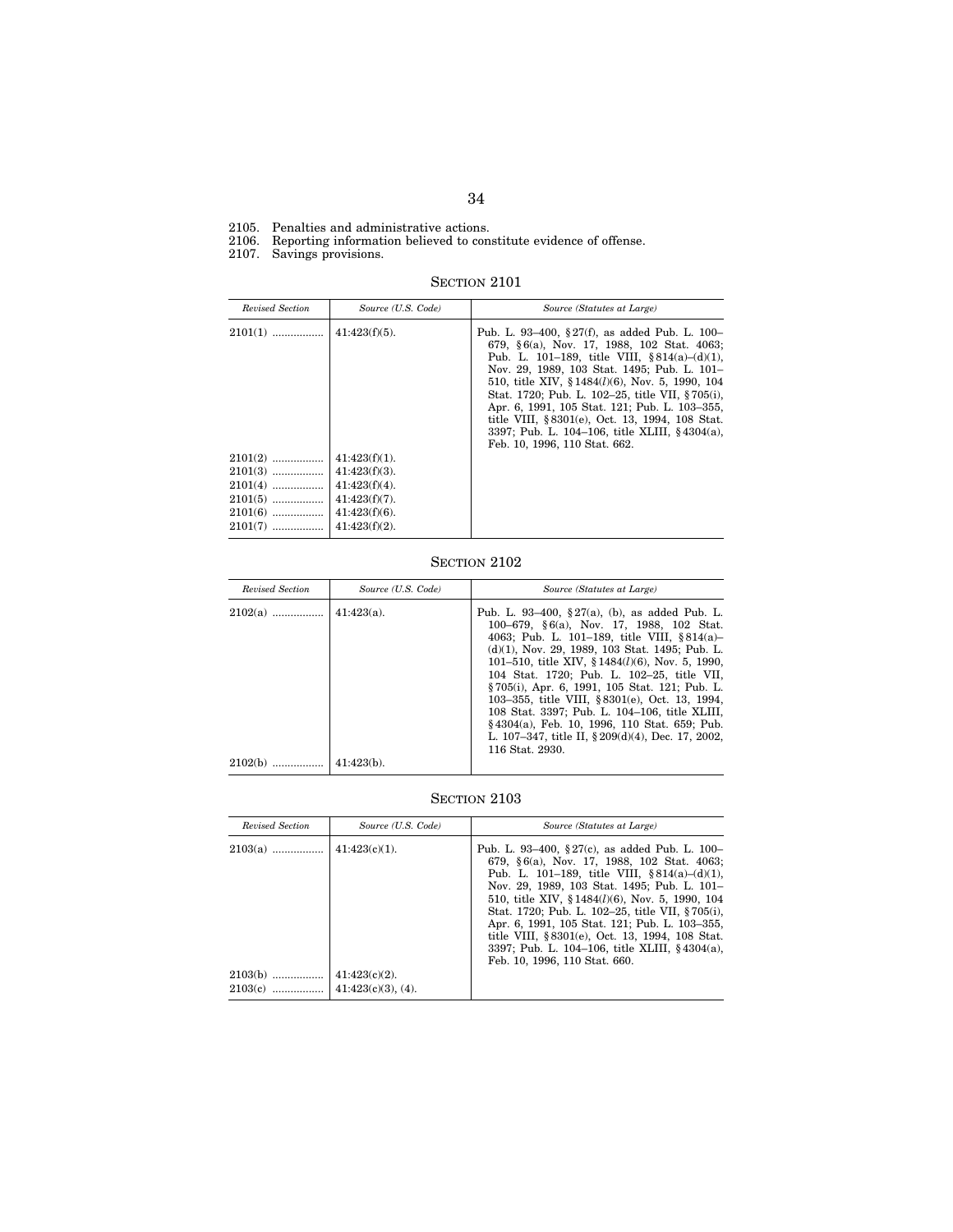2105. Penalties and administrative actions.

2106. Reporting information believed to constitute evidence of offense.

2107. Savings provisions.

SECTION 2101

| Revised Section | Source (U.S. Code) | Source (Statutes at Large)                                                                                                                                                                                                                                                                                                                                                                                                                                                                   |
|-----------------|--------------------|----------------------------------------------------------------------------------------------------------------------------------------------------------------------------------------------------------------------------------------------------------------------------------------------------------------------------------------------------------------------------------------------------------------------------------------------------------------------------------------------|
| $2101(1)$       | $41:423(f)(5)$ .   | Pub. L. 93–400, § 27(f), as added Pub. L. 100–<br>679, §6(a), Nov. 17, 1988, 102 Stat. 4063;<br>Pub. L. 101–189, title VIII, $§ 814(a)–(d)(1)$ ,<br>Nov. 29, 1989, 103 Stat. 1495; Pub. L. 101-<br>510, title XIV, $$1484(l)(6)$ , Nov. 5, 1990, 104<br>Stat. 1720; Pub. L. 102-25, title VII, §705(i),<br>Apr. 6, 1991, 105 Stat. 121; Pub. L. 103-355,<br>title VIII, §8301(e), Oct. 13, 1994, 108 Stat.<br>3397; Pub. L. 104–106, title XLIII, §4304(a),<br>Feb. 10, 1996, 110 Stat. 662. |
| $2101(2)$       | $41:423(f)(1)$ .   |                                                                                                                                                                                                                                                                                                                                                                                                                                                                                              |
| $2101(3)$       | $41:423(f)(3)$ .   |                                                                                                                                                                                                                                                                                                                                                                                                                                                                                              |
| $2101(4)$       | $41:423(f)(4)$ .   |                                                                                                                                                                                                                                                                                                                                                                                                                                                                                              |
| $2101(5)$       | $41:423(f)(7)$ .   |                                                                                                                                                                                                                                                                                                                                                                                                                                                                                              |
| $2101(6)$       | $41:423(f)(6)$ .   |                                                                                                                                                                                                                                                                                                                                                                                                                                                                                              |
| $2101(7)$       | $41:423(f)(2)$ .   |                                                                                                                                                                                                                                                                                                                                                                                                                                                                                              |

# SECTION 2102

| Revised Section | Source (U.S. Code)             | Source (Statutes at Large)                                                                                                                                                                                                                                                                                                                                                                                                                                                                                                                                                           |
|-----------------|--------------------------------|--------------------------------------------------------------------------------------------------------------------------------------------------------------------------------------------------------------------------------------------------------------------------------------------------------------------------------------------------------------------------------------------------------------------------------------------------------------------------------------------------------------------------------------------------------------------------------------|
| $2102(a)$       | $41:423(a)$ .<br>$41:423(b)$ . | Pub. L. 93-400, $\S 27(a)$ , (b), as added Pub. L.<br>100–679, §6(a), Nov. 17, 1988, 102 Stat.<br>4063; Pub. L. 101–189, title VIII, §814(a)–<br>$(d)(1)$ , Nov. 29, 1989, 103 Stat. 1495; Pub. L.<br>101–510, title XIV, $$1484(l)(6)$ , Nov. 5, 1990,<br>104 Stat. 1720; Pub. L. 102-25, title VII,<br>§705(i), Apr. 6, 1991, 105 Stat. 121; Pub. L.<br>103-355, title VIII, §8301(e), Oct. 13, 1994,<br>108 Stat. 3397; Pub. L. 104-106, title XLIII,<br>§4304(a), Feb. 10, 1996, 110 Stat. 659; Pub.<br>L. 107–347, title II, $\S 209(d)(4)$ , Dec. 17, 2002,<br>116 Stat. 2930. |
| 2102(b)         |                                |                                                                                                                                                                                                                                                                                                                                                                                                                                                                                                                                                                                      |

| Revised Section        | Source (U.S. Code)                        | Source (Statutes at Large)                                                                                                                                                                                                                                                                                                                                                                                                                                                                            |
|------------------------|-------------------------------------------|-------------------------------------------------------------------------------------------------------------------------------------------------------------------------------------------------------------------------------------------------------------------------------------------------------------------------------------------------------------------------------------------------------------------------------------------------------------------------------------------------------|
| $2103(a)$              | $41:423(c)(1)$ .                          | Pub. L. 93–400, $\S 27(c)$ , as added Pub. L. 100–<br>679, §6(a), Nov. 17, 1988, 102 Stat. 4063;<br>Pub. L. 101–189, title VIII, $8814(a)-(d)(1)$ .<br>Nov. 29, 1989, 103 Stat. 1495; Pub. L. 101-<br>510, title XIV, §1484( <i>l</i> )(6), Nov. 5, 1990, 104<br>Stat. 1720; Pub. L. 102-25, title VII, §705(i),<br>Apr. 6, 1991, 105 Stat. 121; Pub. L. 103-355,<br>title VIII, §8301(e), Oct. 13, 1994, 108 Stat.<br>3397; Pub. L. 104–106, title XLIII, §4304(a),<br>Feb. 10, 1996, 110 Stat. 660. |
| $2103(b)$<br>$2103(c)$ | $41:423(c)(2)$ .<br>$41:423(c)(3)$ , (4). |                                                                                                                                                                                                                                                                                                                                                                                                                                                                                                       |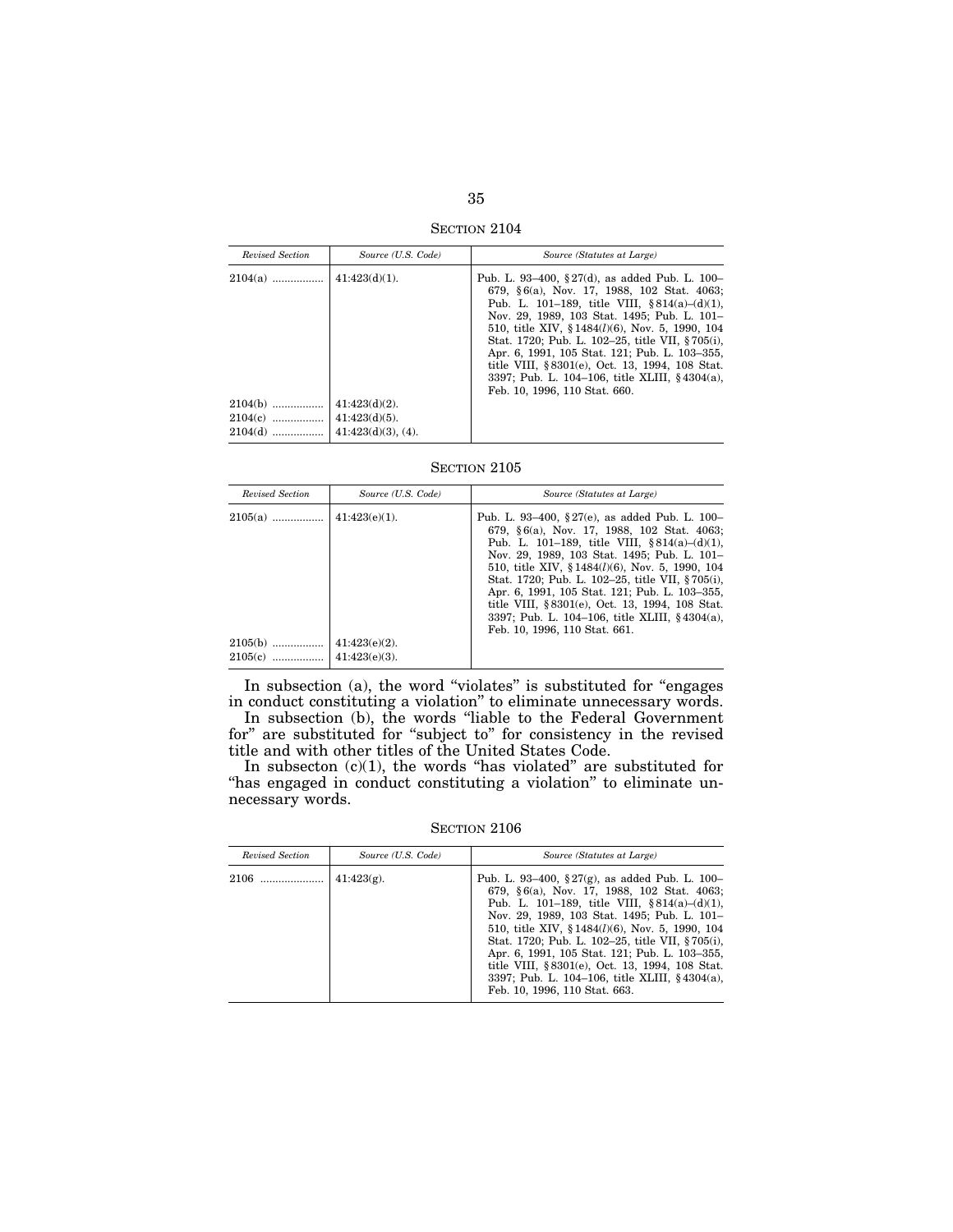SECTION 2104

| Revised Section                   | Source (U.S. Code)                                            | Source (Statutes at Large)                                                                                                                                                                                                                                                                                                                                                                                                                                                                         |
|-----------------------------------|---------------------------------------------------------------|----------------------------------------------------------------------------------------------------------------------------------------------------------------------------------------------------------------------------------------------------------------------------------------------------------------------------------------------------------------------------------------------------------------------------------------------------------------------------------------------------|
| $2104(a)$                         | $41:423(d)(1)$ .                                              | Pub. L. 93–400, § 27(d), as added Pub. L. 100–<br>679, §6(a), Nov. 17, 1988, 102 Stat. 4063;<br>Pub. L. 101–189, title VIII, $§ 814(a)–(d)(1)$ ,<br>Nov. 29, 1989, 103 Stat. 1495; Pub. L. 101-<br>510, title XIV, §1484( <i>l</i> )(6), Nov. 5, 1990, 104<br>Stat. 1720; Pub. L. 102-25, title VII, §705(i),<br>Apr. 6, 1991, 105 Stat. 121; Pub. L. 103-355,<br>title VIII, §8301(e), Oct. 13, 1994, 108 Stat.<br>3397; Pub. L. 104–106, title XLIII, §4304(a),<br>Feb. 10, 1996, 110 Stat. 660. |
| $2104(b)$<br>$2104(c)$<br>2104(d) | $41:423(d)(2)$ .<br>$41:423(d)(5)$ .<br>$41:423(d)(3)$ , (4). |                                                                                                                                                                                                                                                                                                                                                                                                                                                                                                    |

| Revised Section        | Source (U.S. Code)                   | Source (Statutes at Large)                                                                                                                                                                                                                                                                                                                                                                                                                                                                  |
|------------------------|--------------------------------------|---------------------------------------------------------------------------------------------------------------------------------------------------------------------------------------------------------------------------------------------------------------------------------------------------------------------------------------------------------------------------------------------------------------------------------------------------------------------------------------------|
| $2105(a)$              | $41:423(e)(1)$ .                     | Pub. L. 93-400, §27(e), as added Pub. L. 100-<br>679, §6(a), Nov. 17, 1988, 102 Stat. 4063;<br>Pub. L. 101–189, title VIII, $§ 814(a)–(d)(1)$ ,<br>Nov. 29, 1989, 103 Stat. 1495; Pub. L. 101-<br>510, title XIV, $$1484(l)(6)$ , Nov. 5, 1990, 104<br>Stat. 1720; Pub. L. 102-25, title VII, §705(i),<br>Apr. 6, 1991, 105 Stat. 121; Pub. L. 103-355,<br>title VIII, §8301(e), Oct. 13, 1994, 108 Stat.<br>3397; Pub. L. 104–106, title XLIII, §4304(a),<br>Feb. 10, 1996, 110 Stat. 661. |
| $2105(b)$<br>$2105(c)$ | $41:423(e)(2)$ .<br>$41:423(e)(3)$ . |                                                                                                                                                                                                                                                                                                                                                                                                                                                                                             |

In subsection (a), the word "violates" is substituted for "engages in conduct constituting a violation'' to eliminate unnecessary words. In subsection (b), the words ''liable to the Federal Government

for'' are substituted for ''subject to'' for consistency in the revised title and with other titles of the United States Code.

In subsecton  $(c)(1)$ , the words "has violated" are substituted for "has engaged in conduct constituting a violation" to eliminate unnecessary words.

SECTION 2106

| Revised Section | Source (U.S. Code) | Source (Statutes at Large)                                                                                                                                                                                                                                                                                                                                                                                                                                                                      |
|-----------------|--------------------|-------------------------------------------------------------------------------------------------------------------------------------------------------------------------------------------------------------------------------------------------------------------------------------------------------------------------------------------------------------------------------------------------------------------------------------------------------------------------------------------------|
| 2106            | $41:423(g)$ .      | Pub. L. 93–400, $\S 27(g)$ , as added Pub. L. 100–<br>679, §6(a), Nov. 17, 1988, 102 Stat. 4063;<br>Pub. L. 101–189, title VIII, $§814(a)–(d)(1)$ ,<br>Nov. 29, 1989, 103 Stat. 1495; Pub. L. 101-<br>510, title XIV, $$1484(l)(6)$ , Nov. 5, 1990, 104<br>Stat. 1720; Pub. L. 102-25, title VII, §705(i),<br>Apr. 6, 1991, 105 Stat. 121; Pub. L. 103-355,<br>title VIII, §8301(e), Oct. 13, 1994, 108 Stat.<br>3397; Pub. L. 104–106, title XLIII, §4304(a),<br>Feb. 10, 1996, 110 Stat. 663. |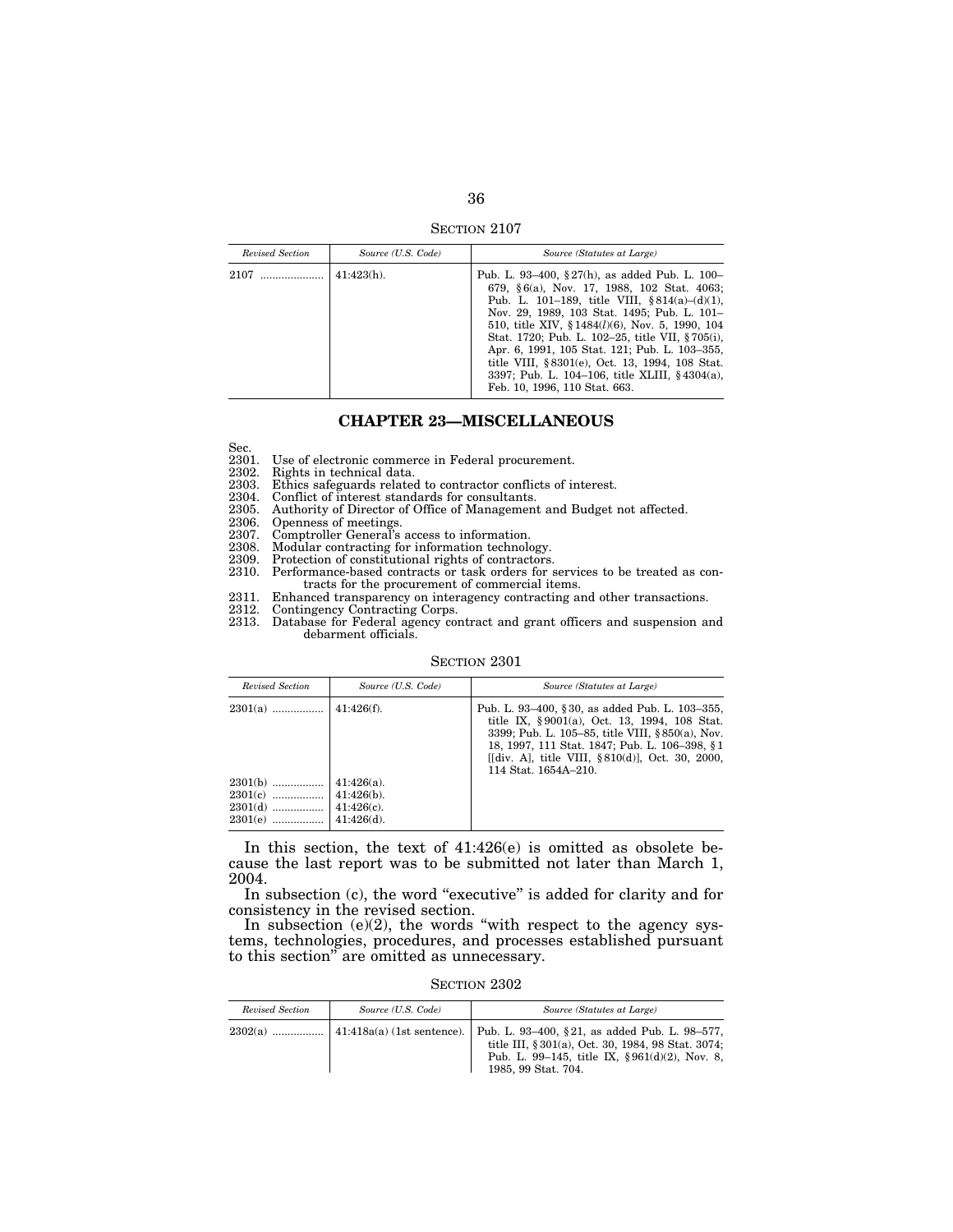SECTION 2107

| Revised Section | Source (U.S. Code) | Source (Statutes at Large)                                                                                                                                                                                                                                                                                                                                                                                                                                                                      |
|-----------------|--------------------|-------------------------------------------------------------------------------------------------------------------------------------------------------------------------------------------------------------------------------------------------------------------------------------------------------------------------------------------------------------------------------------------------------------------------------------------------------------------------------------------------|
| 2107            | $41:423(h)$ .      | Pub. L. 93–400, $\S 27(h)$ , as added Pub. L. 100–<br>679, §6(a), Nov. 17, 1988, 102 Stat. 4063;<br>Pub. L. 101–189, title VIII, $§814(a)–(d)(1)$ ,<br>Nov. 29, 1989, 103 Stat. 1495; Pub. L. 101-<br>510, title XIV, $$1484(l)(6)$ , Nov. 5, 1990, 104<br>Stat. 1720; Pub. L. 102-25, title VII, §705(i),<br>Apr. 6, 1991, 105 Stat. 121; Pub. L. 103-355,<br>title VIII, §8301(e), Oct. 13, 1994, 108 Stat.<br>3397; Pub. L. 104–106, title XLIII, §4304(a),<br>Feb. 10, 1996, 110 Stat. 663. |

## **CHAPTER 23—MISCELLANEOUS**

Sec.<br>2301.

2301. Use of electronic commerce in Federal procurement.<br>2302. Rights in technical data.

2302. Rights in technical data.

Ethics safeguards related to contractor conflicts of interest.

2304. Conflict of interest standards for consultants.<br>2305. Authority of Director of Office of Managemen'

2305. Authority of Director of Office of Management and Budget not affected.<br>2306. Openness of meetings.

2306. Openness of meetings.

2307. Comptroller General's access to information.

2308. Modular contracting for information technology.

2309. Protection of constitutional rights of contractors.

- 2310. Performance-based contracts or task orders for services to be treated as contracts for the procurement of commercial items.
- 2311. Enhanced transparency on interagency contracting and other transactions.

2312. Contingency Contracting Corps.

2313. Database for Federal agency contract and grant officers and suspension and debarment officials.

#### SECTION 2301

| Revised Section                                  | Source (U.S. Code)                                               | Source (Statutes at Large)                                                                                                                                                                                                                                                         |
|--------------------------------------------------|------------------------------------------------------------------|------------------------------------------------------------------------------------------------------------------------------------------------------------------------------------------------------------------------------------------------------------------------------------|
|                                                  | $41:426(f)$ .                                                    | Pub. L. 93–400, §30, as added Pub. L. 103–355,<br>title IX, §9001(a), Oct. 13, 1994, 108 Stat.<br>3399; Pub. L. 105–85, title VIII, §850(a), Nov.<br>18, 1997, 111 Stat. 1847; Pub. L. 106-398, §1<br>[[div. A], title VIII, $\S 810(d)$ ], Oct. 30, 2000,<br>114 Stat. 1654A-210. |
| $2301(b)$<br>$2301(c)$<br>$2301(d)$<br>$2301(e)$ | $41:426(a)$ .<br>$41:426(b)$ .<br>$41:426(c)$ .<br>$41:426(d)$ . |                                                                                                                                                                                                                                                                                    |

In this section, the text of 41:426(e) is omitted as obsolete because the last report was to be submitted not later than March 1, 2004.

In subsection (c), the word "executive" is added for clarity and for consistency in the revised section.

In subsection  $(e)(2)$ , the words "with respect to the agency systems, technologies, procedures, and processes established pursuant to this section'' are omitted as unnecessary.

SECTION 2302

| Revised Section | Source (U.S. Code) | Source (Statutes at Large)                                                                                                                                                                                    |
|-----------------|--------------------|---------------------------------------------------------------------------------------------------------------------------------------------------------------------------------------------------------------|
| $2302(a)$       |                    | 41:418a(a) (1st sentence).   Pub. L. 93–400, §21, as added Pub. L. 98–577,<br>title III, § 301(a), Oct. 30, 1984, 98 Stat. 3074;<br>Pub. L. 99-145, title IX, $\S 961(d)(2)$ , Nov. 8,<br>1985, 99 Stat, 704. |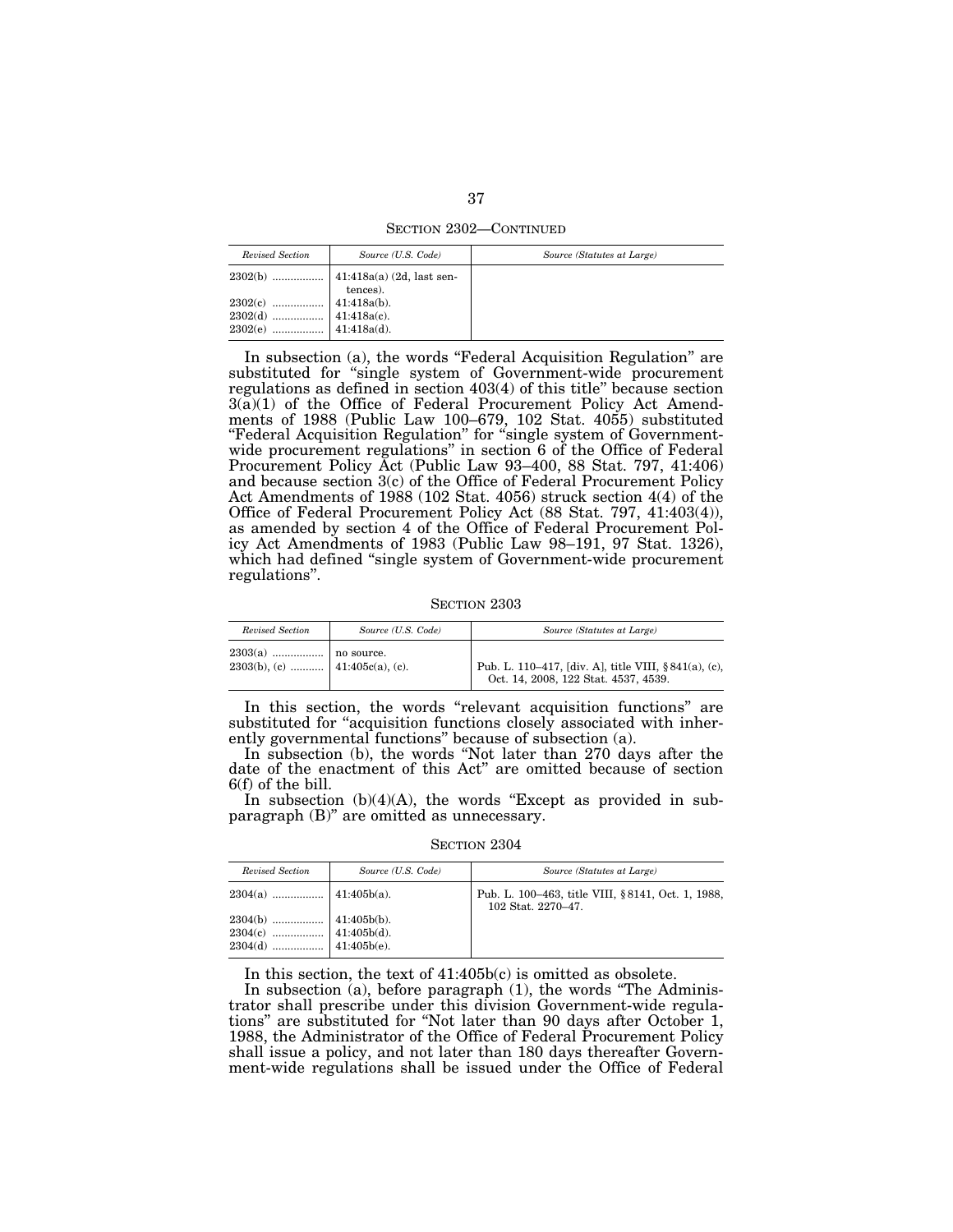SECTION 2302—CONTINUED

| Revised Section                          | Source (U.S. Code) | Source (Statutes at Large) |
|------------------------------------------|--------------------|----------------------------|
|                                          |                    |                            |
| 2302(c) $\ldots$ $\downarrow$ 1:418a(b). |                    |                            |

In subsection (a), the words "Federal Acquisition Regulation" are substituted for ''single system of Government-wide procurement regulations as defined in section 403(4) of this title'' because section  $3(a)(1)$  of the Office of Federal Procurement Policy Act Amendments of 1988 (Public Law 100–679, 102 Stat. 4055) substituted "Federal Acquisition Regulation" for "single system of Governmentwide procurement regulations'' in section 6 of the Office of Federal Procurement Policy Act (Public Law 93–400, 88 Stat. 797, 41:406) and because section 3(c) of the Office of Federal Procurement Policy Act Amendments of 1988 (102 Stat. 4056) struck section 4(4) of the Office of Federal Procurement Policy Act (88 Stat. 797, 41:403(4)), as amended by section 4 of the Office of Federal Procurement Policy Act Amendments of 1983 (Public Law 98–191, 97 Stat. 1326), which had defined "single system of Government-wide procurement regulations''.

SECTION 2303

| Revised Section | Source (U.S. Code) | Source (Statutes at Large)                                                                   |
|-----------------|--------------------|----------------------------------------------------------------------------------------------|
|                 |                    | Pub. L. 110–417, [div. A], title VIII, §841(a), (c),<br>Oct. 14, 2008, 122 Stat. 4537, 4539. |

In this section, the words "relevant acquisition functions" are substituted for "acquisition functions closely associated with inherently governmental functions'' because of subsection (a).

In subsection (b), the words ''Not later than 270 days after the date of the enactment of this Act'' are omitted because of section 6(f) of the bill.

In subsection  $(b)(4)(A)$ , the words "Except as provided in subparagraph (B)'' are omitted as unnecessary.

SECTION 2304

| Revised Section                                                                                                                                                                                                                                                                                           | Source (U.S. Code) | Source (Statutes at Large)                                              |
|-----------------------------------------------------------------------------------------------------------------------------------------------------------------------------------------------------------------------------------------------------------------------------------------------------------|--------------------|-------------------------------------------------------------------------|
|                                                                                                                                                                                                                                                                                                           |                    | Pub. L. 100-463, title VIII, §8141, Oct. 1, 1988,<br>102 Stat. 2270-47. |
| $\begin{array}{c c} 2304(b) \  \, \ldots \quad \, \ldots \quad \, \ldots \quad \, \ldots \quad \, \text{41:405b(b).} \\ 2304(c) \  \, \ldots \quad \, \ldots \quad \, \ldots \quad \, \text{41:405b(d).} \\ 2304(d) \  \, \ldots \quad \, \ldots \quad \, \ldots \quad \, \text{41:405b(e).} \end{array}$ |                    |                                                                         |

In this section, the text of 41:405b(c) is omitted as obsolete.

In subsection (a), before paragraph (1), the words ''The Administrator shall prescribe under this division Government-wide regulations'' are substituted for ''Not later than 90 days after October 1, 1988, the Administrator of the Office of Federal Procurement Policy shall issue a policy, and not later than 180 days thereafter Government-wide regulations shall be issued under the Office of Federal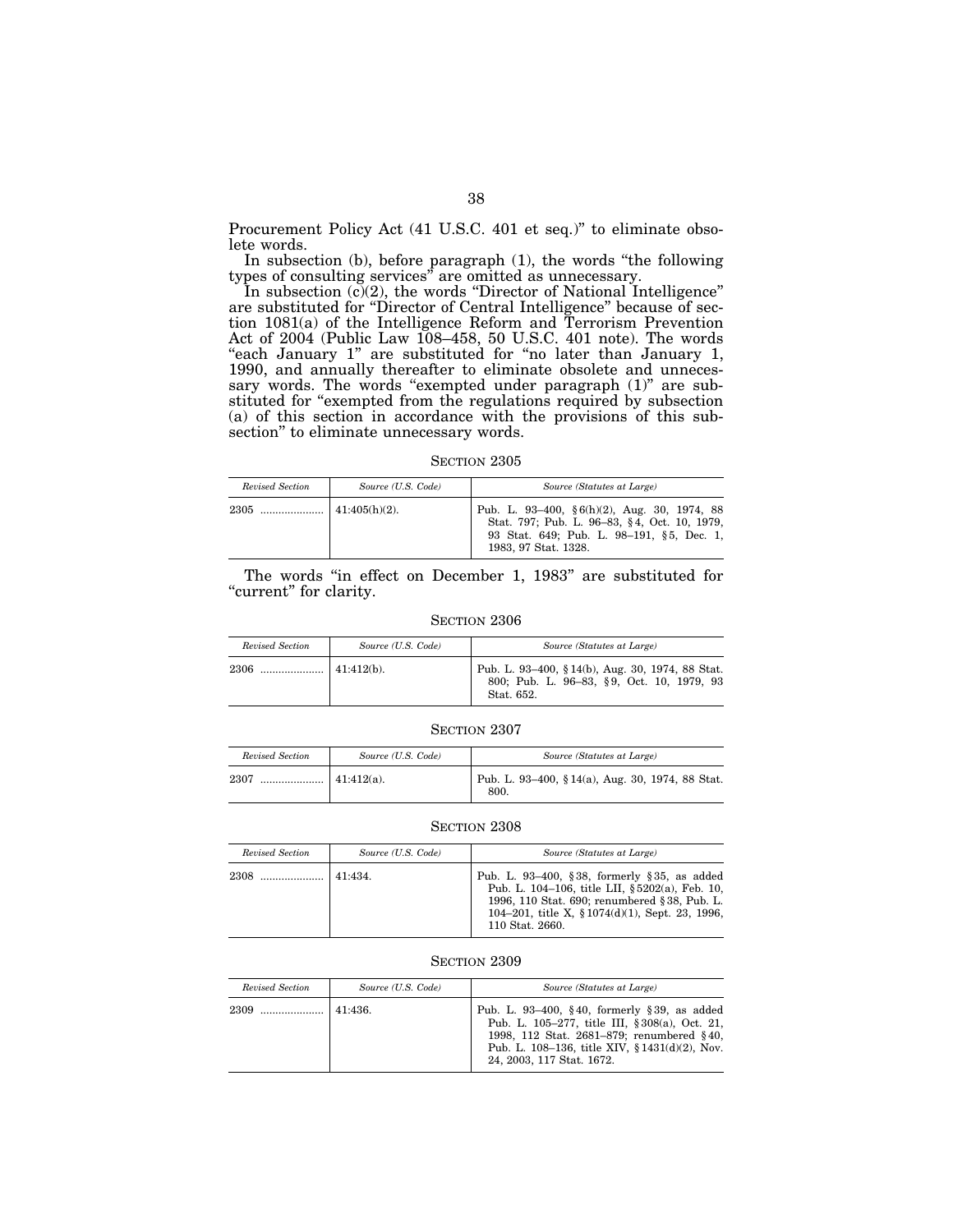Procurement Policy Act (41 U.S.C. 401 et seq.)" to eliminate obsolete words.

In subsection (b), before paragraph (1), the words ''the following types of consulting services'' are omitted as unnecessary.

In subsection (c)(2), the words "Director of National Intelligence" are substituted for ''Director of Central Intelligence'' because of section 1081(a) of the Intelligence Reform and Terrorism Prevention Act of 2004 (Public Law 108–458, 50 U.S.C. 401 note). The words "each January 1" are substituted for "no later than January 1, 1990, and annually thereafter to eliminate obsolete and unnecessary words. The words "exempted under paragraph (1)" are substituted for "exempted from the regulations required by subsection (a) of this section in accordance with the provisions of this subsection'' to eliminate unnecessary words.

SECTION 2305

| Revised Section | Source (U.S. Code) | Source (Statutes at Large)                                                                                                                                            |
|-----------------|--------------------|-----------------------------------------------------------------------------------------------------------------------------------------------------------------------|
|                 | $141:405(h)(2)$ .  | Pub. L. 93-400, $\S 6(h)(2)$ , Aug. 30, 1974, 88<br>Stat. 797; Pub. L. 96-83, §4, Oct. 10, 1979,<br>93 Stat. 649; Pub. L. 98-191, §5, Dec. 1,<br>1983, 97 Stat. 1328. |

The words "in effect on December 1, 1983" are substituted for "current" for clarity.

#### SECTION 2306

| Revised Section | Source (U.S. Code) | Source (Statutes at Large)                                                                                 |
|-----------------|--------------------|------------------------------------------------------------------------------------------------------------|
| 2306            | 41:412(b)          | Pub. L. 93–400, §14(b), Aug. 30, 1974, 88 Stat.<br>800; Pub. L. 96-83, §9, Oct. 10, 1979, 93<br>Stat. 652. |

| Revised Section | Source (U.S. Code) | Source (Statutes at Large)                              |
|-----------------|--------------------|---------------------------------------------------------|
| 2307<br>        | $41:412(a)$ .      | Pub. L. 93–400, §14(a), Aug. 30, 1974, 88 Stat.<br>800. |

#### SECTION 2308

| Revised Section | Source (U.S. Code) | Source (Statutes at Large)                                                                                                                                                                                             |
|-----------------|--------------------|------------------------------------------------------------------------------------------------------------------------------------------------------------------------------------------------------------------------|
| 2308            | $141:434$ .        | Pub. L. 93-400, §38, formerly §35, as added<br>Pub. L. 104-106, title LII, §5202(a), Feb. 10,<br>1996, 110 Stat. 690; renumbered § 38, Pub. L.<br>104–201, title X, $$1074(d)(1)$ , Sept. 23, 1996,<br>110 Stat. 2660. |

| Revised Section | Source (U.S. Code) | Source (Statutes at Large)                                                                                                                                                                                               |
|-----------------|--------------------|--------------------------------------------------------------------------------------------------------------------------------------------------------------------------------------------------------------------------|
|                 | 41:436.            | Pub. L. 93-400, §40, formerly §39, as added<br>Pub. L. 105-277, title III, §308(a), Oct. 21,<br>1998, 112 Stat. 2681-879; renumbered §40,<br>Pub. L. 108-136, title XIV, § 1431(d)(2), Nov.<br>24, 2003, 117 Stat. 1672. |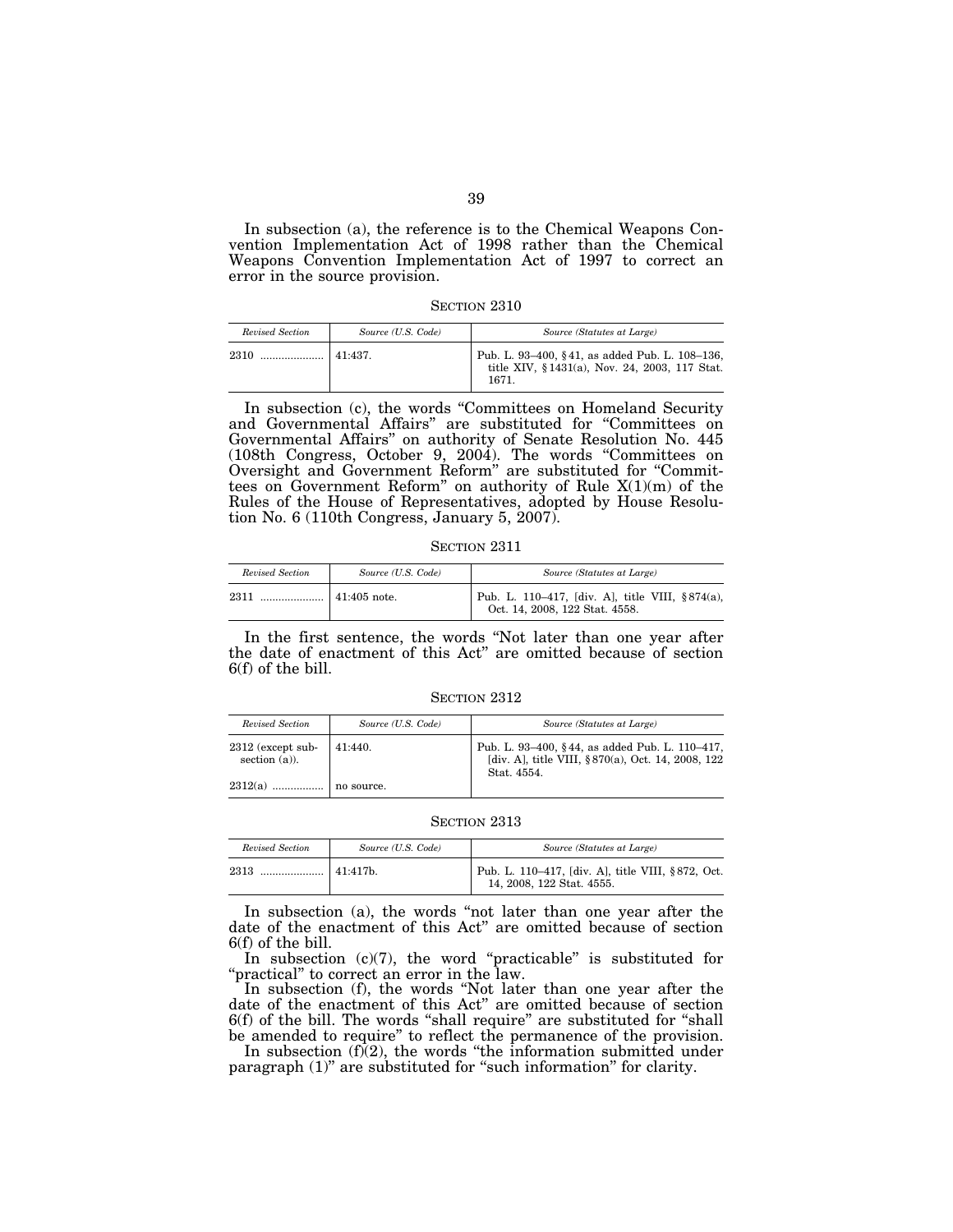In subsection (a), the reference is to the Chemical Weapons Convention Implementation Act of 1998 rather than the Chemical Weapons Convention Implementation Act of 1997 to correct an error in the source provision.

| Revised Section | Source (U.S. Code) | Source (Statutes at Large)                                                                               |
|-----------------|--------------------|----------------------------------------------------------------------------------------------------------|
| 2310            | 41:437             | Pub. L. 93–400, §41, as added Pub. L. 108–136,<br>title XIV, §1431(a), Nov. 24, 2003, 117 Stat.<br>1671. |

In subsection (c), the words ''Committees on Homeland Security and Governmental Affairs'' are substituted for ''Committees on Governmental Affairs'' on authority of Senate Resolution No. 445 (108th Congress, October 9, 2004). The words ''Committees on Oversight and Government Reform'' are substituted for ''Committees on Government Reform'' on authority of Rule X(1)(m) of the Rules of the House of Representatives, adopted by House Resolution No. 6 (110th Congress, January 5, 2007).

SECTION 2311

| Revised Section | Source (U.S. Code) | Source (Statutes at Large)                                                            |
|-----------------|--------------------|---------------------------------------------------------------------------------------|
| 2311            |                    | Pub. L. 110–417, [div. A], title VIII, $§ 874(a)$ ,<br>Oct. 14, 2008, 122 Stat. 4558. |

In the first sentence, the words ''Not later than one year after the date of enactment of this Act'' are omitted because of section 6(f) of the bill.

SECTION 2312

| Revised Section                         | Source (U.S. Code) | Source (Statutes at Large)                                                                                          |
|-----------------------------------------|--------------------|---------------------------------------------------------------------------------------------------------------------|
| $2312$ (except sub-<br>section $(a)$ ). | 41:440.            | Pub. L. 93–400, §44, as added Pub. L. 110–417,<br>[div. A], title VIII, § 870(a), Oct. 14, 2008, 122<br>Stat. 4554. |
|                                         | no source.         |                                                                                                                     |

SECTION 2313

| Revised Section | Source (U.S. Code)   | Source (Statutes at Large)                                                     |
|-----------------|----------------------|--------------------------------------------------------------------------------|
| 2313            | 141:417 <sub>b</sub> | Pub. L. 110–417, [div. A], title VIII, §872, Oct.<br>14, 2008, 122 Stat. 4555. |

In subsection (a), the words ''not later than one year after the date of the enactment of this Act'' are omitted because of section 6(f) of the bill.

In subsection  $(c)(7)$ , the word "practicable" is substituted for "practical" to correct an error in the law.

In subsection (f), the words ''Not later than one year after the date of the enactment of this Act'' are omitted because of section 6(f) of the bill. The words ''shall require'' are substituted for ''shall be amended to require'' to reflect the permanence of the provision.

In subsection  $(f(2))$ , the words "the information submitted under paragraph (1)'' are substituted for ''such information'' for clarity.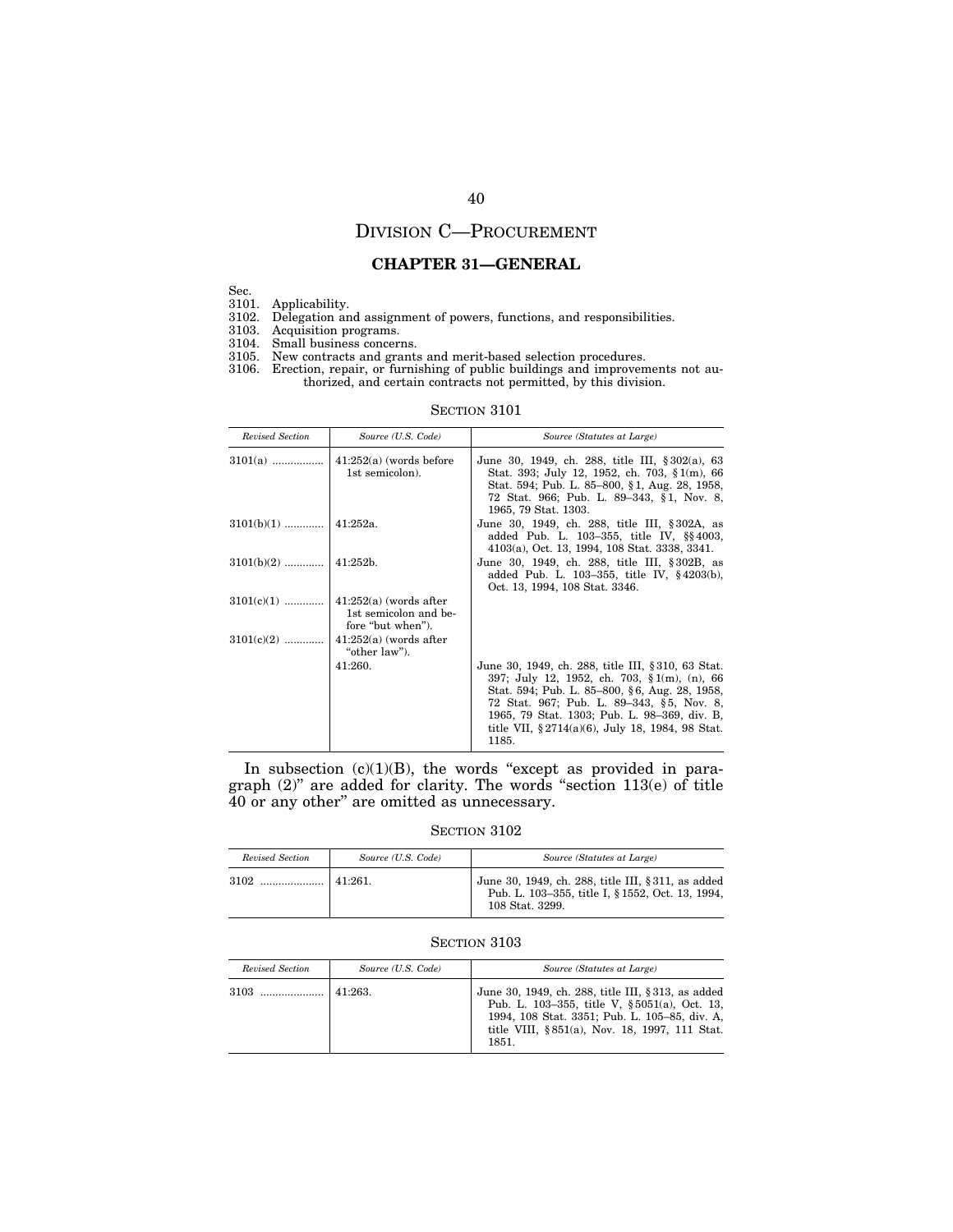# DIVISION C—PROCUREMENT

## **CHAPTER 31—GENERAL**

Sec.

3101. Applicability.

3102. Delegation and assignment of powers, functions, and responsibilities.

3103. Acquisition programs.

3104. Small business concerns.

- 3105. New contracts and grants and merit-based selection procedures.
- 3106. Erection, repair, or furnishing of public buildings and improvements not authorized, and certain contracts not permitted, by this division.

#### SECTION 3101

| Revised Section         | Source (U.S. Code)                           | Source (Statutes at Large)                                                                                                                                                                                                                                                                                            |
|-------------------------|----------------------------------------------|-----------------------------------------------------------------------------------------------------------------------------------------------------------------------------------------------------------------------------------------------------------------------------------------------------------------------|
| $3101(a)$               | $41:252(a)$ (words before<br>1st semicolon). | June 30, 1949, ch. 288, title III, § 302(a), 63<br>Stat. 393; July 12, 1952, ch. 703, $\S 1(m)$ , 66<br>Stat. 594; Pub. L. 85–800, §1, Aug. 28, 1958,<br>72 Stat. 966; Pub. L. 89–343, §1, Nov. 8,<br>1965, 79 Stat. 1303.                                                                                            |
| $3101(b)(1)$   41:252a. |                                              | June 30, 1949, ch. 288, title III, §302A, as<br>added Pub. L. 103-355, title IV, §§4003,<br>4103(a), Oct. 13, 1994, 108 Stat. 3338, 3341.                                                                                                                                                                             |
| $3101(b)(2)$   41:252b. |                                              | June 30, 1949, ch. 288, title III, § 302B, as<br>added Pub. L. 103–355, title IV, $§ 4203(b)$ ,<br>Oct. 13, 1994, 108 Stat. 3346.                                                                                                                                                                                     |
|                         | 1st semicolon and be-<br>fore "but when").   |                                                                                                                                                                                                                                                                                                                       |
| $3101(c)(2)$            | $41:252(a)$ (words after<br>"other law").    |                                                                                                                                                                                                                                                                                                                       |
|                         | 41:260.                                      | June 30, 1949, ch. 288, title III, § 310, 63 Stat.<br>397; July 12, 1952, ch. 703, $\S 1(m)$ , (n), 66<br>Stat. 594; Pub. L. 85–800, §6, Aug. 28, 1958,<br>72 Stat. 967; Pub. L. 89–343, §5, Nov. 8,<br>1965, 79 Stat. 1303; Pub. L. 98–369, div. B.<br>title VII, $\S 2714(a)(6)$ , July 18, 1984, 98 Stat.<br>1185. |

In subsection  $(c)(1)(B)$ , the words "except as provided in paragraph (2)'' are added for clarity. The words ''section 113(e) of title 40 or any other'' are omitted as unnecessary.

### SECTION 3102

| Revised Section | Source (U.S. Code) | Source (Statutes at Large)                                                                                                |
|-----------------|--------------------|---------------------------------------------------------------------------------------------------------------------------|
|                 | $141:261$ .        | June 30, 1949, ch. 288, title III, § 311, as added<br>Pub. L. 103-355, title I, § 1552, Oct. 13, 1994,<br>108 Stat. 3299. |

| Revised Section | Source (U.S. Code) | Source (Statutes at Large)                                                                                                                                                                                     |
|-----------------|--------------------|----------------------------------------------------------------------------------------------------------------------------------------------------------------------------------------------------------------|
| 3103            | 41:263.            | June 30, 1949, ch. 288, title III, § 313, as added<br>Pub. L. 103-355, title V, §5051(a), Oct. 13,<br>1994, 108 Stat. 3351; Pub. L. 105-85, div. A.<br>title VIII, § 851(a), Nov. 18, 1997, 111 Stat.<br>1851. |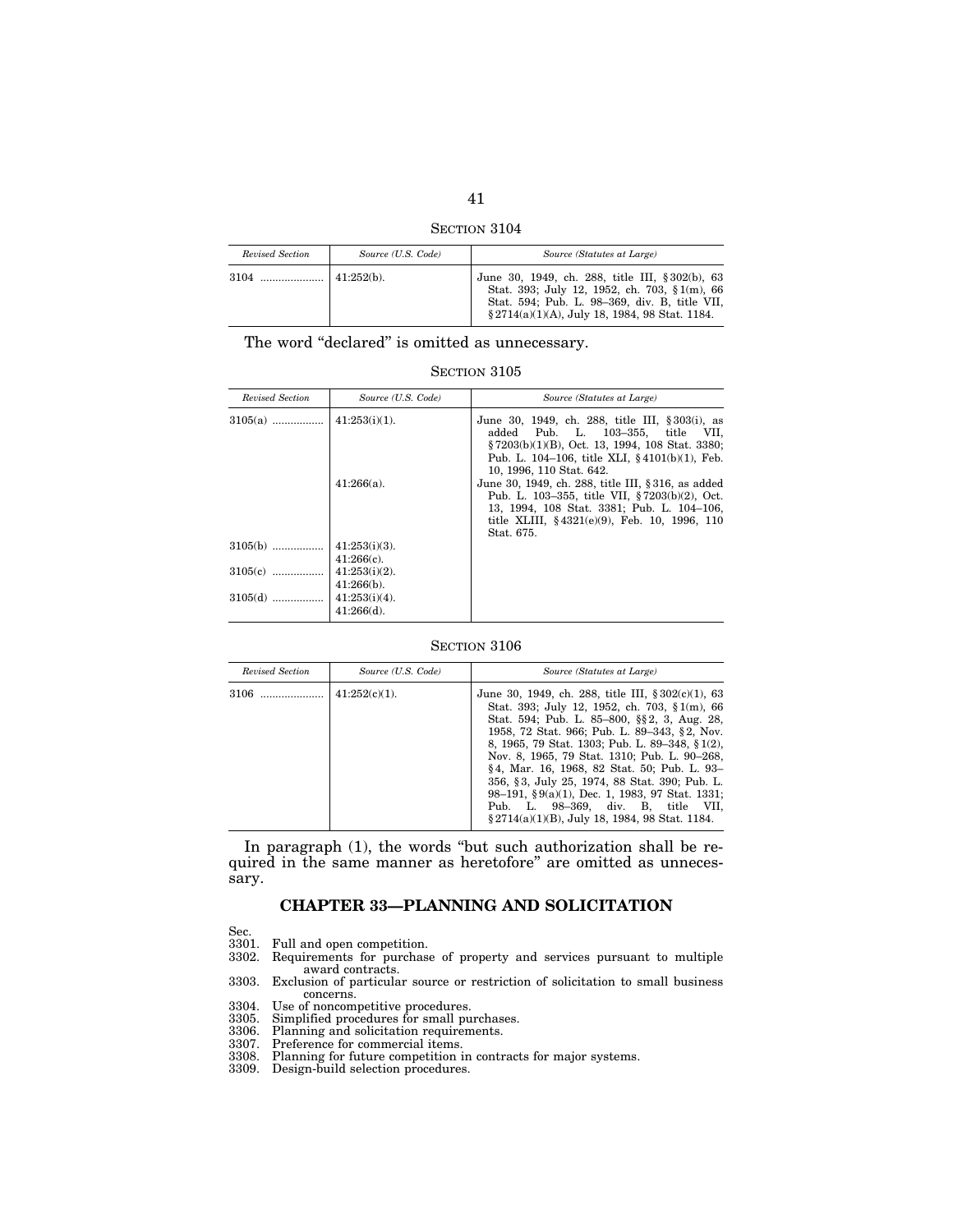| Section 3104 |  |
|--------------|--|
|--------------|--|

| Revised Section | Source (U.S. Code) | Source (Statutes at Large)                                                                                                                                                                          |
|-----------------|--------------------|-----------------------------------------------------------------------------------------------------------------------------------------------------------------------------------------------------|
|                 | $41:252(b)$ .      | June 30, 1949, ch. 288, title III, § 302(b), 63<br>Stat. 393; July 12, 1952, ch. 703, § 1(m), 66<br>Stat. 594; Pub. L. 98-369, div. B, title VII,<br>§ 2714(a)(1)(A), July 18, 1984, 98 Stat. 1184. |

The word "declared" is omitted as unnecessary.

SECTION 3105

| Revised Section | Source (U.S. Code) | Source (Statutes at Large)                                                                                                                                                                                             |
|-----------------|--------------------|------------------------------------------------------------------------------------------------------------------------------------------------------------------------------------------------------------------------|
| $3105(a)$       | $41:253(i)(1)$ .   | June 30, 1949, ch. 288, title III, § 303(i), as<br>added Pub. L. 103-355, title VII.<br>§7203(b)(1)(B), Oct. 13, 1994, 108 Stat. 3380;<br>Pub. L. 104–106, title XLI, $§$ 4101(b)(1), Feb.<br>10, 1996, 110 Stat. 642. |
|                 | $41:266(a)$ .      | June 30, 1949, ch. 288, title III, § 316, as added<br>Pub. L. 103–355, title VII, §7203(b)(2), Oct.<br>13, 1994, 108 Stat. 3381; Pub. L. 104-106,<br>title XLIII, §4321(e)(9), Feb. 10, 1996, 110<br>Stat. 675.        |
| $3105(b)$       | $41:253(i)(3)$ .   |                                                                                                                                                                                                                        |
|                 | $41:266(c)$ .      |                                                                                                                                                                                                                        |
| $3105(c)$       | $41:253(i)(2)$ .   |                                                                                                                                                                                                                        |
|                 | $41:266(b)$ .      |                                                                                                                                                                                                                        |
| $3105(d)$       | $41:253(i)(4)$ .   |                                                                                                                                                                                                                        |
|                 | $41:266(d)$ .      |                                                                                                                                                                                                                        |

SECTION 3106

| Revised Section | Source (U.S. Code)   | Source (Statutes at Large)                                                                                                                                                                                                                                                                                                                                                                                                                                                                                                                               |
|-----------------|----------------------|----------------------------------------------------------------------------------------------------------------------------------------------------------------------------------------------------------------------------------------------------------------------------------------------------------------------------------------------------------------------------------------------------------------------------------------------------------------------------------------------------------------------------------------------------------|
|                 | $\pm 41:252(c)(1)$ . | June 30, 1949, ch. 288, title III, $\S 302(c)(1)$ , 63<br>Stat. 393; July 12, 1952, ch. 703, § 1(m), 66<br>Stat. 594; Pub. L. 85–800, §§2, 3, Aug. 28,<br>1958, 72 Stat. 966; Pub. L. 89–343, §2, Nov.<br>8, 1965, 79 Stat. 1303; Pub. L. 89–348, § 1(2),<br>Nov. 8, 1965, 79 Stat. 1310; Pub. L. 90–268,<br>§4, Mar. 16, 1968, 82 Stat. 50; Pub. L. 93-<br>356, §3, July 25, 1974, 88 Stat. 390; Pub. L.<br>98-191, $\S 9(a)(1)$ , Dec. 1, 1983, 97 Stat. 1331;<br>Pub. L. 98-369, div. B, title VII,<br>§ 2714(a)(1)(B), July 18, 1984, 98 Stat. 1184. |

In paragraph (1), the words ''but such authorization shall be required in the same manner as heretofore'' are omitted as unnecessary.

# **CHAPTER 33—PLANNING AND SOLICITATION**

- Sec.<br>3301. Full and open competition.
- 3302. Requirements for purchase of property and services pursuant to multiple award contracts.
- 3303. Exclusion of particular source or restriction of solicitation to small business concerns.
- 3304. Use of noncompetitive procedures.
- 3305. Simplified procedures for small purchases. 3306. Planning and solicitation requirements. 3307. Preference for commercial items.
- 
- 
- 3308. Planning for future competition in contracts for major systems.
- 3309. Design-build selection procedures.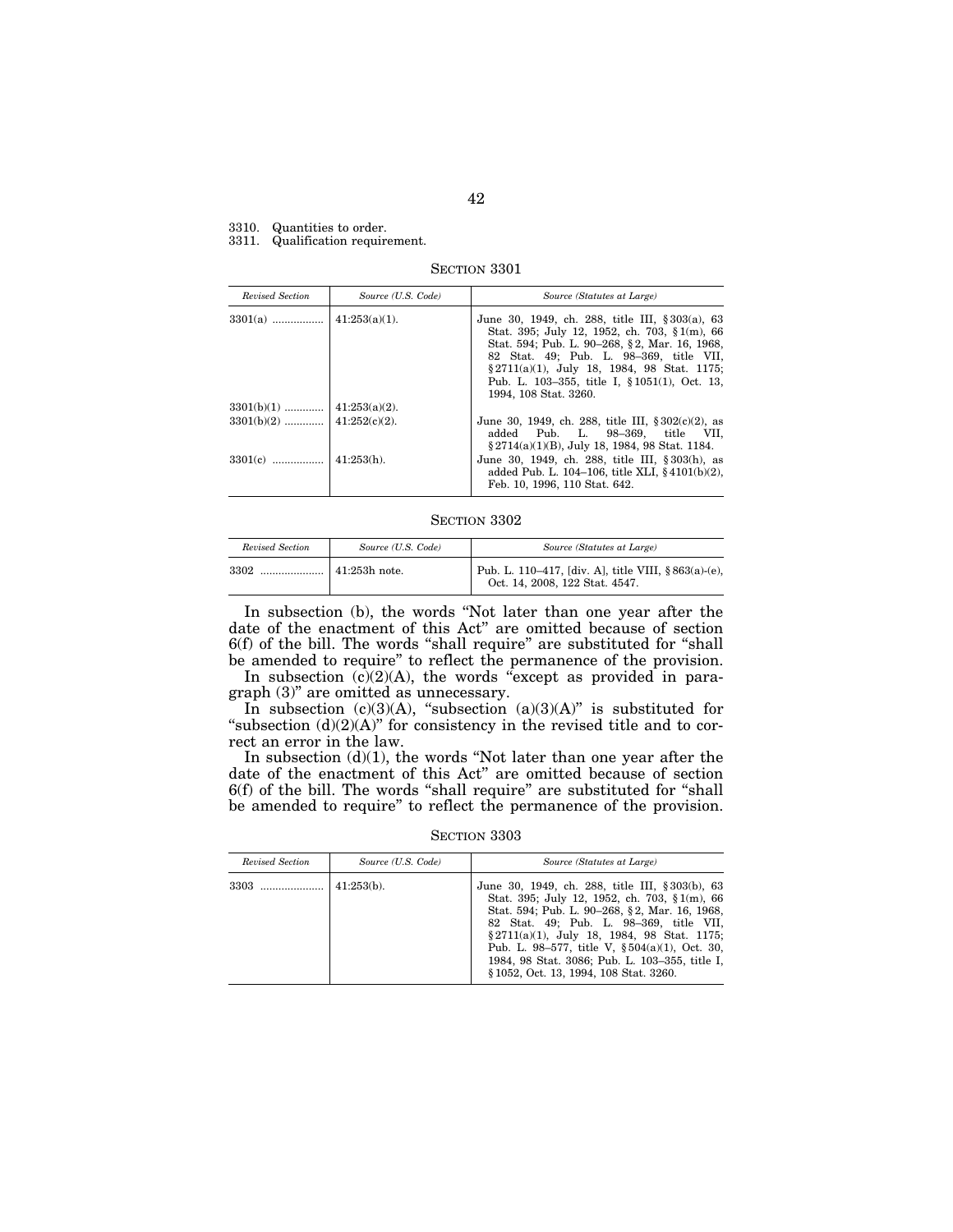#### 3310. Quantities to order.

3311. Qualification requirement.

SECTION 3301

| Revised Section | Source (U.S. Code) | Source (Statutes at Large)                                                                                                                                                                                                                                                                                            |
|-----------------|--------------------|-----------------------------------------------------------------------------------------------------------------------------------------------------------------------------------------------------------------------------------------------------------------------------------------------------------------------|
|                 |                    | June 30, 1949, ch. 288, title III, § 303(a), 63<br>Stat. 395; July 12, 1952, ch. 703, § 1(m), 66<br>Stat. 594; Pub. L. 90-268, §2, Mar. 16, 1968,<br>82 Stat. 49; Pub. L. 98-369, title VII,<br>§ 2711(a)(1), July 18, 1984, 98 Stat. 1175;<br>Pub. L. 103–355, title I, § 1051(1), Oct. 13,<br>1994. 108 Stat. 3260. |
|                 |                    |                                                                                                                                                                                                                                                                                                                       |
|                 |                    | June 30, 1949, ch. 288, title III, $\S 302(c)(2)$ , as<br>added Pub. L. 98-369, title VII,<br>$\S 2714(a)(1)(B)$ , July 18, 1984, 98 Stat. 1184.                                                                                                                                                                      |
| $3301(c)$       | $\pm 41:253(h)$ .  | June 30, 1949, ch. 288, title III, § 303(h), as<br>added Pub. L. 104–106, title XLI, §4101(b)(2),<br>Feb. 10, 1996, 110 Stat. 642.                                                                                                                                                                                    |

SECTION 3302

| Revised Section | Source (U.S. Code)    | Source (Statutes at Large)                                                            |
|-----------------|-----------------------|---------------------------------------------------------------------------------------|
| 3302            | $\vert$ 41:253h note. | Pub. L. 110-417, [div. A], title VIII, §863(a)-(e),<br>Oct. 14, 2008, 122 Stat. 4547. |

In subsection (b), the words "Not later than one year after the date of the enactment of this Act'' are omitted because of section 6(f) of the bill. The words ''shall require'' are substituted for ''shall be amended to require'' to reflect the permanence of the provision.

In subsection  $(c)(2)(A)$ , the words "except as provided in paragraph (3)'' are omitted as unnecessary.

In subsection  $(c)(3)(A)$ , "subsection  $(a)(3)(A)$ " is substituted for "subsection  $(d)(2)(A)$ " for consistency in the revised title and to correct an error in the law.

In subsection  $(d)(1)$ , the words "Not later than one year after the date of the enactment of this Act'' are omitted because of section 6(f) of the bill. The words "shall require" are substituted for "shall be amended to require'' to reflect the permanence of the provision.

SECTION 3303

| Revised Section | Source (U.S. Code) | Source (Statutes at Large)                                                                                                                                                                                                                                                                                                                                                                        |
|-----------------|--------------------|---------------------------------------------------------------------------------------------------------------------------------------------------------------------------------------------------------------------------------------------------------------------------------------------------------------------------------------------------------------------------------------------------|
| 3303            | $41:253(b)$ .      | June 30, 1949, ch. 288, title III, § 303(b), 63<br>Stat. 395; July 12, 1952, ch. 703, § 1(m), 66<br>Stat. 594; Pub. L. 90–268, §2, Mar. 16, 1968,<br>82 Stat. 49; Pub. L. 98-369, title VII,<br>$\S 2711(a)(1)$ , July 18, 1984, 98 Stat. 1175;<br>Pub. L. 98–577, title V, $\S 504(a)(1)$ , Oct. 30,<br>1984, 98 Stat. 3086; Pub. L. 103-355, title I,<br>§ 1052, Oct. 13, 1994, 108 Stat. 3260. |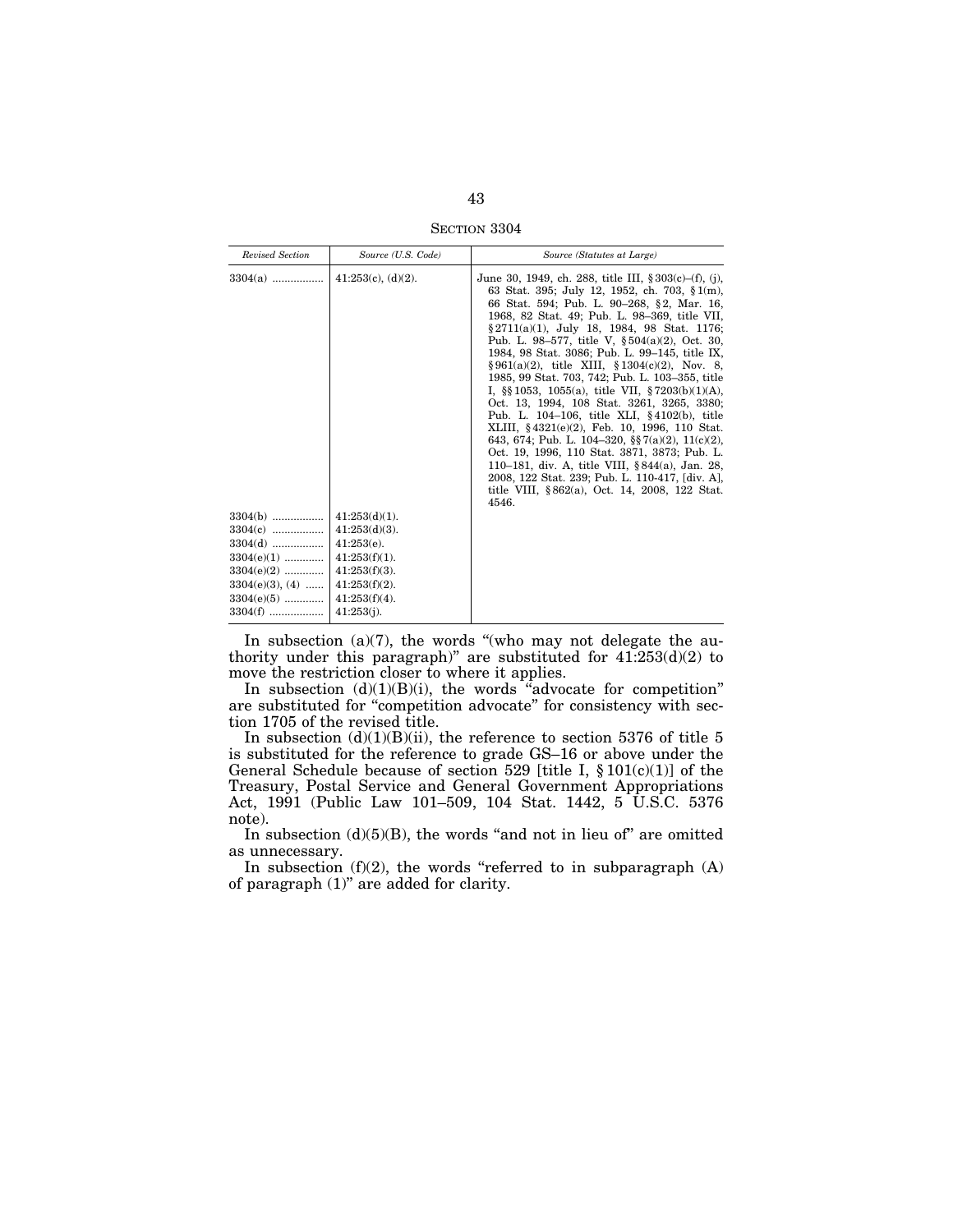SECTION 3304

| Revised Section                      | Source (U.S. Code)                   | Source (Statutes at Large)                                                                                                                                                                                                                                                                                                                                                                                                                                                                                                                                                                                                                                                                                                                                                                                                                                                                                                                          |
|--------------------------------------|--------------------------------------|-----------------------------------------------------------------------------------------------------------------------------------------------------------------------------------------------------------------------------------------------------------------------------------------------------------------------------------------------------------------------------------------------------------------------------------------------------------------------------------------------------------------------------------------------------------------------------------------------------------------------------------------------------------------------------------------------------------------------------------------------------------------------------------------------------------------------------------------------------------------------------------------------------------------------------------------------------|
| $3304(a)$                            | $41:253(c)$ , $(d)(2)$ .             | June 30, 1949, ch. 288, title III, $§ 303(c)–(f), (i)$ ,<br>63 Stat. 395; July 12, 1952, ch. 703, § 1(m),<br>66 Stat. 594; Pub. L. 90-268, §2, Mar. 16,<br>1968, 82 Stat. 49; Pub. L. 98-369, title VII,<br>§ 2711(a)(1), July 18, 1984, 98 Stat. 1176;<br>Pub. L. 98–577, title V, $\S 504(a)(2)$ , Oct. 30,<br>1984, 98 Stat. 3086; Pub. L. 99-145, title IX,<br>$§ 961(a)(2)$ , title XIII, $§ 1304(c)(2)$ , Nov. 8,<br>1985, 99 Stat. 703, 742; Pub. L. 103-355, title<br>I, $\S$ 1053, 1055(a), title VII, $\S$ 7203(b)(1)(A),<br>Oct. 13, 1994, 108 Stat. 3261, 3265, 3380;<br>Pub. L. 104-106, title XLI, §4102(b), title<br>XLIII, §4321(e)(2), Feb. 10, 1996, 110 Stat.<br>643, 674; Pub. L. 104-320, §§ 7(a)(2), 11(c)(2),<br>Oct. 19, 1996, 110 Stat. 3871, 3873; Pub. L.<br>110–181, div. A, title VIII, §844(a), Jan. 28,<br>2008, 122 Stat. 239; Pub. L. 110-417, [div. A],<br>title VIII, §862(a), Oct. 14, 2008, 122 Stat.<br>4546. |
| $3304(b)$<br>$3304(c)$               | $41:253(d)(1)$ .<br>$41:253(d)(3)$ . |                                                                                                                                                                                                                                                                                                                                                                                                                                                                                                                                                                                                                                                                                                                                                                                                                                                                                                                                                     |
| $3304(d)$                            | $41:253(e)$ .                        |                                                                                                                                                                                                                                                                                                                                                                                                                                                                                                                                                                                                                                                                                                                                                                                                                                                                                                                                                     |
| $3304(e)(1)$                         | $41:253(f)(1)$ .                     |                                                                                                                                                                                                                                                                                                                                                                                                                                                                                                                                                                                                                                                                                                                                                                                                                                                                                                                                                     |
| $3304(e)(2)$                         | $41:253(f)(3)$ .                     |                                                                                                                                                                                                                                                                                                                                                                                                                                                                                                                                                                                                                                                                                                                                                                                                                                                                                                                                                     |
| $3304(e)(3)$ , $(4)$<br>$3304(e)(5)$ | $41:253(f)(2)$ .<br>$41:253(f)(4)$ . |                                                                                                                                                                                                                                                                                                                                                                                                                                                                                                                                                                                                                                                                                                                                                                                                                                                                                                                                                     |
| $3304(f)$                            | $41:253(i)$ .                        |                                                                                                                                                                                                                                                                                                                                                                                                                                                                                                                                                                                                                                                                                                                                                                                                                                                                                                                                                     |

In subsection  $(a)(7)$ , the words "(who may not delegate the authority under this paragraph)" are substituted for  $41:253(d)(2)$  to move the restriction closer to where it applies.

In subsection  $(d)(1)(B)(i)$ , the words "advocate for competition" are substituted for ''competition advocate'' for consistency with section 1705 of the revised title.

In subsection  $(d)(1)(B)(ii)$ , the reference to section 5376 of title 5 is substituted for the reference to grade GS–16 or above under the General Schedule because of section 529 [title I, § 101(c)(1)] of the Treasury, Postal Service and General Government Appropriations Act, 1991 (Public Law 101–509, 104 Stat. 1442, 5 U.S.C. 5376 note).

In subsection  $(d)(5)(B)$ , the words "and not in lieu of" are omitted as unnecessary.

In subsection  $(f)(2)$ , the words "referred to in subparagraph  $(A)$ of paragraph (1)'' are added for clarity.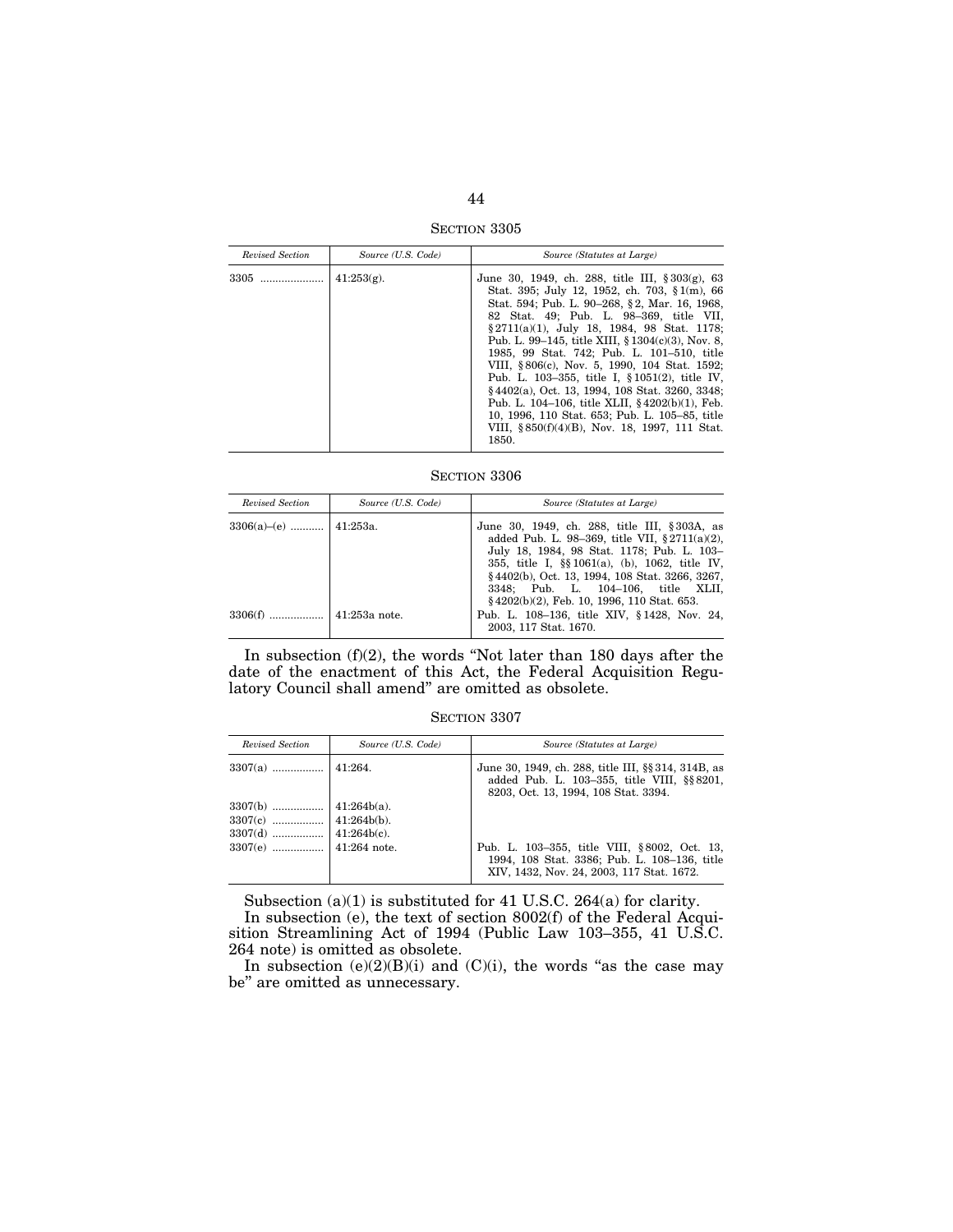SECTION 3305

| Revised Section | Source (U.S. Code) | Source (Statutes at Large)                                                                                                                                                                                                                                                                                                                                                                                                                                                                                                                                                                                                                                                  |
|-----------------|--------------------|-----------------------------------------------------------------------------------------------------------------------------------------------------------------------------------------------------------------------------------------------------------------------------------------------------------------------------------------------------------------------------------------------------------------------------------------------------------------------------------------------------------------------------------------------------------------------------------------------------------------------------------------------------------------------------|
|                 | $41:253(g)$ .      | June 30, 1949, ch. 288, title III, $\S 303(g)$ , 63<br>Stat. 395; July 12, 1952, ch. 703, § 1(m), 66<br>Stat. 594; Pub. L. 90–268, §2, Mar. 16, 1968,<br>82 Stat. 49; Pub. L. 98-369, title VII,<br>§ 2711(a)(1), July 18, 1984, 98 Stat. 1178;<br>Pub. L. 99–145, title XIII, $\S 1304(c)(3)$ , Nov. 8,<br>1985, 99 Stat. 742; Pub. L. 101-510, title<br>VIII, §806(c), Nov. 5, 1990, 104 Stat. 1592;<br>Pub. L. 103-355, title I, § 1051(2), title IV,<br>§4402(a), Oct. 13, 1994, 108 Stat. 3260, 3348;<br>Pub. L. 104–106, title XLII, $§4202(b)(1)$ , Feb.<br>10, 1996, 110 Stat. 653; Pub. L. 105–85, title<br>VIII, §850(f)(4)(B), Nov. 18, 1997, 111 Stat.<br>1850. |

SECTION 3306

| Revised Section            | Source (U.S. Code) | Source (Statutes at Large)                                                                                                                                                                                                                                                                |
|----------------------------|--------------------|-------------------------------------------------------------------------------------------------------------------------------------------------------------------------------------------------------------------------------------------------------------------------------------------|
| $3306(a)$ –(e)    41:253a. |                    | June 30, 1949, ch. 288, title III, §303A, as<br>added Pub. L. 98–369, title VII, $§ 2711(a)(2)$ ,<br>July 18, 1984, 98 Stat. 1178; Pub. L. 103-<br>355, title I, §§ 1061(a), (b), 1062, title IV,<br>§4402(b), Oct. 13, 1994, 108 Stat. 3266, 3267,<br>3348; Pub. L. 104-106, title XLII, |
|                            |                    | $\{4202(b)(2), Feb. 10, 1996, 110 Stat. 653.$<br>Pub. L. 108-136, title XIV, §1428, Nov. 24,<br>2003, 117 Stat. 1670.                                                                                                                                                                     |

In subsection (f)(2), the words ''Not later than 180 days after the date of the enactment of this Act, the Federal Acquisition Regulatory Council shall amend'' are omitted as obsolete.

SECTION 3307

| Revised Section | Source (U.S. Code) | Source (Statutes at Large)                                                                                                                 |
|-----------------|--------------------|--------------------------------------------------------------------------------------------------------------------------------------------|
|                 |                    | June 30, 1949, ch. 288, title III, §§ 314, 314B, as<br>added Pub. L. 103-355, title VIII, §§ 8201,<br>8203, Oct. 13, 1994, 108 Stat. 3394. |
|                 |                    |                                                                                                                                            |
|                 |                    | Pub. L. 103-355, title VIII, §8002, Oct. 13,<br>1994, 108 Stat. 3386; Pub. L. 108-136, title<br>XIV, 1432, Nov. 24, 2003, 117 Stat. 1672.  |

Subsection (a)(1) is substituted for 41 U.S.C. 264(a) for clarity.

In subsection (e), the text of section 8002(f) of the Federal Acquisition Streamlining Act of 1994 (Public Law 103–355, 41 U.S.C. 264 note) is omitted as obsolete.

In subsection  $(e)(2)(B)(i)$  and  $(C)(i)$ , the words "as the case may be'' are omitted as unnecessary.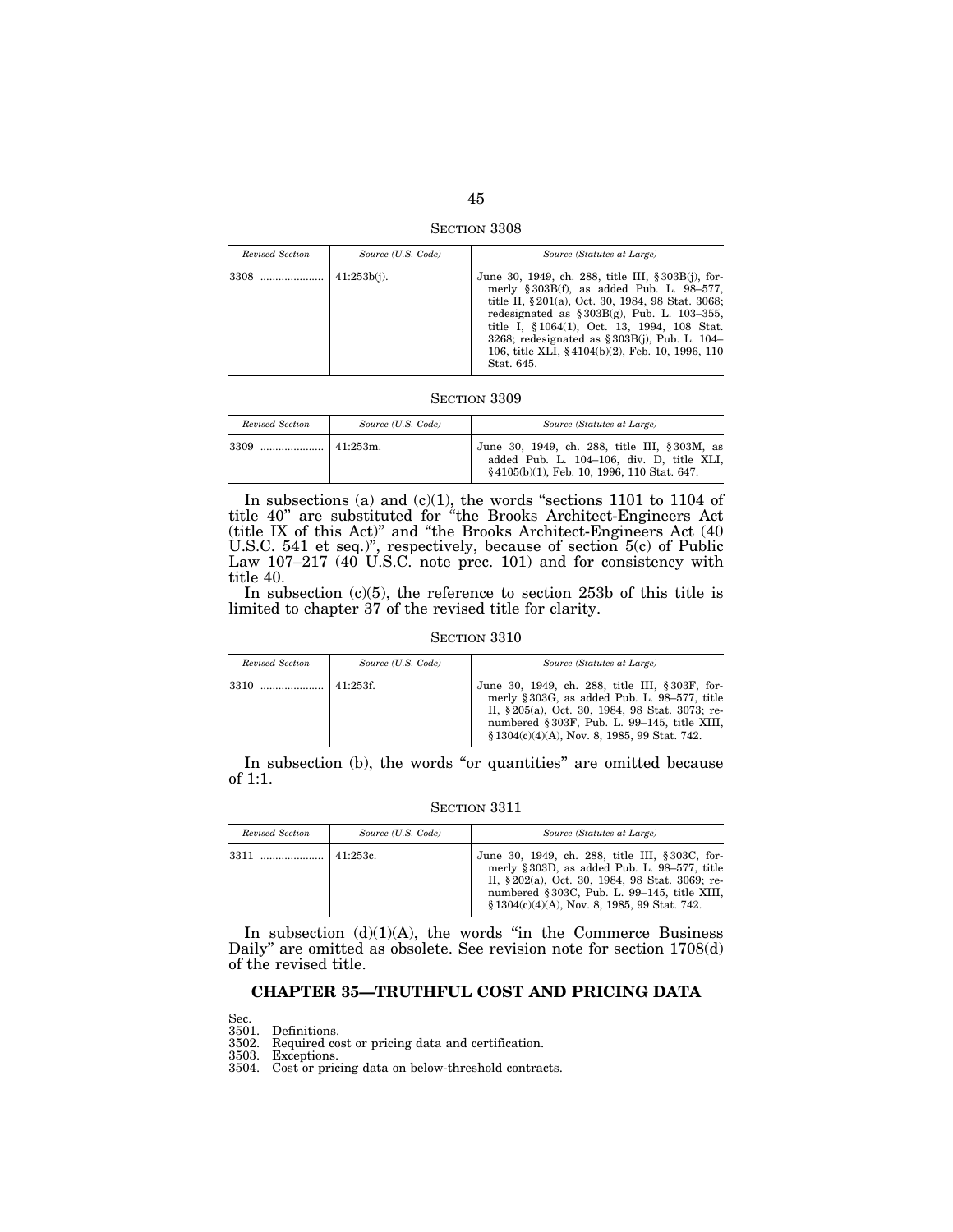SECTION 3308

| Revised Section | Source (U.S. Code) | Source (Statutes at Large)                                                                                                                                                                                                                                                                                                                                                      |
|-----------------|--------------------|---------------------------------------------------------------------------------------------------------------------------------------------------------------------------------------------------------------------------------------------------------------------------------------------------------------------------------------------------------------------------------|
| 3308            | $41:253b(i)$ .     | June 30, 1949, ch. 288, title III, § 303B(j), for-<br>merly $§ 303B(f)$ , as added Pub. L. 98-577,<br>title II, § 201(a), Oct. 30, 1984, 98 Stat. 3068;<br>redesignated as $\S 303B(g)$ , Pub. L. 103-355,<br>title I, §1064(1), Oct. 13, 1994, 108 Stat.<br>3268; redesignated as $\S 303B(i)$ , Pub. L. 104–<br>106, title XLI, §4104(b)(2), Feb. 10, 1996, 110<br>Stat. 645. |

| Revised Section | Source (U.S. Code) | Source (Statutes at Large)                                                                                                              |
|-----------------|--------------------|-----------------------------------------------------------------------------------------------------------------------------------------|
| $3309$          | $141:253m$ .       | June 30, 1949, ch. 288, title III, §303M, as<br>added Pub. L. 104-106, div. D, title XLI,<br>§4105(b)(1), Feb. 10, 1996, 110 Stat. 647. |

In subsections (a) and  $(c)(1)$ , the words "sections 1101 to 1104 of title 40'' are substituted for ''the Brooks Architect-Engineers Act (title IX of this Act)'' and ''the Brooks Architect-Engineers Act (40 U.S.C. 541 et seq.)'', respectively, because of section 5(c) of Public Law 107–217 (40 U.S.C. note prec. 101) and for consistency with title 40.

In subsection (c)(5), the reference to section 253b of this title is limited to chapter 37 of the revised title for clarity.

SECTION 3310

| Revised Section | Source (U.S. Code) | Source (Statutes at Large)                                                                                                                                                                                                                       |
|-----------------|--------------------|--------------------------------------------------------------------------------------------------------------------------------------------------------------------------------------------------------------------------------------------------|
| 3310            | 41:253f.           | June 30, 1949, ch. 288, title III, §303F, for-<br>merly §303G, as added Pub. L. 98-577, title<br>II, §205(a), Oct. 30, 1984, 98 Stat. 3073; re-<br>numbered §303F, Pub. L. 99-145, title XIII,<br>$$1304(c)(4)(A)$ , Nov. 8, 1985, 99 Stat. 742. |

In subsection (b), the words "or quantities" are omitted because of 1:1.

SECTION 3311

| Revised Section | Source (U.S. Code) | Source (Statutes at Large)                                                                                                                                                                                                                       |
|-----------------|--------------------|--------------------------------------------------------------------------------------------------------------------------------------------------------------------------------------------------------------------------------------------------|
| 3311            | 41:253c.           | June 30, 1949, ch. 288, title III, §303C, for-<br>merly §303D, as added Pub. L. 98-577, title<br>II, §202(a), Oct. 30, 1984, 98 Stat. 3069; re-<br>numbered §303C, Pub. L. 99-145, title XIII,<br>$$1304(c)(4)(A)$ , Nov. 8, 1985, 99 Stat. 742. |

In subsection  $(d)(1)(A)$ , the words "in the Commerce Business Daily'' are omitted as obsolete. See revision note for section 1708(d) of the revised title.

# **CHAPTER 35—TRUTHFUL COST AND PRICING DATA**

Sec. 3501. Definitions. 3502. Required cost or pricing data and certification.

3503. Exceptions.

3504. Cost or pricing data on below-threshold contracts.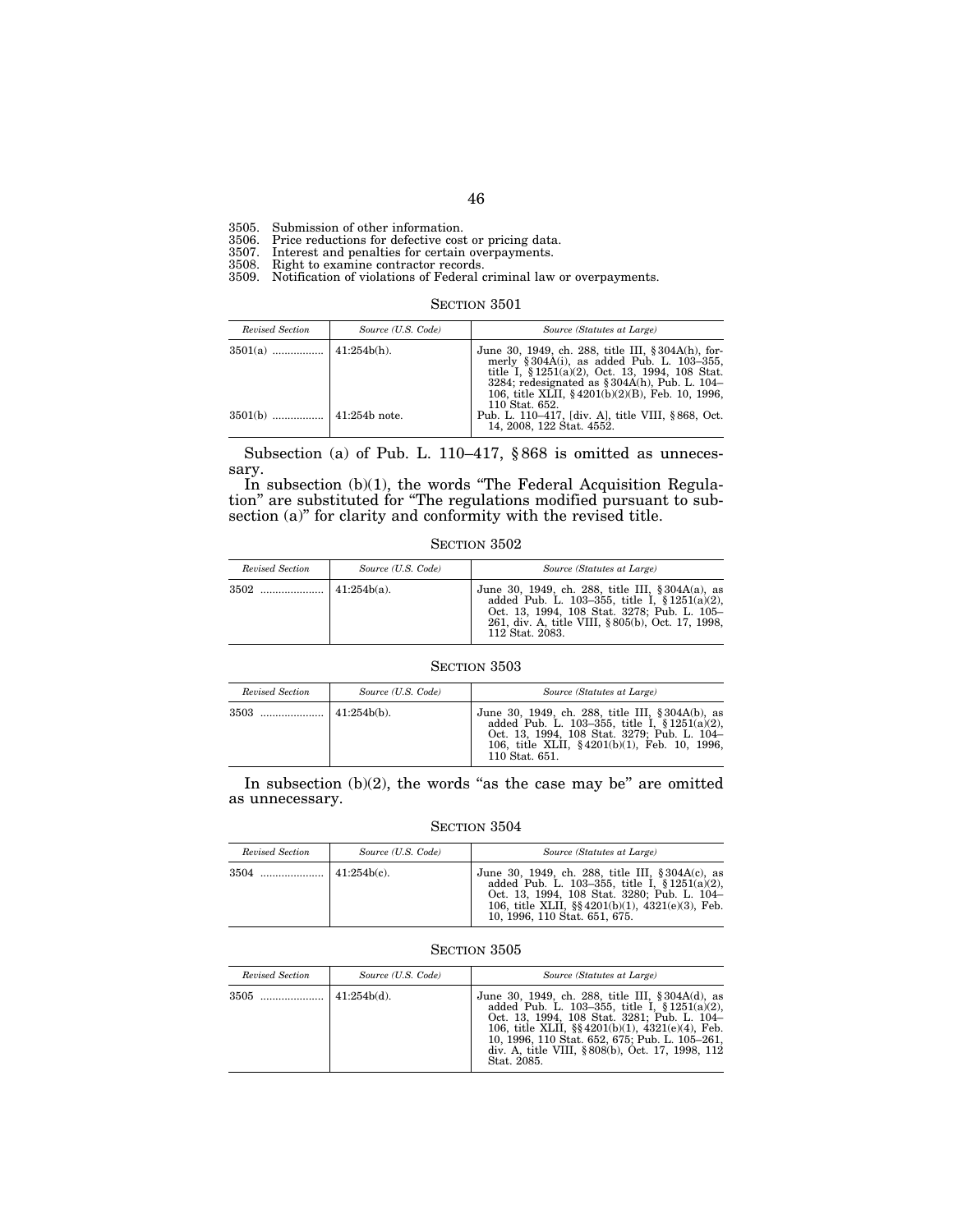3505. Submission of other information.

3506. Price reductions for defective cost or pricing data.

3507. Interest and penalties for certain overpayments.

3508. Right to examine contractor records.

3509. Notification of violations of Federal criminal law or overpayments.

| SECTION 3501 |  |
|--------------|--|
|--------------|--|

| Revised Section | Source (U.S. Code) | Source (Statutes at Large)                                                                                                                                                                                                                                        |
|-----------------|--------------------|-------------------------------------------------------------------------------------------------------------------------------------------------------------------------------------------------------------------------------------------------------------------|
|                 |                    | June 30, 1949, ch. 288, title III, § 304A(h), for-<br>merly § $304A(i)$ , as added Pub. L. 103-355,<br>title I, $§ 1251(a)(2)$ , Oct. 13, 1994, 108 Stat.<br>3284; redesignated as $\S 304A(h)$ , Pub. L. 104–<br>106, title XLII, §4201(b)(2)(B), Feb. 10, 1996, |
|                 |                    | 110 Stat. 652.<br>Pub. L. 110–417, [div. A], title VIII, §868, Oct.<br>14, 2008, 122 Stat. 4552.                                                                                                                                                                  |

Subsection (a) of Pub. L. 110–417, § 868 is omitted as unnecessary.

In subsection (b)(1), the words "The Federal Acquisition Regulation'' are substituted for ''The regulations modified pursuant to subsection (a)" for clarity and conformity with the revised title.

SECTION 3502

| Revised Section | Source (U.S. Code) | Source (Statutes at Large)                                                                                                                                                                                                     |
|-----------------|--------------------|--------------------------------------------------------------------------------------------------------------------------------------------------------------------------------------------------------------------------------|
|                 |                    | June 30, 1949, ch. 288, title III, $\S 304A(a)$ , as<br>added Pub. L. 103-355, title I, $$1251(a)(2)$ .<br>Oct. 13, 1994, 108 Stat. 3278; Pub. L. 105-<br>261. div. A. title VIII. § 805(b). Oct. 17, 1998.<br>112 Stat. 2083. |

# SECTION 3503

| Revised Section | Source (U.S. Code) | Source (Statutes at Large)                                                                                                                                                                                            |
|-----------------|--------------------|-----------------------------------------------------------------------------------------------------------------------------------------------------------------------------------------------------------------------|
| 3503            | $141:254b(b)$ .    | June 30, 1949, ch. 288, title III, § 304A(b), as<br>added Pub. L. 103-355, title I, $§ 1251(a)(2)$ ,<br>Oct. 13, 1994, 108 Stat. 3279; Pub. L. 104–<br>106, title XLII, §4201(b)(1), Feb. 10, 1996,<br>110 Stat. 651. |

In subsection  $(b)(2)$ , the words "as the case may be" are omitted as unnecessary.

SECTION 3504

| Revised Section | Source (U.S. Code) | Source (Statutes at Large)                                                                                                                                                                                                                     |
|-----------------|--------------------|------------------------------------------------------------------------------------------------------------------------------------------------------------------------------------------------------------------------------------------------|
|                 |                    | June 30, 1949, ch. 288, title III, § 304A(c), as<br>added Pub. L. 103-355, title I, $$1251(a)(2)$ .<br>Oct. 13, 1994, 108 Stat. 3280; Pub. L. 104–<br>106, title XLII, $\S\ 4201(b)(1)$ , $4321(e)(3)$ , Feb.<br>10, 1996, 110 Stat. 651, 675. |

SECTION 3505

| Revised Section | Source (U.S. Code) | Source (Statutes at Large)                                                                                                                                                                                                                                                                                                   |
|-----------------|--------------------|------------------------------------------------------------------------------------------------------------------------------------------------------------------------------------------------------------------------------------------------------------------------------------------------------------------------------|
| 3505            | $\pm 41:254b(d)$ . | June 30, 1949, ch. 288, title III, § 304A(d), as<br>added Pub. L. 103-355, title I, $$1251(a)(2)$ ,<br>Oct. 13, 1994, 108 Stat. 3281; Pub. L. 104–<br>106, title XLII, $\S$ 4201(b)(1), 4321(e)(4), Feb.<br>10, 1996, 110 Stat. 652, 675; Pub. L. 105–261,<br>div. A, title VIII, §808(b), Oct. 17, 1998, 112<br>Stat. 2085. |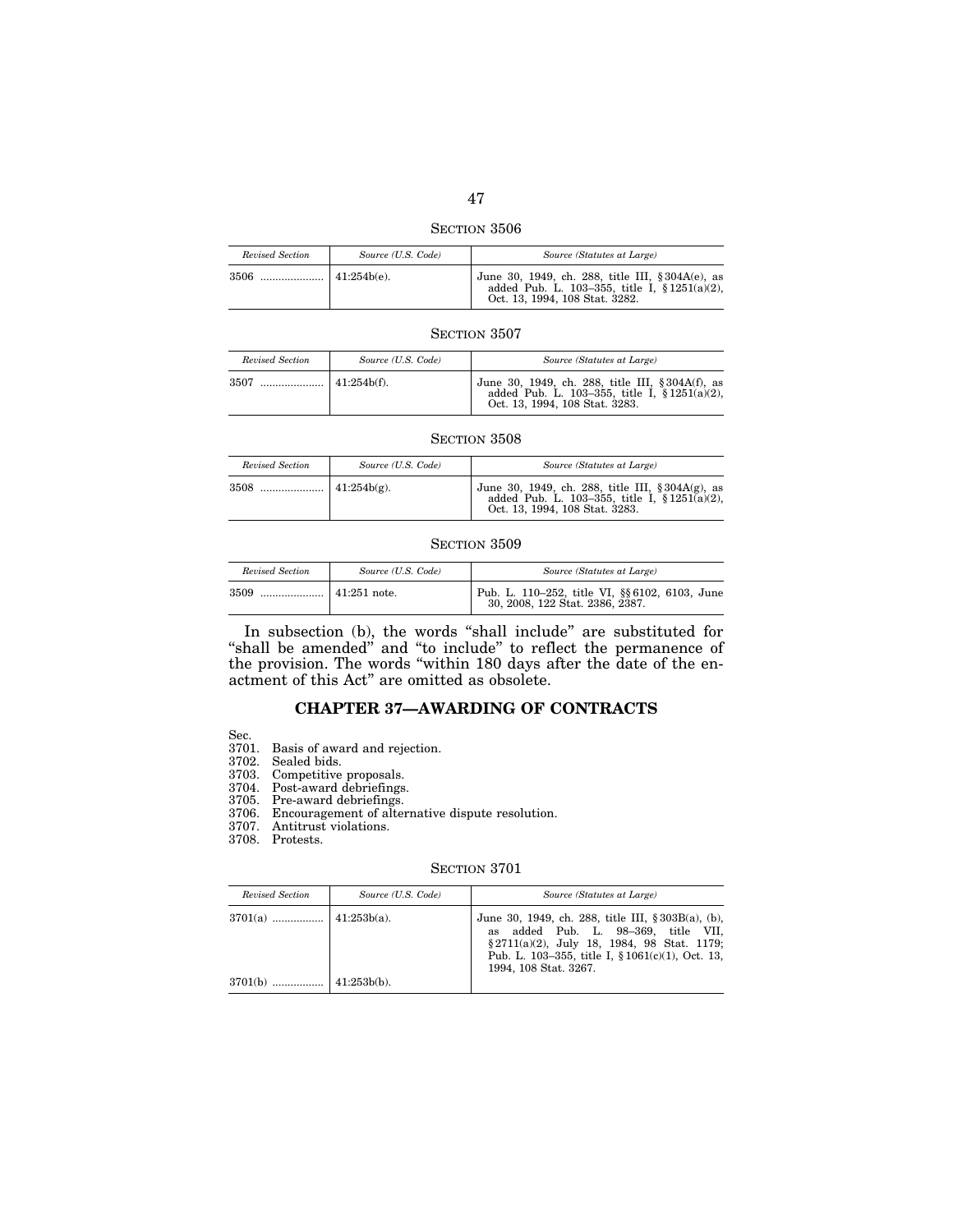SECTION 3506

| Revised Section | Source (U.S. Code) | Source (Statutes at Large)                                                                                                              |
|-----------------|--------------------|-----------------------------------------------------------------------------------------------------------------------------------------|
|                 |                    | June 30, 1949, ch. 288, title III, § 304A(e), as<br>added Pub. L. 103-355, title I, $\S 1251(a)(2)$ ,<br>Oct. 13, 1994, 108 Stat. 3282. |

| Revised Section | Source (U.S. Code) | Source (Statutes at Large)                                                                                                              |
|-----------------|--------------------|-----------------------------------------------------------------------------------------------------------------------------------------|
|                 |                    | June 30, 1949, ch. 288, title III, § 304A(f), as<br>added Pub. L. 103-355, title I, $\S 1251(a)(2)$ ,<br>Oct. 13, 1994, 108 Stat. 3283. |

#### SECTION 3508

| Revised Section | Source (U.S. Code) | Source (Statutes at Large)                                                                                                                  |
|-----------------|--------------------|---------------------------------------------------------------------------------------------------------------------------------------------|
|                 |                    | June 30, 1949, ch. 288, title III, $\S 304A(g)$ , as<br>added Pub. L. 103-355, title I, $\S 1251(a)(2)$ ,<br>Oct. 13, 1994, 108 Stat. 3283. |

### SECTION 3509

| Revised Section | Source (U.S. Code) | Source (Statutes at Large)                                                        |
|-----------------|--------------------|-----------------------------------------------------------------------------------|
| 3509            |                    | Pub. L. 110-252, title VI, §§ 6102, 6103, June<br>30, 2008, 122 Stat. 2386, 2387. |

In subsection (b), the words "shall include" are substituted for "shall be amended" and "to include" to reflect the permanence of the provision. The words ''within 180 days after the date of the enactment of this Act'' are omitted as obsolete.

## **CHAPTER 37—AWARDING OF CONTRACTS**

- Sec.
- 3701. Basis of award and rejection.
- 3702. Sealed bids.
- 3703. Competitive proposals.
- 3704. Post-award debriefings.

3705. Pre-award debriefings.

- 3706. Encouragement of alternative dispute resolution.
- 3707. Antitrust violations.
- 3708. Protests.

| Revised Section | Source (U.S. Code) | Source (Statutes at Large)                                                                                                                                                                                              |
|-----------------|--------------------|-------------------------------------------------------------------------------------------------------------------------------------------------------------------------------------------------------------------------|
|                 |                    | June 30, 1949, ch. 288, title III, § 303B(a), (b),<br>as added Pub. L. 98-369, title VII,<br>§ 2711(a)(2), July 18, 1984, 98 Stat. 1179:<br>Pub. L. 103–355, title I, $$1061(c)(1)$ , Oct. 13,<br>1994, 108 Stat. 3267. |
|                 |                    |                                                                                                                                                                                                                         |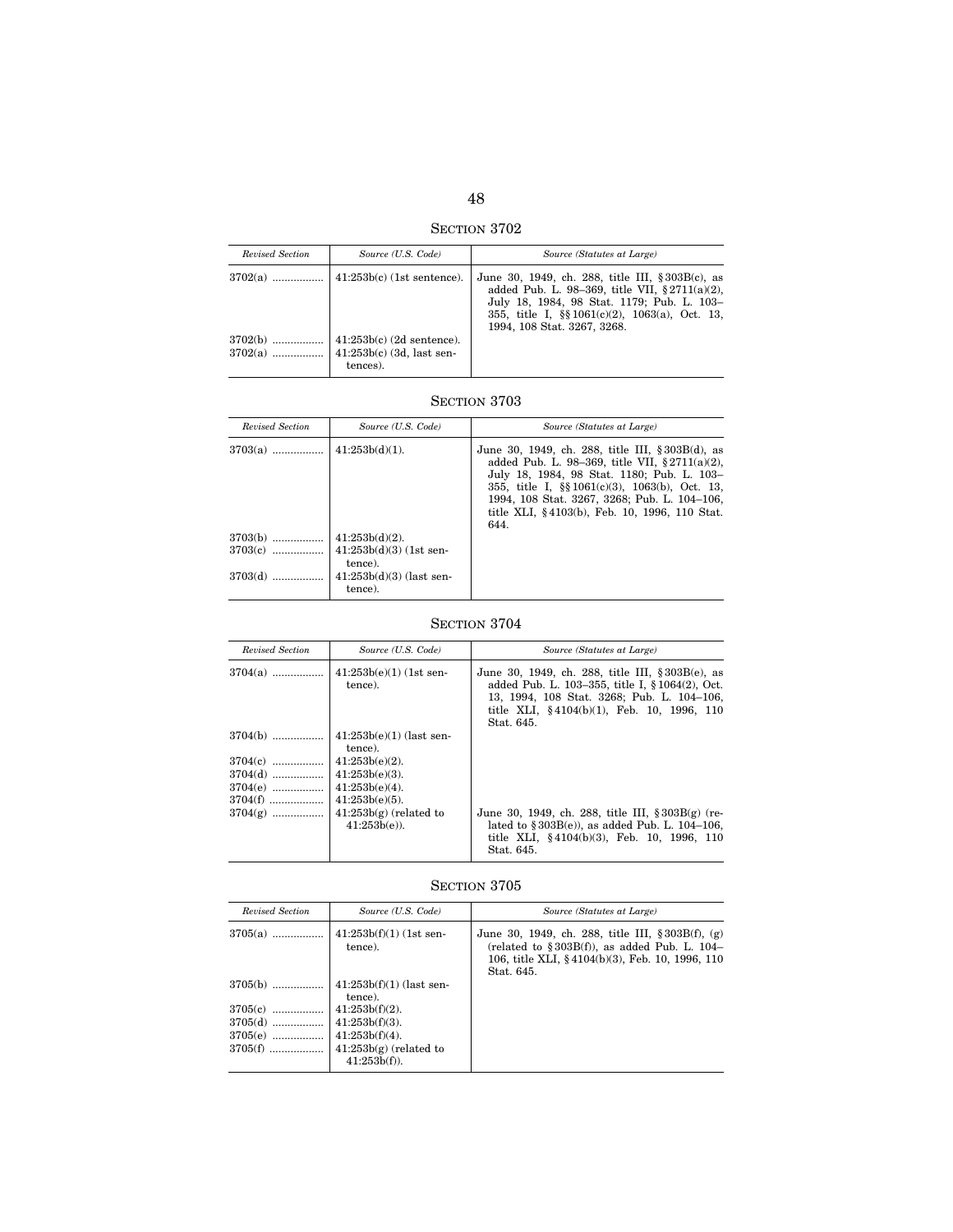SECTION 3702

| Revised Section | Source (U.S. Code)                            | Source (Statutes at Large)                                                                                                                                                                                                                  |
|-----------------|-----------------------------------------------|---------------------------------------------------------------------------------------------------------------------------------------------------------------------------------------------------------------------------------------------|
| $3702(a)$       | $\vert$ 41:253b(c) (1st sentence).            | June 30, 1949, ch. 288, title III, $\S 303B(c)$ , as<br>added Pub. L. 98-369, title VII, $\S 2711(a)(2)$ ,<br>July 18, 1984, 98 Stat. 1179; Pub. L. 103-<br>355, title I, $\S$ 1061(c)(2), 1063(a), Oct. 13,<br>1994, 108 Stat. 3267, 3268. |
| $3702(b)$       | $\vert$ 41:253b(c) (2d sentence).<br>tences). |                                                                                                                                                                                                                                             |

| Revised Section | Source (U.S. Code)                    | Source (Statutes at Large)                                                                                                                                                                                                                                                                                        |
|-----------------|---------------------------------------|-------------------------------------------------------------------------------------------------------------------------------------------------------------------------------------------------------------------------------------------------------------------------------------------------------------------|
| $3703(a)$       | $41:253b(d)(1)$ .                     | June 30, 1949, ch. 288, title III, § 303B(d), as<br>added Pub. L. 98-369, title VII, $\S 2711(a)(2)$ ,<br>July 18, 1984, 98 Stat. 1180; Pub. L. 103-<br>355, title I, $\S$ 1061(c)(3), 1063(b), Oct. 13,<br>1994, 108 Stat. 3267, 3268; Pub. L. 104-106,<br>title XLI, §4103(b), Feb. 10, 1996, 110 Stat.<br>644. |
| $3703(b)$       | $41:253b(d)(2)$ .                     |                                                                                                                                                                                                                                                                                                                   |
| $3703(c)$       | $41:253b(d)(3)$ (1st sen-<br>tence).  |                                                                                                                                                                                                                                                                                                                   |
| $3703(d)$       | $41:253b(d)(3)$ (last sen-<br>tence). |                                                                                                                                                                                                                                                                                                                   |

# SECTION 3704

| Revised Section                                               | Source (U.S. Code)                                                                                                        | Source (Statutes at Large)                                                                                                                                                                                   |
|---------------------------------------------------------------|---------------------------------------------------------------------------------------------------------------------------|--------------------------------------------------------------------------------------------------------------------------------------------------------------------------------------------------------------|
| $3704(a)$                                                     | $41:253b(e)(1)$ (1st sen-<br>tence).                                                                                      | June 30, 1949, ch. 288, title III, §303B(e), as<br>added Pub. L. 103-355, title I, § 1064(2), Oct.<br>13, 1994, 108 Stat. 3268; Pub. L. 104-106,<br>title XLI, §4104(b)(1), Feb. 10, 1996, 110<br>Stat. 645. |
| $3704(b)$<br>$3704(c)$<br>$3704(d)$<br>$3704(e)$<br>$3704(f)$ | $41:253b(e)(1)$ (last sen-<br>tence).<br>$41:253b(e)(2)$ .<br>$41:253b(e)(3)$ .<br>$41:253b(e)(4)$ .<br>$41:253b(e)(5)$ . |                                                                                                                                                                                                              |
| $3704(g)$                                                     | $41:253b(g)$ (related to<br>$41:253b(e)$ ).                                                                               | June 30, 1949, ch. 288, title III, $\S 303B(g)$ (re-<br>lated to $\S 303B(e)$ , as added Pub. L. 104-106,<br>title XLI, §4104(b)(3), Feb. 10, 1996, 110<br>Stat. 645.                                        |

| Revised Section                     | Source (U.S. Code)                                                                   | Source (Statutes at Large)                                                                                                                                                  |
|-------------------------------------|--------------------------------------------------------------------------------------|-----------------------------------------------------------------------------------------------------------------------------------------------------------------------------|
|                                     | tence).                                                                              | June 30, 1949, ch. 288, title III, $\S 303B(f)$ , (g)<br>(related to $\S 303B(f)$ ), as added Pub. L. 104-<br>106, title XLI, §4104(b)(3), Feb. 10, 1996, 110<br>Stat. 645. |
| $3705(b)$                           | $41:253b(f)(1)$ (last sen-<br>tence).                                                |                                                                                                                                                                             |
| $3705(c)$<br>$3705(e)$<br>$3705(f)$ | $41:253b(f)(2)$ .<br>$41:253b(f)(4)$ .<br>$41:253b(g)$ (related to<br>$41:253b(f)$ . |                                                                                                                                                                             |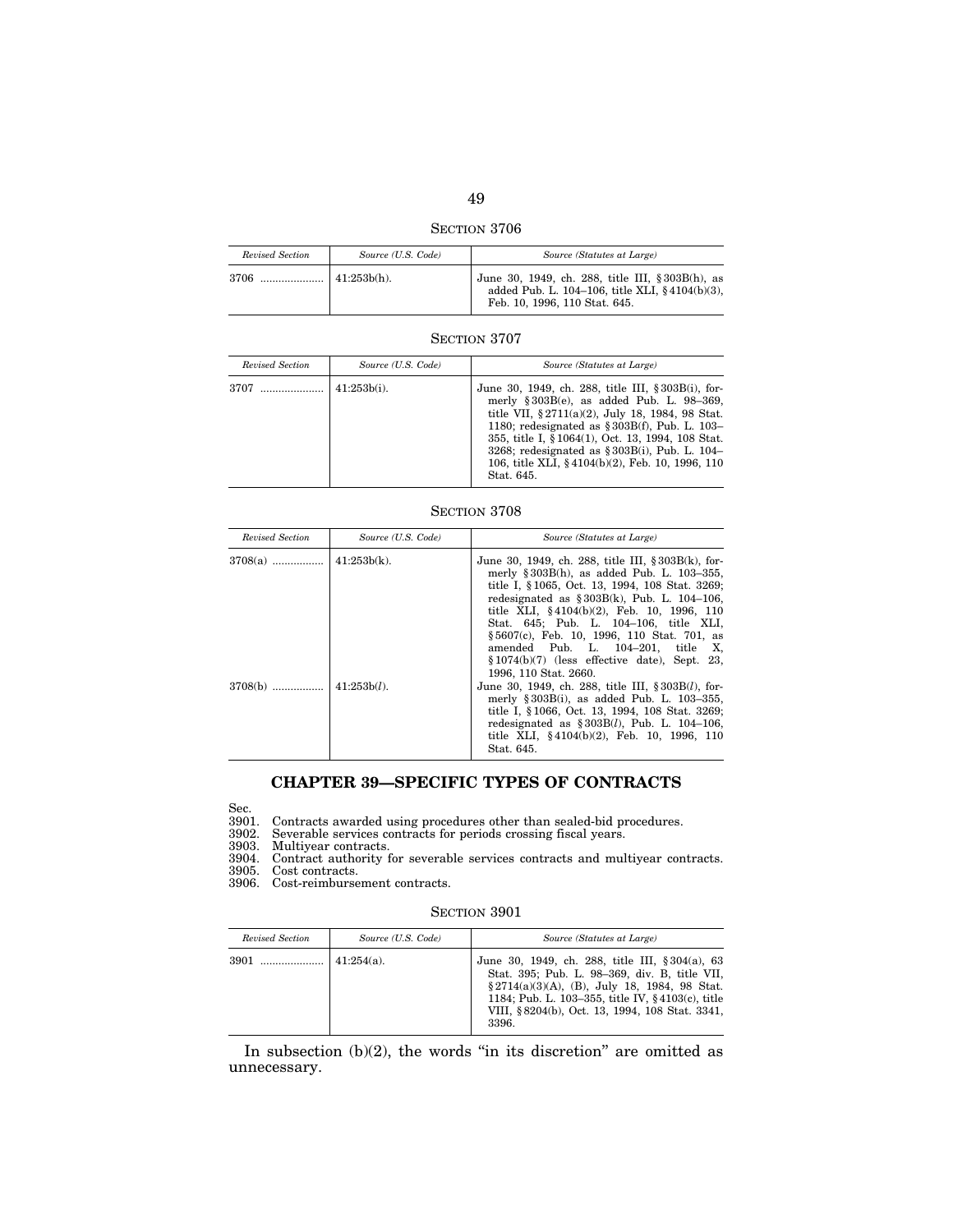SECTION 3706

| Revised Section | Source (U.S. Code) | Source (Statutes at Large)                                                                                                          |
|-----------------|--------------------|-------------------------------------------------------------------------------------------------------------------------------------|
| 3706            | $41:253b(h)$ .     | June 30, 1949, ch. 288, title III, § 303B(h), as<br>added Pub. L. 104-106, title XLI, §4104(b)(3),<br>Feb. 10, 1996, 110 Stat. 645. |

| Revised Section | Source (U.S. Code) | Source (Statutes at Large)                                                                                                                                                                                                                                                                                                                                                                 |
|-----------------|--------------------|--------------------------------------------------------------------------------------------------------------------------------------------------------------------------------------------------------------------------------------------------------------------------------------------------------------------------------------------------------------------------------------------|
| 3707            | $41:253b(i)$ .     | June 30, 1949, ch. 288, title III, § 303B(i), for-<br>merly $§ 303B(e)$ , as added Pub. L. 98-369,<br>title VII, $\S 2711(a)(2)$ , July 18, 1984, 98 Stat.<br>1180; redesignated as $\S 303B(f)$ , Pub. L. 103-<br>355, title I, § 1064(1), Oct. 13, 1994, 108 Stat.<br>3268; redesignated as $\S 303B(i)$ , Pub. L. 104–<br>106, title XLI, §4104(b)(2), Feb. 10, 1996, 110<br>Stat. 645. |

## SECTION 3708

| Revised Section | Source (U.S. Code) | Source (Statutes at Large)                                                                                                                                                                                                                                                                                                                                                                                                                                       |
|-----------------|--------------------|------------------------------------------------------------------------------------------------------------------------------------------------------------------------------------------------------------------------------------------------------------------------------------------------------------------------------------------------------------------------------------------------------------------------------------------------------------------|
|                 |                    | June 30, 1949, ch. 288, title III, § 303B(k), for-<br>merly $\S 303B(h)$ , as added Pub. L. 103-355,<br>title I, §1065, Oct. 13, 1994, 108 Stat. 3269;<br>redesignated as $$303B(k)$ , Pub. L. 104-106,<br>title XLI, $§4104(b)(2)$ , Feb. 10, 1996, 110<br>Stat. 645; Pub. L. 104-106, title XLI,<br>§5607(c), Feb. 10, 1996, 110 Stat. 701, as<br>amended Pub. L. 104-201, title X,<br>$$1074(b)(7)$ (less effective date), Sept. 23,<br>1996, 110 Stat. 2660. |
|                 |                    | June 30, 1949, ch. 288, title III, § 303B( <i>l</i> ), for-<br>merly $\S 303B(i)$ , as added Pub. L. 103-355,<br>title I, § 1066, Oct. 13, 1994, 108 Stat. 3269;<br>redesignated as $\S 303B(l)$ , Pub. L. 104-106,<br>title XLI, $§4104(b)(2)$ , Feb. 10, 1996, 110<br>Stat. 645.                                                                                                                                                                               |

# **CHAPTER 39—SPECIFIC TYPES OF CONTRACTS**

3901. Contracts awarded using procedures other than sealed-bid procedures.

Sec.<br>3901.<br>3902. 3902. Severable services contracts for periods crossing fiscal years.

3903. Multiyear contracts.

3904. Contract authority for severable services contracts and multiyear contracts.

3905. Cost contracts.

3906. Cost-reimbursement contracts.

## SECTION 3901

| Revised Section | Source (U.S. Code) | Source (Statutes at Large)                                                                                                                                                                                                                                                         |
|-----------------|--------------------|------------------------------------------------------------------------------------------------------------------------------------------------------------------------------------------------------------------------------------------------------------------------------------|
|                 | $141:254(a)$ .     | June 30, 1949, ch. 288, title III, § 304(a), 63<br>Stat. 395; Pub. L. 98-369, div. B, title VII,<br>$\S 2714(a)(3)(A)$ , (B), July 18, 1984, 98 Stat.<br>1184; Pub. L. 103–355, title IV, $\frac{6}{7}$ 4103(c), title<br>VIII, § 8204(b), Oct. 13, 1994, 108 Stat. 3341,<br>3396. |

In subsection  $(b)(2)$ , the words "in its discretion" are omitted as unnecessary.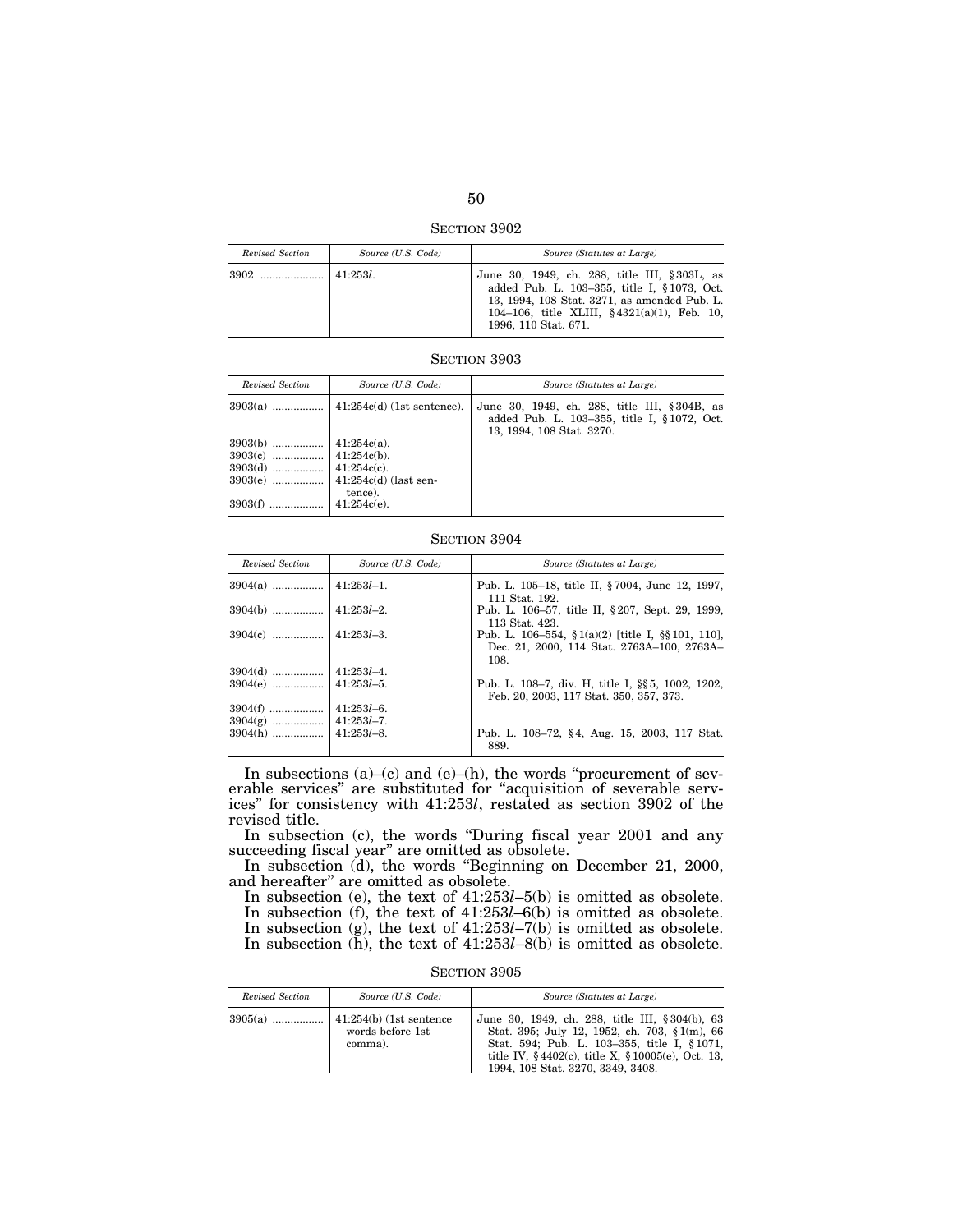SECTION 3902

| Revised Section | Source (U.S. Code) | Source (Statutes at Large)                                                                                                                                                                                               |
|-----------------|--------------------|--------------------------------------------------------------------------------------------------------------------------------------------------------------------------------------------------------------------------|
|                 | 41:253l            | June 30, 1949, ch. 288, title III, § 303L, as<br>added Pub. L. 103-355, title I, § 1073, Oct.<br>13, 1994, 108 Stat. 3271, as amended Pub. L.<br>104-106, title XLIII, $§ 4321(a)(1)$ , Feb. 10,<br>1996, 110 Stat. 671. |

| Revised Section | Source (U.S. Code) | Source (Statutes at Large)                                                                                               |
|-----------------|--------------------|--------------------------------------------------------------------------------------------------------------------------|
|                 |                    | June 30, 1949, ch. 288, title III, §304B, as<br>added Pub. L. 103-355, title I, §1072, Oct.<br>13, 1994, 108 Stat. 3270. |
|                 |                    |                                                                                                                          |
|                 |                    |                                                                                                                          |
|                 |                    |                                                                                                                          |
|                 |                    |                                                                                                                          |
|                 | tence).            |                                                                                                                          |
| $3903(f)$       | $41:254c(e)$ .     |                                                                                                                          |

### SECTION 3904

| Revised Section | Source (U.S. Code) | Source (Statutes at Large)                                                                                     |
|-----------------|--------------------|----------------------------------------------------------------------------------------------------------------|
|                 |                    | Pub. L. 105–18, title II, §7004, June 12, 1997,<br>111 Stat. 192.                                              |
| $3904(b)$       | $ 41:253l-2.$      | Pub. L. 106–57, title II, § 207, Sept. 29, 1999,<br>113 Stat. 423.                                             |
| $3904(c)$       | $ 41:253l-3.$      | Pub. L. 106–554, $\S$ 1(a)(2) [title I, $\S$ §101, 110],<br>Dec. 21, 2000, 114 Stat. 2763A-100, 2763A-<br>108. |
| $3904(d)$       | $41:253l - 4$ .    |                                                                                                                |
| $3904(e)$       | $ 41:253l-5.$      | Pub. L. 108–7, div. H. title I, §§ 5, 1002, 1202,<br>Feb. 20, 2003, 117 Stat. 350, 357, 373.                   |
| $3904(f)$       | $41:253l - 6$ .    |                                                                                                                |
| $3904(g)$       | $41:253l - 7.$     |                                                                                                                |
| $3904(h)$       | $41:253l - 8$ .    | Pub. L. 108–72, §4, Aug. 15, 2003, 117 Stat.<br>889.                                                           |

In subsections  $(a)$ – $(c)$  and  $(e)$ – $(h)$ , the words "procurement of severable services'' are substituted for ''acquisition of severable services'' for consistency with 41:253*l*, restated as section 3902 of the revised title.

In subsection (c), the words ''During fiscal year 2001 and any succeeding fiscal year" are omitted as obsolete.

In subsection (d), the words "Beginning on December 21, 2000, and hereafter'' are omitted as obsolete.

In subsection (e), the text of 41:253*l*–5(b) is omitted as obsolete. In subsection (f), the text of 41:253*l*–6(b) is omitted as obsolete. In subsection (g), the text of 41:253*l*–7(b) is omitted as obsolete. In subsection (h), the text of 41:253*l*–8(b) is omitted as obsolete.

| SECTION 3905 |  |
|--------------|--|
|--------------|--|

| Revised Section | Source (U.S. Code)          | Source (Statutes at Large)                                                                                                                                                                                                                     |
|-----------------|-----------------------------|------------------------------------------------------------------------------------------------------------------------------------------------------------------------------------------------------------------------------------------------|
|                 | words before 1st<br>comma). | June 30, 1949, ch. 288, title III, § 304(b), 63<br>Stat. 395; July 12, 1952, ch. 703, § 1(m), 66<br>Stat. 594; Pub. L. 103-355, title I, §1071,<br>title IV, $§4402(c)$ , title X, $§10005(e)$ , Oct. 13,<br>1994, 108 Stat. 3270, 3349, 3408. |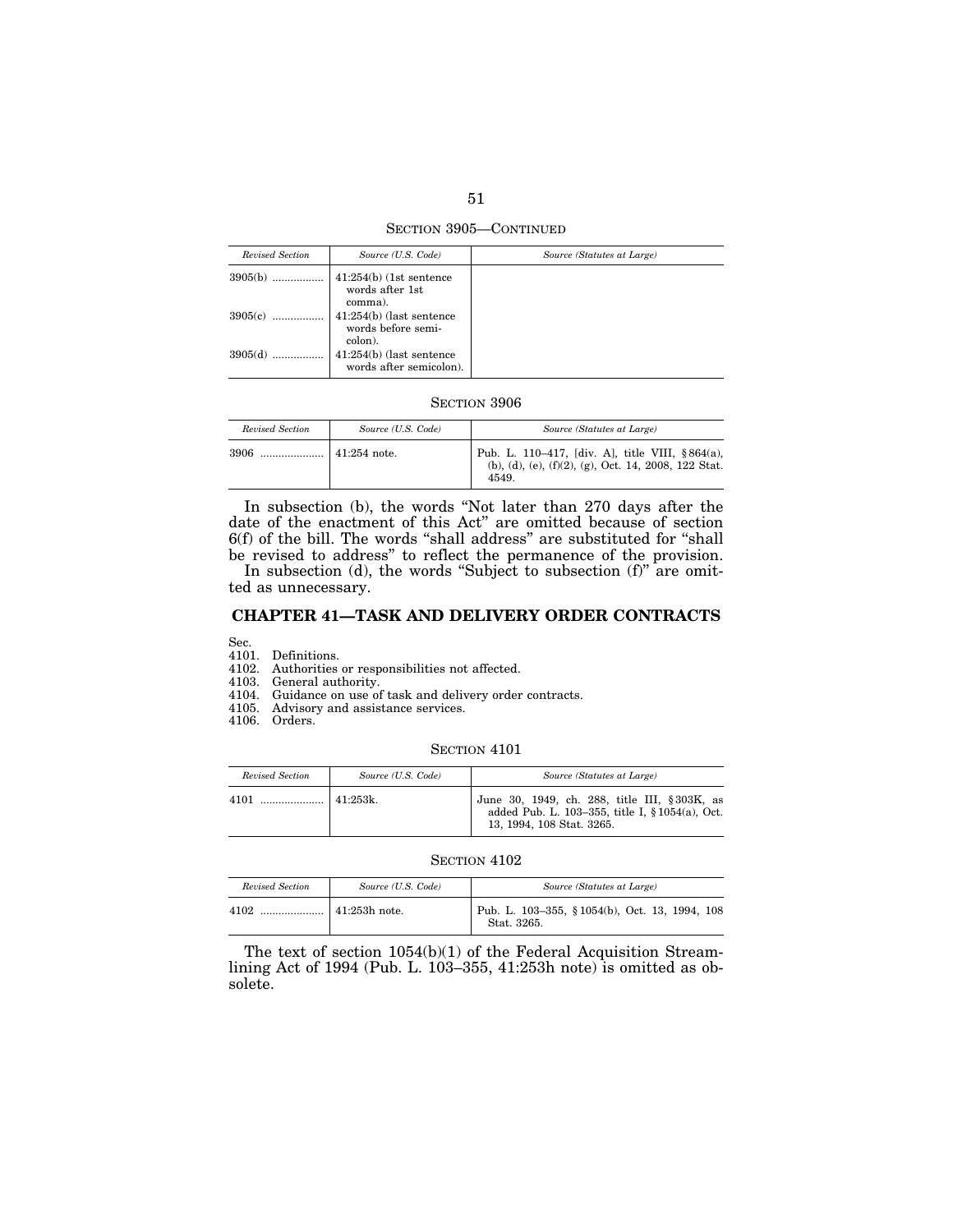SECTION 3905—CONTINUED

| Revised Section | Source (U.S. Code)                                               | Source (Statutes at Large) |
|-----------------|------------------------------------------------------------------|----------------------------|
| $3905(b)$       | $41:254(b)$ (1st sentence<br>words after 1st                     |                            |
| 3905(c)         | comma).<br>$41:254(b)$ (last sentence<br>words before semi-      |                            |
| 3905(d)         | colon).<br>$41:254(b)$ (last sentence<br>words after semicolon). |                            |

| Revised Section | Source (U.S. Code) | Source (Statutes at Large)                                                                                          |
|-----------------|--------------------|---------------------------------------------------------------------------------------------------------------------|
| 3906            | $41:254$ note.     | Pub. L. 110–417, [div. A], title VIII, §864(a),<br>(b), (d), (e), $(f)(2)$ , (g), Oct. 14, 2008, 122 Stat.<br>4549. |

In subsection (b), the words ''Not later than 270 days after the date of the enactment of this Act'' are omitted because of section 6(f) of the bill. The words ''shall address'' are substituted for ''shall be revised to address'' to reflect the permanence of the provision.

In subsection (d), the words "Subject to subsection (f)" are omitted as unnecessary.

# **CHAPTER 41—TASK AND DELIVERY ORDER CONTRACTS**

Sec.

4101. Definitions.

4102. Authorities or responsibilities not affected.

4103. General authority.

4104. Guidance on use of task and delivery order contracts.

4105. Advisory and assistance services.

4106. Orders.

#### SECTION 4101

| Revised Section | Source (U.S. Code) | Source (Statutes at Large)                                                                                                   |
|-----------------|--------------------|------------------------------------------------------------------------------------------------------------------------------|
| 4101            | $141:253k$ .       | June 30, 1949, ch. 288, title III, §303K, as<br>added Pub. L. 103-355, title I, § 1054(a), Oct.<br>13, 1994, 108 Stat. 3265. |

### SECTION 4102

| Revised Section | Source (U.S. Code)  | Source (Statutes at Large)                                    |
|-----------------|---------------------|---------------------------------------------------------------|
| 4102            | $\pm 41:253h$ note. | Pub. L. 103-355, § 1054(b), Oct. 13, 1994, 108<br>Stat. 3265. |

The text of section 1054(b)(1) of the Federal Acquisition Streamlining Act of 1994 (Pub. L. 103–355, 41:253h note) is omitted as obsolete.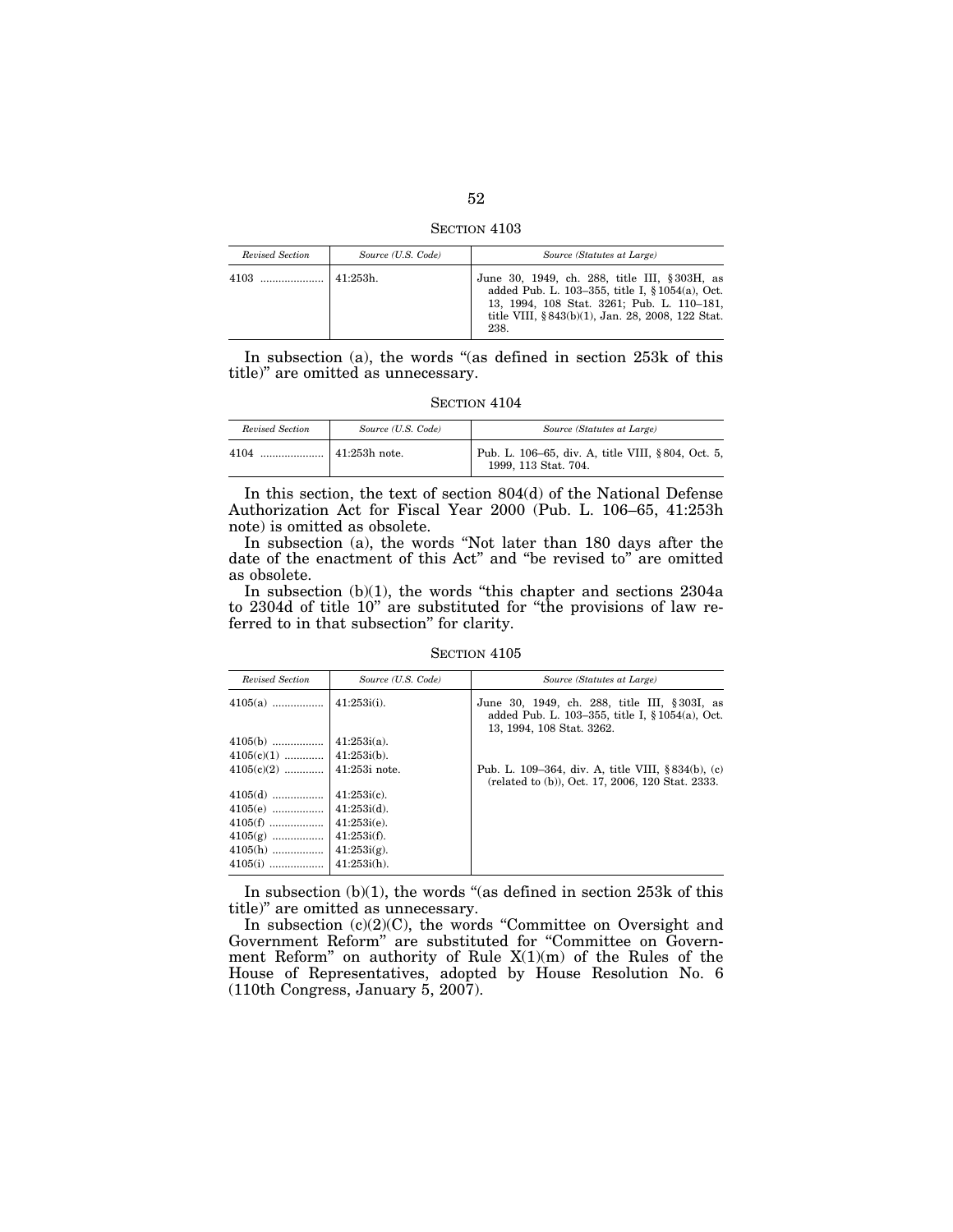SECTION 4103

| Revised Section | Source (U.S. Code) | Source (Statutes at Large)                                                                                                                                                                                  |
|-----------------|--------------------|-------------------------------------------------------------------------------------------------------------------------------------------------------------------------------------------------------------|
|                 | $41:253h$ .        | June 30, 1949, ch. 288, title III, § 303H, as<br>added Pub. L. 103-355, title I, § 1054(a), Oct.<br>13, 1994, 108 Stat. 3261; Pub. L. 110-181,<br>title VIII, § 843(b)(1), Jan. 28, 2008, 122 Stat.<br>238. |

In subsection (a), the words "(as defined in section 253k of this title)'' are omitted as unnecessary.

| Revised Section | Source (U.S. Code)    | Source (Statutes at Large)                                                |
|-----------------|-----------------------|---------------------------------------------------------------------------|
| 4104            | $\vert$ 41:253h note. | Pub. L. 106-65, div. A, title VIII, §804, Oct. 5,<br>1999, 113 Stat. 704. |

In this section, the text of section 804(d) of the National Defense Authorization Act for Fiscal Year 2000 (Pub. L. 106–65, 41:253h note) is omitted as obsolete.

In subsection (a), the words ''Not later than 180 days after the date of the enactment of this Act'' and ''be revised to'' are omitted as obsolete.

In subsection (b)(1), the words ''this chapter and sections 2304a to 2304d of title 10'' are substituted for ''the provisions of law referred to in that subsection'' for clarity.

SECTION 4105

| Revised Section | Source (U.S. Code) | Source (Statutes at Large)                                                                                                    |
|-----------------|--------------------|-------------------------------------------------------------------------------------------------------------------------------|
| $4105(a)$       | 41:253i(i)         | June 30, 1949, ch. 288, title III, § 303I, as<br>added Pub. L. 103-355, title I, § 1054(a), Oct.<br>13, 1994, 108 Stat. 3262. |
| $4105(b)$       | $41:253i(a)$ .     |                                                                                                                               |
|                 |                    |                                                                                                                               |
|                 |                    | Pub. L. 109–364, div. A, title VIII, §834(b), (c)<br>(related to (b)), Oct. 17, 2006, 120 Stat. 2333.                         |
| $4105(d)$       | $41:253i(c)$ .     |                                                                                                                               |
| $4105(e)$       | $41:253i(d)$ .     |                                                                                                                               |
| $4105(f)$       | $41:253i(e)$ .     |                                                                                                                               |
| $4105(g)$       | $41:253$ i(f).     |                                                                                                                               |
| $4105(h)$       | $41:253i(g)$ .     |                                                                                                                               |
| $4105(i)$       | $41:253$ i(h).     |                                                                                                                               |

In subsection  $(b)(1)$ , the words "(as defined in section 253 $k$  of this title)'' are omitted as unnecessary.

In subsection  $(c)(2)(C)$ , the words "Committee on Oversight and Government Reform'' are substituted for ''Committee on Government Reform'' on authority of Rule X(1)(m) of the Rules of the House of Representatives, adopted by House Resolution No. 6 (110th Congress, January 5, 2007).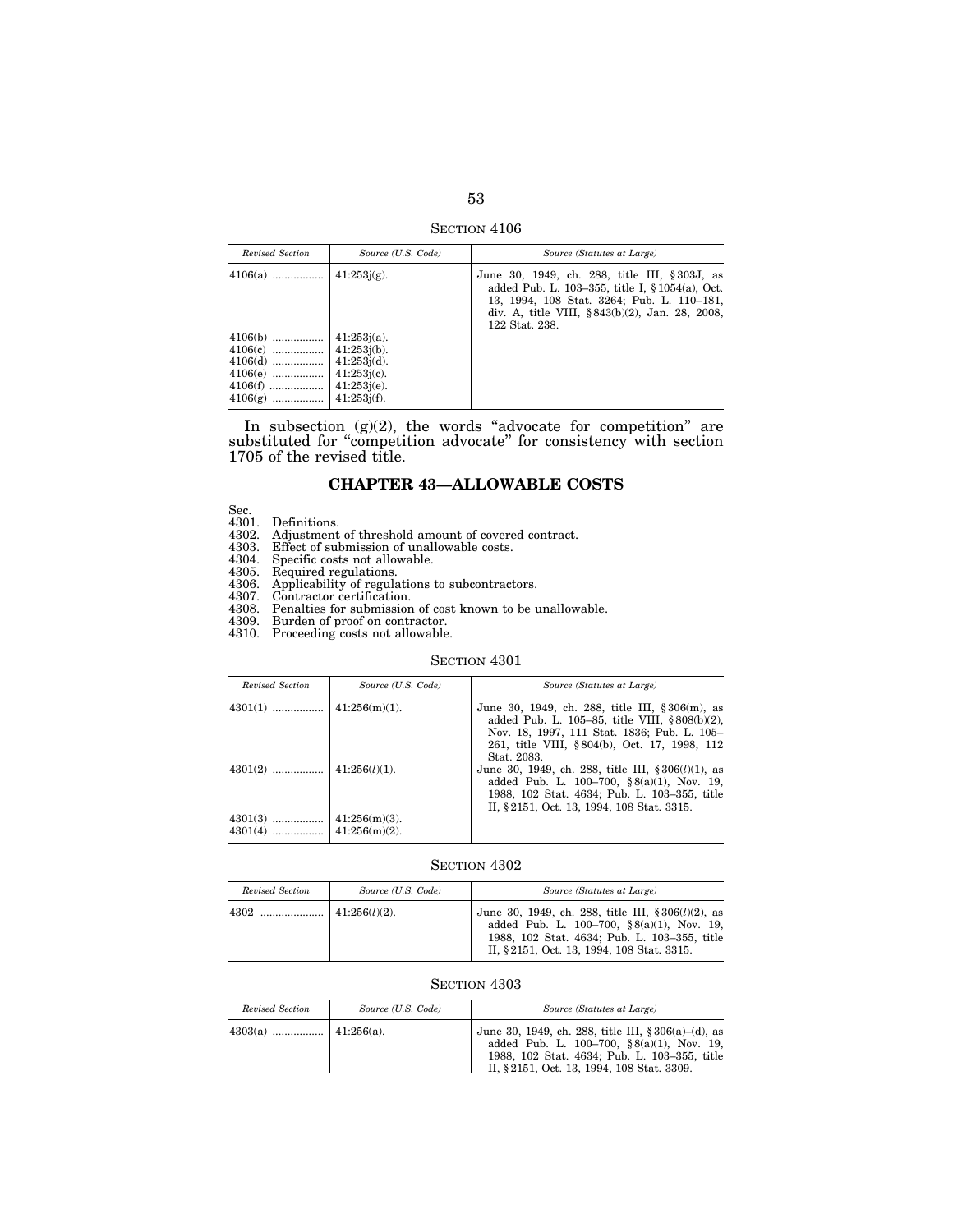SECTION 4106

| Revised Section | Source (U.S. Code) | Source (Statutes at Large)                                                                                                                                                                                        |
|-----------------|--------------------|-------------------------------------------------------------------------------------------------------------------------------------------------------------------------------------------------------------------|
|                 |                    | June 30, 1949, ch. 288, title III, §303J, as<br>added Pub. L. 103-355, title I, § 1054(a), Oct.<br>13, 1994, 108 Stat. 3264; Pub. L. 110-181,<br>div. A, title VIII, §843(b)(2), Jan. 28, 2008,<br>122 Stat. 238. |
|                 |                    |                                                                                                                                                                                                                   |

In subsection  $(g)(2)$ , the words "advocate for competition" are substituted for "competition advocate" for consistency with section 1705 of the revised title.

## **CHAPTER 43—ALLOWABLE COSTS**

- Sec.<br>4301. Definitions.<br>4302. Adjustment of threshold amount of covered contract.<br>4303. Effect of submission of unallowable costs.<br>4304. Specific costs not allowable.<br>4305. Required regulations.<br>4306. Applicability of regu
- 
- 
- 
- 

- 4308. Penalties for submission of cost known to be unallowable.
- 4309. Burden of proof on contractor. 4309. Burden of proof on contractor.<br>4310. Proceeding costs not allowable.
- 

#### SECTION 4301

| Revised Section        | Source (U.S. Code)                   | Source (Statutes at Large)                                                                                                                                                                                         |
|------------------------|--------------------------------------|--------------------------------------------------------------------------------------------------------------------------------------------------------------------------------------------------------------------|
|                        |                                      | June 30, 1949, ch. 288, title III, § 306(m), as<br>added Pub. L. 105–85, title VIII, $§ 808(b)(2)$ ,<br>Nov. 18, 1997, 111 Stat. 1836; Pub. L. 105-<br>261, title VIII, §804(b), Oct. 17, 1998, 112<br>Stat. 2083. |
| $4301(2)$              | $ 41:256(l)(1)$ .                    | June 30, 1949, ch. 288, title III, $\S 306(l)(1)$ , as<br>added Pub. L. 100-700, $\S 8(a)(1)$ , Nov. 19,<br>1988, 102 Stat. 4634; Pub. L. 103-355, title<br>II, § 2151, Oct. 13, 1994, 108 Stat. 3315.             |
| $4301(3)$<br>$4301(4)$ | $41:256(m)(3)$ .<br>$41:256(m)(2)$ . |                                                                                                                                                                                                                    |

# SECTION 4302

| Revised Section | Source (U.S. Code) | Source (Statutes at Large)                                                                                                                                                                       |
|-----------------|--------------------|--------------------------------------------------------------------------------------------------------------------------------------------------------------------------------------------------|
|                 |                    | June 30, 1949, ch. 288, title III, $\S 306(l)(2)$ , as<br>added Pub. L. 100-700, §8(a)(1), Nov. 19,<br>1988, 102 Stat. 4634; Pub. L. 103-355, title<br>II, §2151, Oct. 13, 1994, 108 Stat. 3315. |

## SECTION  $4303\,$

| Revised Section | Source (U.S. Code) | Source (Statutes at Large)                                                                                                                                                                                |
|-----------------|--------------------|-----------------------------------------------------------------------------------------------------------------------------------------------------------------------------------------------------------|
|                 |                    | June 30, 1949, ch. 288, title III, $§ 306(a)–(d)$ , as<br>added Pub. L. $100-700$ , $\S 8(a)(1)$ , Nov. 19,<br>1988, 102 Stat. 4634; Pub. L. 103-355, title<br>II, § 2151, Oct. 13, 1994, 108 Stat. 3309. |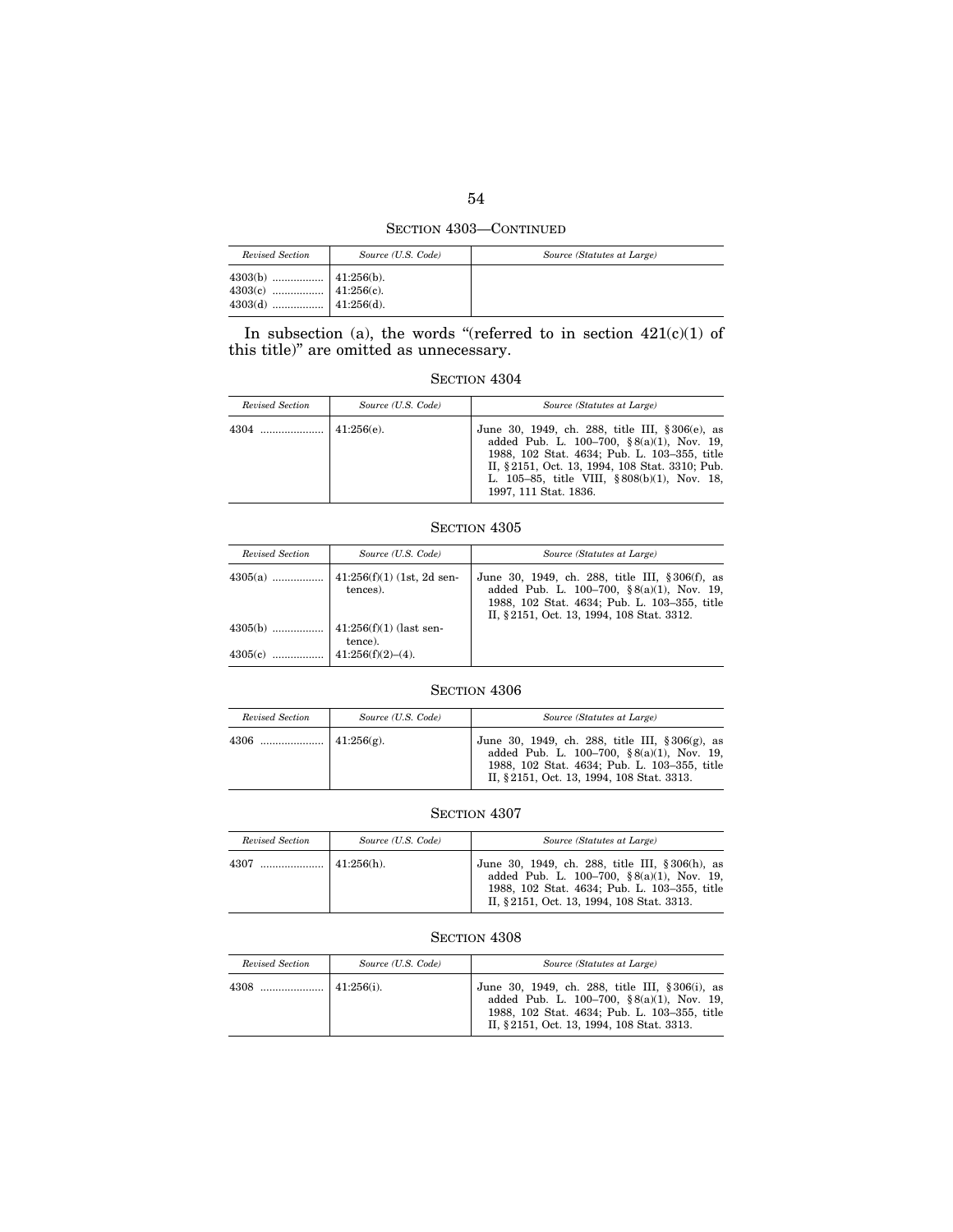SECTION 4303—CONTINUED

| Revised Section                                                                                                                                                                                   | Source (U.S. Code) | Source (Statutes at Large) |
|---------------------------------------------------------------------------------------------------------------------------------------------------------------------------------------------------|--------------------|----------------------------|
| $\begin{array}{c} \textbf{4303(b)} \ \ldots \ldots \ldots \ldots \ldots \quad \textbf{41:256(b).} \\ \textbf{4303(c)} \ \ldots \ldots \ldots \ldots \ldots \quad \textbf{41:256(c).} \end{array}$ |                    |                            |

In subsection (a), the words "(referred to in section  $421(c)(1)$  of this title)'' are omitted as unnecessary.

SECTION  $4304\,$ 

| Revised Section | Source (U.S. Code) | Source (Statutes at Large)                                                                                                                                                                                                                                                     |
|-----------------|--------------------|--------------------------------------------------------------------------------------------------------------------------------------------------------------------------------------------------------------------------------------------------------------------------------|
| 4304            | $41:256(e)$ .      | June 30, 1949, ch. 288, title III, § 306(e), as<br>added Pub. L. $100-700$ , $\S 8(a)(1)$ , Nov. 19,<br>1988, 102 Stat. 4634; Pub. L. 103-355, title<br>II, §2151, Oct. 13, 1994, 108 Stat. 3310; Pub.<br>L. 105–85, title VIII, §808(b)(1), Nov. 18,<br>1997, 111 Stat. 1836. |

## SECTION 4305

| Revised Section | Source (U.S. Code)                       | Source (Statutes at Large)                                                                                                                                                                     |
|-----------------|------------------------------------------|------------------------------------------------------------------------------------------------------------------------------------------------------------------------------------------------|
| $4305(a)$       | $ 41:256(f)(1)(1st, 2d sen-$<br>tences). | June 30, 1949, ch. 288, title III, §306(f), as<br>added Pub. L. 100-700, $\S 8(a)(1)$ , Nov. 19,<br>1988, 102 Stat. 4634; Pub. L. 103-355, title<br>II, § 2151, Oct. 13, 1994, 108 Stat. 3312. |
| $4305(b)$       | $ 41:256(f)(1)$ (last sen-<br>tence).    |                                                                                                                                                                                                |
|                 |                                          |                                                                                                                                                                                                |

## SECTION  $4306\,$

| Revised Section | Source (U.S. Code) | Source (Statutes at Large)                                                                                                                                                                          |
|-----------------|--------------------|-----------------------------------------------------------------------------------------------------------------------------------------------------------------------------------------------------|
| 4306            | $1.256(g)$ .       | June 30, 1949, ch. 288, title III, $\S 306(g)$ , as<br>added Pub. L. 100-700, $\S 8(a)(1)$ , Nov. 19,<br>1988, 102 Stat. 4634; Pub. L. 103-355, title<br>II, § 2151, Oct. 13, 1994, 108 Stat. 3313. |

# SECTION 4307

| Revised Section | Source (U.S. Code) | Source (Statutes at Large)                                                                                                                                                                 |
|-----------------|--------------------|--------------------------------------------------------------------------------------------------------------------------------------------------------------------------------------------|
| 4307            | $141:256(h)$ .     | June 30, 1949, ch. 288, title III, § 306(h), as<br>added Pub. L. 100-700, §8(a)(1), Nov. 19,<br>1988, 102 Stat. 4634; Pub. L. 103-355, title<br>II, § 2151, Oct. 13, 1994, 108 Stat. 3313. |

## SECTION  $4308\,$

| Revised Section | Source (U.S. Code) | Source (Statutes at Large)                                                                                                                                                                         |
|-----------------|--------------------|----------------------------------------------------------------------------------------------------------------------------------------------------------------------------------------------------|
| 4308            | $41:256(i)$ .      | June 30, 1949, ch. 288, title III, § 306(i), as<br>added Pub. L. $100-700$ , $\S 8(a)(1)$ , Nov. 19,<br>1988, 102 Stat. 4634; Pub. L. 103-355, title<br>II, § 2151, Oct. 13, 1994, 108 Stat. 3313. |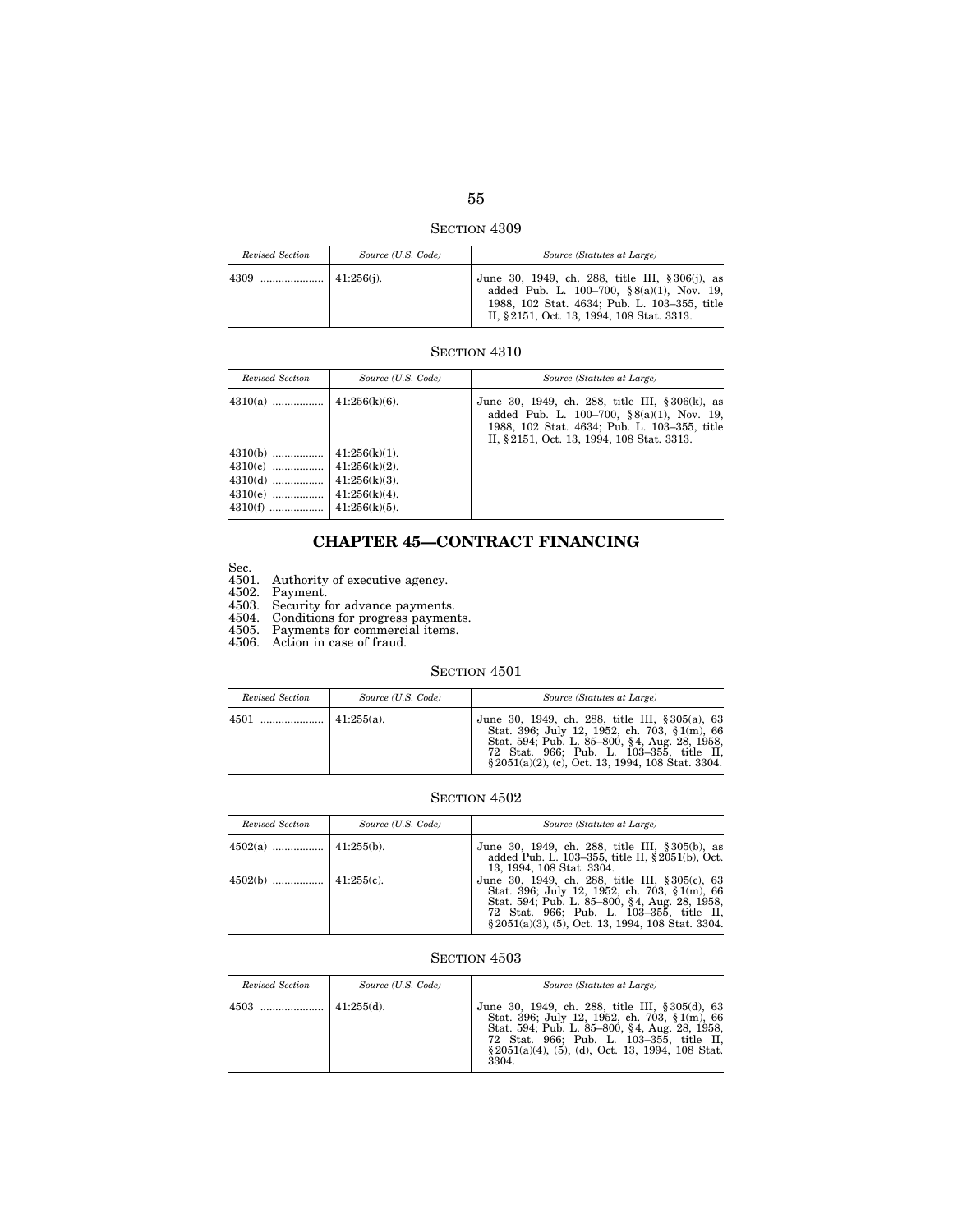SECTION 4309

| Revised Section | Source (U.S. Code) | Source (Statutes at Large)                                                                                                                                                                         |
|-----------------|--------------------|----------------------------------------------------------------------------------------------------------------------------------------------------------------------------------------------------|
|                 |                    | June 30, 1949, ch. 288, title III, § 306(j), as<br>added Pub. L. $100-700$ , $\S 8(a)(1)$ , Nov. 19,<br>1988, 102 Stat. 4634; Pub. L. 103-355, title<br>II, § 2151, Oct. 13, 1994, 108 Stat. 3313. |

# SECTION  $4310\,$

| Revised Section | Source (U.S. Code) | Source (Statutes at Large)                                                                                                                                                                      |
|-----------------|--------------------|-------------------------------------------------------------------------------------------------------------------------------------------------------------------------------------------------|
|                 |                    | June 30, 1949, ch. 288, title III, § 306(k), as<br>added Pub. L. 100-700, $\S 8(a)(1)$ , Nov. 19,<br>1988, 102 Stat. 4634; Pub. L. 103-355, title<br>II, § 2151, Oct. 13, 1994, 108 Stat. 3313. |
| $4310(b)$       | $41:256(k)(1)$ .   |                                                                                                                                                                                                 |
|                 |                    |                                                                                                                                                                                                 |
|                 |                    |                                                                                                                                                                                                 |
|                 |                    |                                                                                                                                                                                                 |
|                 |                    |                                                                                                                                                                                                 |

# **CHAPTER 45—CONTRACT FINANCING**

Sec.

4501. Authority of executive agency.

4502. Payment.

4503. Security for advance payments.

4504. Conditions for progress payments.

4505. Payments for commercial items.

4506. Action in case of fraud.

## SECTION 4501

| Revised Section | Source (U.S. Code) | Source (Statutes at Large)                                                                                                                                                                                                                             |
|-----------------|--------------------|--------------------------------------------------------------------------------------------------------------------------------------------------------------------------------------------------------------------------------------------------------|
|                 |                    | June 30, 1949, ch. 288, title III, § 305(a), 63<br>Stat. 396; July 12, 1952, ch. 703, § 1(m), 66<br>Stat. 594; Pub. L. 85–800, §4, Aug. 28, 1958,<br>72 Stat. 966; Pub. L. 103-355, title II,<br>$\S 2051(a)(2)$ , (c), Oct. 13, 1994, 108 Stat. 3304. |

# SECTION  $4502$

| Revised Section | Source (U.S. Code) | Source (Statutes at Large)                                                                                                                                                                                                                             |
|-----------------|--------------------|--------------------------------------------------------------------------------------------------------------------------------------------------------------------------------------------------------------------------------------------------------|
|                 |                    | June 30, 1949, ch. 288, title III, § 305(b), as<br>added Pub. L. 103–355, title II, § 2051(b), Oct.<br>13, 1994, 108 Stat. 3304.                                                                                                                       |
|                 |                    | June 30, 1949, ch. 288, title III, § 305(c), 63<br>Stat. 396; July 12, 1952, ch. 703, § 1(m), 66<br>Stat. 594; Pub. L. 85–800, §4, Aug. 28, 1958,<br>72 Stat. 966; Pub. L. 103–355, title II,<br>$\S 2051(a)(3)$ , (5), Oct. 13, 1994, 108 Stat. 3304. |

| Revised Section | Source (U.S. Code) | Source (Statutes at Large)                                                                                                                                                                                                                                     |
|-----------------|--------------------|----------------------------------------------------------------------------------------------------------------------------------------------------------------------------------------------------------------------------------------------------------------|
| 4503            | $\pm 41:255(d)$ .  | June 30, 1949, ch. 288, title III, § 305(d), 63<br>Stat. 396; July 12, 1952, ch. 703, § 1(m), 66<br>Stat. 594; Pub. L. 85–800, §4, Aug. 28, 1958,<br>72 Stat. 966; Pub. L. 103–355, title II,<br>$\S 2051(a)(4)$ , (5), (d), Oct. 13, 1994, 108 Stat.<br>3304. |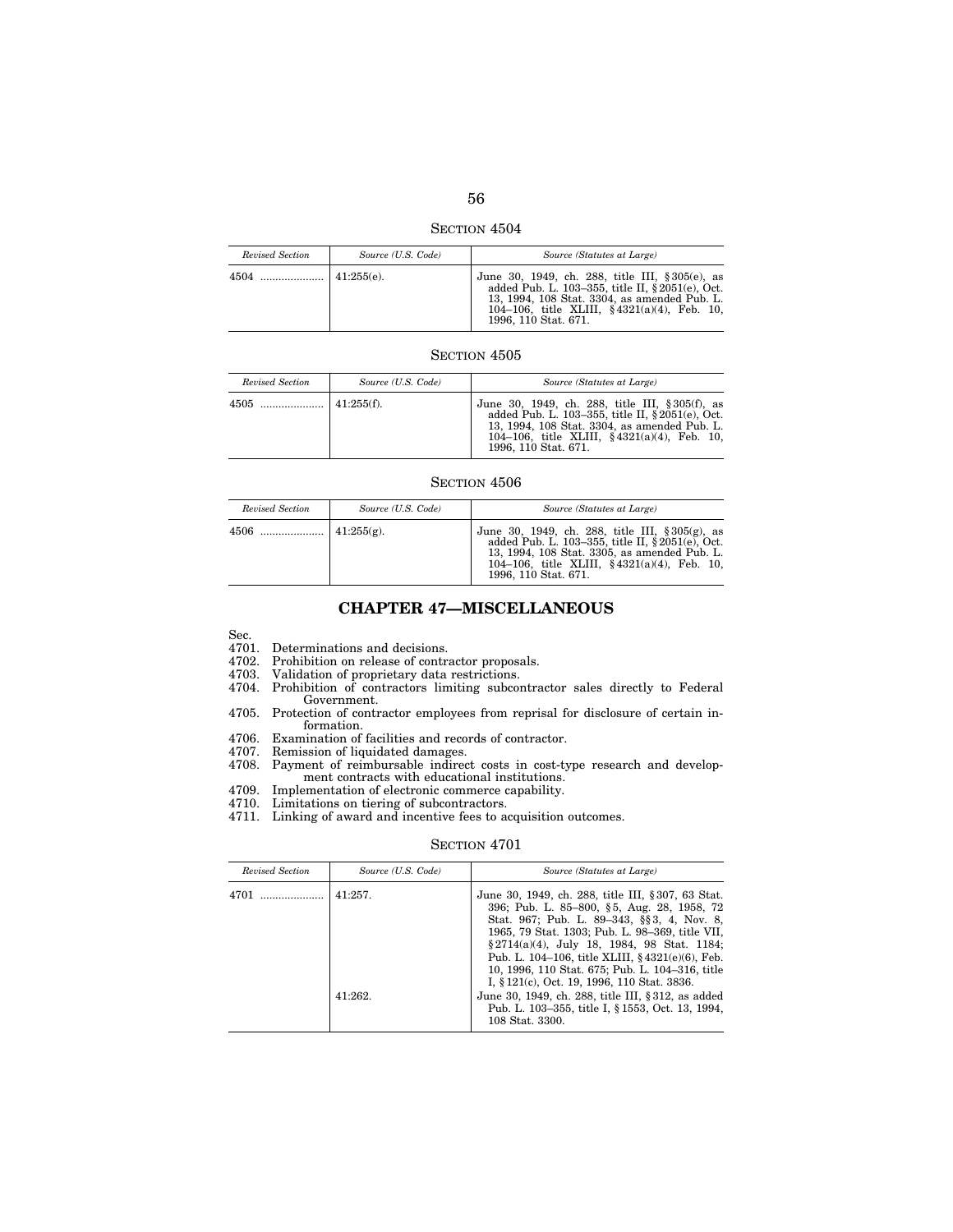| <b>SECTION 4504</b> |  |
|---------------------|--|

*Revised Section Source (U.S. Code) Source (Statutes at Large)*   $\begin{array}{r|l|l} \text{41:255(e).} & \text{June 30, 1949, ch. 288, title III, § 305(e), as added Pub. L. 103-355, title II, § 2051(e), Oct. 13, 1994, 108 Sstat. 3304, as amended Pub. L. 104-106, title XL.IIII, § 4321(a/4), Feb. 10, 1996, 110 Stat. 671. \end{array}$ 

| Revised Section | Source (U.S. Code) | Source (Statutes at Large)                                                                                                                                                                                                              |
|-----------------|--------------------|-----------------------------------------------------------------------------------------------------------------------------------------------------------------------------------------------------------------------------------------|
|                 |                    | June 30, 1949, ch. 288, title III, § 305(f), as<br>added Pub. L. 103–355, title II, § 2051(e), Oct.<br>13, 1994, 108 Stat. 3304, as amended Pub. L.<br>104-106, title XLIII, $\frac{$4321(a)(4)}{B}$ , Feb. 10.<br>1996, 110 Stat. 671. |

### SECTION 4506

| Revised Section | Source (U.S. Code) | Source (Statutes at Large)                                                                                                                                                                                                         |
|-----------------|--------------------|------------------------------------------------------------------------------------------------------------------------------------------------------------------------------------------------------------------------------------|
|                 |                    | June 30, 1949, ch. 288, title III, § 305(g), as<br>added Pub. L. 103-355, title II, $\S 2051(e)$ , Oct.<br>13, 1994, 108 Stat. 3305, as amended Pub. L.<br>104-106, title XLIII, $§ 4321(a)(4)$ , Feb. 10,<br>1996, 110 Stat. 671. |

# **CHAPTER 47—MISCELLANEOUS**

Sec.

4701. Determinations and decisions.

4702. Prohibition on release of contractor proposals.

- 4703. Validation of proprietary data restrictions.
- 4704. Prohibition of contractors limiting subcontractor sales directly to Federal Government.
- 4705. Protection of contractor employees from reprisal for disclosure of certain information.
- 4706. Examination of facilities and records of contractor.<br>4707. Remission of liquidated damages.
- Remission of liquidated damages.
- 4708. Payment of reimbursable indirect costs in cost-type research and development contracts with educational institutions.
- 4709. Implementation of electronic commerce capability.<br>4710. Limitations on tiering of subcontractors.
- Limitations on tiering of subcontractors.
- 4711. Linking of award and incentive fees to acquisition outcomes.

| Revised Section | Source (U.S. Code) | Source (Statutes at Large)                                                                                                                                                                                                                                                                                                                                                                            |
|-----------------|--------------------|-------------------------------------------------------------------------------------------------------------------------------------------------------------------------------------------------------------------------------------------------------------------------------------------------------------------------------------------------------------------------------------------------------|
| 4701            | $41:257$ .         | June 30, 1949, ch. 288, title III, § 307, 63 Stat.<br>396; Pub. L. 85–800, §5, Aug. 28, 1958, 72<br>Stat. 967; Pub. L. 89-343, §§3, 4, Nov. 8,<br>1965, 79 Stat. 1303; Pub. L. 98-369, title VII,<br>§ 2714(a)(4), July 18, 1984, 98 Stat. 1184;<br>Pub. L. 104–106, title XLIII, §4321(e)(6), Feb.<br>10, 1996, 110 Stat. 675; Pub. L. 104-316, title<br>I, § 121(c), Oct. 19, 1996, 110 Stat. 3836. |
|                 | 41:262.            | June 30, 1949, ch. 288, title III, § 312, as added<br>Pub. L. 103–355, title I, § 1553, Oct. 13, 1994,<br>108 Stat. 3300.                                                                                                                                                                                                                                                                             |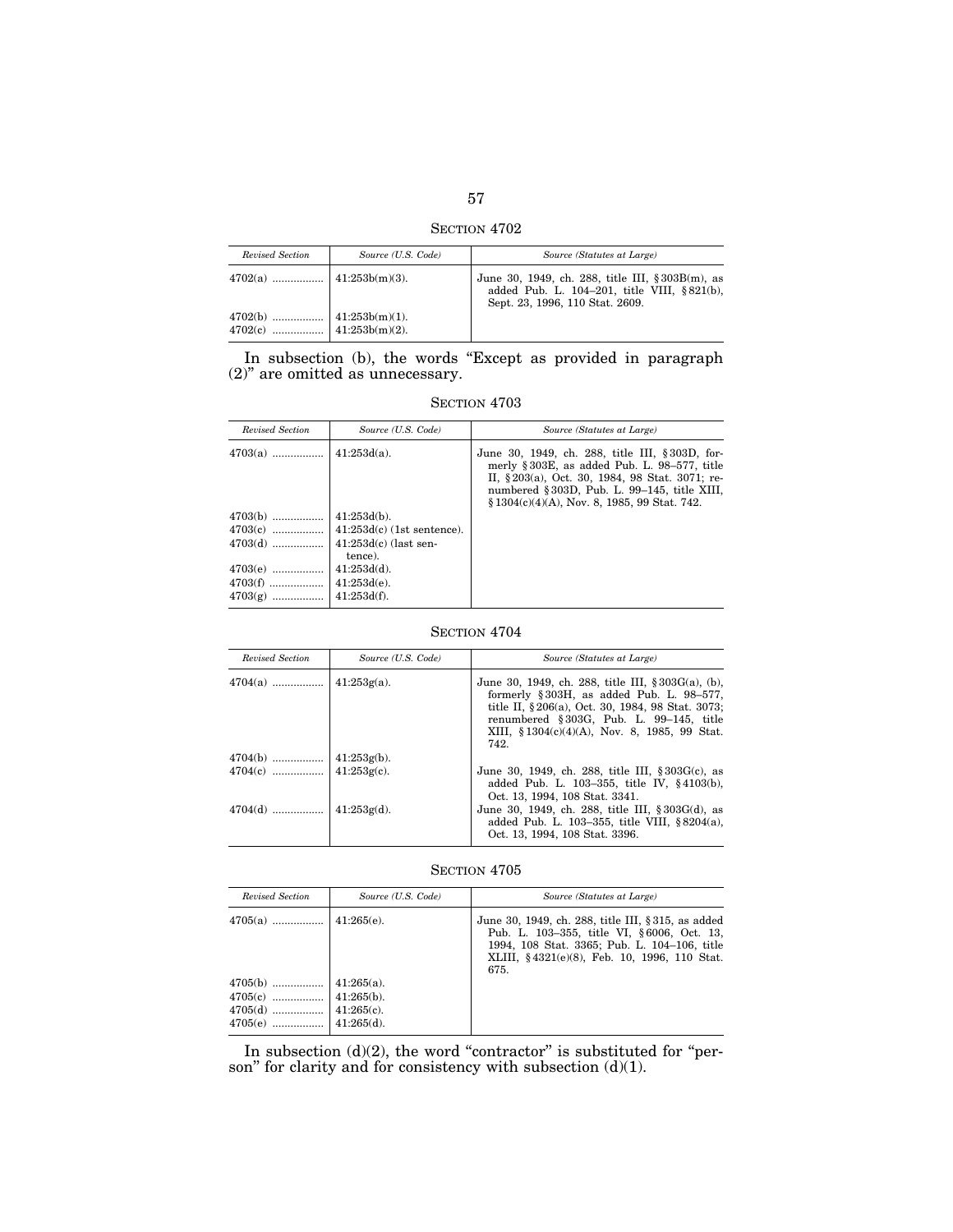SECTION 4702

| Revised Section | Source (U.S. Code) | Source (Statutes at Large)                                                                                                         |
|-----------------|--------------------|------------------------------------------------------------------------------------------------------------------------------------|
|                 |                    | June 30, 1949, ch. 288, title III, § 303B(m), as<br>added Pub. L. 104-201, title VIII, §821(b),<br>Sept. 23, 1996, 110 Stat. 2609. |
|                 |                    |                                                                                                                                    |

In subsection (b), the words "Except as provided in paragraph (2)'' are omitted as unnecessary.

| SECTION 4703 |  |
|--------------|--|
|              |  |

| Revised Section                     | Source (U.S. Code)                                            | Source (Statutes at Large)                                                                                                                                                                                                                         |
|-------------------------------------|---------------------------------------------------------------|----------------------------------------------------------------------------------------------------------------------------------------------------------------------------------------------------------------------------------------------------|
| $4703(a)$                           | $41:253d(a)$ .                                                | June 30, 1949, ch. 288, title III, § 303D, for-<br>merly §303E, as added Pub. L. 98-577, title<br>II, §203(a), Oct. 30, 1984, 98 Stat. 3071; re-<br>numbered §303D, Pub. L. 99–145, title XIII,<br>$§ 1304(c)(4)(A)$ , Nov. 8, 1985, 99 Stat. 742. |
| $4703(b)$<br>$4703(e)$<br>$4703(g)$ | $41:253d(b)$ .<br>tence).<br>$41:253d(d)$ .<br>$41:253d(f)$ . |                                                                                                                                                                                                                                                    |

## SECTION 4704

| Revised Section | Source (U.S. Code) | Source (Statutes at Large)                                                                                                                                                                                                                                               |
|-----------------|--------------------|--------------------------------------------------------------------------------------------------------------------------------------------------------------------------------------------------------------------------------------------------------------------------|
|                 |                    | June 30, 1949, ch. 288, title III, $\S 303G(a)$ , (b),<br>formerly $\S 303H$ , as added Pub. L. $98-577$ ,<br>title II, §206(a), Oct. 30, 1984, 98 Stat. 3073;<br>renumbered $§ 303G$ , Pub. L. 99-145, title<br>XIII, $$1304(c)(4)(A)$ , Nov. 8, 1985, 99 Stat.<br>742. |
|                 |                    |                                                                                                                                                                                                                                                                          |
|                 |                    | June 30, 1949, ch. 288, title III, § 303G(c), as<br>added Pub. L. $103-355$ , title IV, $§4103(b)$ ,<br>Oct. 13, 1994, 108 Stat. 3341.                                                                                                                                   |
|                 |                    | June 30, 1949, ch. 288, title III, § 303G(d), as<br>added Pub. L. 103-355, title VIII, $§ 8204(a)$ ,<br>Oct. 13, 1994, 108 Stat. 3396.                                                                                                                                   |

SECTION 4705

| Revised Section | Source (U.S. Code) | Source (Statutes at Large)                                                                                                                                                                               |
|-----------------|--------------------|----------------------------------------------------------------------------------------------------------------------------------------------------------------------------------------------------------|
|                 |                    | June 30, 1949, ch. 288, title III, § 315, as added<br>Pub. L. 103-355, title VI, §6006, Oct. 13,<br>1994, 108 Stat. 3365; Pub. L. 104-106, title<br>XLIII, §4321(e)(8), Feb. 10, 1996, 110 Stat.<br>675. |
|                 |                    |                                                                                                                                                                                                          |
|                 |                    |                                                                                                                                                                                                          |
|                 |                    |                                                                                                                                                                                                          |
|                 |                    |                                                                                                                                                                                                          |

In subsection  $(d)(2)$ , the word "contractor" is substituted for "person" for clarity and for consistency with subsection (d)(1).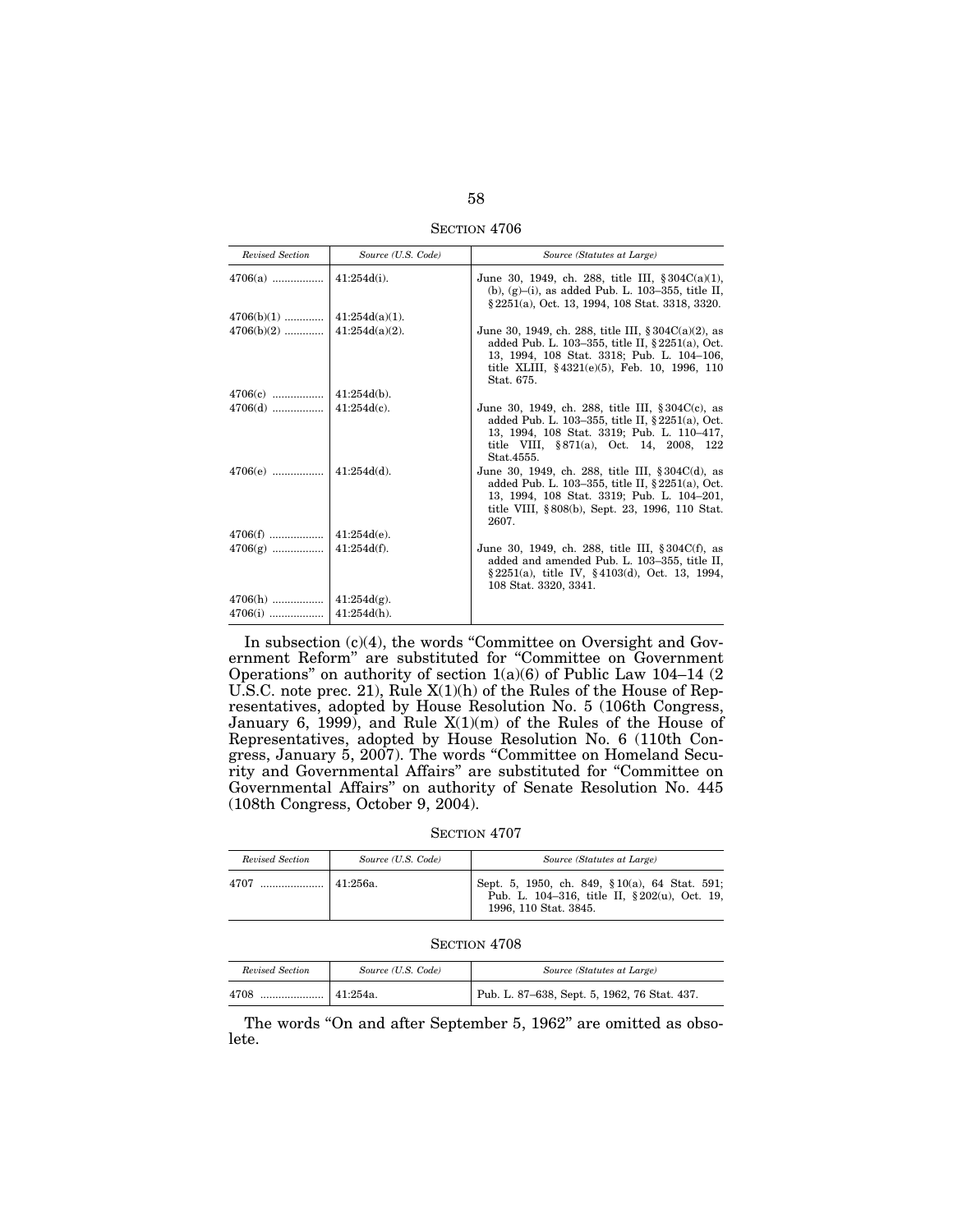SECTION 4706

| Revised Section | Source (U.S. Code) | Source (Statutes at Large)                                                                                                                                                                                                    |
|-----------------|--------------------|-------------------------------------------------------------------------------------------------------------------------------------------------------------------------------------------------------------------------------|
|                 |                    | June 30, 1949, ch. 288, title III, $§ 304C(a)(1)$ ,<br>(b), $(g)$ –(i), as added Pub. L. 103–355, title II,<br>§ 2251(a), Oct. 13, 1994, 108 Stat. 3318, 3320.                                                                |
|                 |                    |                                                                                                                                                                                                                               |
|                 |                    | June 30, 1949, ch. 288, title III, $\S 304C(a)(2)$ , as<br>added Pub. L. 103-355, title II, $§ 2251(a)$ , Oct.<br>13, 1994, 108 Stat. 3318; Pub. L. 104-106,<br>title XLIII, $§4321(e)(5)$ , Feb. 10, 1996, 110<br>Stat. 675. |
|                 |                    |                                                                                                                                                                                                                               |
|                 |                    | June 30, 1949, ch. 288, title III, $\S 304C(c)$ , as<br>added Pub. L. 103-355, title II, $\S 2251(a)$ , Oct.<br>13, 1994, 108 Stat. 3319; Pub. L. 110-417,<br>title VIII, §871(a), Oct. 14, 2008, 122<br>Stat.4555.           |
|                 |                    | June 30, 1949, ch. 288, title III, §304C(d), as<br>added Pub. L. 103-355, title II, $\S 2251(a)$ , Oct.<br>13, 1994, 108 Stat. 3319; Pub. L. 104-201,<br>title VIII, §808(b), Sept. 23, 1996, 110 Stat.<br>2607.              |
|                 |                    |                                                                                                                                                                                                                               |
|                 |                    | June 30, 1949, ch. 288, title III, §304C(f), as<br>added and amended Pub. L. 103-355, title II,<br>$§ 2251(a)$ , title IV, §4103(d), Oct. 13, 1994,<br>108 Stat. 3320, 3341.                                                  |
|                 |                    |                                                                                                                                                                                                                               |
|                 |                    |                                                                                                                                                                                                                               |

In subsection (c)(4), the words "Committee on Oversight and Government Reform'' are substituted for ''Committee on Government Operations'' on authority of section 1(a)(6) of Public Law 104–14 (2 U.S.C. note prec. 21), Rule X(1)(h) of the Rules of the House of Representatives, adopted by House Resolution No. 5 (106th Congress, January 6, 1999), and Rule X(1)(m) of the Rules of the House of Representatives, adopted by House Resolution No. 6 (110th Congress, January 5, 2007). The words ''Committee on Homeland Security and Governmental Affairs'' are substituted for ''Committee on Governmental Affairs'' on authority of Senate Resolution No. 445 (108th Congress, October 9, 2004).

SECTION 4707

| Revised Section | Source (U.S. Code) | Source (Statutes at Large)                                                                                             |
|-----------------|--------------------|------------------------------------------------------------------------------------------------------------------------|
| 4707            | $141:256a$ .       | Sept. 5, 1950, ch. 849, §10(a), 64 Stat. 591;<br>Pub. L. 104-316, title II, §202(u), Oct. 19,<br>1996, 110 Stat. 3845. |

SECTION 4708

| Revised Section | Source (U.S. Code) | Source (Statutes at Large)                   |
|-----------------|--------------------|----------------------------------------------|
| 4708<br>        | 41:254a.           | Pub. L. 87–638, Sept. 5, 1962, 76 Stat. 437. |

The words "On and after September 5, 1962" are omitted as obsolete.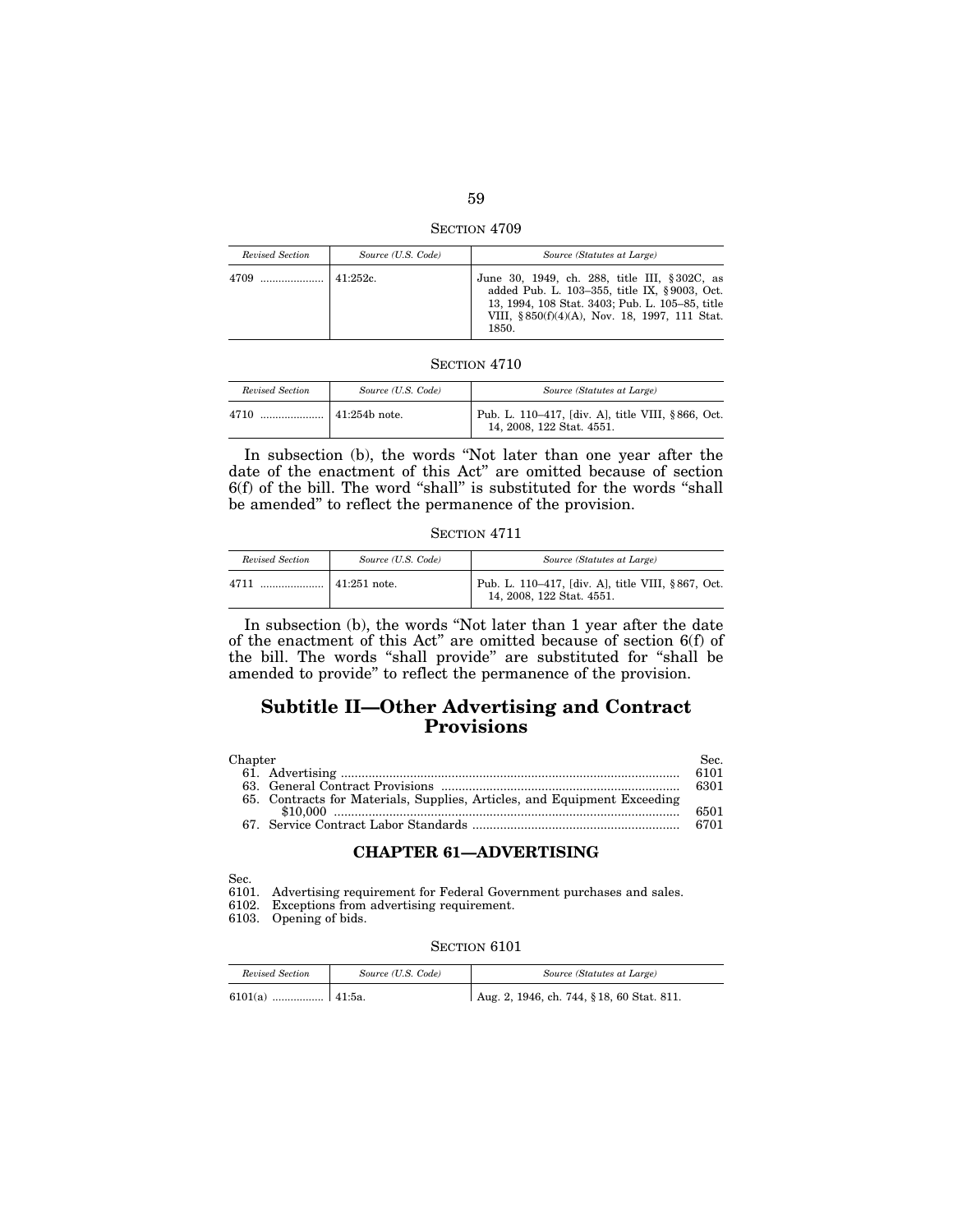SECTION 4709

| Revised Section | Source (U.S. Code) | Source (Statutes at Large)                                                                                                                                                                                |
|-----------------|--------------------|-----------------------------------------------------------------------------------------------------------------------------------------------------------------------------------------------------------|
|                 | 141.252c           | June 30, 1949, ch. 288, title III, §302C, as<br>added Pub. L. 103-355, title IX, §9003, Oct.<br>13, 1994, 108 Stat. 3403; Pub. L. 105-85, title<br>VIII, §850(f)(4)(A), Nov. 18, 1997, 111 Stat.<br>1850. |

| Revised Section | Source (U.S. Code)    | Source (Statutes at Large)                                                     |
|-----------------|-----------------------|--------------------------------------------------------------------------------|
| 4710            | $\vert$ 41:254b note. | Pub. L. 110–417, [div. A], title VIII, §866, Oct.<br>14, 2008, 122 Stat. 4551. |

In subsection (b), the words "Not later than one year after the date of the enactment of this Act'' are omitted because of section 6(f) of the bill. The word "shall" is substituted for the words "shall be amended'' to reflect the permanence of the provision.

SECTION 4711

| Revised Section | Source (U.S. Code)   | Source (Statutes at Large)                                                     |
|-----------------|----------------------|--------------------------------------------------------------------------------|
| 4711            | $\vert$ 41:251 note. | Pub. L. 110-417, [div. A], title VIII, §867, Oct.<br>14, 2008, 122 Stat. 4551. |

In subsection (b), the words "Not later than 1 year after the date of the enactment of this Act'' are omitted because of section 6(f) of the bill. The words ''shall provide'' are substituted for ''shall be amended to provide'' to reflect the permanence of the provision.

# **Subtitle II—Other Advertising and Contract Provisions**

| Chapter                                                                  | Sec. . |
|--------------------------------------------------------------------------|--------|
|                                                                          | 6101   |
|                                                                          | 6301   |
| 65. Contracts for Materials, Supplies, Articles, and Equipment Exceeding |        |
|                                                                          | 6501   |
|                                                                          | 6701   |

### **CHAPTER 61—ADVERTISING**

Sec.

6101. Advertising requirement for Federal Government purchases and sales.

6102. Exceptions from advertising requirement.

6103. Opening of bids.

| Revised Section | Source (U.S. Code) | Source (Statutes at Large)                 |
|-----------------|--------------------|--------------------------------------------|
| 6101(a)         |                    | Aug. 2, 1946, ch. 744, § 18, 60 Stat. 811. |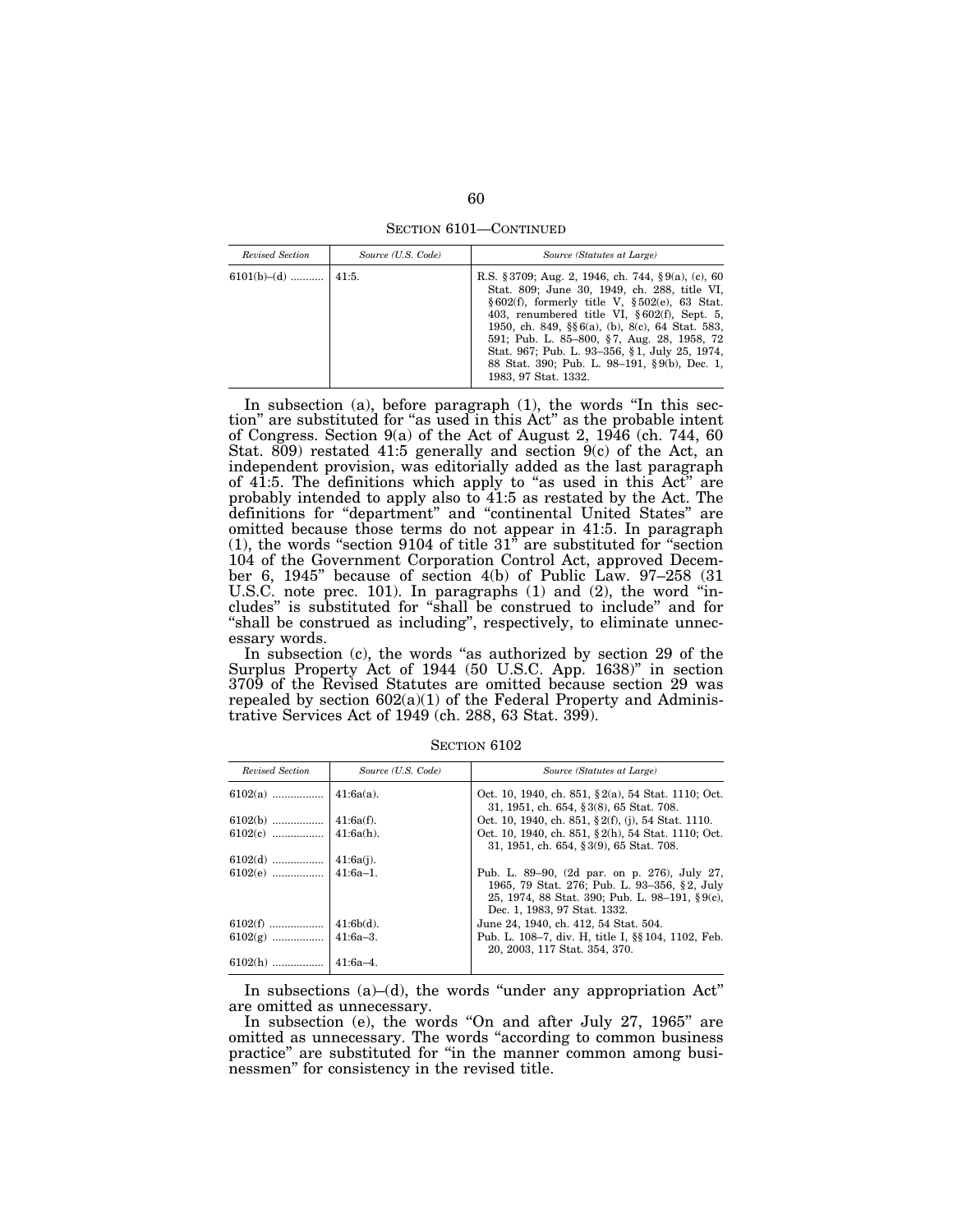SECTION 6101—CONTINUED

| Revised Section         | Source (U.S. Code) | Source (Statutes at Large)                                                                                                                                                                                                                                                                                                                                                                                                             |
|-------------------------|--------------------|----------------------------------------------------------------------------------------------------------------------------------------------------------------------------------------------------------------------------------------------------------------------------------------------------------------------------------------------------------------------------------------------------------------------------------------|
| $6101(b)$ –(d)    41:5. |                    | R.S. § 3709; Aug. 2, 1946, ch. 744, § 9(a), (c), 60<br>Stat. 809; June 30, 1949, ch. 288, title VI,<br>$§602(f)$ , formerly title V, $§502(e)$ , 63 Stat.<br>403, renumbered title VI, $§ 602(f)$ , Sept. 5,<br>1950, ch. 849, §§6(a), (b), 8(c), 64 Stat. 583,<br>591; Pub. L. 85–800, §7, Aug. 28, 1958, 72<br>Stat. 967; Pub. L. 93-356, §1, July 25, 1974,<br>88 Stat. 390; Pub. L. 98-191, §9(b), Dec. 1,<br>1983, 97 Stat. 1332. |

In subsection (a), before paragraph (1), the words "In this section'' are substituted for ''as used in this Act'' as the probable intent of Congress. Section 9(a) of the Act of August 2, 1946 (ch. 744, 60 Stat. 809) restated 41:5 generally and section 9(c) of the Act, an independent provision, was editorially added as the last paragraph of 41:5. The definitions which apply to "as used in this Act" are probably intended to apply also to 41:5 as restated by the Act. The definitions for ''department'' and ''continental United States'' are omitted because those terms do not appear in 41:5. In paragraph (1), the words "section 9104 of title  $31^{\circ}$  are substituted for "section" 104 of the Government Corporation Control Act, approved December 6, 1945'' because of section 4(b) of Public Law. 97–258 (31 U.S.C. note prec. 101). In paragraphs (1) and (2), the word ''includes'' is substituted for ''shall be construed to include'' and for "shall be construed as including", respectively, to eliminate unnecessary words.

In subsection (c), the words "as authorized by section 29 of the Surplus Property Act of 1944 (50 U.S.C. App. 1638)'' in section 3709 of the Revised Statutes are omitted because section 29 was repealed by section  $602(a)(1)$  of the Federal Property and Administrative Services Act of 1949 (ch. 288, 63 Stat. 399).

| Revised Section | Source (U.S. Code) | Source (Statutes at Large)                                                                                                                                                          |
|-----------------|--------------------|-------------------------------------------------------------------------------------------------------------------------------------------------------------------------------------|
|                 |                    | Oct. 10, 1940, ch. 851, §2(a), 54 Stat. 1110; Oct.<br>31, 1951, ch. 654, §3(8), 65 Stat. 708.                                                                                       |
|                 |                    | Oct. 10, 1940, ch. 851, §2(f), (j), 54 Stat. 1110.                                                                                                                                  |
|                 |                    | Oct. 10, 1940, ch. 851, §2(h), 54 Stat. 1110; Oct.<br>31, 1951, ch. 654, §3(9), 65 Stat. 708.                                                                                       |
|                 |                    |                                                                                                                                                                                     |
|                 |                    | Pub. L. 89–90, (2d par. on p. 276), July 27,<br>1965, 79 Stat. 276; Pub. L. 93-356, §2, July<br>25, 1974, 88 Stat. 390; Pub. L. 98-191, $\S 9(c)$ ,<br>Dec. 1, 1983, 97 Stat. 1332. |
|                 |                    | June 24, 1940, ch. 412, 54 Stat. 504.                                                                                                                                               |
|                 |                    | Pub. L. 108–7, div. H, title I, §§ 104, 1102, Feb.<br>20, 2003, 117 Stat. 354, 370.                                                                                                 |
| $6102(h)$       | $141:6a-4$ .       |                                                                                                                                                                                     |

SECTION 6102

In subsections  $(a)$ – $(d)$ , the words "under any appropriation Act" are omitted as unnecessary.

In subsection (e), the words "On and after July 27, 1965" are omitted as unnecessary. The words ''according to common business practice" are substituted for "in the manner common among businessmen'' for consistency in the revised title.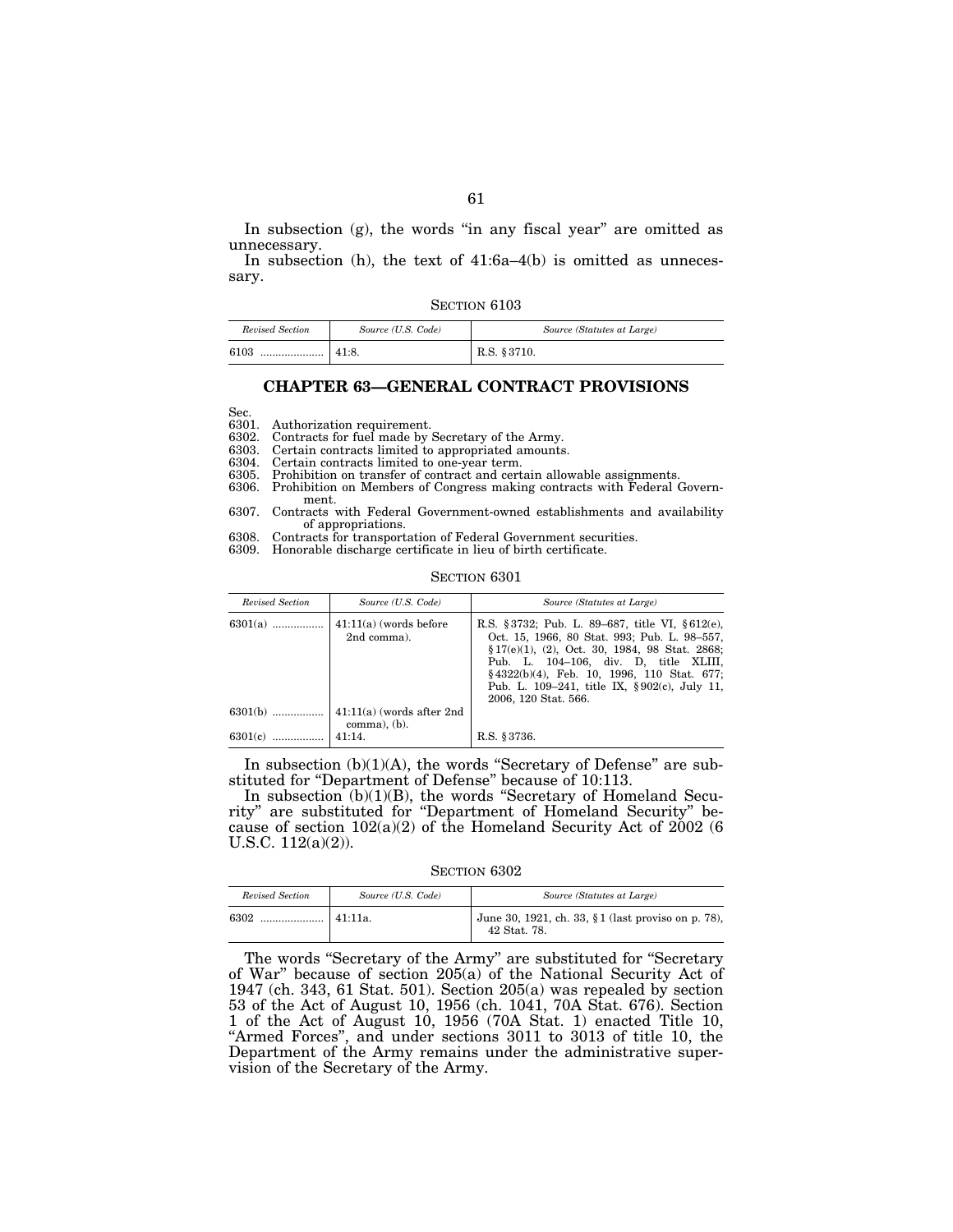In subsection  $(g)$ , the words "in any fiscal year" are omitted as unnecessary.

In subsection (h), the text of 41:6a–4(b) is omitted as unnecessary.

| SECTION 6103 |  |
|--------------|--|
|--------------|--|

| Revised Section | Source (U.S. Code) | Source (Statutes at Large) |
|-----------------|--------------------|----------------------------|
| 6103<br>        | 41:8.              | R.S. § 3710.               |

## **CHAPTER 63—GENERAL CONTRACT PROVISIONS**

Sec.

6301. Authorization requirement.<br>6302. Contracts for fuel made by 6302. Contracts for fuel made by Secretary of the Army.<br>6303 Certain contracts limited to appropriated amounts

6303. Certain contracts limited to appropriated amounts.

6304. Certain contracts limited to one-year term.

Prohibition on transfer of contract and certain allowable assignments.

- 6306. Prohibition on Members of Congress making contracts with Federal Government.
- 6307. Contracts with Federal Government-owned establishments and availability of appropriations.
- 6308. Contracts for transportation of Federal Government securities.
- 6309. Honorable discharge certificate in lieu of birth certificate.

#### SECTION 6301

| Revised Section | Source (U.S. Code)                                      | Source (Statutes at Large)                                                                                                                                                                                                                                                                                          |
|-----------------|---------------------------------------------------------|---------------------------------------------------------------------------------------------------------------------------------------------------------------------------------------------------------------------------------------------------------------------------------------------------------------------|
| $6301(a)$       | $41:11(a)$ (words before<br>2nd comma).                 | R.S. §3732; Pub. L. 89–687, title VI, §612(e),<br>Oct. 15, 1966, 80 Stat. 993; Pub. L. 98–557,<br>$\S 17(e)(1)$ , (2), Oct. 30, 1984, 98 Stat. 2868;<br>Pub. L. 104-106, div. D. title XLIII,<br>§4322(b)(4), Feb. 10, 1996, 110 Stat. 677;<br>Pub. L. 109–241, title IX, §902(c), July 11,<br>2006, 120 Stat. 566. |
| $6301(b)$       | $\vert$ 41:11(a) (words after 2nd<br>$comm$ a), $(b)$ . |                                                                                                                                                                                                                                                                                                                     |
| $6301(c)$       | 41:14.                                                  | R.S. § 3736.                                                                                                                                                                                                                                                                                                        |

In subsection (b)(1)(A), the words "Secretary of Defense" are substituted for ''Department of Defense'' because of 10:113.

In subsection (b)(1)(B), the words "Secretary of Homeland Security'' are substituted for ''Department of Homeland Security'' because of section  $102(a)(2)$  of the Homeland Security Act of  $2002(6)$ U.S.C. 112(a)(2)).

SECTION 6302

| Revised Section | Source (U.S. Code) | Source (Statutes at Large)                                         |
|-----------------|--------------------|--------------------------------------------------------------------|
| 6302<br>        | 41:11a.            | June 30, 1921, ch. 33, §1 (last proviso on p. 78),<br>42 Stat. 78. |

The words "Secretary of the Army" are substituted for "Secretary of War" because of section 205(a) of the National Security Act of 1947 (ch. 343, 61 Stat. 501). Section 205(a) was repealed by section 53 of the Act of August 10, 1956 (ch. 1041, 70A Stat. 676). Section 1 of the Act of August 10, 1956 (70A Stat. 1) enacted Title 10, ''Armed Forces'', and under sections 3011 to 3013 of title 10, the Department of the Army remains under the administrative supervision of the Secretary of the Army.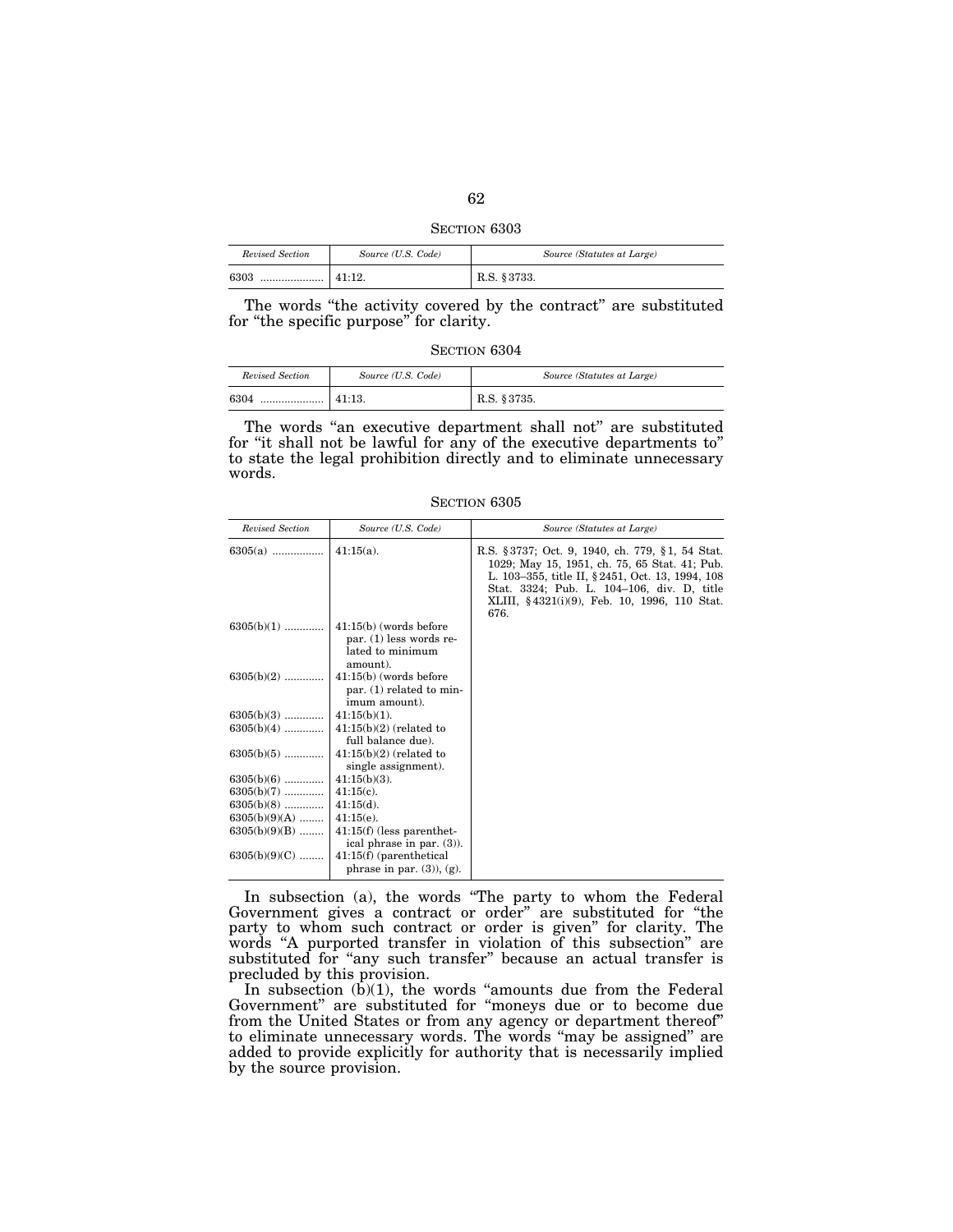| SECTION 6303 |  |
|--------------|--|
|              |  |

| Revised Section | Source (U.S. Code) | Source (Statutes at Large) |
|-----------------|--------------------|----------------------------|
| 6303<br>        | 141:12.            | R.S. §3733.                |

The words "the activity covered by the contract" are substituted for "the specific purpose" for clarity.

| Revised Section | Source (U.S. Code) | Source (Statutes at Large) |
|-----------------|--------------------|----------------------------|
| 6304<br>        | 41:13.             | R.S. § 3735.               |

The words "an executive department shall not" are substituted for ''it shall not be lawful for any of the executive departments to'' to state the legal prohibition directly and to eliminate unnecessary words.

SECTION 6305

| Revised Section | Source (U.S. Code)                                                                    | Source (Statutes at Large)                                                                                                                                                                                                                                   |
|-----------------|---------------------------------------------------------------------------------------|--------------------------------------------------------------------------------------------------------------------------------------------------------------------------------------------------------------------------------------------------------------|
| $6305(a)$       | $41:15(a)$ .                                                                          | R.S. § 3737; Oct. 9, 1940, ch. 779, § 1, 54 Stat.<br>1029; May 15, 1951, ch. 75, 65 Stat. 41; Pub.<br>L. 103-355, title II, § 2451, Oct. 13, 1994, 108<br>Stat. 3324; Pub. L. 104-106, div. D. title<br>XLIII, §4321(i)(9), Feb. 10, 1996, 110 Stat.<br>676. |
| $6305(b)(1)$    | $41:15(b)$ (words before<br>par. $(1)$ less words re-<br>lated to minimum<br>amount). |                                                                                                                                                                                                                                                              |
| $6305(b)(2)$    | $41:15(b)$ (words before<br>par. (1) related to min-<br>imum amount).                 |                                                                                                                                                                                                                                                              |
| $6305(b)(3)$    | $41:15(b)(1)$ .                                                                       |                                                                                                                                                                                                                                                              |
| $6305(b)(4)$    | $41:15(b)(2)$ (related to<br>full balance due).                                       |                                                                                                                                                                                                                                                              |
| $6305(b)(5)$    | $41:15(b)(2)$ (related to<br>single assignment).                                      |                                                                                                                                                                                                                                                              |
| $6305(b)(6)$    | $41:15(b)(3)$ .                                                                       |                                                                                                                                                                                                                                                              |
| $6305(b)(7)$    | $41:15(c)$ .                                                                          |                                                                                                                                                                                                                                                              |
| $6305(b)(8)$    | $41:15(d)$ .                                                                          |                                                                                                                                                                                                                                                              |
| $6305(b)(9)(A)$ | $41:15(e)$ .                                                                          |                                                                                                                                                                                                                                                              |
| $6305(b)(9)(B)$ | $41:15(f)$ (less parenthet-<br>ical phrase in par. $(3)$ ).                           |                                                                                                                                                                                                                                                              |
| $6305(b)(9)(C)$ | $41:15(f)$ (parenthetical<br>phrase in par. $(3)$ , $(g)$ .                           |                                                                                                                                                                                                                                                              |

In subsection (a), the words ''The party to whom the Federal Government gives a contract or order'' are substituted for ''the party to whom such contract or order is given'' for clarity. The words "A purported transfer in violation of this subsection" are substituted for "any such transfer" because an actual transfer is precluded by this provision.

In subsection  $(b)(1)$ , the words "amounts due from the Federal Government" are substituted for "moneys due or to become due from the United States or from any agency or department thereof'' to eliminate unnecessary words. The words "may be assigned" are added to provide explicitly for authority that is necessarily implied by the source provision.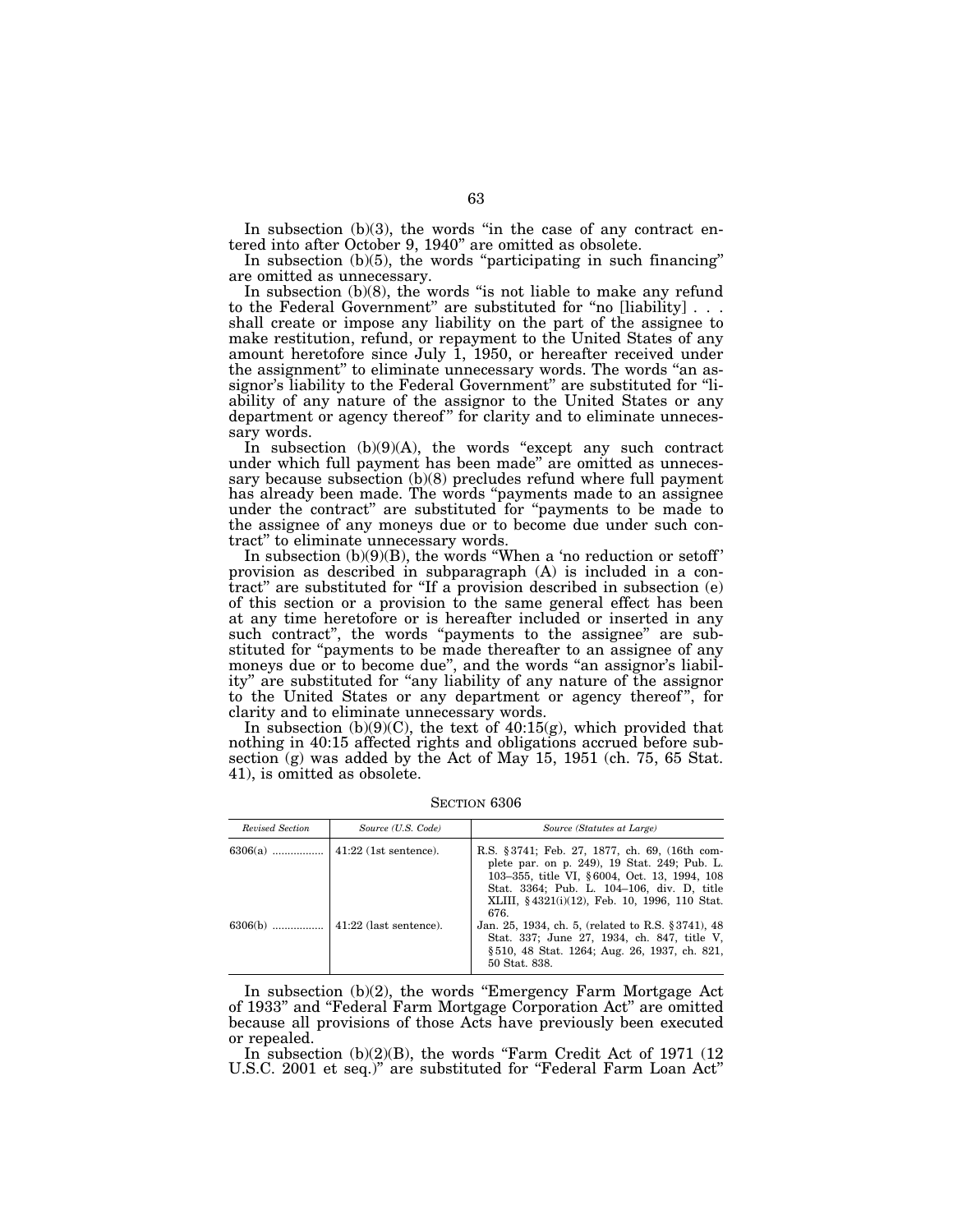In subsection  $(b)(3)$ , the words "in the case of any contract entered into after October 9, 1940'' are omitted as obsolete.

In subsection  $(b)(5)$ , the words "participating in such financing" are omitted as unnecessary.

In subsection  $(b)(8)$ , the words "is not liable to make any refund to the Federal Government'' are substituted for ''no [liability] . . . shall create or impose any liability on the part of the assignee to make restitution, refund, or repayment to the United States of any amount heretofore since July 1, 1950, or hereafter received under the assignment'' to eliminate unnecessary words. The words ''an assignor's liability to the Federal Government'' are substituted for ''liability of any nature of the assignor to the United States or any department or agency thereof" for clarity and to eliminate unnecessary words.

In subsection  $(b)(9)(A)$ , the words "except any such contract under which full payment has been made'' are omitted as unnecessary because subsection (b)(8) precludes refund where full payment has already been made. The words "payments made to an assignee under the contract'' are substituted for ''payments to be made to the assignee of any moneys due or to become due under such contract'' to eliminate unnecessary words.

In subsection  $(b)(9)(B)$ , the words "When a 'no reduction or setoff' provision as described in subparagraph (A) is included in a contract'' are substituted for ''If a provision described in subsection (e) of this section or a provision to the same general effect has been at any time heretofore or is hereafter included or inserted in any such contract", the words "payments to the assignee" are substituted for "payments to be made thereafter to an assignee of any moneys due or to become due", and the words "an assignor's liability" are substituted for "any liability of any nature of the assignor to the United States or any department or agency thereof", for clarity and to eliminate unnecessary words.

In subsection  $(b)(9)(C)$ , the text of  $40:15(g)$ , which provided that nothing in 40:15 affected rights and obligations accrued before subsection (g) was added by the Act of May 15, 1951 (ch. 75, 65 Stat. 41), is omitted as obsolete.

| Revised Section | Source (U.S. Code)             | Source (Statutes at Large)                                                                                                                                                                                                                           |
|-----------------|--------------------------------|------------------------------------------------------------------------------------------------------------------------------------------------------------------------------------------------------------------------------------------------------|
| $6306(a)$       | $\vert$ 41:22 (1st sentence).  | R.S. §3741; Feb. 27, 1877, ch. 69, (16th com-<br>plete par. on p. 249), 19 Stat. 249; Pub. L.<br>103-355, title VI, §6004, Oct. 13, 1994, 108<br>Stat. 3364; Pub. L. 104-106, div. D, title<br>XLIII, §4321(i)(12), Feb. 10, 1996, 110 Stat.<br>676. |
| $6306(b)$       | $\vert$ 41:22 (last sentence). | Jan. 25, 1934, ch. 5, (related to R.S. § 3741), 48<br>Stat. 337; June 27, 1934, ch. 847, title V.<br>§ 510, 48 Stat. 1264; Aug. 26, 1937, ch. 821,<br>50 Stat. 838.                                                                                  |

SECTION 6306

In subsection (b)(2), the words ''Emergency Farm Mortgage Act of 1933'' and ''Federal Farm Mortgage Corporation Act'' are omitted because all provisions of those Acts have previously been executed or repealed.

In subsection  $(b)(2)(B)$ , the words "Farm Credit Act of 1971 (12) U.S.C. 2001 et seq.)'' are substituted for ''Federal Farm Loan Act''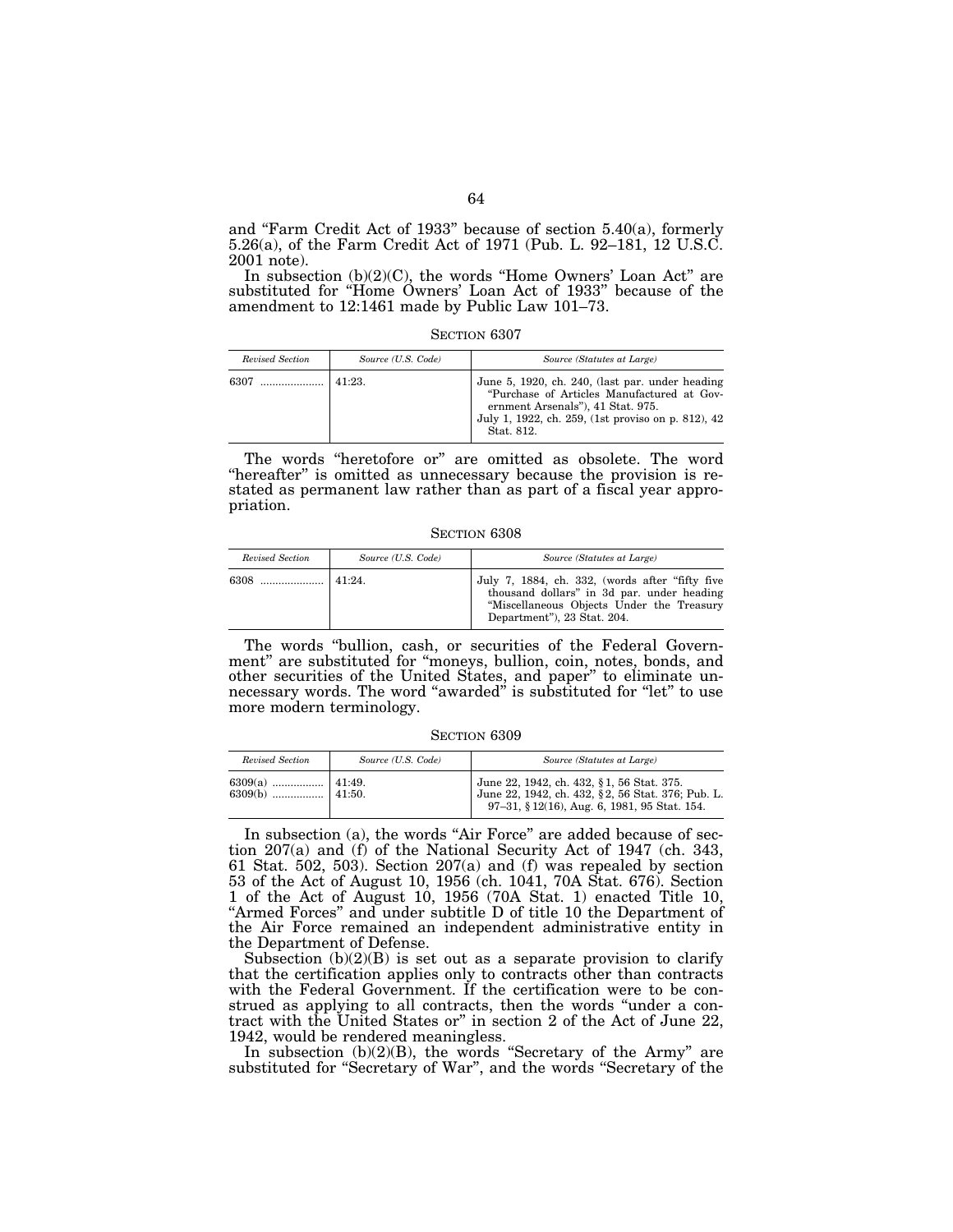and ''Farm Credit Act of 1933'' because of section 5.40(a), formerly 5.26(a), of the Farm Credit Act of 1971 (Pub. L. 92–181, 12 U.S.C. 2001 note).

In subsection  $(b)(2)(C)$ , the words "Home Owners' Loan Act" are substituted for "Home Owners' Loan Act of 1933" because of the amendment to 12:1461 made by Public Law 101–73.

SECTION 6307

| Revised Section | Source (U.S. Code) | Source (Statutes at Large)                                                                                                                                                                             |
|-----------------|--------------------|--------------------------------------------------------------------------------------------------------------------------------------------------------------------------------------------------------|
| 6307            | 41:23.             | June 5, 1920, ch. 240, (last par. under heading<br>"Purchase of Articles Manufactured at Gov-<br>ernment Arsenals"), 41 Stat. 975.<br>July 1, 1922, ch. 259, (1st proviso on p. 812), 42<br>Stat. 812. |

The words "heretofore or" are omitted as obsolete. The word "hereafter" is omitted as unnecessary because the provision is restated as permanent law rather than as part of a fiscal year appropriation.

SECTION 6308

| Revised Section | Source (U.S. Code) | Source (Statutes at Large)                                                                                                                                                |
|-----------------|--------------------|---------------------------------------------------------------------------------------------------------------------------------------------------------------------------|
|                 | 141.24             | July 7, 1884, ch. 332, (words after "fifty five<br>thousand dollars" in 3d par, under heading<br>"Miscellaneous Objects Under the Treasury<br>Department"), 23 Stat. 204. |

The words ''bullion, cash, or securities of the Federal Government" are substituted for "moneys, bullion, coin, notes, bonds, and other securities of the United States, and paper'' to eliminate unnecessary words. The word ''awarded'' is substituted for ''let'' to use more modern terminology.

SECTION 6309

| Revised Section | Source (U.S. Code) | Source (Statutes at Large)                                                                                                                     |
|-----------------|--------------------|------------------------------------------------------------------------------------------------------------------------------------------------|
|                 |                    | June 22, 1942, ch. 432, §1, 56 Stat. 375.<br>June 22, 1942, ch. 432, §2, 56 Stat. 376; Pub. L.<br>97-31, § 12(16), Aug. 6, 1981, 95 Stat. 154. |

In subsection (a), the words "Air Force" are added because of section 207(a) and (f) of the National Security Act of 1947 (ch. 343, 61 Stat. 502, 503). Section 207(a) and (f) was repealed by section 53 of the Act of August 10, 1956 (ch. 1041, 70A Stat. 676). Section 1 of the Act of August 10, 1956 (70A Stat. 1) enacted Title 10, The the Title of Hugust 19, 1999 (The Department of the Department of the Air Force remained an independent administrative entity in the Department of Defense.

Subsection  $(b)(2)(B)$  is set out as a separate provision to clarify that the certification applies only to contracts other than contracts with the Federal Government. If the certification were to be construed as applying to all contracts, then the words "under a contract with the United States or'' in section 2 of the Act of June 22, 1942, would be rendered meaningless.

In subsection (b)(2)(B), the words ''Secretary of the Army'' are substituted for ''Secretary of War'', and the words ''Secretary of the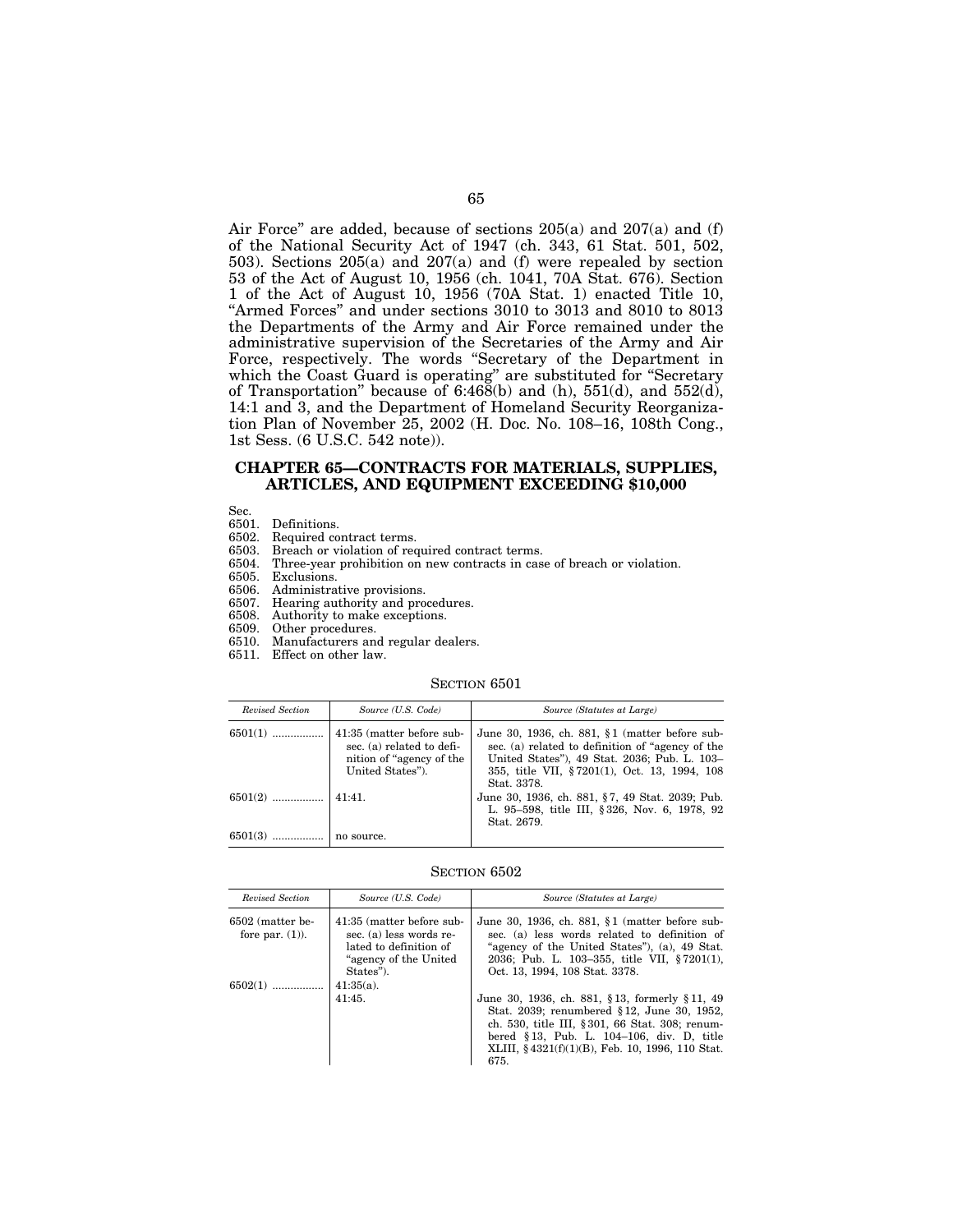Air Force" are added, because of sections  $205(a)$  and  $207(a)$  and (f) of the National Security Act of 1947 (ch. 343, 61 Stat. 501, 502, 503). Sections 205(a) and 207(a) and (f) were repealed by section 53 of the Act of August 10, 1956 (ch. 1041, 70A Stat. 676). Section 1 of the Act of August 10, 1956 (70A Stat. 1) enacted Title 10, "Armed Forces" and under sections 3010 to 3013 and 8010 to 8013 the Departments of the Army and Air Force remained under the administrative supervision of the Secretaries of the Army and Air Force, respectively. The words "Secretary of the Department in which the Coast Guard is operating'' are substituted for ''Secretary of Transportation" because of  $6:468(b)$  and  $(h)$ ,  $551(d)$ , and  $552(d)$ , 14:1 and 3, and the Department of Homeland Security Reorganization Plan of November 25, 2002 (H. Doc. No. 108–16, 108th Cong., 1st Sess. (6 U.S.C. 542 note)).

### **CHAPTER 65—CONTRACTS FOR MATERIALS, SUPPLIES, ARTICLES, AND EQUIPMENT EXCEEDING \$10,000**

Sec.<br>6501.

- 6501. Definitions.
- 
- 6502. Required contract terms.<br>6503. Breach or violation of req 6503. Breach or violation of required contract terms.
- Three-year prohibition on new contracts in case of breach or violation.
- 6505. Exclusions.
- 6506. Administrative provisions.
- 6507. Hearing authority and procedures.
- 6508. Authority to make exceptions.
- 6509. Other procedures.
- 6510. Manufacturers and regular dealers.
- 6511. Effect on other law.

#### SECTION 6501

| Revised Section      | Source (U.S. Code)                                                                                      | Source (Statutes at Large)                                                                                                                                                                                          |
|----------------------|---------------------------------------------------------------------------------------------------------|---------------------------------------------------------------------------------------------------------------------------------------------------------------------------------------------------------------------|
| $6501(1)$            | 41:35 (matter before sub-<br>sec. (a) related to defi-<br>nition of "agency of the"<br>United States"). | June 30, 1936, ch. 881, $§1$ (matter before sub-<br>sec. (a) related to definition of "agency of the<br>United States"), 49 Stat. 2036; Pub. L. 103-<br>355, title VII, §7201(1), Oct. 13, 1994, 108<br>Stat. 3378. |
|                      |                                                                                                         | June 30, 1936, ch. 881, §7, 49 Stat. 2039; Pub.<br>L. 95-598, title III, §326, Nov. 6, 1978, 92<br>Stat. 2679.                                                                                                      |
| $6501(3)$ no source. |                                                                                                         |                                                                                                                                                                                                                     |

| Revised Section                        | Source (U.S. Code)                                                                                                    | Source (Statutes at Large)                                                                                                                                                                                                                            |
|----------------------------------------|-----------------------------------------------------------------------------------------------------------------------|-------------------------------------------------------------------------------------------------------------------------------------------------------------------------------------------------------------------------------------------------------|
| 6502 (matter be-<br>fore par. $(1)$ ). | 41:35 (matter before sub-<br>sec. (a) less words re-<br>lated to definition of<br>"agency of the United"<br>States"). | June 30, 1936, ch. 881, $\S1$ (matter before sub-<br>sec. (a) less words related to definition of<br>"agency of the United States"), (a), 49 Stat.<br>2036; Pub. L. 103-355, title VII, §7201(1),<br>Oct. 13, 1994, 108 Stat. 3378.                   |
| $6502(1)$                              | $41:35(a)$ .<br>41:45.                                                                                                | June 30, 1936, ch. 881, §13, formerly §11, 49<br>Stat. 2039; renumbered §12, June 30, 1952,<br>ch. 530, title III, §301, 66 Stat. 308; renum-<br>bered §13, Pub. L. 104-106, div. D. title<br>XLIII, §4321(f)(1)(B), Feb. 10, 1996, 110 Stat.<br>675. |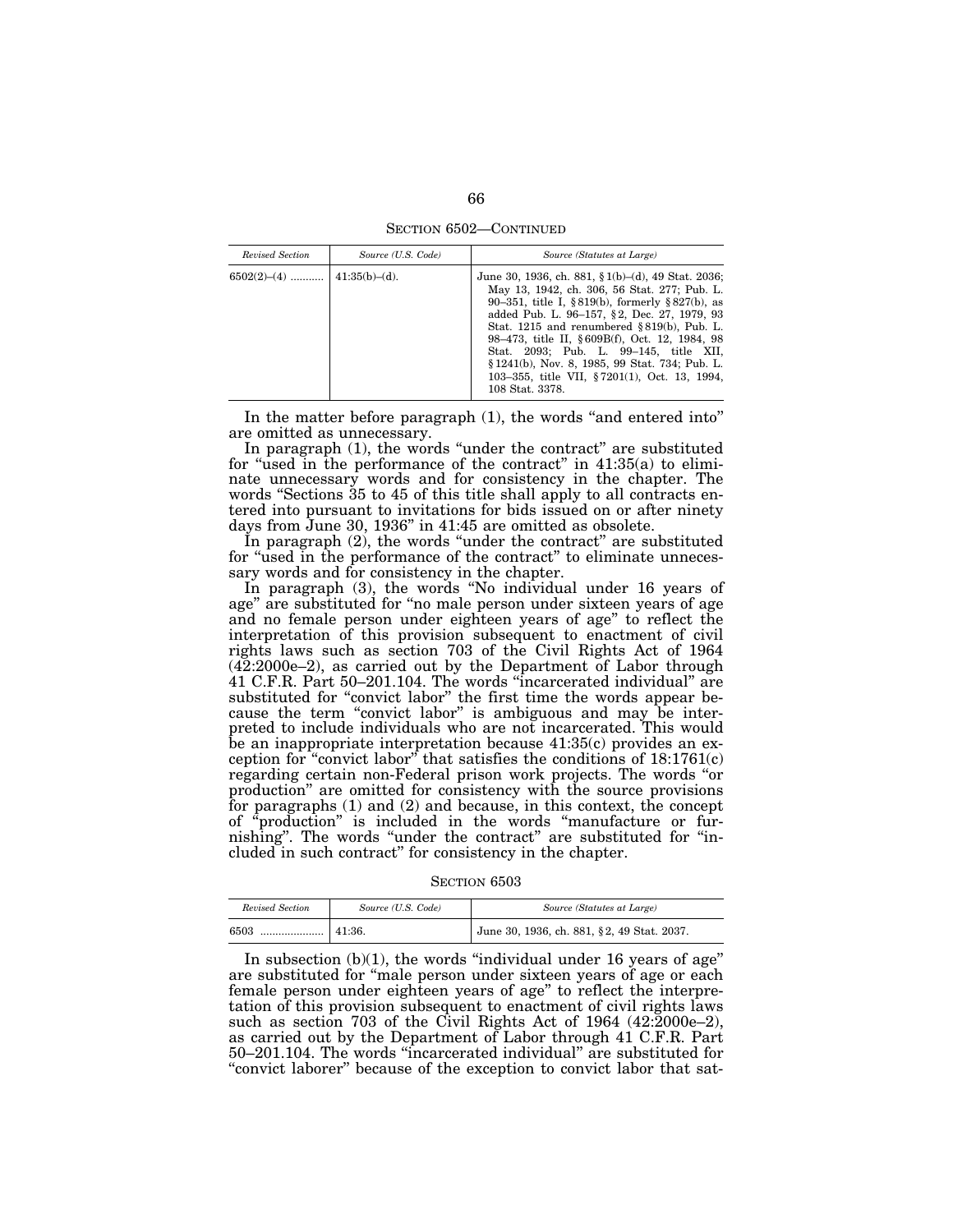SECTION 6502—CONTINUED

| Revised Section | Source (U.S. Code) | Source (Statutes at Large)                                                                                                                                                                                                                                                                                                                                                                                                                                               |
|-----------------|--------------------|--------------------------------------------------------------------------------------------------------------------------------------------------------------------------------------------------------------------------------------------------------------------------------------------------------------------------------------------------------------------------------------------------------------------------------------------------------------------------|
|                 |                    | June 30, 1936, ch. 881, $\{1(b) - (d), 49 \}$ Stat. 2036;<br>May 13, 1942, ch. 306, 56 Stat. 277; Pub. L.<br>90–351, title I, §819(b), formerly §827(b), as<br>added Pub. L. 96-157, §2, Dec. 27, 1979, 93<br>Stat. 1215 and renumbered §819(b). Pub. L.<br>98–473, title II, §609B(f), Oct. 12, 1984, 98<br>Stat. 2093; Pub. L. 99-145, title XII,<br>§ 1241(b), Nov. 8, 1985, 99 Stat. 734; Pub. L.<br>103-355, title VII, §7201(1), Oct. 13, 1994,<br>108 Stat. 3378. |

In the matter before paragraph (1), the words ''and entered into'' are omitted as unnecessary.

In paragraph (1), the words "under the contract" are substituted for "used in the performance of the contract" in 41:35(a) to eliminate unnecessary words and for consistency in the chapter. The words "Sections 35 to 45 of this title shall apply to all contracts entered into pursuant to invitations for bids issued on or after ninety days from June 30, 1936'' in 41:45 are omitted as obsolete.

In paragraph (2), the words "under the contract" are substituted for "used in the performance of the contract" to eliminate unnecessary words and for consistency in the chapter.

In paragraph (3), the words ''No individual under 16 years of age'' are substituted for ''no male person under sixteen years of age and no female person under eighteen years of age'' to reflect the interpretation of this provision subsequent to enactment of civil rights laws such as section 703 of the Civil Rights Act of 1964 (42:2000e–2), as carried out by the Department of Labor through 41 C.F.R. Part 50–201.104. The words ''incarcerated individual'' are substituted for "convict labor" the first time the words appear because the term ''convict labor'' is ambiguous and may be interpreted to include individuals who are not incarcerated. This would be an inappropriate interpretation because 41:35(c) provides an exception for "convict labor" that satisfies the conditions of  $18:1761(c)$ regarding certain non-Federal prison work projects. The words ''or production'' are omitted for consistency with the source provisions for paragraphs (1) and (2) and because, in this context, the concept of ''production'' is included in the words ''manufacture or furnishing''. The words ''under the contract'' are substituted for ''included in such contract'' for consistency in the chapter.

SECTION 6503

| Revised Section | Source (U.S. Code) | Source (Statutes at Large)                 |
|-----------------|--------------------|--------------------------------------------|
| 6503<br>        | 41:36.             | June 30, 1936, ch. 881, §2, 49 Stat. 2037. |

In subsection  $(b)(1)$ , the words "individual under 16 years of age" are substituted for ''male person under sixteen years of age or each female person under eighteen years of age'' to reflect the interpretation of this provision subsequent to enactment of civil rights laws such as section 703 of the Civil Rights Act of 1964 (42:2000e–2), as carried out by the Department of Labor through 41 C.F.R. Part 50–201.104. The words ''incarcerated individual'' are substituted for "convict laborer" because of the exception to convict labor that sat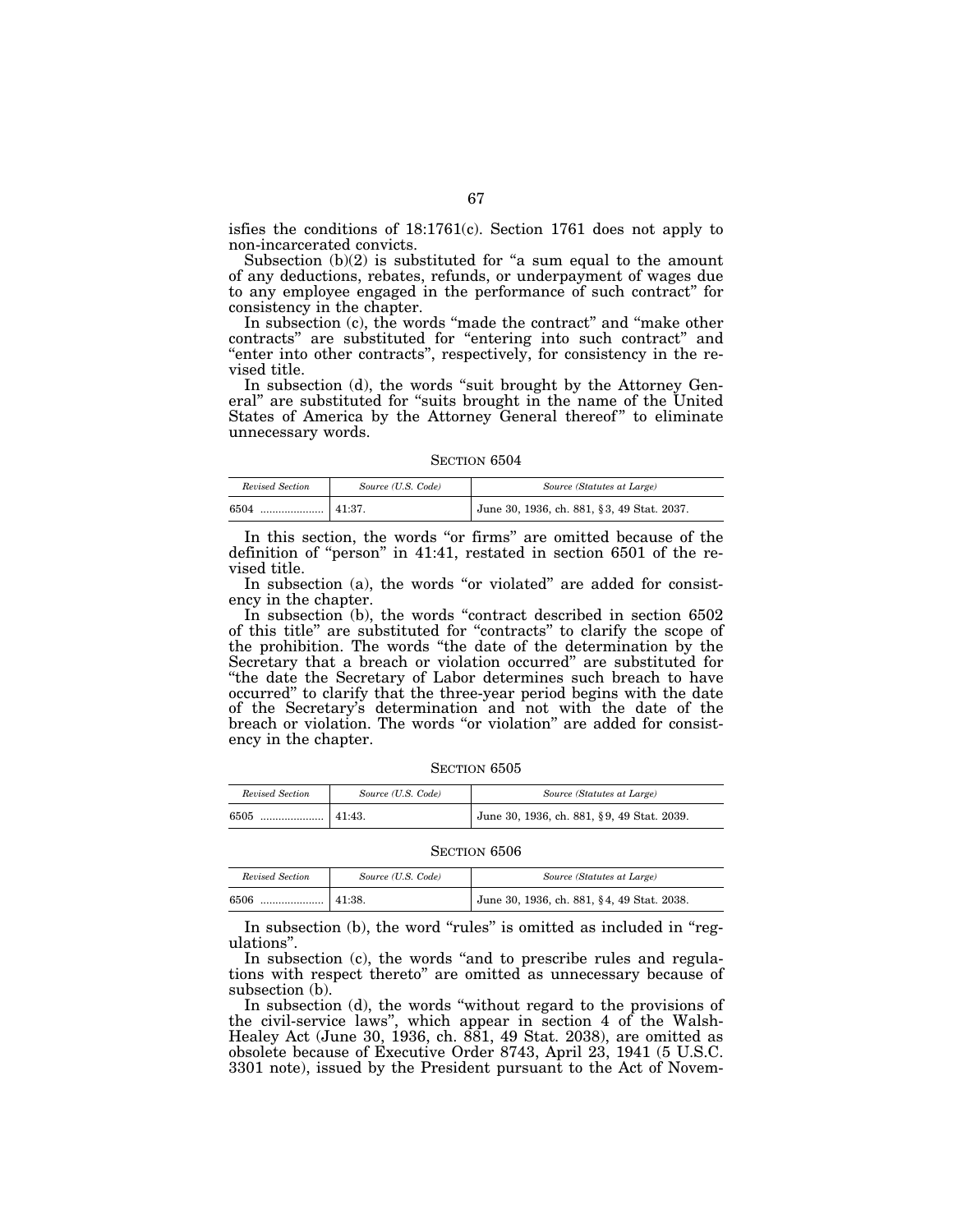isfies the conditions of 18:1761(c). Section 1761 does not apply to non-incarcerated convicts.

Subsection  $(b)(2)$  is substituted for "a sum equal to the amount of any deductions, rebates, refunds, or underpayment of wages due to any employee engaged in the performance of such contract'' for consistency in the chapter.

In subsection (c), the words "made the contract" and "make other contracts'' are substituted for ''entering into such contract'' and ''enter into other contracts'', respectively, for consistency in the revised title.

In subsection (d), the words "suit brought by the Attorney General'' are substituted for ''suits brought in the name of the United States of America by the Attorney General thereof" to eliminate unnecessary words.

SECTION 6504

| Revised Section | Source (U.S. Code) | Source (Statutes at Large)                 |
|-----------------|--------------------|--------------------------------------------|
| 6504<br>        | 41:37.             | June 30, 1936, ch. 881, §3, 49 Stat. 2037. |

In this section, the words "or firms" are omitted because of the definition of ''person'' in 41:41, restated in section 6501 of the revised title.

In subsection (a), the words "or violated" are added for consistency in the chapter.

In subsection (b), the words "contract described in section 6502 of this title'' are substituted for ''contracts'' to clarify the scope of the prohibition. The words ''the date of the determination by the Secretary that a breach or violation occurred'' are substituted for ''the date the Secretary of Labor determines such breach to have occurred'' to clarify that the three-year period begins with the date of the Secretary's determination and not with the date of the breach or violation. The words "or violation" are added for consistency in the chapter.

| SECTION 6505 |
|--------------|
|--------------|

| Revised Section                       | Source (U.S. Code) | Source (Statutes at Large)                 |
|---------------------------------------|--------------------|--------------------------------------------|
| 6505<br><sup>*</sup> …………………   41:43. |                    | June 30, 1936, ch. 881, §9, 49 Stat. 2039. |

SECTION 6506

| Revised Section | Source (U.S. Code) | Source (Statutes at Large)                 |
|-----------------|--------------------|--------------------------------------------|
| 6506<br>        | 141:38.            | June 30, 1936, ch. 881, §4, 49 Stat. 2038. |

In subsection (b), the word "rules" is omitted as included in "regulations''.

In subsection (c), the words ''and to prescribe rules and regulations with respect thereto'' are omitted as unnecessary because of subsection (b).

In subsection (d), the words "without regard to the provisions of the civil-service laws'', which appear in section 4 of the Walsh-Healey Act (June 30, 1936, ch. 881, 49 Stat. 2038), are omitted as obsolete because of Executive Order 8743, April 23, 1941 (5 U.S.C. 3301 note), issued by the President pursuant to the Act of Novem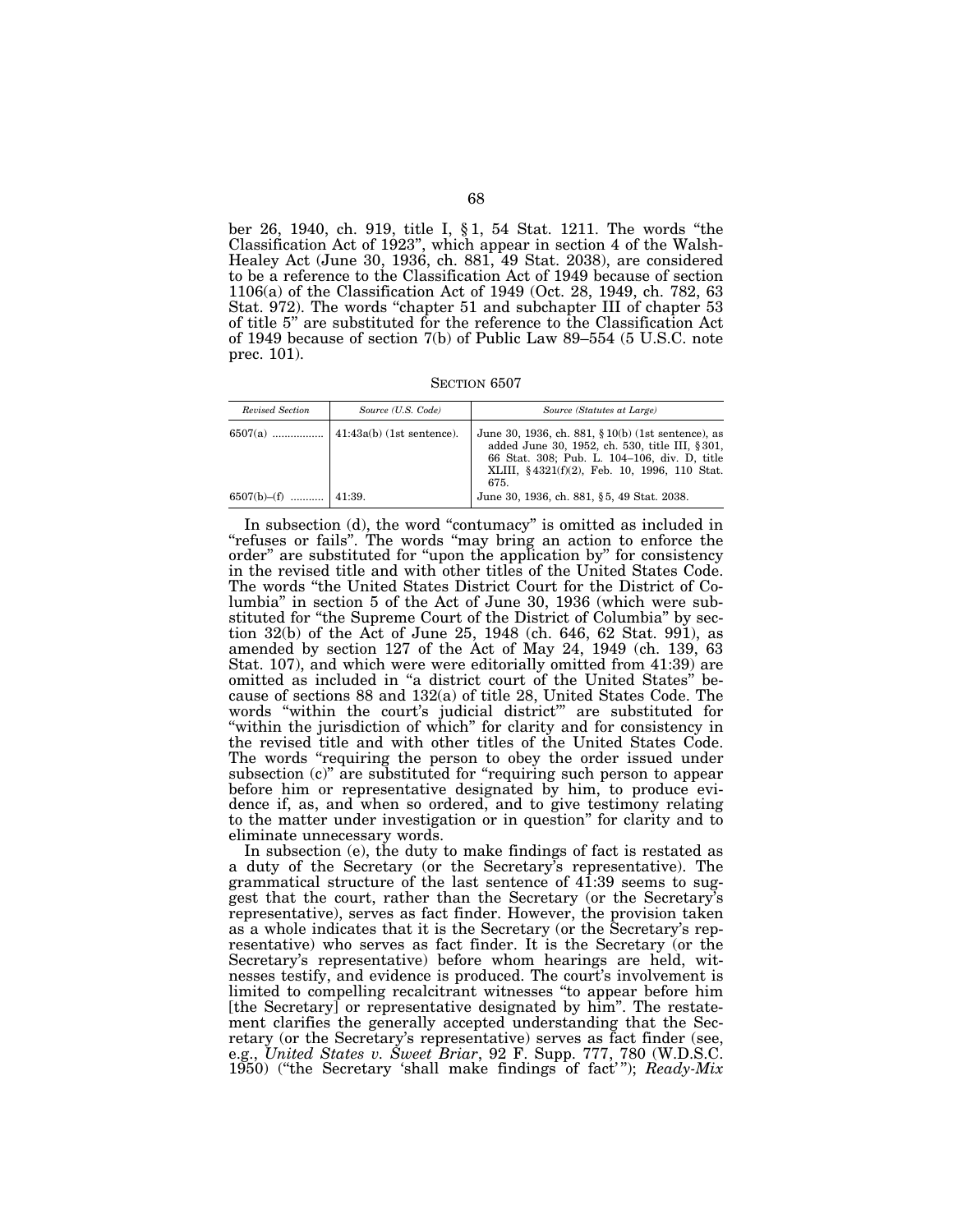ber 26, 1940, ch. 919, title I, § 1, 54 Stat. 1211. The words ''the Classification Act of 1923'', which appear in section 4 of the Walsh-Healey Act (June 30, 1936, ch. 881, 49 Stat. 2038), are considered to be a reference to the Classification Act of 1949 because of section 1106(a) of the Classification Act of 1949 (Oct. 28, 1949, ch. 782, 63 Stat. 972). The words "chapter 51 and subchapter III of chapter 53 of title 5'' are substituted for the reference to the Classification Act of 1949 because of section 7(b) of Public Law 89–554 (5 U.S.C. note prec. 101).

SECTION 6507

| Revised Section   | Source (U.S. Code)                | Source (Statutes at Large)                                                                                                                                                                                       |
|-------------------|-----------------------------------|------------------------------------------------------------------------------------------------------------------------------------------------------------------------------------------------------------------|
| $6507(a)$         | $\vert$ 41:43a(b) (1st sentence). | June 30, 1936, ch. 881, $\S 10(b)$ (1st sentence), as<br>added June 30, 1952, ch. 530, title III, § 301,<br>66 Stat. 308; Pub. L. 104-106, div. D. title<br>XLIII, §4321(f)(2), Feb. 10, 1996, 110 Stat.<br>675. |
| $6507(b)$ - $(f)$ | 41:39.                            | June 30, 1936, ch. 881, §5, 49 Stat. 2038.                                                                                                                                                                       |

In subsection (d), the word ''contumacy'' is omitted as included in ''refuses or fails''. The words ''may bring an action to enforce the order'' are substituted for ''upon the application by'' for consistency in the revised title and with other titles of the United States Code. The words ''the United States District Court for the District of Columbia'' in section 5 of the Act of June 30, 1936 (which were substituted for "the Supreme Court of the District of Columbia" by section 32(b) of the Act of June 25, 1948 (ch. 646, 62 Stat. 991), as amended by section 127 of the Act of May 24, 1949 (ch. 139, 63 Stat. 107), and which were were editorially omitted from 41:39) are omitted as included in ''a district court of the United States'' because of sections 88 and 132(a) of title 28, United States Code. The words ''within the court's judicial district''' are substituted for "within the jurisdiction of which" for clarity and for consistency in the revised title and with other titles of the United States Code. The words "requiring the person to obey the order issued under subsection (c)" are substituted for "requiring such person to appear before him or representative designated by him, to produce evidence if, as, and when so ordered, and to give testimony relating to the matter under investigation or in question'' for clarity and to eliminate unnecessary words.

In subsection (e), the duty to make findings of fact is restated as a duty of the Secretary (or the Secretary's representative). The grammatical structure of the last sentence of 41:39 seems to suggest that the court, rather than the Secretary (or the Secretary's representative), serves as fact finder. However, the provision taken as a whole indicates that it is the Secretary (or the Secretary's representative) who serves as fact finder. It is the Secretary (or the Secretary's representative) before whom hearings are held, witnesses testify, and evidence is produced. The court's involvement is limited to compelling recalcitrant witnesses ''to appear before him [the Secretary] or representative designated by him". The restatement clarifies the generally accepted understanding that the Secretary (or the Secretary's representative) serves as fact finder (see, e.g., *United States v. Sweet Briar*, 92 F. Supp. 777, 780 (W.D.S.C. 1950) (''the Secretary 'shall make findings of fact' ''); *Ready-Mix*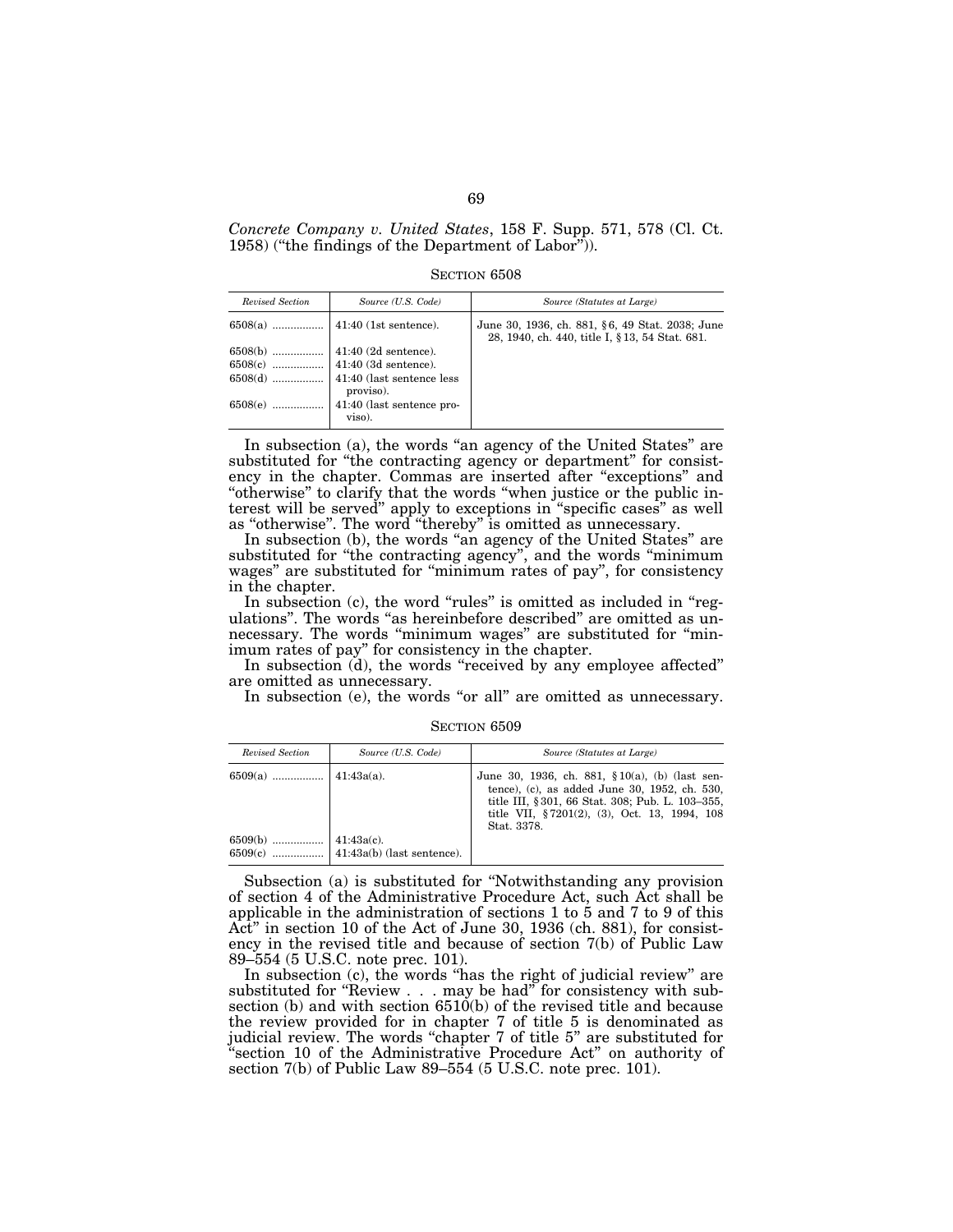*Concrete Company v. United States*, 158 F. Supp. 571, 578 (Cl. Ct. 1958) (''the findings of the Department of Labor'')).

SECTION 6508

| Revised Section | Source (U.S. Code)          | Source (Statutes at Large)                                                                         |
|-----------------|-----------------------------|----------------------------------------------------------------------------------------------------|
|                 |                             | June 30, 1936, ch. 881, §6, 49 Stat. 2038; June<br>28, 1940, ch. 440, title I, § 13, 54 Stat. 681. |
| $6508(b)$       | $41:40(2d$ sentence).       |                                                                                                    |
|                 |                             |                                                                                                    |
|                 |                             |                                                                                                    |
|                 | proviso).                   |                                                                                                    |
| $6508(e)$       | $41:40$ (last sentence pro- |                                                                                                    |
|                 | viso).                      |                                                                                                    |

In subsection (a), the words "an agency of the United States" are substituted for "the contracting agency or department" for consistency in the chapter. Commas are inserted after ''exceptions'' and ''otherwise'' to clarify that the words ''when justice or the public interest will be served'' apply to exceptions in ''specific cases'' as well as ''otherwise''. The word ''thereby'' is omitted as unnecessary.

In subsection (b), the words "an agency of the United States" are substituted for "the contracting agency", and the words "minimum wages'' are substituted for ''minimum rates of pay'', for consistency in the chapter.

In subsection (c), the word "rules" is omitted as included in "regulations". The words "as hereinbefore described" are omitted as unnecessary. The words ''minimum wages'' are substituted for ''minimum rates of pay'' for consistency in the chapter.

In subsection (d), the words "received by any employee affected" are omitted as unnecessary.

In subsection (e), the words "or all" are omitted as unnecessary.

SECTION 6509

| Revised Section | Source (U.S. Code) | Source (Statutes at Large)                                                                                                                                                                                            |
|-----------------|--------------------|-----------------------------------------------------------------------------------------------------------------------------------------------------------------------------------------------------------------------|
|                 |                    | June 30, 1936, ch. 881, $$10(a)$ , (b) (last sen-<br>tence), (c), as added June 30, 1952, ch. 530,<br>title III, § 301, 66 Stat. 308; Pub. L. 103–355,<br>title VII, §7201(2), (3), Oct. 13, 1994, 108<br>Stat. 3378. |
|                 |                    |                                                                                                                                                                                                                       |

Subsection (a) is substituted for ''Notwithstanding any provision of section 4 of the Administrative Procedure Act, such Act shall be applicable in the administration of sections  $1$  to  $5$  and  $7$  to  $9$  of this Act'' in section 10 of the Act of June 30, 1936 (ch. 881), for consistency in the revised title and because of section 7(b) of Public Law 89–554 (5 U.S.C. note prec. 101).

In subsection (c), the words "has the right of judicial review" are substituted for "Review . . . may be had" for consistency with subsection (b) and with section 6510(b) of the revised title and because the review provided for in chapter 7 of title 5 is denominated as judicial review. The words "chapter 7 of title 5" are substituted for 'section 10 of the Administrative Procedure Act" on authority of section 7(b) of Public Law 89–554 (5 U.S.C. note prec. 101).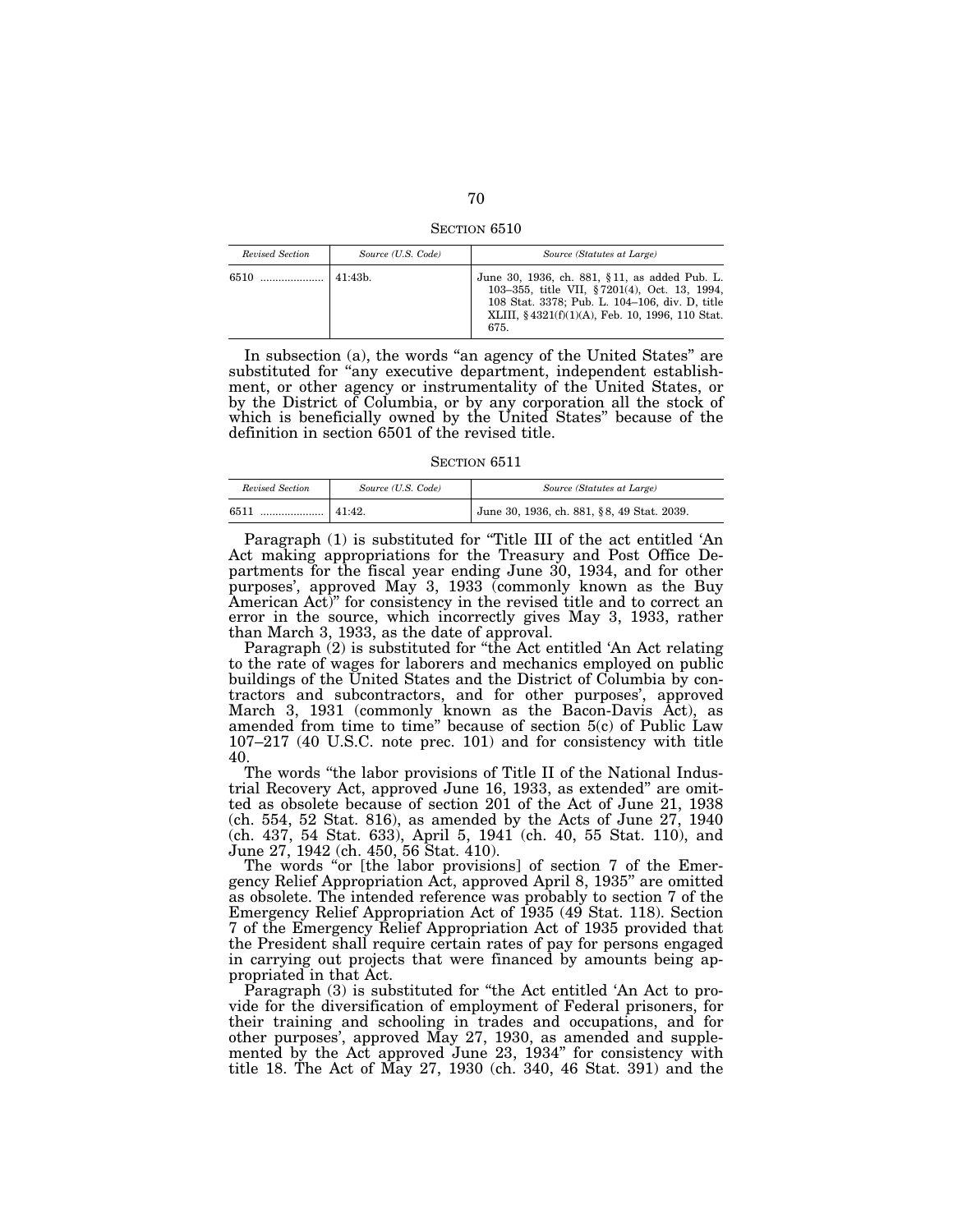SECTION 6510

| Revised Section | Source (U.S. Code) | Source (Statutes at Large)                                                                                                                                                                                 |
|-----------------|--------------------|------------------------------------------------------------------------------------------------------------------------------------------------------------------------------------------------------------|
| 6510            | 41:43 <sub>b</sub> | June 30, 1936, ch. 881, §11, as added Pub. L.<br>103-355, title VII, §7201(4), Oct. 13, 1994,<br>108 Stat. 3378; Pub. L. 104-106, div. D. title<br>XLIII, §4321(f)(1)(A), Feb. 10, 1996, 110 Stat.<br>675. |

In subsection (a), the words "an agency of the United States" are substituted for "any executive department, independent establishment, or other agency or instrumentality of the United States, or by the District of Columbia, or by any corporation all the stock of which is beneficially owned by the United States'' because of the definition in section 6501 of the revised title.

SECTION 6511

| Revised Section | Source (U.S. Code) | Source (Statutes at Large)                 |
|-----------------|--------------------|--------------------------------------------|
| 6511<br>        | 41:42.             | June 30, 1936, ch. 881, §8, 49 Stat. 2039. |

Paragraph (1) is substituted for "Title III of the act entitled 'An Act making appropriations for the Treasury and Post Office Departments for the fiscal year ending June 30, 1934, and for other purposes', approved May 3, 1933 (commonly known as the Buy American Act)'' for consistency in the revised title and to correct an error in the source, which incorrectly gives May 3, 1933, rather than March 3, 1933, as the date of approval.

Paragraph (2) is substituted for ''the Act entitled 'An Act relating to the rate of wages for laborers and mechanics employed on public buildings of the United States and the District of Columbia by contractors and subcontractors, and for other purposes', approved March 3, 1931 (commonly known as the Bacon-Davis Act), as amended from time to time'' because of section 5(c) of Public Law 107–217 (40 U.S.C. note prec. 101) and for consistency with title 40.

The words "the labor provisions of Title II of the National Industrial Recovery Act, approved June 16, 1933, as extended'' are omitted as obsolete because of section 201 of the Act of June 21, 1938 (ch. 554, 52 Stat. 816), as amended by the Acts of June 27, 1940 (ch. 437, 54 Stat. 633), April 5, 1941 (ch. 40, 55 Stat. 110), and June 27, 1942 (ch. 450, 56 Stat. 410).

The words "or [the labor provisions] of section 7 of the Emergency Relief Appropriation Act, approved April 8, 1935'' are omitted as obsolete. The intended reference was probably to section 7 of the Emergency Relief Appropriation Act of 1935 (49 Stat. 118). Section 7 of the Emergency Relief Appropriation Act of 1935 provided that the President shall require certain rates of pay for persons engaged in carrying out projects that were financed by amounts being appropriated in that Act.

Paragraph (3) is substituted for "the Act entitled 'An Act to provide for the diversification of employment of Federal prisoners, for their training and schooling in trades and occupations, and for other purposes', approved May 27, 1930, as amended and supplemented by the Act approved June 23, 1934'' for consistency with title 18. The Act of May 27, 1930 (ch. 340, 46 Stat. 391) and the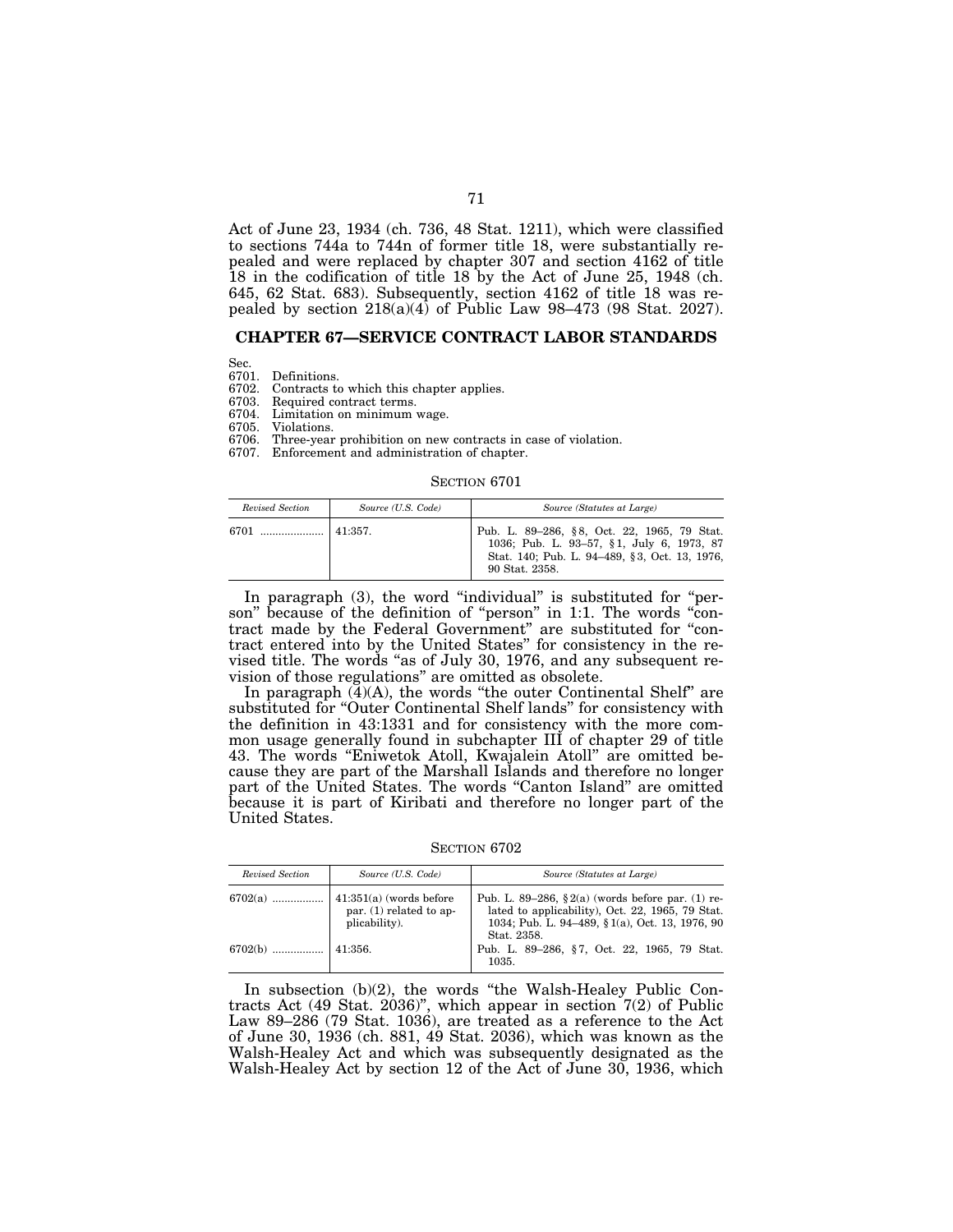Act of June 23, 1934 (ch. 736, 48 Stat. 1211), which were classified to sections 744a to 744n of former title 18, were substantially repealed and were replaced by chapter 307 and section 4162 of title 18 in the codification of title 18 by the Act of June 25, 1948 (ch. 645, 62 Stat. 683). Subsequently, section 4162 of title 18 was repealed by section  $218(a)(4)$  of Public Law 98-473 (98 Stat. 2027).

### **CHAPTER 67—SERVICE CONTRACT LABOR STANDARDS**

Sec.<br>6701.

6701. Definitions. 6702. Contracts to which this chapter applies.<br>6703. Required contract terms.

6703. Required contract terms.<br>6704. Limitation on minimum

6704. Limitation on minimum wage.

6705. Violations.<br>6706. Three-vear

Three-year prohibition on new contracts in case of violation.

6707. Enforcement and administration of chapter.

#### SECTION 6701

| Revised Section | Source (U.S. Code) | Source (Statutes at Large)                                                                                                                                  |
|-----------------|--------------------|-------------------------------------------------------------------------------------------------------------------------------------------------------------|
| 6701            | 141:357.           | Pub. L. 89-286, §8, Oct. 22, 1965, 79 Stat.<br>1036; Pub. L. 93-57, §1, July 6, 1973, 87<br>Stat. 140: Pub. L. 94–489, §3. Oct. 13, 1976.<br>90 Stat. 2358. |

In paragraph (3), the word "individual" is substituted for "person" because of the definition of "person" in 1:1. The words "contract made by the Federal Government'' are substituted for ''contract entered into by the United States'' for consistency in the revised title. The words ''as of July 30, 1976, and any subsequent revision of those regulations'' are omitted as obsolete.

In paragraph  $(\overline{4})(A)$ , the words "the outer Continental Shelf" are substituted for "Outer Continental Shelf lands" for consistency with the definition in 43:1331 and for consistency with the more common usage generally found in subchapter III of chapter 29 of title 43. The words ''Eniwetok Atoll, Kwajalein Atoll'' are omitted because they are part of the Marshall Islands and therefore no longer part of the United States. The words "Canton Island" are omitted because it is part of Kiribati and therefore no longer part of the United States.

SECTION 6702

| Revised Section | Source (U.S. Code)                                                          | Source (Statutes at Large)                                                                                                                                                 |
|-----------------|-----------------------------------------------------------------------------|----------------------------------------------------------------------------------------------------------------------------------------------------------------------------|
| $6702(a)$       | $\vert$ 41:351(a) (words before<br>par. (1) related to ap-<br>plicability). | Pub. L. 89–286, $\S 2(a)$ (words before par. (1) re-<br>lated to applicability), Oct. 22, 1965, 79 Stat.<br>1034; Pub. L. 94–489, § 1(a), Oct. 13, 1976, 90<br>Stat. 2358. |
|                 |                                                                             | Pub. L. 89–286, §7, Oct. 22, 1965, 79 Stat.<br>1035.                                                                                                                       |

In subsection (b)(2), the words "the Walsh-Healey Public Contracts Act (49 Stat. 2036)", which appear in section  $7(2)$  of Public Law 89–286 (79 Stat. 1036), are treated as a reference to the Act of June 30, 1936 (ch. 881, 49 Stat. 2036), which was known as the Walsh-Healey Act and which was subsequently designated as the Walsh-Healey Act by section 12 of the Act of June 30, 1936, which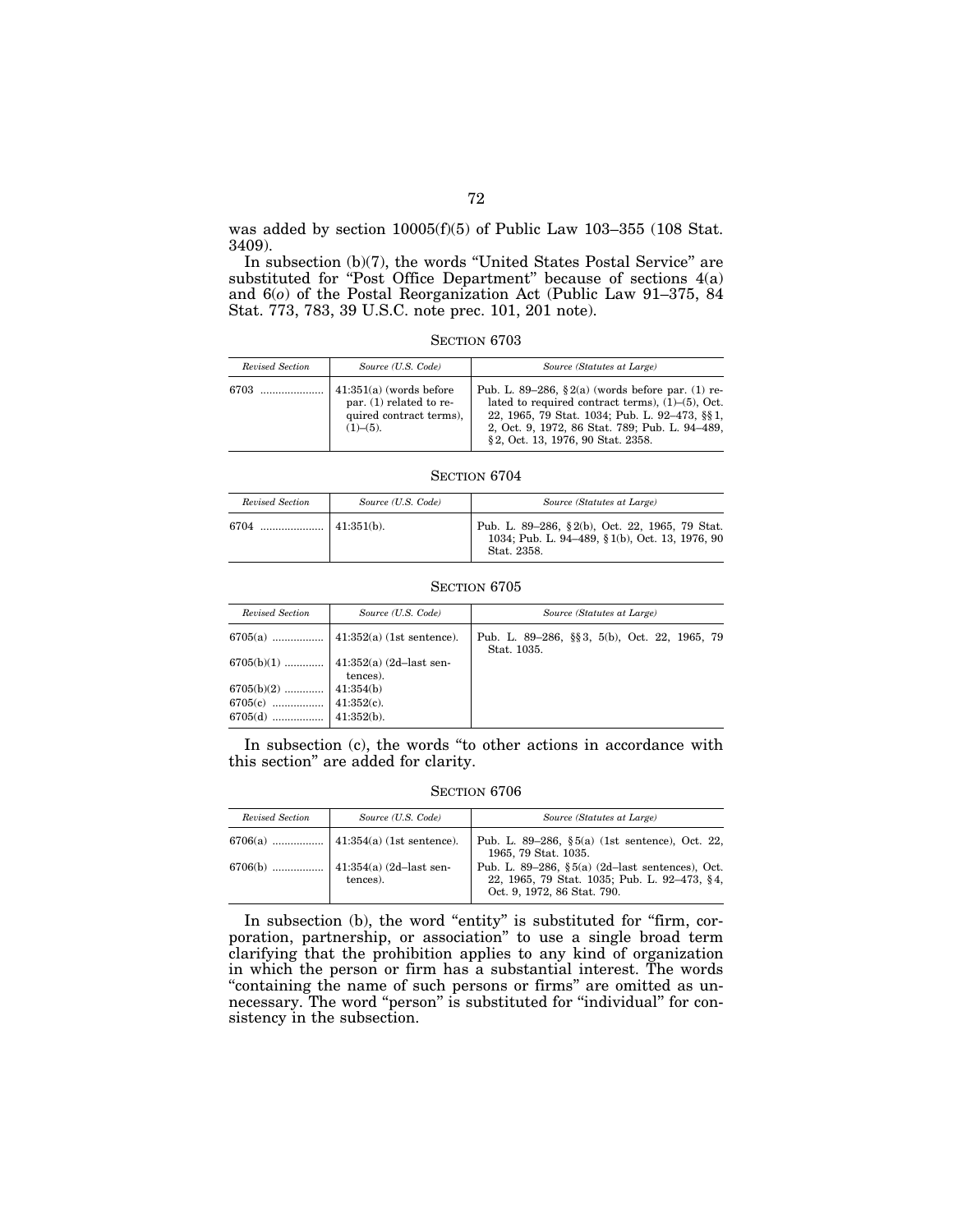was added by section 10005(f)(5) of Public Law 103–355 (108 Stat. 3409).

In subsection (b)(7), the words ''United States Postal Service'' are substituted for "Post Office Department" because of sections 4(a) and 6(*o*) of the Postal Reorganization Act (Public Law 91–375, 84 Stat. 773, 783, 39 U.S.C. note prec. 101, 201 note).

SECTION 6703

| Revised Section | Source (U.S. Code)                                                                               | Source (Statutes at Large)                                                                                                                                                                                                                               |
|-----------------|--------------------------------------------------------------------------------------------------|----------------------------------------------------------------------------------------------------------------------------------------------------------------------------------------------------------------------------------------------------------|
| 6703            | $41:351(a)$ (words before<br>par. $(1)$ related to re-<br>quired contract terms).<br>$(1)–(5)$ . | Pub. L. 89–286, $\S 2(a)$ (words before par. (1) re-<br>lated to required contract terms), $(1)$ – $(5)$ , Oct.<br>22, 1965, 79 Stat. 1034; Pub. L. 92-473, §§1,<br>2, Oct. 9, 1972, 86 Stat. 789; Pub. L. 94–489,<br>§ 2, Oct. 13, 1976, 90 Stat. 2358. |

SECTION 6704

| Revised Section | Source (U.S. Code) | Source (Statutes at Large)                                                                                       |
|-----------------|--------------------|------------------------------------------------------------------------------------------------------------------|
| 6704            | $\pm 41:351(b)$ .  | Pub. L. 89–286, §2(b), Oct. 22, 1965, 79 Stat.<br>1034; Pub. L. 94-489, § 1(b), Oct. 13, 1976, 90<br>Stat. 2358. |

### SECTION 6705

| Revised Section | Source (U.S. Code) |                                                              | Source (Statutes at Large) |  |  |  |
|-----------------|--------------------|--------------------------------------------------------------|----------------------------|--|--|--|
|                 |                    | Pub. L. 89–286, §§ 3, 5(b), Oct. 22, 1965, 79<br>Stat. 1035. |                            |  |  |  |
|                 | tences).           |                                                              |                            |  |  |  |
|                 |                    |                                                              |                            |  |  |  |

In subsection (c), the words "to other actions in accordance with this section'' are added for clarity.

SECTION 6706

| Revised Section | Source (U.S. Code) | Source (Statutes at Large)                                                                                                     |
|-----------------|--------------------|--------------------------------------------------------------------------------------------------------------------------------|
|                 |                    | Pub. L. 89–286, $\S 5(a)$ (1st sentence), Oct. 22,<br>1965, 79 Stat. 1035.                                                     |
|                 | tences).           | Pub. L. 89–286, §5(a) (2d–last sentences), Oct.<br>22, 1965, 79 Stat. 1035; Pub. L. 92–473, §4,<br>Oct. 9, 1972, 86 Stat. 790. |

In subsection (b), the word "entity" is substituted for "firm, corporation, partnership, or association'' to use a single broad term clarifying that the prohibition applies to any kind of organization in which the person or firm has a substantial interest. The words "containing the name of such persons or firms" are omitted as unnecessary. The word ''person'' is substituted for ''individual'' for consistency in the subsection.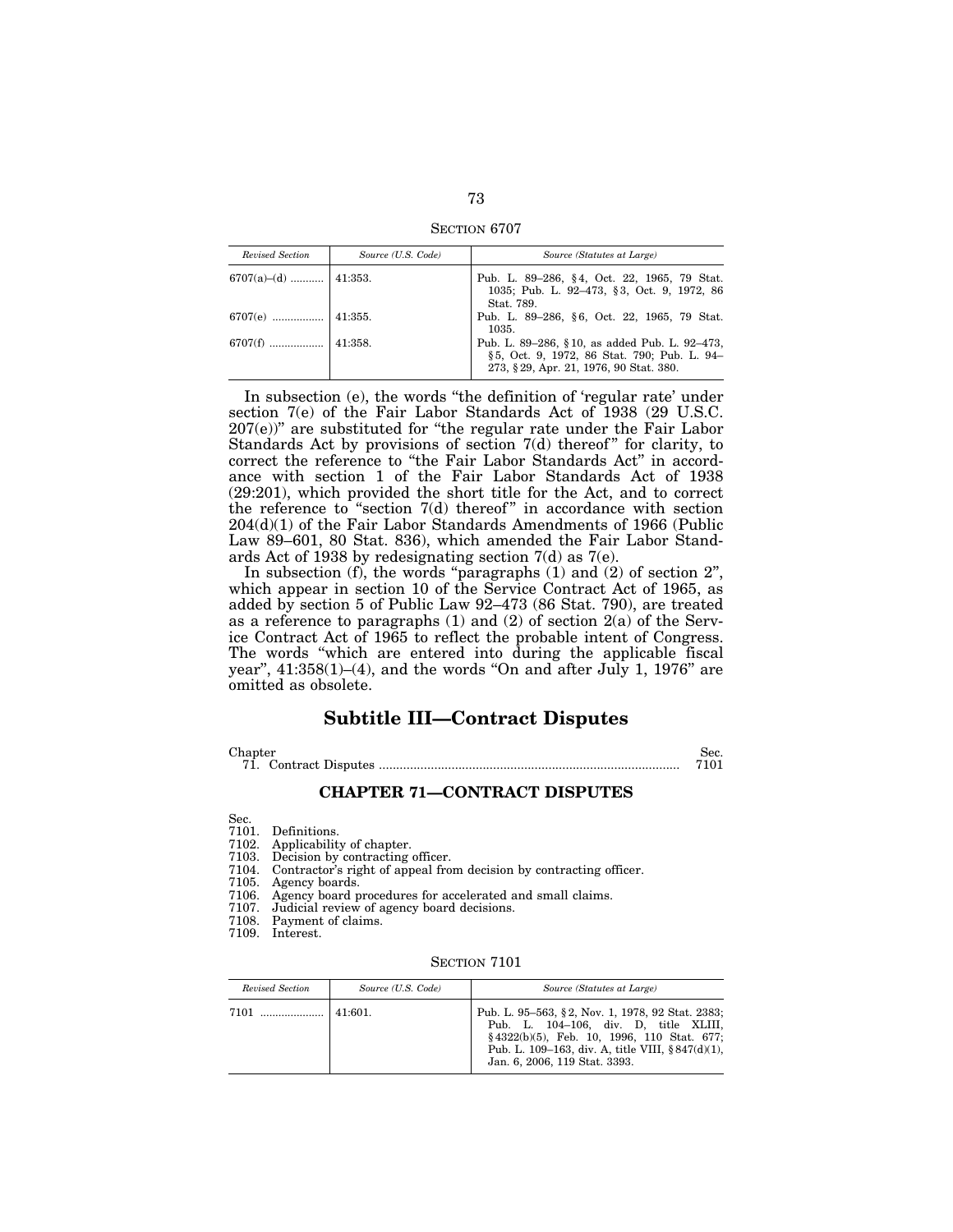SECTION 6707

| Revised Section      | Source (U.S. Code) | Source (Statutes at Large)                                                                                                              |
|----------------------|--------------------|-----------------------------------------------------------------------------------------------------------------------------------------|
| 6707(a)–(d)  41:353. |                    | Pub. L. 89–286, §4, Oct. 22, 1965, 79 Stat.<br>1035; Pub. L. 92-473, §3, Oct. 9, 1972, 86<br>Stat. 789.                                 |
|                      |                    | Pub. L. 89–286, §6, Oct. 22, 1965, 79 Stat.<br>1035.                                                                                    |
|                      |                    | Pub. L. 89–286, §10, as added Pub. L. 92–473,<br>§5, Oct. 9, 1972, 86 Stat. 790; Pub. L. 94-<br>273, § 29, Apr. 21, 1976, 90 Stat. 380. |

In subsection (e), the words "the definition of 'regular rate' under section 7(e) of the Fair Labor Standards Act of 1938 (29 U.S.C.  $207(e)$ " are substituted for "the regular rate under the Fair Labor Standards Act by provisions of section  $7(d)$  thereof" for clarity, to correct the reference to ''the Fair Labor Standards Act'' in accordance with section 1 of the Fair Labor Standards Act of 1938 (29:201), which provided the short title for the Act, and to correct the reference to "section  $7(d)$  thereof" in accordance with section 204(d)(1) of the Fair Labor Standards Amendments of 1966 (Public Law 89–601, 80 Stat. 836), which amended the Fair Labor Standards Act of 1938 by redesignating section 7(d) as 7(e).

In subsection  $(f)$ , the words "paragraphs  $(1)$  and  $(2)$  of section  $2$ ", which appear in section 10 of the Service Contract Act of 1965, as added by section 5 of Public Law 92–473 (86 Stat. 790), are treated as a reference to paragraphs  $(1)$  and  $(2)$  of section  $2(a)$  of the Service Contract Act of 1965 to reflect the probable intent of Congress. The words "which are entered into during the applicable fiscal year",  $41:358(1)–(4)$ , and the words "On and after July 1, 1976" are omitted as obsolete.

# **Subtitle III—Contract Disputes**

Chapter Sec.

71. Contract Disputes ....................................................................................... 7101

### **CHAPTER 71—CONTRACT DISPUTES**

Sec.

7101. Definitions.<br>7102. Applicability

- Applicability of chapter.
- 7103. Decision by contracting officer.<br>7104. Contractor's right of appeal fro
- Contractor's right of appeal from decision by contracting officer.
- 7105. Agency boards.
- 7106. Agency board procedures for accelerated and small claims.
- 7107. Judicial review of agency board decisions.
- Payment of claims.
- 7109. Interest.

SECTION 7101

| Revised Section | Source (U.S. Code) | Source (Statutes at Large)                                                                                                                                                                                                          |
|-----------------|--------------------|-------------------------------------------------------------------------------------------------------------------------------------------------------------------------------------------------------------------------------------|
|                 |                    | Pub. L. 95–563, §2, Nov. 1, 1978, 92 Stat. 2383;<br>Pub. L. 104-106, div. D. title XLIII,<br>$§$ 4322(b)(5), Feb. 10, 1996, 110 Stat. 677;<br>Pub. L. 109–163, div. A, title VIII, $§ 847(d)(1)$ ,<br>Jan. 6, 2006, 119 Stat. 3393. |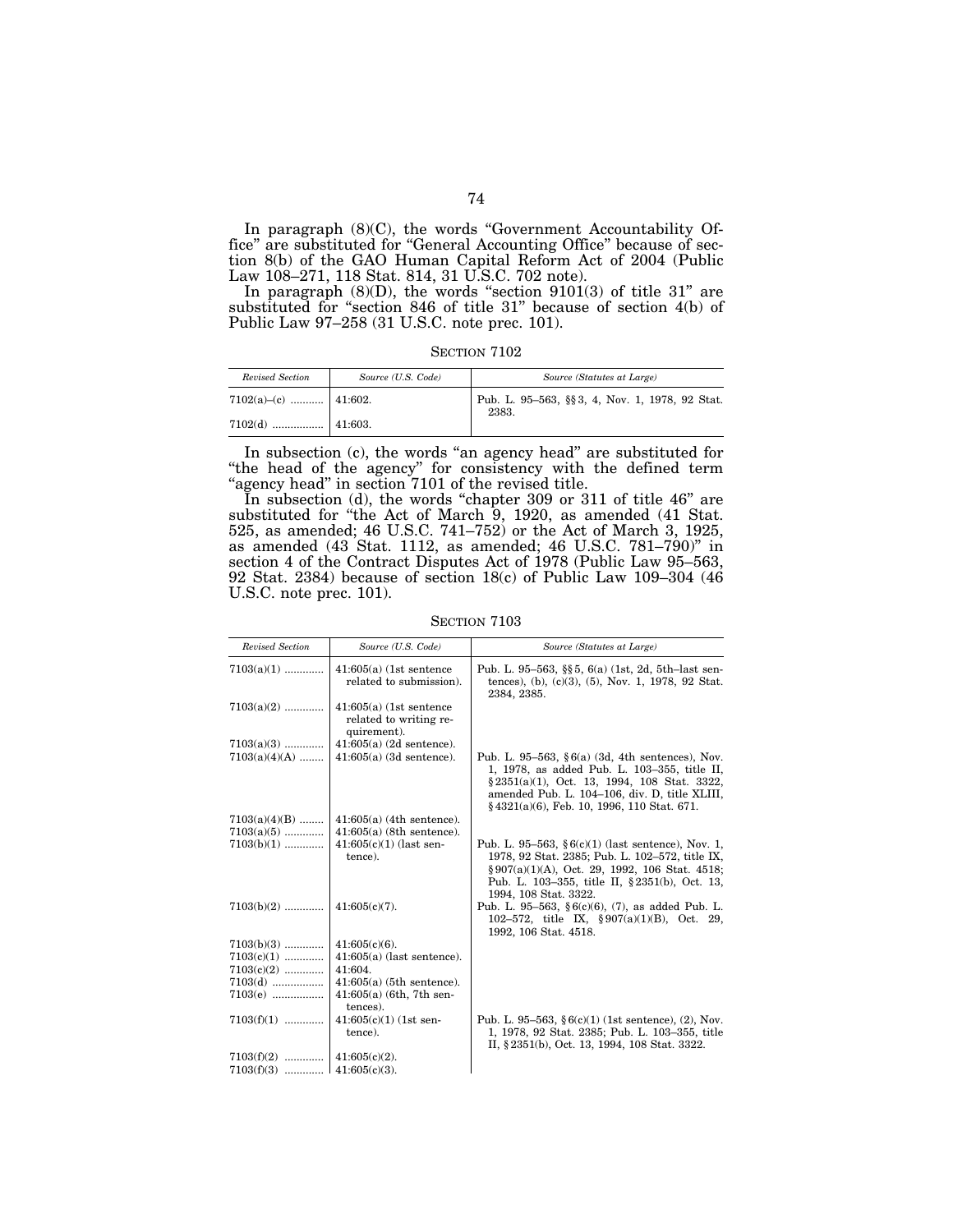In paragraph  $(8)(C)$ , the words "Government Accountability Office'' are substituted for ''General Accounting Office'' because of section 8(b) of the GAO Human Capital Reform Act of 2004 (Public Law 108–271, 118 Stat. 814, 31 U.S.C. 702 note).

In paragraph  $(8)(D)$ , the words "section  $9101(3)$  of title  $31$ " are substituted for "section 846 of title 31" because of section 4(b) of Public Law 97–258 (31 U.S.C. note prec. 101).

SECTION 7102

| Revised Section        | Source (U.S. Code) | Source (Statutes at Large)                              |
|------------------------|--------------------|---------------------------------------------------------|
| 7102(a)–(c)    41:602. |                    | Pub. L. 95-563, §§3, 4, Nov. 1, 1978, 92 Stat.<br>2383. |
|                        |                    |                                                         |

In subsection (c), the words "an agency head" are substituted for ''the head of the agency'' for consistency with the defined term "agency head" in section 7101 of the revised title.

In subsection (d), the words "chapter 309 or 311 of title 46" are substituted for "the Act of March 9, 1920, as amended (41 Stat. 525, as amended; 46 U.S.C. 741–752) or the Act of March 3, 1925, as amended (43 Stat. 1112, as amended; 46 U.S.C. 781–790)'' in section 4 of the Contract Disputes Act of 1978 (Public Law 95–563, 92 Stat. 2384) because of section 18(c) of Public Law 109–304 (46 U.S.C. note prec. 101).

SECTION 7103

| Revised Section | Source (U.S. Code)                                                 | Source (Statutes at Large)                                                                                                                                                                                                                        |
|-----------------|--------------------------------------------------------------------|---------------------------------------------------------------------------------------------------------------------------------------------------------------------------------------------------------------------------------------------------|
| $7103(a)(1)$    | $41:605(a)$ (1st sentence<br>related to submission).               | Pub. L. 95–563, §§5, 6(a) $(1st, 2d, 5th$ -last sen-<br>tences), (b), (c)(3), (5), Nov. 1, 1978, 92 Stat.<br>2384, 2385.                                                                                                                          |
| $7103(a)(2)$    | $41:605(a)$ (1st sentence<br>related to writing re-<br>quirement). |                                                                                                                                                                                                                                                   |
| $7103(a)(3)$    | $41:605(a)$ (2d sentence).                                         |                                                                                                                                                                                                                                                   |
| $7103(a)(4)(A)$ | $41:605(a)$ (3d sentence).                                         | Pub. L. 95–563, $§ 6(a)$ (3d, 4th sentences), Nov.<br>1, 1978, as added Pub. L. 103-355, title II,<br>§ 2351(a)(1), Oct. 13, 1994, 108 Stat. 3322,<br>amended Pub. L. 104-106, div. D, title XLIII,<br>§4321(a)(6), Feb. 10, 1996, 110 Stat. 671. |
| $7103(a)(4)(B)$ | $41:605(a)$ (4th sentence).                                        |                                                                                                                                                                                                                                                   |
| $7103(a)(5)$    | $41:605(a)$ (8th sentence).                                        |                                                                                                                                                                                                                                                   |
| $7103(b)(1)$    | $41:605(c)(1)$ (last sen-<br>tence).                               | Pub. L. 95–563, $§ 6(c)(1)$ (last sentence), Nov. 1,<br>1978, 92 Stat. 2385; Pub. L. 102-572, title IX,<br>§907(a)(1)(A), Oct. 29, 1992, 106 Stat. 4518;<br>Pub. L. 103-355, title II, §2351(b), Oct. 13,<br>1994, 108 Stat. 3322.                |
| $7103(b)(2)$    | $41:605(c)(7)$ .                                                   | Pub. L. 95–563, §6(c)(6), $(7)$ , as added Pub. L.<br>102-572, title IX, $\S 907(a)(1)(B)$ , Oct. 29,<br>1992, 106 Stat. 4518.                                                                                                                    |
| $7103(b)(3)$    | $41:605(c)(6)$ .                                                   |                                                                                                                                                                                                                                                   |
| $7103(c)(1)$    | $41:605(a)$ (last sentence).                                       |                                                                                                                                                                                                                                                   |
| $7103(c)(2)$    | 41:604.                                                            |                                                                                                                                                                                                                                                   |
| $7103(d)$       | $41:605(a)$ (5th sentence).                                        |                                                                                                                                                                                                                                                   |
| $7103(e)$       | $41:605(a)$ (6th, 7th sen-<br>tences).                             |                                                                                                                                                                                                                                                   |
| $7103(f)(1)$    | $41:605(c)(1)$ (1st sen-<br>tence).                                | Pub. L. 95–563, $§ 6(c)(1)$ (1st sentence), (2), Nov.<br>1, 1978, 92 Stat. 2385; Pub. L. 103-355, title<br>II, § 2351(b), Oct. 13, 1994, 108 Stat. 3322.                                                                                          |
| $7103(f)(2)$    | $41:605(c)(2)$ .                                                   |                                                                                                                                                                                                                                                   |
| $7103(f)(3)$    | $41:605(c)(3)$ .                                                   |                                                                                                                                                                                                                                                   |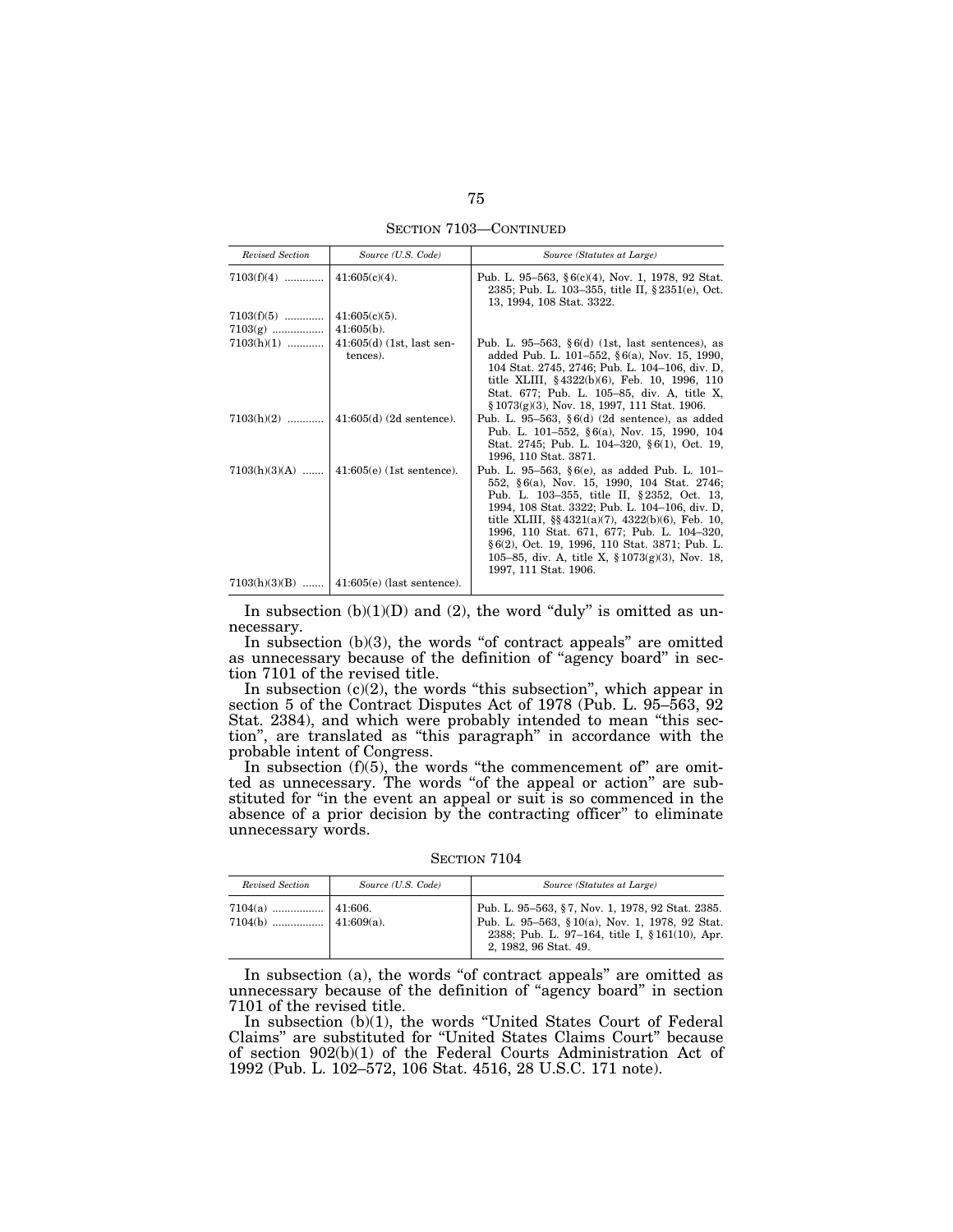SECTION 7103—CONTINUED

| Revised Section | Source (U.S. Code)                      | Source (Statutes at Large)                                                                                                                                                                                                                                                                                                                                                                                                           |
|-----------------|-----------------------------------------|--------------------------------------------------------------------------------------------------------------------------------------------------------------------------------------------------------------------------------------------------------------------------------------------------------------------------------------------------------------------------------------------------------------------------------------|
| $7103(f)(4)$    | $41:605(c)(4)$ .                        | Pub. L. 95–563, §6(c)(4), Nov. 1, 1978, 92 Stat.<br>2385; Pub. L. 103-355, title II, § 2351(e), Oct.<br>13, 1994, 108 Stat. 3322.                                                                                                                                                                                                                                                                                                    |
| $7103(f)(5)$    | $41:605(c)(5)$ .                        |                                                                                                                                                                                                                                                                                                                                                                                                                                      |
| $7103(g)$       | $41:605(b)$ .                           |                                                                                                                                                                                                                                                                                                                                                                                                                                      |
| $7103(h)(1)$    | $41:605(d)$ (1st, last sen-<br>tences). | Pub. L. 95–563, $6(d)$ (1st, last sentences), as<br>added Pub. L. 101–552, $§ 6(a)$ , Nov. 15, 1990,<br>104 Stat. 2745, 2746; Pub. L. 104-106, div. D.<br>title XLIII, $§\,4322(b)(6)$ , Feb. 10, 1996, 110<br>Stat. 677; Pub. L. 105–85, div. A, title X,<br>$§ 1073(g)(3)$ , Nov. 18, 1997, 111 Stat. 1906.                                                                                                                        |
| $7103(h)(2)$    | $ 41:605(d)$ (2d sentence).             | Pub. L. 95–563, $§6(d)$ (2d sentence), as added<br>Pub. L. 101-552, §6(a), Nov. 15, 1990, 104<br>Stat. 2745; Pub. L. 104-320, §6(1), Oct. 19,<br>1996, 110 Stat. 3871.                                                                                                                                                                                                                                                               |
| $7103(h)(3)(A)$ | $ 41:605(e)$ (1st sentence).            | Pub. L. 95–563, $§ 6(e)$ , as added Pub. L. 101–<br>552, §6(a), Nov. 15, 1990, 104 Stat. 2746;<br>Pub. L. 103–355, title II, §2352, Oct. 13,<br>1994, 108 Stat. 3322; Pub. L. 104-106, div. D.<br>title XLIII, $\S$ 4321(a)(7), 4322(b)(6), Feb. 10,<br>1996, 110 Stat. 671, 677; Pub. L. 104-320,<br>§ 6(2), Oct. 19, 1996, 110 Stat. 3871; Pub. L.<br>105–85, div. A, title X, $\S 1073(g)(3)$ , Nov. 18,<br>1997, 111 Stat. 1906. |
| $7103(h)(3)(B)$ | $41:605(e)$ (last sentence).            |                                                                                                                                                                                                                                                                                                                                                                                                                                      |

In subsection  $(b)(1)(D)$  and  $(2)$ , the word "duly" is omitted as unnecessary.

In subsection  $(b)(3)$ , the words "of contract appeals" are omitted as unnecessary because of the definition of "agency board" in section 7101 of the revised title.

In subsection  $(c)(2)$ , the words "this subsection", which appear in section 5 of the Contract Disputes Act of 1978 (Pub. L. 95–563, 92 Stat. 2384), and which were probably intended to mean ''this section'', are translated as ''this paragraph'' in accordance with the probable intent of Congress.

In subsection (f)(5), the words "the commencement of" are omitted as unnecessary. The words "of the appeal or action" are substituted for "in the event an appeal or suit is so commenced in the absence of a prior decision by the contracting officer" to eliminate unnecessary words.

SECTION 7104

| Revised Section | Source (U.S. Code) | Source (Statutes at Large)                                                                                                                                                   |
|-----------------|--------------------|------------------------------------------------------------------------------------------------------------------------------------------------------------------------------|
|                 |                    | Pub. L. 95–563, §7, Nov. 1, 1978, 92 Stat. 2385.<br>Pub. L. 95-563, §10(a), Nov. 1, 1978, 92 Stat.<br>2388; Pub. L. 97-164, title I, §161(10), Apr.<br>2, 1982, 96 Stat. 49. |

In subsection  $(a)$ , the words "of contract appeals" are omitted as unnecessary because of the definition of "agency board" in section 7101 of the revised title.

In subsection (b)(1), the words ''United States Court of Federal Claims'' are substituted for ''United States Claims Court'' because of section 902(b)(1) of the Federal Courts Administration Act of 1992 (Pub. L. 102–572, 106 Stat. 4516, 28 U.S.C. 171 note).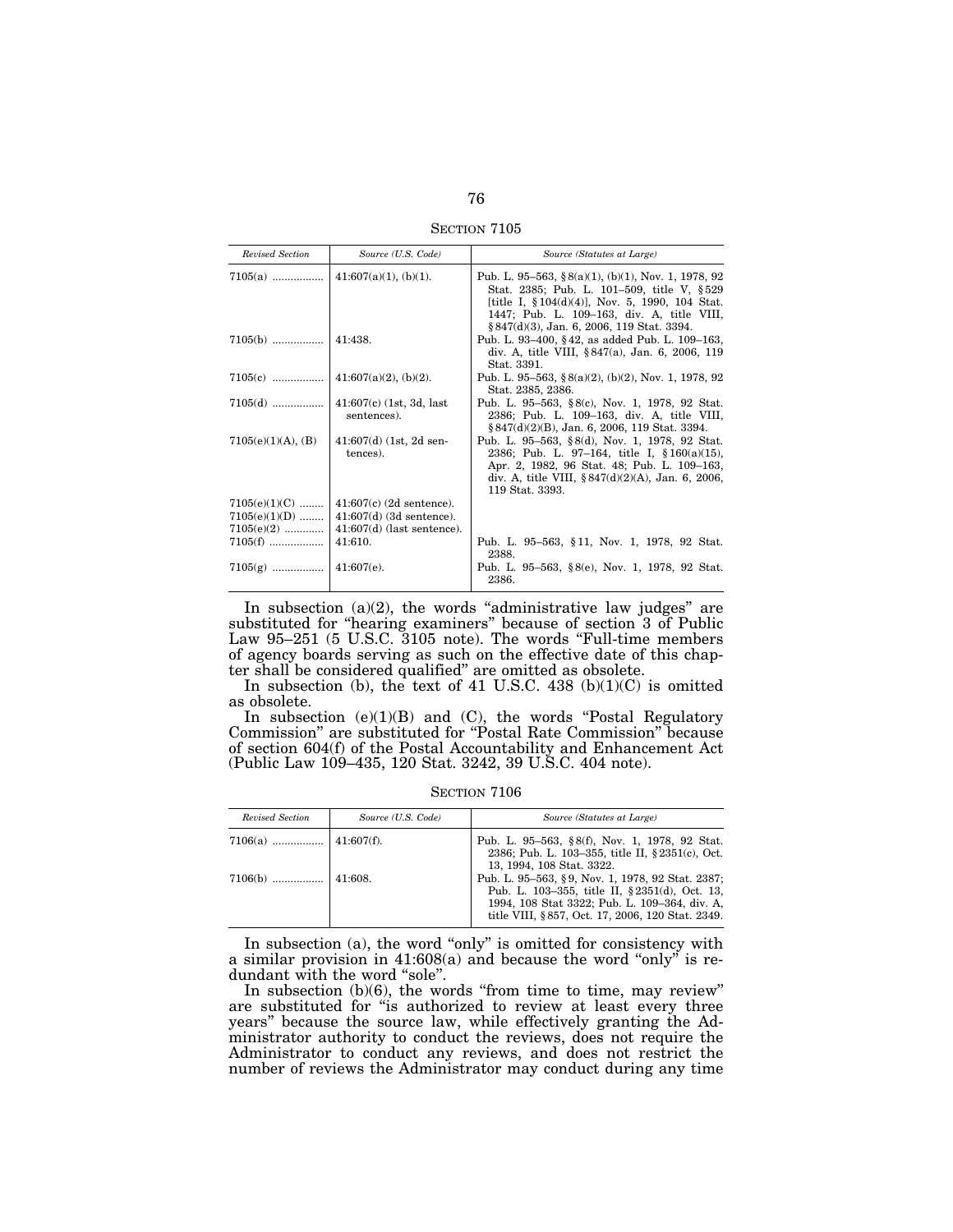SECTION 7105

| Revised Section    | Source (U.S. Code)                    | Source (Statutes at Large)                                                                                                                                                                                                                              |
|--------------------|---------------------------------------|---------------------------------------------------------------------------------------------------------------------------------------------------------------------------------------------------------------------------------------------------------|
|                    |                                       | Pub. L. 95–563, § $8(a)(1)$ , (b)(1), Nov. 1, 1978, 92<br>Stat. 2385; Pub. L. 101-509, title V, §529<br>[title I, $\S 104(d)(4)$ ], Nov. 5, 1990, 104 Stat.<br>1447; Pub. L. 109–163, div. A, title VIII,<br>§ 847(d)(3), Jan. 6, 2006, 119 Stat. 3394. |
|                    |                                       | Pub. L. 93–400, §42, as added Pub. L. 109–163,<br>div. A, title VIII, §847(a), Jan. 6, 2006, 119<br>Stat. 3391.                                                                                                                                         |
|                    |                                       | Pub. L. 95–563, § $8(a)(2)$ , (b)(2), Nov. 1, 1978, 92<br>Stat. 2385, 2386.                                                                                                                                                                             |
|                    | sentences).                           | Pub. L. 95–563, §8(c), Nov. 1, 1978, 92 Stat.<br>2386; Pub. L. 109–163, div. A, title VIII,<br>§ 847(d)(2)(B), Jan. 6, 2006, 119 Stat. 3394.                                                                                                            |
| 7105(e)(1)(A), (B) | $41:607(d)$ (1st, 2d sen-<br>tences). | Pub. L. 95–563, §8(d), Nov. 1, 1978, 92 Stat.<br>2386; Pub. L. 97-164, title I, §160(a)(15),<br>Apr. 2, 1982, 96 Stat. 48; Pub. L. 109-163,<br>div. A, title VIII, $\S 847(d)(2)(A)$ , Jan. 6, 2006,<br>119 Stat. 3393.                                 |
| $7105(e)(1)(C)$    | $41:607(c)$ (2d sentence).            |                                                                                                                                                                                                                                                         |
| $7105(e)(1)(D)$    | $41:607(d)$ (3d sentence).            |                                                                                                                                                                                                                                                         |
| $7105(e)(2)$       | $41:607(d)$ (last sentence).          |                                                                                                                                                                                                                                                         |
| $7105(f)$          | 41:610.                               | Pub. L. 95–563, §11, Nov. 1, 1978, 92 Stat.<br>2388.                                                                                                                                                                                                    |
|                    |                                       | Pub. L. 95–563, $\S$ 8(e), Nov. 1, 1978, 92 Stat.<br>2386.                                                                                                                                                                                              |

In subsection  $(a)(2)$ , the words "administrative law judges" are substituted for ''hearing examiners'' because of section 3 of Public Law 95–251 (5 U.S.C. 3105 note). The words "Full-time members of agency boards serving as such on the effective date of this chapter shall be considered qualified'' are omitted as obsolete.

In subsection (b), the text of 41 U.S.C.  $438$  (b)(1)(C) is omitted as obsolete.

In subsection  $(e)(1)(B)$  and  $(C)$ , the words "Postal Regulatory Commission'' are substituted for ''Postal Rate Commission'' because of section 604(f) of the Postal Accountability and Enhancement Act (Public Law 109–435, 120 Stat. 3242, 39 U.S.C. 404 note).

SECTION  $7106$ 

| Revised Section | Source (U.S. Code) | Source (Statutes at Large)                                                                                                                                                                              |
|-----------------|--------------------|---------------------------------------------------------------------------------------------------------------------------------------------------------------------------------------------------------|
|                 |                    | Pub. L. 95–563, §8(f), Nov. 1, 1978, 92 Stat.<br>2386; Pub. L. 103-355, title II, § 2351(c), Oct.<br>13, 1994, 108 Stat. 3322.                                                                          |
|                 |                    | Pub. L. 95-563, §9, Nov. 1, 1978, 92 Stat. 2387;<br>Pub. L. 103-355, title II, §2351(d), Oct. 13,<br>1994, 108 Stat 3322; Pub. L. 109-364, div. A.<br>title VIII, § 857, Oct. 17, 2006, 120 Stat. 2349. |

In subsection (a), the word ''only'' is omitted for consistency with a similar provision in 41:608(a) and because the word "only" is redundant with the word "sole".

In subsection (b)(6), the words "from time to time, may review" are substituted for ''is authorized to review at least every three years'' because the source law, while effectively granting the Administrator authority to conduct the reviews, does not require the Administrator to conduct any reviews, and does not restrict the number of reviews the Administrator may conduct during any time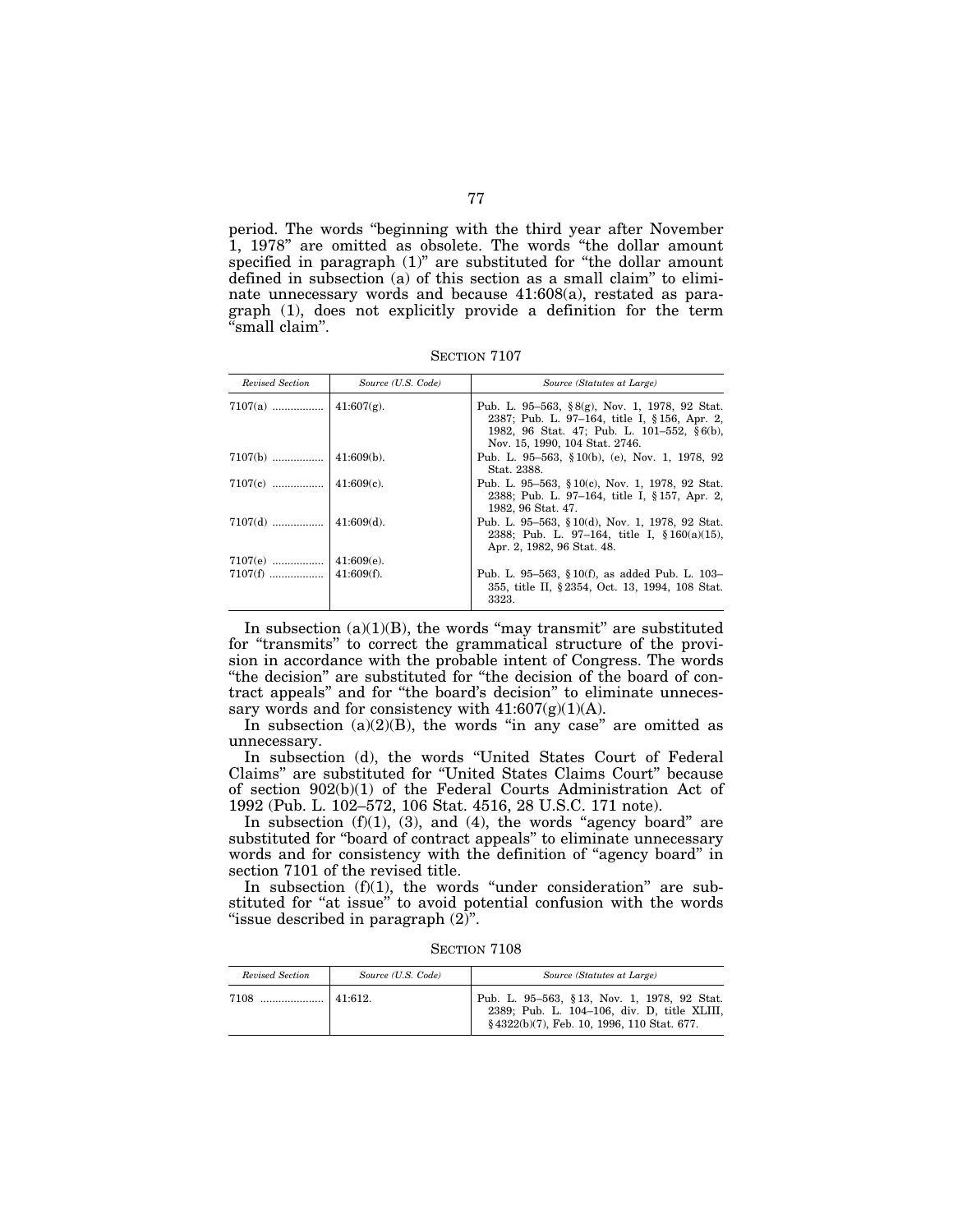period. The words ''beginning with the third year after November 1, 1978'' are omitted as obsolete. The words ''the dollar amount specified in paragraph (1)" are substituted for "the dollar amount defined in subsection (a) of this section as a small claim'' to eliminate unnecessary words and because 41:608(a), restated as paragraph (1), does not explicitly provide a definition for the term 'small claim".

SECTION 7107

| Revised Section | Source (U.S. Code) | Source (Statutes at Large)                                                                                                                                                    |
|-----------------|--------------------|-------------------------------------------------------------------------------------------------------------------------------------------------------------------------------|
|                 |                    | Pub. L. 95–563, §8(g), Nov. 1, 1978, 92 Stat.<br>2387; Pub. L. 97-164, title I, §156, Apr. 2,<br>1982, 96 Stat. 47; Pub. L. 101-552, §6(b),<br>Nov. 15, 1990, 104 Stat. 2746. |
|                 |                    | Pub. L. 95–563, §10(b), (e), Nov. 1, 1978, 92<br>Stat. 2388.                                                                                                                  |
|                 |                    | Pub. L. 95–563, §10(c), Nov. 1, 1978, 92 Stat.<br>2388; Pub. L. 97-164, title I, §157, Apr. 2,<br>1982, 96 Stat. 47.                                                          |
|                 |                    | Pub. L. 95–563, § 10(d), Nov. 1, 1978, 92 Stat.<br>2388; Pub. L. 97-164, title I, $$160(a)(15)$ ,<br>Apr. 2, 1982, 96 Stat. 48.                                               |
|                 |                    |                                                                                                                                                                               |
|                 |                    | Pub. L. 95–563, § 10(f), as added Pub. L. 103–<br>355, title II, § 2354, Oct. 13, 1994, 108 Stat.<br>3323.                                                                    |

In subsection  $(a)(1)(B)$ , the words "may transmit" are substituted for ''transmits'' to correct the grammatical structure of the provision in accordance with the probable intent of Congress. The words ''the decision'' are substituted for ''the decision of the board of contract appeals'' and for ''the board's decision'' to eliminate unnecessary words and for consistency with  $41:607(g)(1)(A)$ .

In subsection  $(a)(2)(B)$ , the words "in any case" are omitted as unnecessary.

In subsection (d), the words ''United States Court of Federal Claims'' are substituted for ''United States Claims Court'' because of section 902(b)(1) of the Federal Courts Administration Act of 1992 (Pub. L. 102–572, 106 Stat. 4516, 28 U.S.C. 171 note).

In subsection  $(f)(1)$ ,  $(3)$ , and  $(4)$ , the words "agency board" are substituted for ''board of contract appeals'' to eliminate unnecessary words and for consistency with the definition of ''agency board'' in section 7101 of the revised title.

In subsection (f)(1), the words "under consideration" are substituted for "at issue" to avoid potential confusion with the words "issue described in paragraph  $(2)$ ".

SECTION 7108

| Revised Section | Source (U.S. Code) | Source (Statutes at Large)                                                                                                               |
|-----------------|--------------------|------------------------------------------------------------------------------------------------------------------------------------------|
|                 |                    | Pub. L. 95-563, §13, Nov. 1, 1978, 92 Stat.<br>2389; Pub. L. 104-106, div. D. title XLIII,<br>§4322(b)(7), Feb. 10, 1996, 110 Stat. 677. |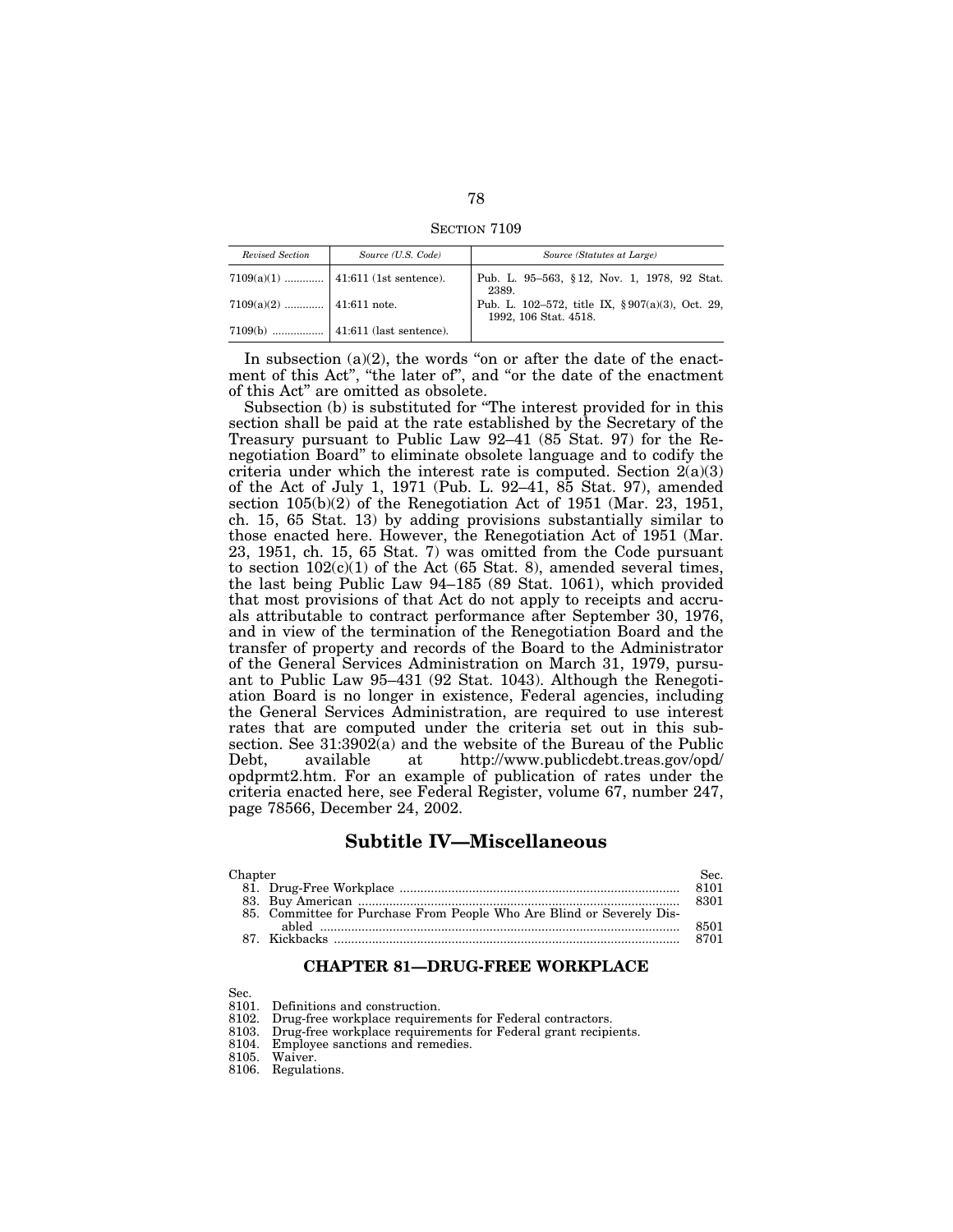SECTION 7109

| Revised Section           | Source (U.S. Code)                    | Source (Statutes at Large)                                               |
|---------------------------|---------------------------------------|--------------------------------------------------------------------------|
|                           | $7109(a)(1)$   41:611 (1st sentence). | Pub. L. 95-563, §12, Nov. 1, 1978, 92 Stat.<br>2389.                     |
| $7109(a)(2)$ 41:611 note. |                                       | Pub. L. 102-572, title IX, §907(a)(3), Oct. 29,<br>1992, 106 Stat. 4518. |
|                           |                                       |                                                                          |

In subsection  $(a)(2)$ , the words "on or after the date of the enactment of this Act'', ''the later of'', and ''or the date of the enactment of this Act'' are omitted as obsolete.

Subsection (b) is substituted for ''The interest provided for in this section shall be paid at the rate established by the Secretary of the Treasury pursuant to Public Law 92–41 (85 Stat. 97) for the Renegotiation Board'' to eliminate obsolete language and to codify the criteria under which the interest rate is computed. Section  $2(a)(3)$ of the Act of July 1, 1971 (Pub. L. 92–41, 85 Stat. 97), amended section 105(b)(2) of the Renegotiation Act of 1951 (Mar. 23, 1951, ch. 15, 65 Stat. 13) by adding provisions substantially similar to those enacted here. However, the Renegotiation Act of 1951 (Mar. 23, 1951, ch. 15, 65 Stat. 7) was omitted from the Code pursuant to section  $102(c)(1)$  of the Act (65 Stat. 8), amended several times, the last being Public Law 94–185 (89 Stat. 1061), which provided that most provisions of that Act do not apply to receipts and accruals attributable to contract performance after September 30, 1976, and in view of the termination of the Renegotiation Board and the transfer of property and records of the Board to the Administrator of the General Services Administration on March 31, 1979, pursuant to Public Law 95–431 (92 Stat. 1043). Although the Renegotiation Board is no longer in existence, Federal agencies, including the General Services Administration, are required to use interest rates that are computed under the criteria set out in this subsection. See  $31:3902(a)$  and the website of the Bureau of the Public<br>Debt. available at http://www.publicdebt.treas.gov/opd/ http://www.publicdebt.treas.gov/opd/ opdprmt2.htm. For an example of publication of rates under the criteria enacted here, see Federal Register, volume 67, number 247, page 78566, December 24, 2002.

## **Subtitle IV—Miscellaneous**

#### Chapter Sec. 81. Drug-Free Workplace ................................................................................. 8101 83. Buy American ............................................................................................. 8301 85. Committee for Purchase From People Who Are Blind or Severely Disabled ........................................................................................................ 8501 87. Kickbacks .................................................................................................... 8701

#### **CHAPTER 81—DRUG-FREE WORKPLACE**

Sec.

8101. Definitions and construction.<br>8102. Drug-free workplace requiren 8102. Drug-free workplace requirements for Federal contractors.<br>8103. Drug-free workplace requirements for Federal grant recipi

Drug-free workplace requirements for Federal grant recipients.

8104. Employee sanctions and remedies.<br>8105. Waiver.

Waiver.

8106. Regulations.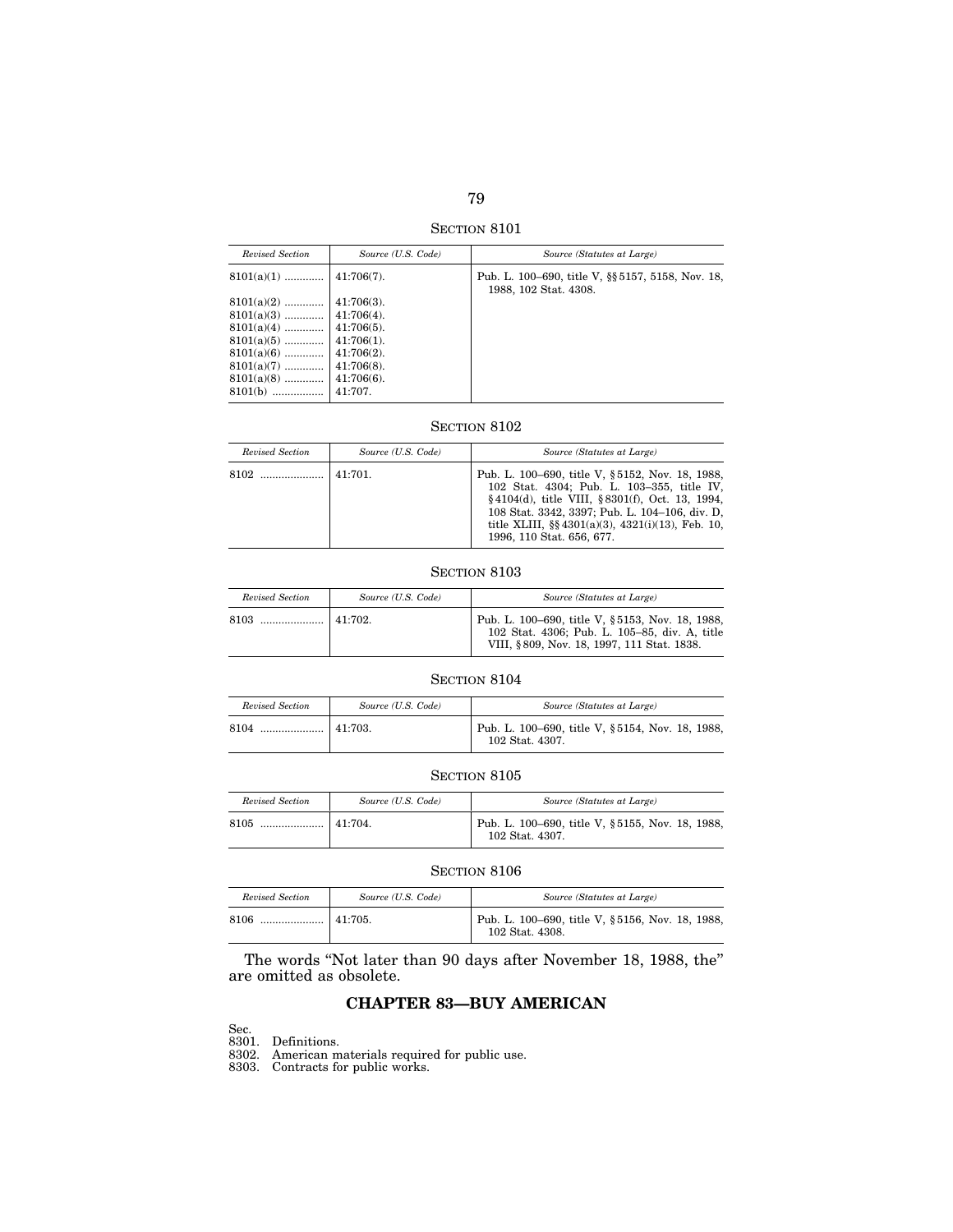SECTION 8101

| Revised Section           | Source (U.S. Code) | Source (Statutes at Large)                                                 |
|---------------------------|--------------------|----------------------------------------------------------------------------|
| $8101(a)(1)$              | $41:706(7)$ .      | Pub. L. 100–690, title V, §§ 5157, 5158, Nov. 18,<br>1988, 102 Stat. 4308. |
| $8101(a)(2)$              | $41:706(3)$ .      |                                                                            |
| $8101(a)(3)$   41:706(4). |                    |                                                                            |
| $8101(a)(4)$              | $41:706(5)$ .      |                                                                            |
| $8101(a)(5)$              | $41:706(1)$ .      |                                                                            |
| $8101(a)(6)$              | $41:706(2)$ .      |                                                                            |
| $8101(a)(7)$              | $41:706(8)$ .      |                                                                            |
| $8101(a)(8)$              | $41:706(6)$ .      |                                                                            |
| $8101(b)$                 | 41:707.            |                                                                            |

## SECTION 8102

| Revised Section | Source (U.S. Code) | Source (Statutes at Large)                                                                                                                                                                                                                                                                  |
|-----------------|--------------------|---------------------------------------------------------------------------------------------------------------------------------------------------------------------------------------------------------------------------------------------------------------------------------------------|
|                 | 141:701.           | Pub. L. 100–690, title V, §5152, Nov. 18, 1988,<br>102 Stat. 4304; Pub. L. 103-355, title IV,<br>§4104(d), title VIII, §8301(f), Oct. 13, 1994,<br>108 Stat. 3342, 3397; Pub. L. 104-106, div. D.<br>title XLIII, $\S\S 4301(a)(3)$ , $4321(i)(13)$ , Feb. 10,<br>1996, 110 Stat. 656, 677. |

#### SECTION 8103

| Revised Section | Source (U.S. Code) | Source (Statutes at Large)                                                                                                                     |
|-----------------|--------------------|------------------------------------------------------------------------------------------------------------------------------------------------|
|                 |                    | Pub. L. 100–690, title V, §5153, Nov. 18, 1988,<br>102 Stat. 4306; Pub. L. 105-85, div. A, title<br>VIII, §809, Nov. 18, 1997, 111 Stat. 1838. |

## SECTION 8104

| Revised Section | Source (U.S. Code) | Source (Statutes at Large)                                         |
|-----------------|--------------------|--------------------------------------------------------------------|
| 8104<br>        | 141:703.           | Pub. L. 100–690, title V, §5154, Nov. 18, 1988,<br>102 Stat. 4307. |

## SECTION 8105

| Revised Section | Source (U.S. Code) | Source (Statutes at Large)                                         |
|-----------------|--------------------|--------------------------------------------------------------------|
| 8105            | 41:704.            | Pub. L. 100–690, title V, §5155, Nov. 18, 1988,<br>102 Stat. 4307. |

#### SECTION 8106

| Revised Section | Source (U.S. Code) | Source (Statutes at Large)                                         |
|-----------------|--------------------|--------------------------------------------------------------------|
| 8106            |                    | Pub. L. 100–690, title V, §5156, Nov. 18, 1988,<br>102 Stat. 4308. |

The words ''Not later than 90 days after November 18, 1988, the'' are omitted as obsolete.

## **CHAPTER 83—BUY AMERICAN**

Sec. 8301. Definitions.

8302. American materials required for public use.

8303. Contracts for public works.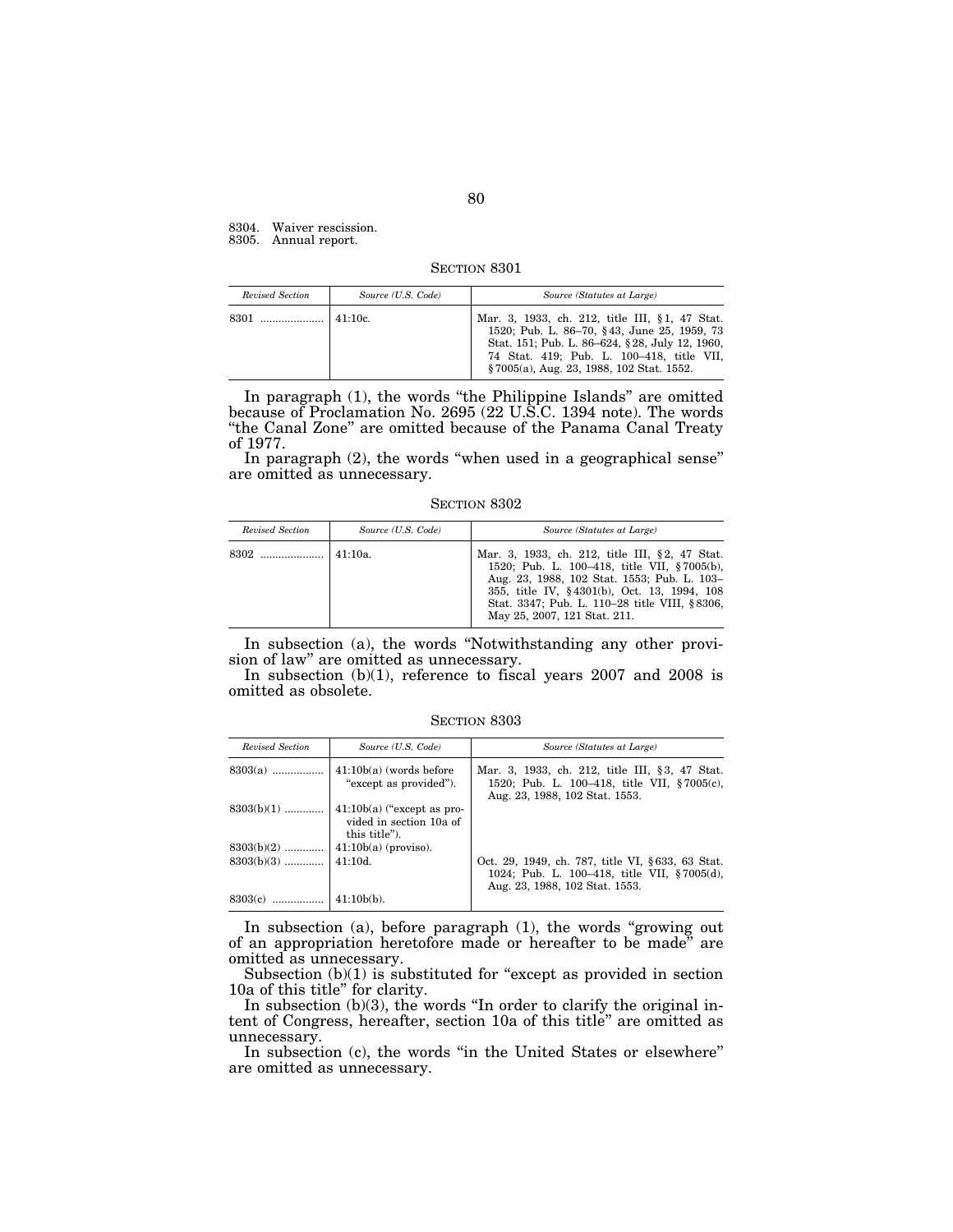8304. Waiver rescission.

8305. Annual report.

SECTION 8301

| Revised Section | Source (U.S. Code) | Source (Statutes at Large)                                                                                                                                                                                                               |
|-----------------|--------------------|------------------------------------------------------------------------------------------------------------------------------------------------------------------------------------------------------------------------------------------|
|                 |                    | Mar. 3, 1933, ch. 212, title III, §1, 47 Stat.<br>1520; Pub. L. 86-70, §43, June 25, 1959, 73<br>Stat. 151; Pub. L. 86–624, §28, July 12, 1960,<br>74 Stat. 419; Pub. L. 100-418, title VII,<br>§7005(a), Aug. 23, 1988, 102 Stat. 1552. |

In paragraph (1), the words "the Philippine Islands" are omitted because of Proclamation No. 2695 (22 U.S.C. 1394 note). The words ''the Canal Zone'' are omitted because of the Panama Canal Treaty of 1977.

In paragraph (2), the words ''when used in a geographical sense'' are omitted as unnecessary.

SECTION 8302

| Revised Section | Source (U.S. Code) | Source (Statutes at Large)                                                                                                                                                                                                                                                   |
|-----------------|--------------------|------------------------------------------------------------------------------------------------------------------------------------------------------------------------------------------------------------------------------------------------------------------------------|
|                 |                    | Mar. 3, 1933, ch. 212, title III, §2, 47 Stat.<br>1520; Pub. L. 100–418, title VII, §7005(b),<br>Aug. 23, 1988, 102 Stat. 1553; Pub. L. 103-<br>355, title IV, §4301(b), Oct. 13, 1994, 108<br>Stat. 3347; Pub. L. 110–28 title VIII, §8306,<br>May 25, 2007, 121 Stat. 211. |

In subsection (a), the words ''Notwithstanding any other provision of law'' are omitted as unnecessary.

In subsection (b)(1), reference to fiscal years 2007 and 2008 is omitted as obsolete.

SECTION 8303

| Revised Section | Source (U.S. Code)                                                       | Source (Statutes at Large)                                                                                                        |
|-----------------|--------------------------------------------------------------------------|-----------------------------------------------------------------------------------------------------------------------------------|
| $8303(a)$       | $41:10b(a)$ (words before<br>"except as provided").                      | Mar. 3, 1933, ch. 212, title III, §3, 47 Stat.<br>1520; Pub. L. 100–418, title VII, §7005(c),<br>Aug. 23, 1988, 102 Stat. 1553.   |
| $8303(b)(1)$    | $41:10b(a)$ ("except as pro-<br>vided in section 10a of<br>this title"). |                                                                                                                                   |
| $8303(b)(2)$    | $41:10b(a)$ (proviso).                                                   |                                                                                                                                   |
|                 |                                                                          | Oct. 29, 1949, ch. 787, title VI, §633, 63 Stat.<br>1024; Pub. L. 100-418, title VII, §7005(d),<br>Aug. 23, 1988, 102 Stat. 1553. |
| $8303(c)$       | $41:10b(b)$ .                                                            |                                                                                                                                   |

In subsection (a), before paragraph (1), the words ''growing out of an appropriation heretofore made or hereafter to be made'' are omitted as unnecessary.

Subsection  $(b)(1)$  is substituted for "except as provided in section 10a of this title'' for clarity.

In subsection  $(b)(3)$ , the words "In order to clarify the original intent of Congress, hereafter, section 10a of this title'' are omitted as unnecessary.

In subsection (c), the words "in the United States or elsewhere" are omitted as unnecessary.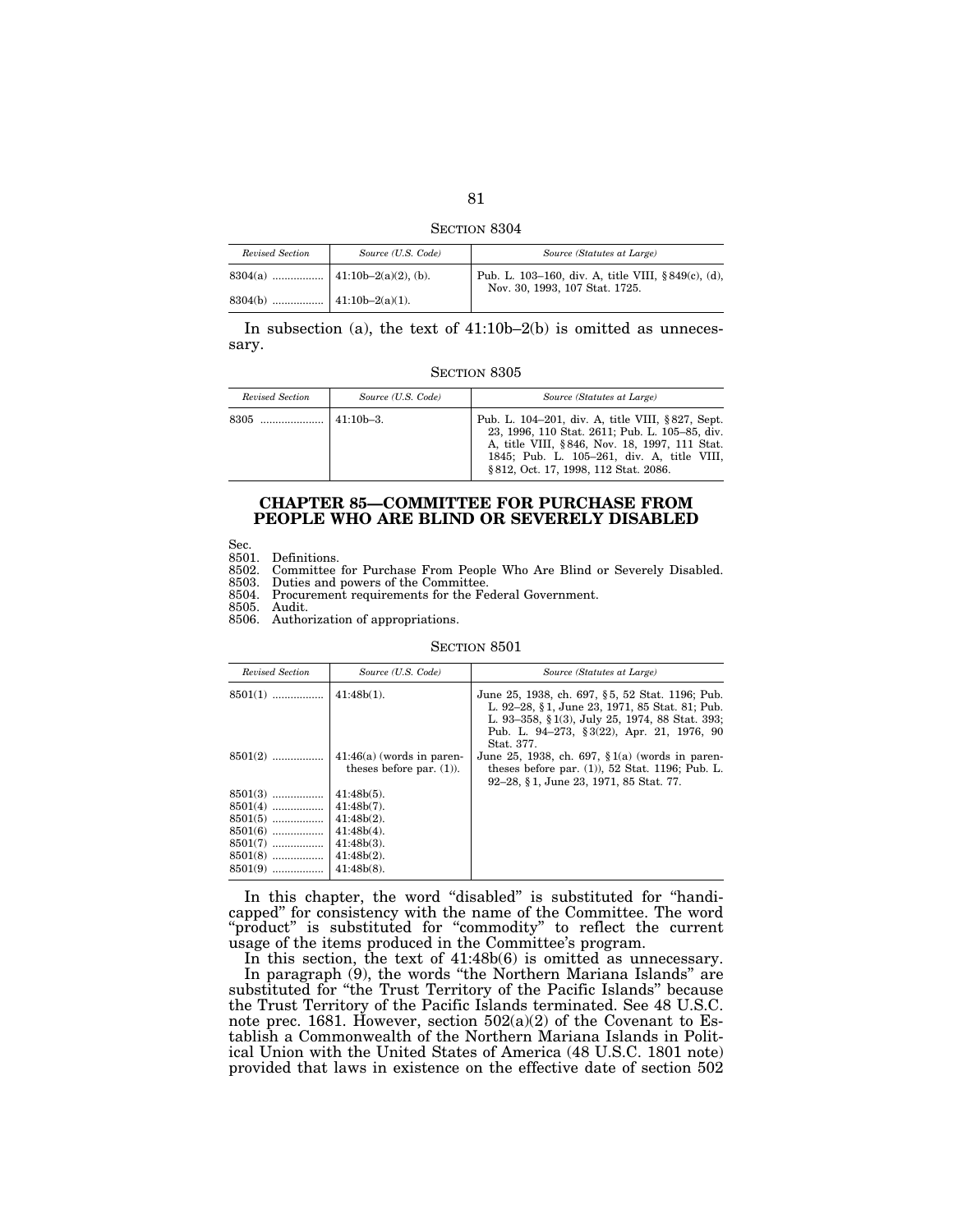SECTION 8304

| Revised Section | Source (U.S. Code) | Source (Statutes at Large)                                                           |
|-----------------|--------------------|--------------------------------------------------------------------------------------|
|                 |                    | Pub. L. 103–160, div. A, title VIII, §849(c), (d),<br>Nov. 30, 1993, 107 Stat. 1725. |
|                 |                    |                                                                                      |

In subsection (a), the text of  $41:10b-2(b)$  is omitted as unnecessary.

SECTION 8305

| Revised Section | Source (U.S. Code) | Source (Statutes at Large)                                                                                                                                                                                                                 |
|-----------------|--------------------|--------------------------------------------------------------------------------------------------------------------------------------------------------------------------------------------------------------------------------------------|
|                 | $141:10b-3.$       | Pub. L. 104–201, div. A, title VIII, §827, Sept.<br>23, 1996, 110 Stat. 2611; Pub. L. 105-85, div.<br>A, title VIII, §846, Nov. 18, 1997, 111 Stat.<br>1845; Pub. L. 105-261, div. A, title VIII,<br>§ 812, Oct. 17, 1998, 112 Stat. 2086. |

## **CHAPTER 85—COMMITTEE FOR PURCHASE FROM PEOPLE WHO ARE BLIND OR SEVERELY DISABLED**

Sec.<br>8501.

8501. Definitions.<br>8502. Committee 8502. Committee for Purchase From People Who Are Blind or Severely Disabled.

Duties and powers of the Committee.

8504. Procurement requirements for the Federal Government.

Audit.

8506. Authorization of appropriations.

SECTION 8501

| Revised Section | Source (U.S. Code)                                         | Source (Statutes at Large)                                                                                                                                                                                      |
|-----------------|------------------------------------------------------------|-----------------------------------------------------------------------------------------------------------------------------------------------------------------------------------------------------------------|
| $8501(1)$       | $41:48b(1)$ .                                              | June 25, 1938, ch. 697, §5, 52 Stat. 1196; Pub.<br>L. 92–28, §1, June 23, 1971, 85 Stat. 81; Pub.<br>L. 93–358, § 1(3), July 25, 1974, 88 Stat. 393;<br>Pub. L. 94–273, §3(22), Apr. 21, 1976, 90<br>Stat. 377. |
| $8501(2)$       | $41:46(a)$ (words in paren-<br>theses before par. $(1)$ ). | June 25, 1938, ch. 697, $\S 1(a)$ (words in paren-<br>theses before par. $(1)$ , 52 Stat. 1196; Pub. L.<br>92–28, §1, June 23, 1971, 85 Stat. 77.                                                               |
| $8501(3)$       | $41:48b(5)$ .                                              |                                                                                                                                                                                                                 |
| $8501(4)$       | $41:48b(7)$ .                                              |                                                                                                                                                                                                                 |
| $8501(5)$       | $41:48b(2)$ .                                              |                                                                                                                                                                                                                 |
| $8501(6)$       | $41:48b(4)$ .                                              |                                                                                                                                                                                                                 |
| $8501(7)$       | $41:48b(3)$ .                                              |                                                                                                                                                                                                                 |
| $8501(8)$       | $41:48b(2)$ .                                              |                                                                                                                                                                                                                 |
| $8501(9)$       | $41:48b(8)$ .                                              |                                                                                                                                                                                                                 |

In this chapter, the word "disabled" is substituted for "handicapped'' for consistency with the name of the Committee. The word "product" is substituted for "commodity" to reflect the current usage of the items produced in the Committee's program.

In this section, the text of  $41:48b(6)$  is omitted as unnecessary. In paragraph (9), the words ''the Northern Mariana Islands'' are substituted for ''the Trust Territory of the Pacific Islands'' because the Trust Territory of the Pacific Islands terminated. See 48 U.S.C. note prec. 1681. However, section  $502(a)(2)$  of the Covenant to Establish a Commonwealth of the Northern Mariana Islands in Political Union with the United States of America (48 U.S.C. 1801 note) provided that laws in existence on the effective date of section 502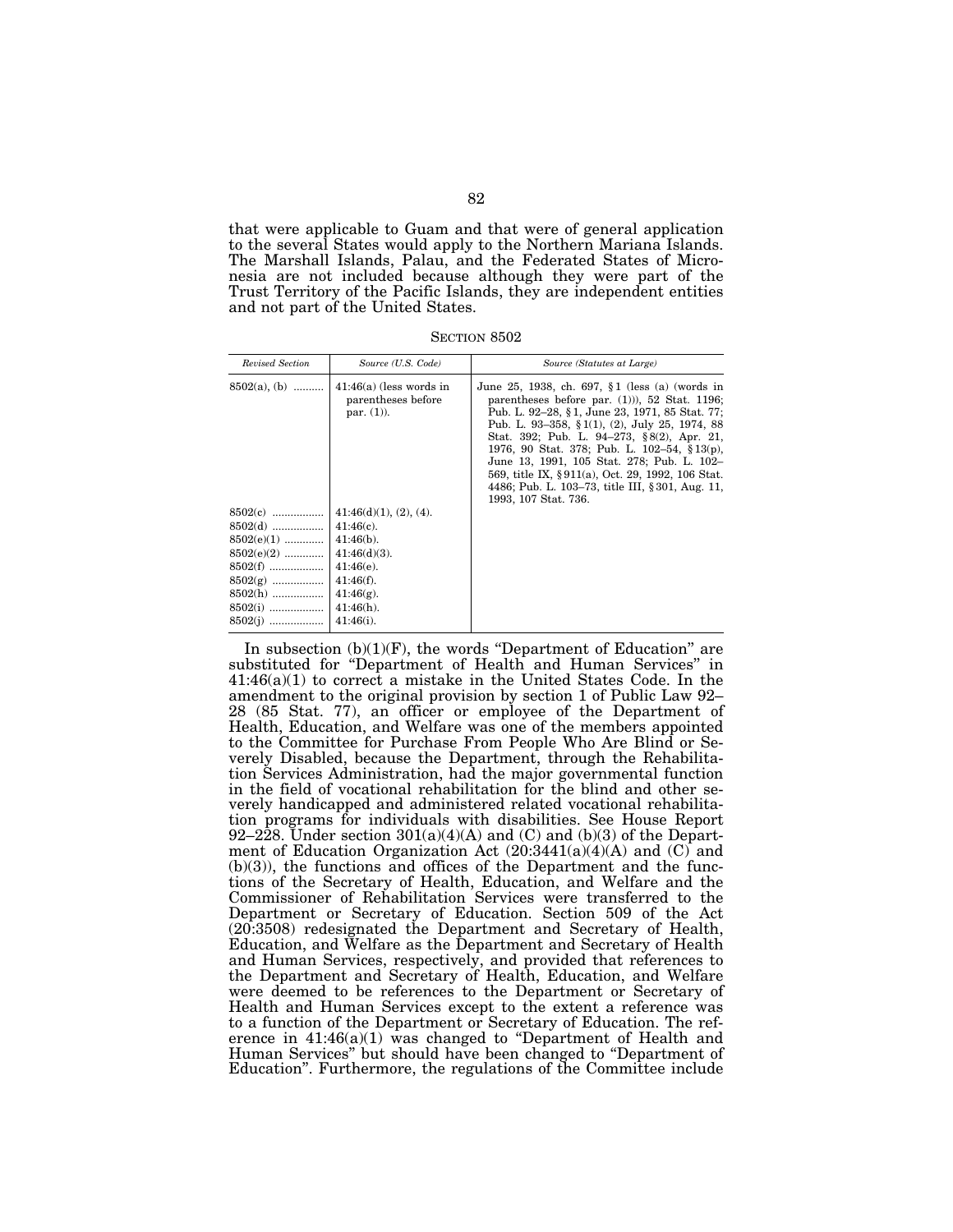that were applicable to Guam and that were of general application to the several States would apply to the Northern Mariana Islands. The Marshall Islands, Palau, and the Federated States of Micronesia are not included because although they were part of the Trust Territory of the Pacific Islands, they are independent entities and not part of the United States.

SECTION 8502

| Revised Section                                                                                          | Source (U.S. Code)                                                                                                                                        | Source (Statutes at Large)                                                                                                                                                                                                                                                                                                                                                                                                                                                       |
|----------------------------------------------------------------------------------------------------------|-----------------------------------------------------------------------------------------------------------------------------------------------------------|----------------------------------------------------------------------------------------------------------------------------------------------------------------------------------------------------------------------------------------------------------------------------------------------------------------------------------------------------------------------------------------------------------------------------------------------------------------------------------|
| $8502(a)$ , (b)                                                                                          | $41:46(a)$ (less words in<br>parentheses before<br>par. $(1)$ ).                                                                                          | June 25, 1938, ch. 697, §1 (less (a) (words in<br>parentheses before par. $(1)$ ), 52 Stat. 1196;<br>Pub. L. 92–28, §1, June 23, 1971, 85 Stat. 77;<br>Pub. L. 93–358, § 1(1), (2), July 25, 1974, 88<br>Stat. 392; Pub. L. 94–273, §8(2), Apr. 21,<br>1976, 90 Stat. 378; Pub. L. 102-54, §13(p),<br>June 13, 1991, 105 Stat. 278; Pub. L. 102-<br>569, title IX, §911(a), Oct. 29, 1992, 106 Stat.<br>4486; Pub. L. 103–73, title III, § 301, Aug. 11,<br>1993, 107 Stat. 736. |
| $8502(d)$<br>$8502(e)(1)$<br>$8502(e)(2)$<br>$8502(f)$<br>$8502(g)$<br>8502(h)<br>$8502(i)$<br>$8502(j)$ | 41:46(d)(1), (2), (4).<br>$41:46(c)$ .<br>$41:46(b)$ .<br>$41:46(d)(3)$ .<br>$41:46(e)$ .<br>$41:46(f)$ .<br>$41:46(g)$ .<br>$41:46(h)$ .<br>$41:46(i)$ . |                                                                                                                                                                                                                                                                                                                                                                                                                                                                                  |

In subsection  $(b)(1)(F)$ , the words "Department of Education" are substituted for "Department of Health and Human Services" in 41:46(a)(1) to correct a mistake in the United States Code. In the amendment to the original provision by section 1 of Public Law 92– 28 (85 Stat. 77), an officer or employee of the Department of Health, Education, and Welfare was one of the members appointed to the Committee for Purchase From People Who Are Blind or Severely Disabled, because the Department, through the Rehabilitation Services Administration, had the major governmental function in the field of vocational rehabilitation for the blind and other severely handicapped and administered related vocational rehabilitation programs for individuals with disabilities. See House Report 92–228. Under section  $301(a)(4)(A)$  and (C) and (b)(3) of the Department of Education Organization Act  $(20:3441(a)(4)(A)$  and  $(C)$  and  $(b)(3)$ , the functions and offices of the Department and the functions of the Secretary of Health, Education, and Welfare and the Commissioner of Rehabilitation Services were transferred to the Department or Secretary of Education. Section 509 of the Act (20:3508) redesignated the Department and Secretary of Health, Education, and Welfare as the Department and Secretary of Health and Human Services, respectively, and provided that references to the Department and Secretary of Health, Education, and Welfare were deemed to be references to the Department or Secretary of Health and Human Services except to the extent a reference was to a function of the Department or Secretary of Education. The reference in  $41:46(a)(1)$  was changed to "Department of Health and Human Services'' but should have been changed to ''Department of Education''. Furthermore, the regulations of the Committee include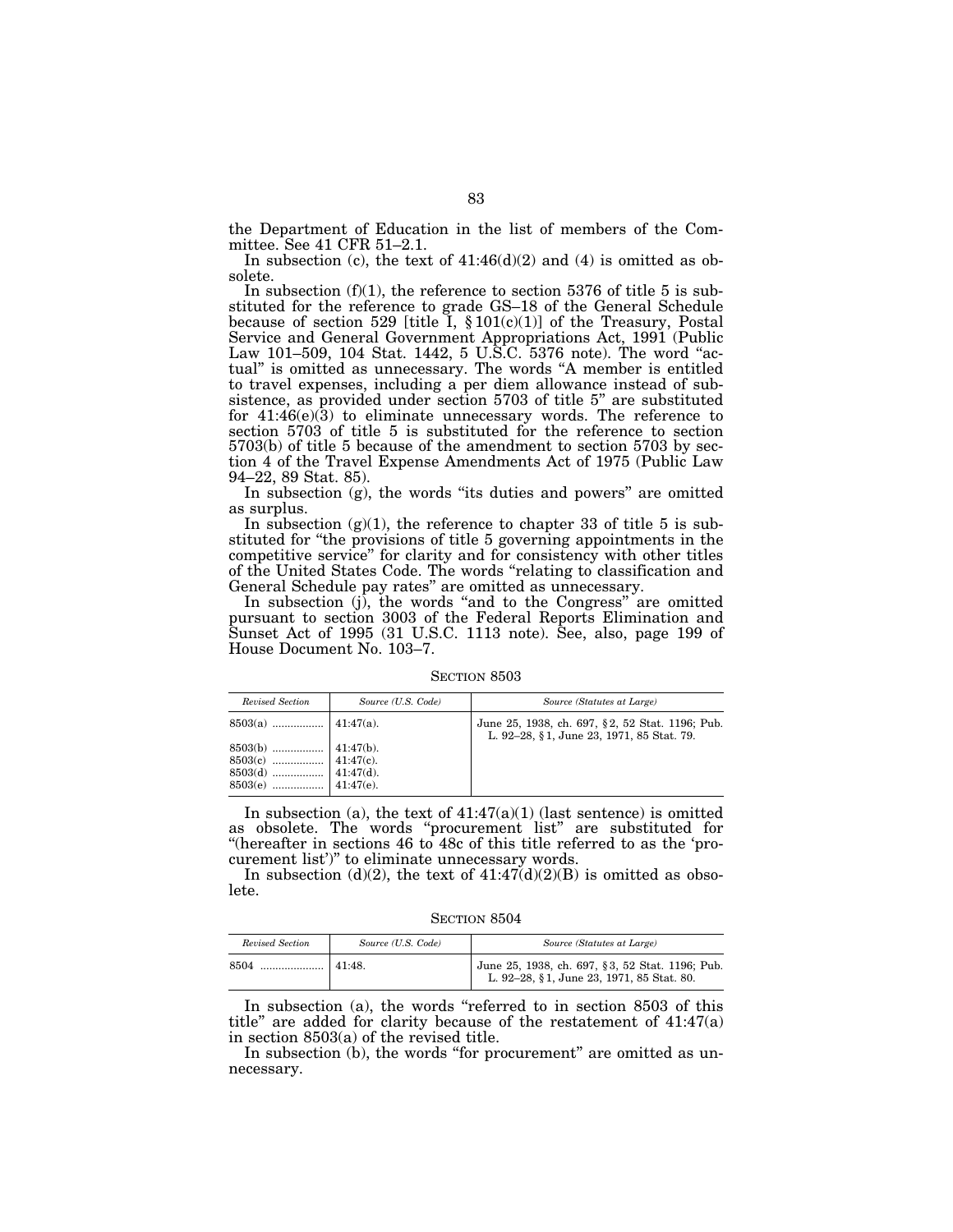the Department of Education in the list of members of the Committee. See 41 CFR 51–2.1.

In subsection (c), the text of  $41:46(d)(2)$  and (4) is omitted as obsolete.

In subsection  $(f)(1)$ , the reference to section 5376 of title 5 is substituted for the reference to grade GS–18 of the General Schedule because of section 529 [title I,  $\S 101(c)(1)$ ] of the Treasury, Postal Service and General Government Appropriations Act, 1991 (Public Law 101–509, 104 Stat. 1442, 5 U.S.C. 5376 note). The word ''actual'' is omitted as unnecessary. The words ''A member is entitled to travel expenses, including a per diem allowance instead of subsistence, as provided under section 5703 of title 5'' are substituted for  $41:46(e)(3)$  to eliminate unnecessary words. The reference to section 5703 of title 5 is substituted for the reference to section 5703(b) of title 5 because of the amendment to section 5703 by section 4 of the Travel Expense Amendments Act of 1975 (Public Law 94–22, 89 Stat. 85).

In subsection (g), the words "its duties and powers" are omitted as surplus.

In subsection  $(g)(1)$ , the reference to chapter 33 of title 5 is substituted for ''the provisions of title 5 governing appointments in the competitive service'' for clarity and for consistency with other titles of the United States Code. The words ''relating to classification and General Schedule pay rates'' are omitted as unnecessary.

In subsection (j), the words "and to the Congress" are omitted pursuant to section 3003 of the Federal Reports Elimination and Sunset Act of 1995 (31 U.S.C. 1113 note). See, also, page 199 of House Document No. 103–7.

SECTION 8503

| Revised Section | Source (U.S. Code) | Source (Statutes at Large)                                                                   |
|-----------------|--------------------|----------------------------------------------------------------------------------------------|
|                 |                    | June 25, 1938, ch. 697, §2, 52 Stat. 1196; Pub.<br>L. 92-28, §1, June 23, 1971, 85 Stat. 79. |
|                 |                    |                                                                                              |

In subsection (a), the text of  $41:47(a)(1)$  (last sentence) is omitted as obsolete. The words ''procurement list'' are substituted for ''(hereafter in sections 46 to 48c of this title referred to as the 'procurement list')'' to eliminate unnecessary words.

In subsection (d)(2), the text of  $41:47(d)(2)(B)$  is omitted as obsolete.

SECTION 8504

| Revised Section | Source (U.S. Code) | Source (Statutes at Large)                                                                                                                            |
|-----------------|--------------------|-------------------------------------------------------------------------------------------------------------------------------------------------------|
| 8504            | 141:48             | $\begin{array}{l} \big\vert \text{ June 25, 1938, ch. 697, § 3, 52 Stat. 1196; Pub.}\\ \text{L. 92–28, § 1, June 23, 1971, 85 Stat. 80.} \end{array}$ |

In subsection (a), the words "referred to in section 8503 of this title'' are added for clarity because of the restatement of 41:47(a) in section 8503(a) of the revised title.

In subsection (b), the words "for procurement" are omitted as unnecessary.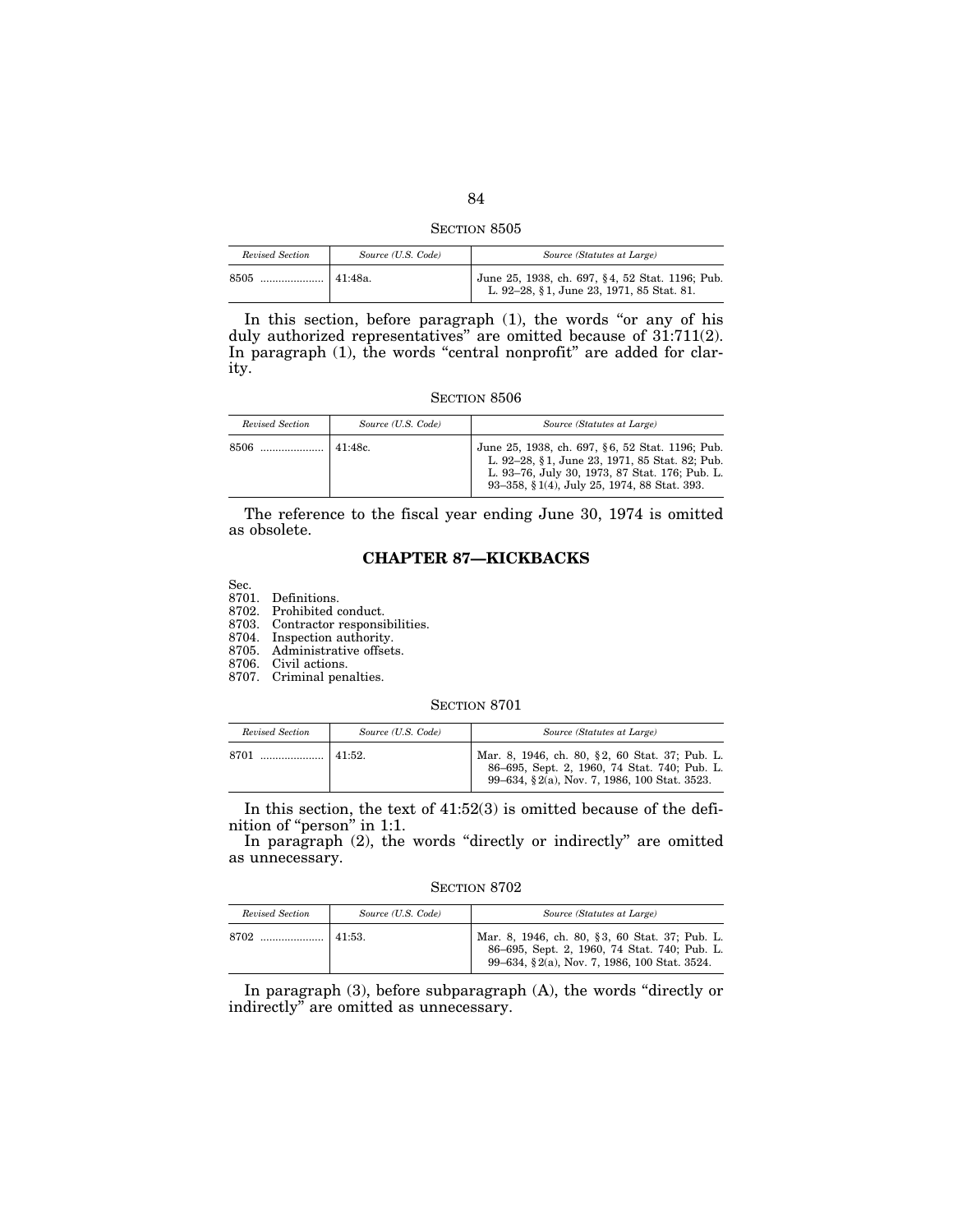SECTION 8505

| Revised Section | Source (U.S. Code) | Source (Statutes at Large)                                                                   |
|-----------------|--------------------|----------------------------------------------------------------------------------------------|
| 8505            | 41:48a.            | June 25, 1938, ch. 697, §4, 52 Stat. 1196; Pub.<br>L. 92-28, §1, June 23, 1971, 85 Stat. 81. |

In this section, before paragraph (1), the words "or any of his duly authorized representatives" are omitted because of 31:711(2). In paragraph (1), the words "central nonprofit" are added for clarity.

#### SECTION 8506

| Revised Section | Source (U.S. Code) | Source (Statutes at Large)                                                                                                                                                                         |
|-----------------|--------------------|----------------------------------------------------------------------------------------------------------------------------------------------------------------------------------------------------|
| 8506            | 141:48c            | June 25, 1938, ch. 697, §6, 52 Stat. 1196; Pub.<br>L. 92-28, §1, June 23, 1971, 85 Stat. 82; Pub.<br>L. 93-76, July 30, 1973, 87 Stat. 176; Pub. L.<br>93-358, §1(4), July 25, 1974, 88 Stat. 393. |

The reference to the fiscal year ending June 30, 1974 is omitted as obsolete.

## **CHAPTER 87—KICKBACKS**

Sec.

8701. Definitions.

8702. Prohibited conduct.

8703. Contractor responsibilities.

8704. Inspection authority.

8705. Administrative offsets.

8706. Civil actions.

8707. Criminal penalties.

#### SECTION 8701

| Revised Section | Source (U.S. Code) | Source (Statutes at Large)                                                                                                                     |
|-----------------|--------------------|------------------------------------------------------------------------------------------------------------------------------------------------|
|                 |                    | Mar. 8, 1946, ch. 80, §2, 60 Stat. 37; Pub. L.<br>86-695, Sept. 2, 1960, 74 Stat. 740; Pub. L.<br>99–634, §2(a), Nov. 7, 1986, 100 Stat. 3523. |

In this section, the text of 41:52(3) is omitted because of the definition of "person" in 1:1.

In paragraph (2), the words "directly or indirectly" are omitted as unnecessary.

SECTION 8702

| Revised Section | Source (U.S. Code) | Source (Statutes at Large)                                                                                                                     |
|-----------------|--------------------|------------------------------------------------------------------------------------------------------------------------------------------------|
| 8702            | $141:53$ .         | Mar. 8, 1946, ch. 80, §3, 60 Stat. 37; Pub. L.<br>86-695, Sept. 2, 1960, 74 Stat. 740; Pub. L.<br>99–634, §2(a), Nov. 7, 1986, 100 Stat. 3524. |

In paragraph (3), before subparagraph (A), the words ''directly or indirectly'' are omitted as unnecessary.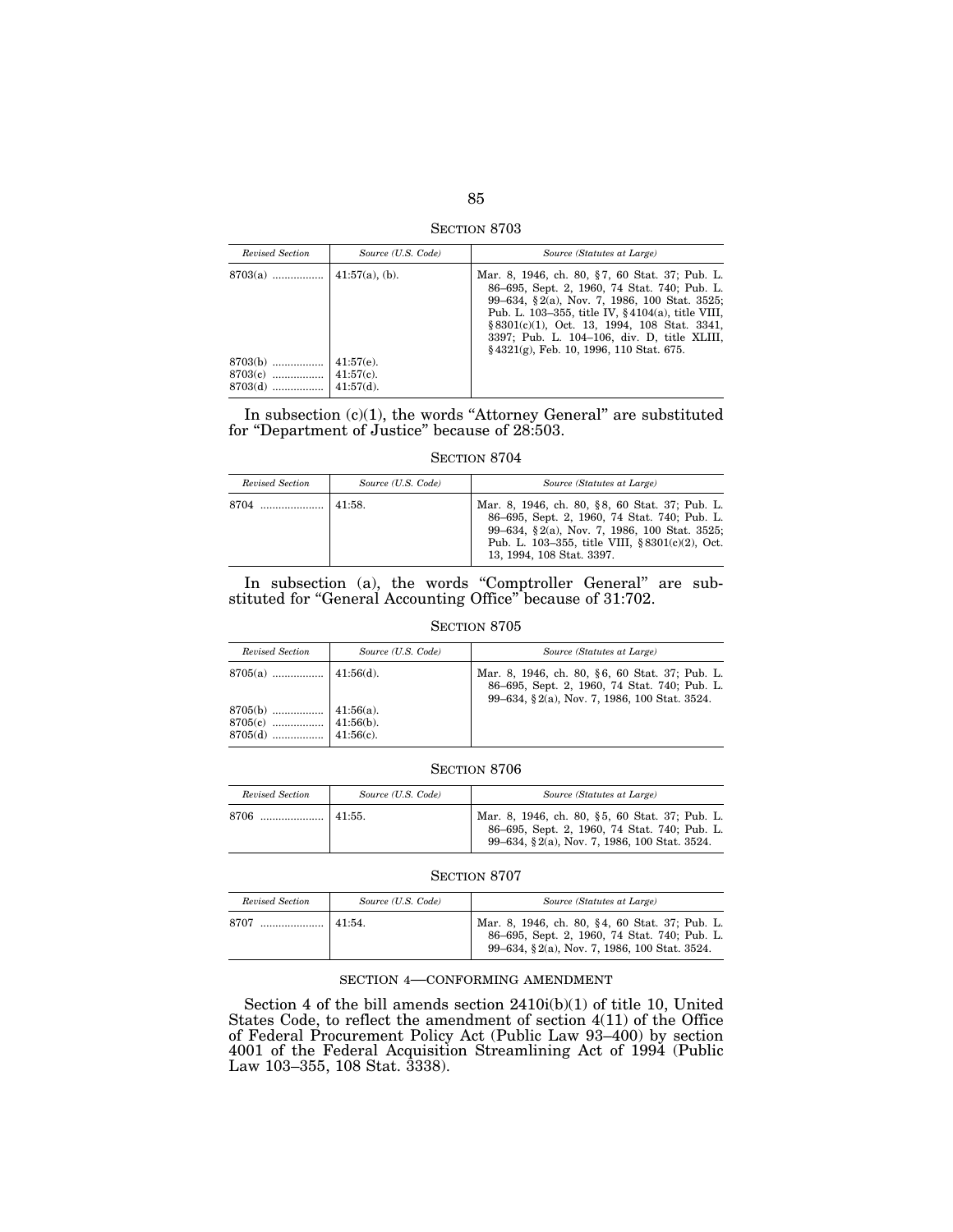SECTION 8703

| Revised Section        | Source (U.S. Code)               | Source (Statutes at Large)                                                                                                                                                                                                                                                                                                                            |
|------------------------|----------------------------------|-------------------------------------------------------------------------------------------------------------------------------------------------------------------------------------------------------------------------------------------------------------------------------------------------------------------------------------------------------|
|                        |                                  | Mar. 8, 1946, ch. 80, §7, 60 Stat. 37; Pub. L.<br>86–695, Sept. 2, 1960, 74 Stat. 740; Pub. L.<br>99–634, §2(a), Nov. 7, 1986, 100 Stat. 3525;<br>Pub. L. 103–355, title IV, $§$ 4104(a), title VIII,<br>$§ 8301(c)(1)$ , Oct. 13, 1994, 108 Stat. 3341,<br>3397; Pub. L. 104-106, div. D. title XLIII,<br>$§$ 4321(g), Feb. 10, 1996, 110 Stat. 675. |
| $8703(b)$<br>$8703(d)$ | $41:57(e)$ .<br>$\pm 41:57(d)$ . |                                                                                                                                                                                                                                                                                                                                                       |

In subsection  $(c)(1)$ , the words "Attorney General" are substituted for ''Department of Justice'' because of 28:503.

#### SECTION 8704

| Revised Section | Source (U.S. Code) | Source (Statutes at Large)                                                                                                                                                                                                         |
|-----------------|--------------------|------------------------------------------------------------------------------------------------------------------------------------------------------------------------------------------------------------------------------------|
| 8704            | 41:58.             | Mar. 8, 1946, ch. 80, §8, 60 Stat. 37; Pub. L.<br>86–695, Sept. 2, 1960, 74 Stat. 740; Pub. L.<br>99–634, §2(a), Nov. 7, 1986, 100 Stat. 3525;<br>Pub. L. 103–355, title VIII, $\S 8301(c)(2)$ , Oct.<br>13, 1994, 108 Stat. 3397. |

In subsection (a), the words "Comptroller General" are substituted for ''General Accounting Office'' because of 31:702.

## SECTION 8705

| Revised Section | Source (U.S. Code) | Source (Statutes at Large)                                                                                                                     |
|-----------------|--------------------|------------------------------------------------------------------------------------------------------------------------------------------------|
|                 |                    | Mar. 8, 1946, ch. 80, §6, 60 Stat. 37; Pub. L.<br>86–695, Sept. 2, 1960, 74 Stat. 740; Pub. L.<br>99–634, §2(a), Nov. 7, 1986, 100 Stat. 3524. |
|                 |                    |                                                                                                                                                |

SECTION 8706

| Revised Section | Source (U.S. Code) | Source (Statutes at Large)                                                                                                                     |
|-----------------|--------------------|------------------------------------------------------------------------------------------------------------------------------------------------|
| 8706            | $41:55$ .          | Mar. 8, 1946, ch. 80, §5, 60 Stat. 37; Pub. L.<br>86-695, Sept. 2, 1960, 74 Stat. 740; Pub. L.<br>99-634, §2(a), Nov. 7, 1986, 100 Stat. 3524. |

#### SECTION 8707

| Revised Section | Source (U.S. Code) | Source (Statutes at Large)                                                                                                                     |
|-----------------|--------------------|------------------------------------------------------------------------------------------------------------------------------------------------|
|                 |                    | Mar. 8, 1946, ch. 80, §4, 60 Stat. 37; Pub. L.<br>86-695, Sept. 2, 1960, 74 Stat. 740; Pub. L.<br>99-634, §2(a), Nov. 7, 1986, 100 Stat. 3524. |

## SECTION 4—CONFORMING AMENDMENT

Section 4 of the bill amends section 2410i(b)(1) of title 10, United States Code, to reflect the amendment of section 4(11) of the Office of Federal Procurement Policy Act (Public Law 93–400) by section 4001 of the Federal Acquisition Streamlining Act of 1994 (Public Law 103–355, 108 Stat. 3338).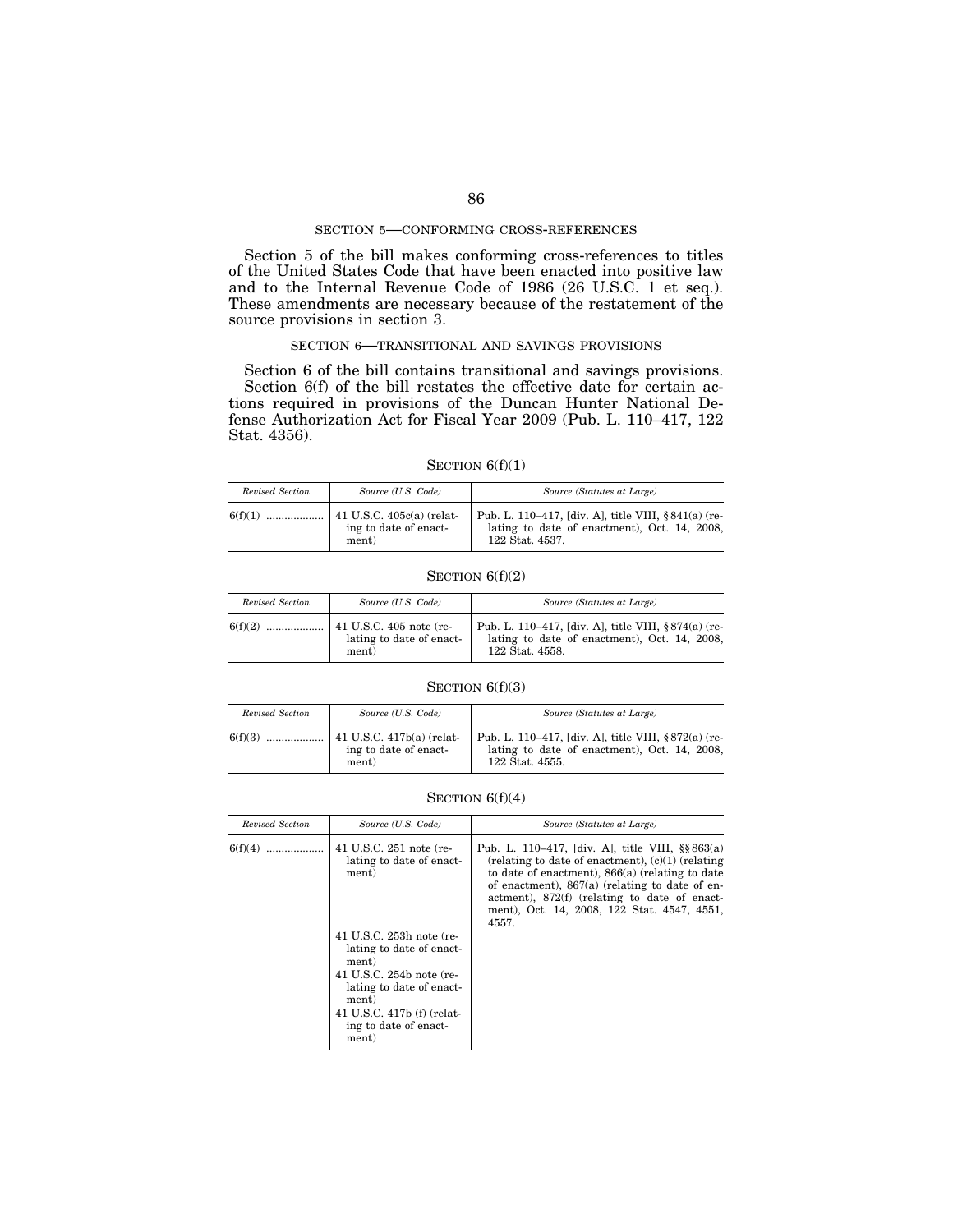### SECTION 5—CONFORMING CROSS-REFERENCES

Section 5 of the bill makes conforming cross-references to titles of the United States Code that have been enacted into positive law and to the Internal Revenue Code of 1986 (26 U.S.C. 1 et seq.). These amendments are necessary because of the restatement of the source provisions in section 3.

#### SECTION 6—TRANSITIONAL AND SAVINGS PROVISIONS

Section 6 of the bill contains transitional and savings provisions. Section 6(f) of the bill restates the effective date for certain actions required in provisions of the Duncan Hunter National Defense Authorization Act for Fiscal Year 2009 (Pub. L. 110–417, 122 Stat. 4356).

## SECTION  $6(f)(1)$

| Revised Section | Source (U.S. Code)                                                      | Source (Statutes at Large)                                                                                             |
|-----------------|-------------------------------------------------------------------------|------------------------------------------------------------------------------------------------------------------------|
| 6(f)(1)         | $\vert$ 41 U.S.C. 405 $c$ (a) (relat-<br>ing to date of enact-<br>ment) | Pub. L. 110–417, [div. A], title VIII, §841(a) (re-<br>lating to date of enactment), Oct. 14, 2008,<br>122 Stat. 4537. |

#### SECTION  $6(f)(2)$

| Revised Section | Source (U.S. Code)                | Source (Statutes at Large)                                                                                             |
|-----------------|-----------------------------------|------------------------------------------------------------------------------------------------------------------------|
|                 | lating to date of enact-<br>ment) | Pub. L. 110–417, [div. A], title VIII, §874(a) (re-<br>lating to date of enactment), Oct. 14, 2008,<br>122 Stat. 4558. |

## SECTION  $6(f)(3)$

| Revised Section | Source (U.S. Code)                                                  | Source (Statutes at Large)                                                                                             |
|-----------------|---------------------------------------------------------------------|------------------------------------------------------------------------------------------------------------------------|
| 6(f)(3)<br>.    | $\vert$ 41 U.S.C. 417b(a) (relat-<br>ing to date of enact-<br>ment) | Pub. L. 110–417, [div. A], title VIII, §872(a) (re-<br>lating to date of enactment), Oct. 14, 2008,<br>122 Stat. 4555. |

## SECTION  $6(f)(4)$

| Revised Section | Source (U.S. Code)                                                                                                                                                                             | Source (Statutes at Large)                                                                                                                                                                                                                                                                                                   |
|-----------------|------------------------------------------------------------------------------------------------------------------------------------------------------------------------------------------------|------------------------------------------------------------------------------------------------------------------------------------------------------------------------------------------------------------------------------------------------------------------------------------------------------------------------------|
| 6(f)(4)         | 41 U.S.C. 251 note (re-<br>lating to date of enact-<br>ment)                                                                                                                                   | Pub. L. 110–417, [div. A], title VIII, $\S$ § 863(a)<br>(relating to date of enactment), $(c)(1)$ (relating<br>to date of enactment), $866(a)$ (relating to date<br>of enactment), $867(a)$ (relating to date of en-<br>actment), 872(f) (relating to date of enact-<br>ment), Oct. 14, 2008, 122 Stat. 4547, 4551,<br>4557. |
|                 | 41 U.S.C. 253h note (re-<br>lating to date of enact-<br>ment)<br>41 U.S.C. 254b note (re-<br>lating to date of enact-<br>ment)<br>41 U.S.C. 417b (f) (relat-<br>ing to date of enact-<br>ment) |                                                                                                                                                                                                                                                                                                                              |